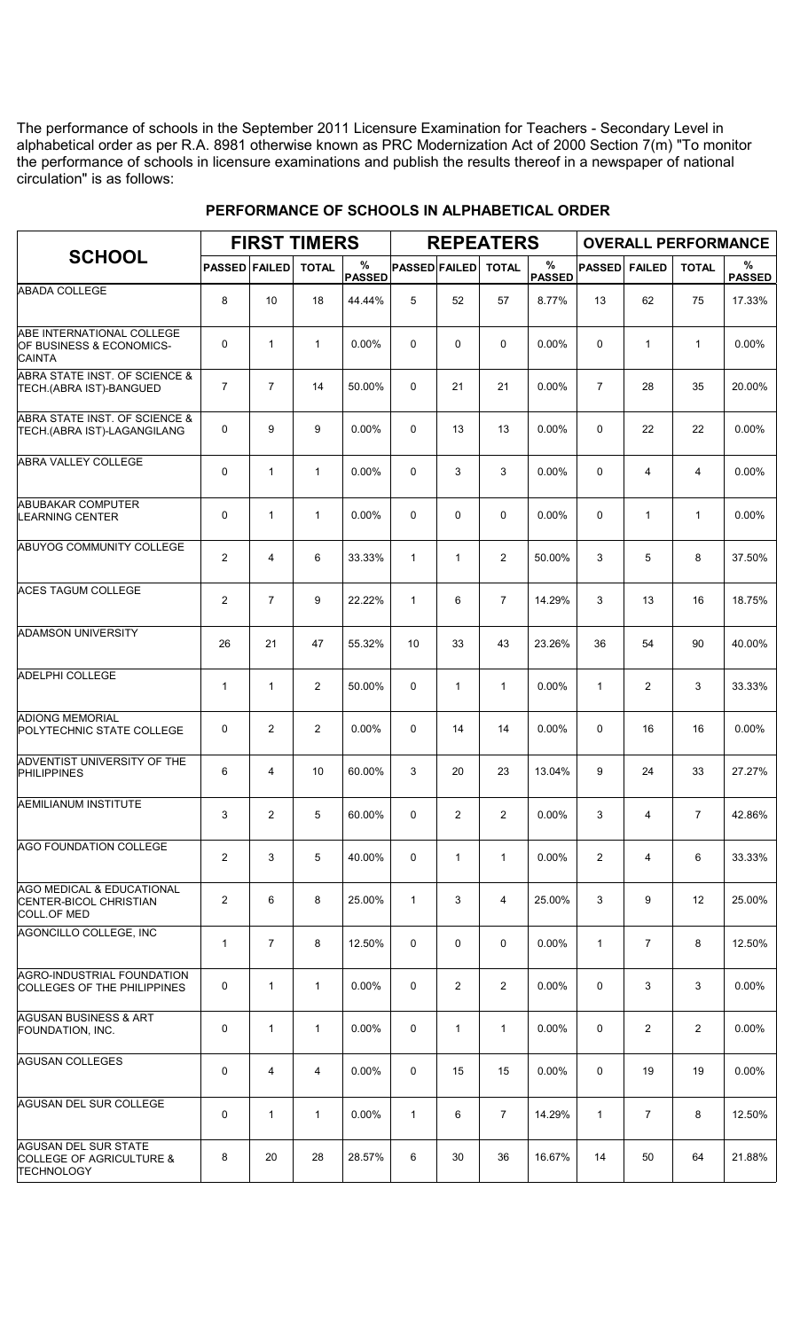The performance of schools in the September 2011 Licensure Examination for Teachers - Secondary Level in alphabetical order as per R.A. 8981 otherwise known as PRC Modernization Act of 2000 Section 7(m) "To monitor the performance of schools in licensure examinations and publish the results thereof in a newspaper of national circulation" is as follows:

|                                                                                         |                      |                | <b>FIRST TIMERS</b> |                    |                      |                | <b>REPEATERS</b> |                       |                |                | <b>OVERALL PERFORMANCE</b> |                    |
|-----------------------------------------------------------------------------------------|----------------------|----------------|---------------------|--------------------|----------------------|----------------|------------------|-----------------------|----------------|----------------|----------------------------|--------------------|
| <b>SCHOOL</b>                                                                           | <b>PASSED FAILED</b> |                | <b>TOTAL</b>        | %<br><b>PASSED</b> | <b>PASSED FAILED</b> |                | <b>TOTAL</b>     | $\%$<br><b>PASSED</b> | <b>PASSED</b>  | <b>FAILED</b>  | <b>TOTAL</b>               | %<br><b>PASSED</b> |
| <b>ABADA COLLEGE</b>                                                                    | 8                    | 10             | 18                  | 44.44%             | 5                    | 52             | 57               | 8.77%                 | 13             | 62             | 75                         | 17.33%             |
| ABE INTERNATIONAL COLLEGE<br>OF BUSINESS & ECONOMICS-<br><b>CAINTA</b>                  | $\mathbf 0$          | $\mathbf{1}$   | $\mathbf{1}$        | 0.00%              | 0                    | 0              | 0                | 0.00%                 | $\Omega$       | $\mathbf{1}$   | $\mathbf{1}$               | 0.00%              |
| ABRA STATE INST. OF SCIENCE &<br>TECH.(ABRA IST)-BANGUED                                | $\overline{7}$       | $\overline{7}$ | 14                  | 50.00%             | $\mathbf 0$          | 21             | 21               | 0.00%                 | $\overline{7}$ | 28             | 35                         | 20.00%             |
| ABRA STATE INST. OF SCIENCE &<br>TECH.(ABRA IST)-LAGANGILANG                            | 0                    | 9              | 9                   | 0.00%              | $\Omega$             | 13             | 13               | 0.00%                 | $\Omega$       | 22             | 22                         | 0.00%              |
| <b>ABRA VALLEY COLLEGE</b>                                                              | $\mathbf 0$          | 1              | $\mathbf{1}$        | 0.00%              | $\mathbf 0$          | 3              | 3                | 0.00%                 | 0              | 4              | 4                          | 0.00%              |
| <b>ABUBAKAR COMPUTER</b><br><b>LEARNING CENTER</b>                                      | $\mathbf 0$          | $\mathbf{1}$   | $\mathbf{1}$        | 0.00%              | $\mathbf 0$          | 0              | 0                | 0.00%                 | $\Omega$       | $\mathbf{1}$   | $\mathbf{1}$               | 0.00%              |
| ABUYOG COMMUNITY COLLEGE                                                                | $\overline{2}$       | 4              | 6                   | 33.33%             | $\mathbf{1}$         | $\mathbf{1}$   | $\overline{2}$   | 50.00%                | 3              | 5              | 8                          | 37.50%             |
| <b>ACES TAGUM COLLEGE</b>                                                               | $\overline{2}$       | $\overline{7}$ | 9                   | 22.22%             | $\mathbf{1}$         | 6              | $\overline{7}$   | 14.29%                | 3              | 13             | 16                         | 18.75%             |
| <b>ADAMSON UNIVERSITY</b>                                                               | 26                   | 21             | 47                  | 55.32%             | 10                   | 33             | 43               | 23.26%                | 36             | 54             | 90                         | 40.00%             |
| <b>ADELPHI COLLEGE</b>                                                                  | $\mathbf{1}$         | $\mathbf{1}$   | $\overline{2}$      | 50.00%             | 0                    | $\mathbf{1}$   | $\mathbf{1}$     | 0.00%                 | $\mathbf{1}$   | $\overline{2}$ | 3                          | 33.33%             |
| <b>ADIONG MEMORIAL</b><br>POLYTECHNIC STATE COLLEGE                                     | 0                    | $\overline{2}$ | $\overline{2}$      | 0.00%              | $\Omega$             | 14             | 14               | 0.00%                 | $\Omega$       | 16             | 16                         | 0.00%              |
| ADVENTIST UNIVERSITY OF THE<br><b>PHILIPPINES</b>                                       | 6                    | 4              | 10                  | 60.00%             | 3                    | 20             | 23               | 13.04%                | 9              | 24             | 33                         | 27.27%             |
| <b>AEMILIANUM INSTITUTE</b>                                                             | 3                    | $\overline{2}$ | 5                   | 60.00%             | 0                    | $\overline{2}$ | $\overline{2}$   | 0.00%                 | 3              | 4              | $\overline{7}$             | 42.86%             |
| <b>AGO FOUNDATION COLLEGE</b>                                                           | $\overline{2}$       | 3              | 5                   | 40.00%             | 0                    | $\mathbf{1}$   | $\mathbf{1}$     | $0.00\%$              | $\overline{2}$ | $\overline{4}$ | 6                          | 33.33%             |
| <b>AGO MEDICAL &amp; EDUCATIONAL</b><br><b>CENTER-BICOL CHRISTIAN</b><br>COLL.OF MED    | $\overline{2}$       | 6              | 8                   | 25.00%             | $\mathbf{1}$         | 3              | $\overline{4}$   | 25.00%                | 3              | 9              | 12                         | 25.00%             |
| AGONCILLO COLLEGE, INC                                                                  | $\mathbf{1}$         | $\overline{7}$ | 8                   | 12.50%             | 0                    | 0              | 0                | $0.00\%$              | $\mathbf{1}$   | $\overline{7}$ | 8                          | 12.50%             |
| AGRO-INDUSTRIAL FOUNDATION<br>COLLEGES OF THE PHILIPPINES                               | 0                    | $\mathbf{1}$   | $\mathbf{1}$        | 0.00%              | 0                    | $\overline{2}$ | $\overline{2}$   | $0.00\%$              | $\Omega$       | 3              | 3                          | 0.00%              |
| <b>AGUSAN BUSINESS &amp; ART</b><br><b>FOUNDATION, INC.</b>                             | $\mathbf 0$          | $\mathbf{1}$   | $\mathbf{1}$        | 0.00%              | 0                    | $\mathbf{1}$   | $\mathbf{1}$     | $0.00\%$              | 0              | $\overline{2}$ | $\overline{2}$             | $0.00\%$           |
| <b>AGUSAN COLLEGES</b>                                                                  | $\mathbf 0$          | 4              | 4                   | 0.00%              | 0                    | 15             | 15               | $0.00\%$              | $\mathbf 0$    | 19             | 19                         | $0.00\%$           |
| <b>AGUSAN DEL SUR COLLEGE</b>                                                           | $\mathbf 0$          | 1              | $\mathbf{1}$        | 0.00%              | $\mathbf{1}$         | 6              | $\overline{7}$   | 14.29%                | $\mathbf{1}$   | $\overline{7}$ | 8                          | 12.50%             |
| <b>AGUSAN DEL SUR STATE</b><br><b>COLLEGE OF AGRICULTURE &amp;</b><br><b>TECHNOLOGY</b> | 8                    | 20             | 28                  | 28.57%             | 6                    | 30             | 36               | 16.67%                | 14             | 50             | 64                         | 21.88%             |

## **PERFORMANCE OF SCHOOLS IN ALPHABETICAL ORDER**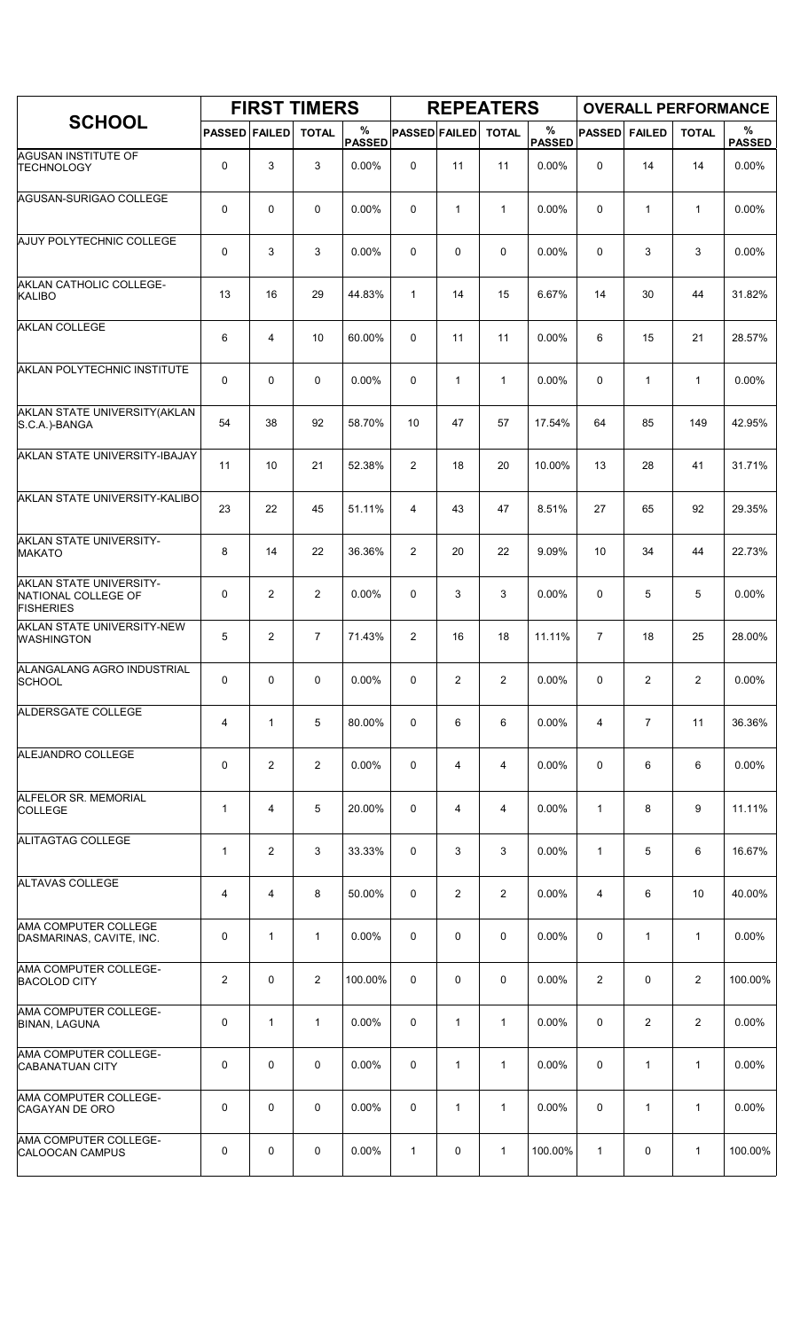|                                                                    |                      |                | <b>FIRST TIMERS</b> |                    |                      |              | <b>REPEATERS</b> |                    |                |               |                | <b>OVERALL PERFORMANCE</b> |
|--------------------------------------------------------------------|----------------------|----------------|---------------------|--------------------|----------------------|--------------|------------------|--------------------|----------------|---------------|----------------|----------------------------|
| <b>SCHOOL</b>                                                      | <b>PASSED FAILED</b> |                | <b>TOTAL</b>        | %<br><b>PASSED</b> | <b>PASSED FAILED</b> |              | <b>TOTAL</b>     | %<br><b>PASSED</b> | <b>PASSED</b>  | <b>FAILED</b> | <b>TOTAL</b>   | %<br><b>PASSED</b>         |
| <b>AGUSAN INSTITUTE OF</b><br><b>TECHNOLOGY</b>                    | 0                    | 3              | 3                   | 0.00%              | $\mathbf 0$          | 11           | 11               | 0.00%              | 0              | 14            | 14             | 0.00%                      |
| AGUSAN-SURIGAO COLLEGE                                             | 0                    | 0              | $\mathbf 0$         | 0.00%              | 0                    | $\mathbf{1}$ | $\mathbf{1}$     | 0.00%              | $\mathbf 0$    | 1             | $\mathbf{1}$   | 0.00%                      |
| AJUY POLYTECHNIC COLLEGE                                           | 0                    | 3              | 3                   | 0.00%              | 0                    | 0            | 0                | 0.00%              | 0              | 3             | 3              | 0.00%                      |
| AKLAN CATHOLIC COLLEGE-<br><b>KALIBO</b>                           | 13                   | 16             | 29                  | 44.83%             | $\mathbf{1}$         | 14           | 15               | 6.67%              | 14             | 30            | 44             | 31.82%                     |
| <b>AKLAN COLLEGE</b>                                               | 6                    | 4              | 10                  | 60.00%             | 0                    | 11           | 11               | 0.00%              | 6              | 15            | 21             | 28.57%                     |
| AKLAN POLYTECHNIC INSTITUTE                                        | 0                    | 0              | 0                   | 0.00%              | 0                    | 1            | $\mathbf{1}$     | 0.00%              | 0              | $\mathbf{1}$  | $\mathbf{1}$   | 0.00%                      |
| AKLAN STATE UNIVERSITY (AKLAN<br>S.C.A.)-BANGA                     | 54                   | 38             | 92                  | 58.70%             | 10                   | 47           | 57               | 17.54%             | 64             | 85            | 149            | 42.95%                     |
| AKLAN STATE UNIVERSITY-IBAJAY                                      | 11                   | 10             | 21                  | 52.38%             | 2                    | 18           | 20               | 10.00%             | 13             | 28            | 41             | 31.71%                     |
| AKLAN STATE UNIVERSITY-KALIBO                                      | 23                   | 22             | 45                  | 51.11%             | 4                    | 43           | 47               | 8.51%              | 27             | 65            | 92             | 29.35%                     |
| AKLAN STATE UNIVERSITY-<br><b>MAKATO</b>                           | 8                    | 14             | 22                  | 36.36%             | 2                    | 20           | 22               | 9.09%              | 10             | 34            | 44             | 22.73%                     |
| AKLAN STATE UNIVERSITY-<br>NATIONAL COLLEGE OF<br><b>FISHERIES</b> | 0                    | $\overline{2}$ | $\overline{2}$      | 0.00%              | 0                    | 3            | 3                | 0.00%              | 0              | 5             | 5              | 0.00%                      |
| AKLAN STATE UNIVERSITY-NEW<br><b>WASHINGTON</b>                    | 5                    | $\overline{c}$ | $\overline{7}$      | 71.43%             | $\overline{2}$       | 16           | 18               | 11.11%             | $\overline{7}$ | 18            | 25             | 28.00%                     |
| ALANGALANG AGRO INDUSTRIAL<br>SCHOOL                               | 0                    | 0              | $\mathbf 0$         | 0.00%              | 0                    | 2            | $\overline{2}$   | 0.00%              | 0              | 2             | $\overline{2}$ | 0.00%                      |
| ALDERSGATE COLLEGE                                                 | 4                    | $\mathbf{1}$   | 5                   | 80.00%             | 0                    | 6            | 6                | 0.00%              | 4              | 7             | 11             | 36.36%                     |
| ALEJANDRO COLLEGE                                                  | 0                    | $\overline{c}$ | $\overline{2}$      | 0.00%              | 0                    | 4            | 4                | 0.00%              | 0              | 6             | 6              | 0.00%                      |
| ALFELOR SR. MEMORIAL<br><b>COLLEGE</b>                             | $\mathbf{1}$         | $\overline{4}$ | 5                   | 20.00%             | 0                    | 4            | 4                | 0.00%              | $\mathbf{1}$   | 8             | 9              | 11.11%                     |
| ALITAGTAG COLLEGE                                                  | $\mathbf 1$          | $\overline{c}$ | 3                   | 33.33%             | 0                    | 3            | 3                | 0.00%              | $\mathbf{1}$   | 5             | 6              | 16.67%                     |
| <b>ALTAVAS COLLEGE</b>                                             | 4                    | 4              | 8                   | 50.00%             | 0                    | 2            | $\overline{2}$   | 0.00%              | 4              | 6             | 10             | 40.00%                     |
| AMA COMPUTER COLLEGE<br>DASMARINAS, CAVITE, INC.                   | 0                    | $\mathbf{1}$   | 1                   | 0.00%              | 0                    | 0            | 0                | 0.00%              | $\mathbf 0$    | 1             | $\mathbf{1}$   | 0.00%                      |
| AMA COMPUTER COLLEGE-<br><b>BACOLOD CITY</b>                       | 2                    | 0              | $\overline{2}$      | 100.00%            | 0                    | 0            | 0                | $0.00\%$           | $\overline{2}$ | 0             | $\overline{2}$ | 100.00%                    |
| AMA COMPUTER COLLEGE-<br><b>BINAN, LAGUNA</b>                      | 0                    | $\mathbf{1}$   | $\mathbf{1}$        | 0.00%              | 0                    | $\mathbf{1}$ | $\mathbf{1}$     | 0.00%              | 0              | 2             | $\overline{2}$ | 0.00%                      |
| AMA COMPUTER COLLEGE-<br>CABANATUAN CITY                           | 0                    | 0              | 0                   | 0.00%              | 0                    | 1            | $\mathbf{1}$     | 0.00%              | 0              | $\mathbf{1}$  | $\mathbf{1}$   | 0.00%                      |
| AMA COMPUTER COLLEGE-<br>CAGAYAN DE ORO                            | 0                    | 0              | $\mathbf 0$         | 0.00%              | 0                    | 1            | $\mathbf{1}$     | 0.00%              | 0              | 1             | $\mathbf{1}$   | 0.00%                      |
| AMA COMPUTER COLLEGE-<br>CALOOCAN CAMPUS                           | 0                    | 0              | 0                   | 0.00%              | $\mathbf{1}$         | 0            | 1                | 100.00%            | $\mathbf{1}$   | 0             | $\mathbf{1}$   | 100.00%                    |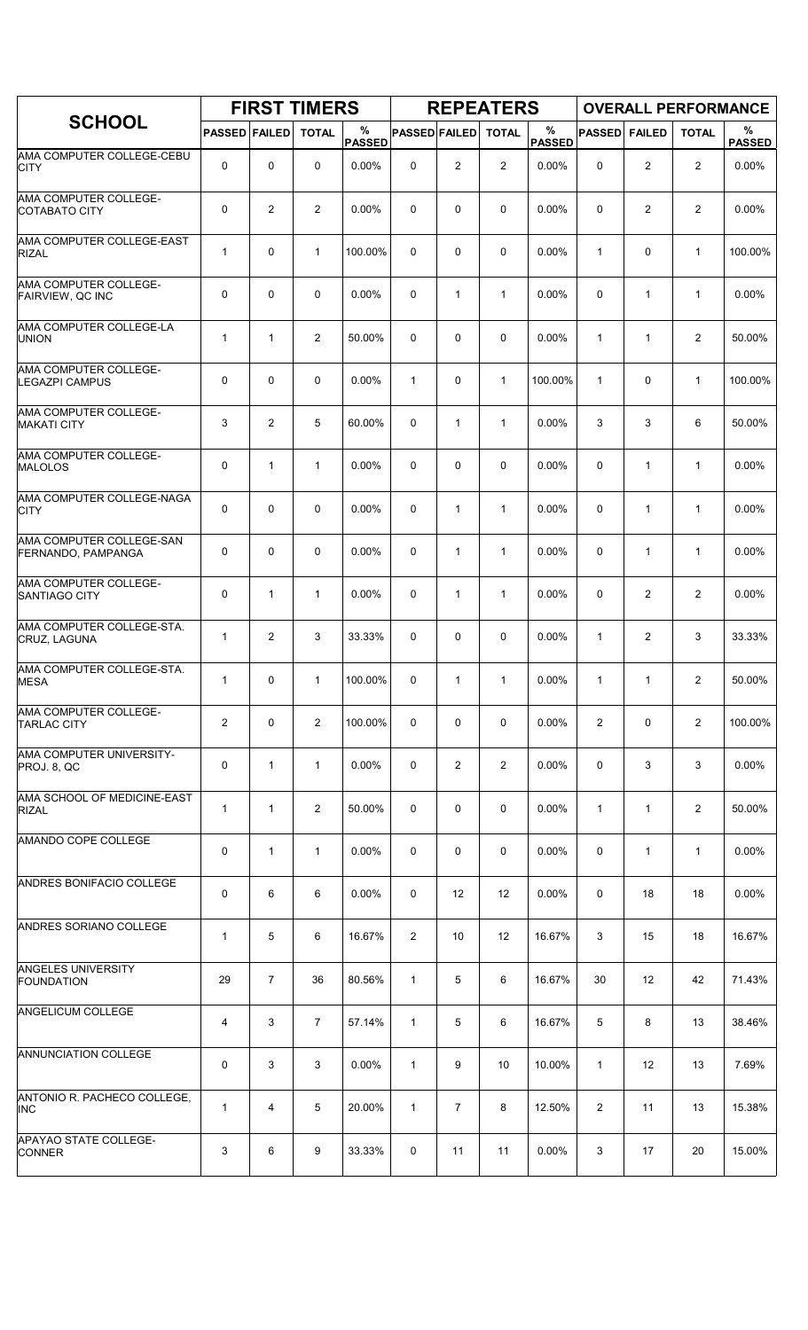|                                                  |                      |                | <b>FIRST TIMERS</b> |                    |                      |                   | <b>REPEATERS</b> |                       |                |                | <b>OVERALL PERFORMANCE</b> |                    |
|--------------------------------------------------|----------------------|----------------|---------------------|--------------------|----------------------|-------------------|------------------|-----------------------|----------------|----------------|----------------------------|--------------------|
| <b>SCHOOL</b>                                    | <b>PASSED FAILED</b> |                | <b>TOTAL</b>        | %<br><b>PASSED</b> | <b>PASSED FAILED</b> |                   | <b>TOTAL</b>     | $\%$<br><b>PASSED</b> | <b>PASSED</b>  | <b>FAILED</b>  | <b>TOTAL</b>               | %<br><b>PASSED</b> |
| AMA COMPUTER COLLEGE-CEBU<br><b>CITY</b>         | 0                    | 0              | 0                   | 0.00%              | 0                    | 2                 | $\overline{2}$   | 0.00%                 | $\mathbf 0$    | $\overline{2}$ | $\overline{c}$             | 0.00%              |
| AMA COMPUTER COLLEGE-<br><b>COTABATO CITY</b>    | 0                    | $\overline{2}$ | $\overline{2}$      | 0.00%              | 0                    | 0                 | $\mathbf 0$      | 0.00%                 | 0              | 2              | 2                          | 0.00%              |
| AMA COMPUTER COLLEGE-EAST<br><b>RIZAL</b>        | 1                    | $\mathbf 0$    | $\mathbf{1}$        | 100.00%            | 0                    | 0                 | $\mathbf 0$      | 0.00%                 | $\mathbf{1}$   | 0              | $\mathbf{1}$               | 100.00%            |
| AMA COMPUTER COLLEGE-<br><b>FAIRVIEW, QC INC</b> | 0                    | $\mathbf 0$    | $\mathbf 0$         | 0.00%              | 0                    | $\mathbf{1}$      | $\mathbf{1}$     | 0.00%                 | $\mathbf 0$    | $\mathbf{1}$   | $\mathbf{1}$               | 0.00%              |
| AMA COMPUTER COLLEGE-LA<br><b>UNION</b>          | $\mathbf 1$          | $\mathbf{1}$   | $\overline{2}$      | 50.00%             | 0                    | 0                 | $\mathbf 0$      | 0.00%                 | $\mathbf{1}$   | 1              | $\overline{2}$             | 50.00%             |
| AMA COMPUTER COLLEGE-<br><b>LEGAZPI CAMPUS</b>   | 0                    | $\mathbf 0$    | $\mathbf 0$         | 0.00%              | $\mathbf{1}$         | 0                 | $\mathbf{1}$     | 100.00%               | $\mathbf{1}$   | 0              | $\mathbf{1}$               | 100.00%            |
| AMA COMPUTER COLLEGE-<br><b>MAKATI CITY</b>      | 3                    | $\overline{2}$ | 5                   | 60.00%             | 0                    | $\mathbf{1}$      | $\mathbf{1}$     | 0.00%                 | 3              | 3              | 6                          | 50.00%             |
| AMA COMPUTER COLLEGE-<br><b>MALOLOS</b>          | 0                    | $\mathbf{1}$   | $\mathbf{1}$        | $0.00\%$           | 0                    | 0                 | 0                | 0.00%                 | $\mathbf 0$    | $\mathbf{1}$   | $\mathbf{1}$               | 0.00%              |
| AMA COMPUTER COLLEGE-NAGA<br><b>CITY</b>         | 0                    | $\mathbf 0$    | $\mathbf 0$         | 0.00%              | 0                    | $\mathbf{1}$      | $\mathbf{1}$     | 0.00%                 | $\mathbf 0$    | $\mathbf{1}$   | $\mathbf{1}$               | 0.00%              |
| AMA COMPUTER COLLEGE-SAN<br>FERNANDO, PAMPANGA   | 0                    | $\mathbf 0$    | $\mathbf 0$         | 0.00%              | 0                    | $\mathbf{1}$      | $\mathbf{1}$     | 0.00%                 | $\mathbf 0$    | $\mathbf{1}$   | $\mathbf{1}$               | 0.00%              |
| AMA COMPUTER COLLEGE-<br>SANTIAGO CITY           | 0                    | $\mathbf{1}$   | $\mathbf{1}$        | 0.00%              | 0                    | $\mathbf{1}$      | $\mathbf{1}$     | 0.00%                 | 0              | $\overline{c}$ | $\overline{2}$             | 0.00%              |
| AMA COMPUTER COLLEGE-STA.<br>CRUZ, LAGUNA        | 1                    | $\overline{2}$ | 3                   | 33.33%             | 0                    | 0                 | $\mathbf 0$      | 0.00%                 | $\mathbf{1}$   | 2              | 3                          | 33.33%             |
| AMA COMPUTER COLLEGE-STA.<br><b>MESA</b>         | 1                    | $\mathbf 0$    | $\mathbf{1}$        | 100.00%            | 0                    | 1                 | $\mathbf{1}$     | 0.00%                 | $\mathbf{1}$   | 1              | 2                          | 50.00%             |
| AMA COMPUTER COLLEGE-<br><b>TARLAC CITY</b>      | $\overline{2}$       | 0              | $\overline{2}$      | 100.00%            | 0                    | 0                 | 0                | $0.00\%$              | $\overline{2}$ | 0              | 2                          | 100.00%            |
| AMA COMPUTER UNIVERSITY-<br>PROJ. 8, QC          | 0                    | $\mathbf{1}$   | 1                   | 0.00%              | 0                    | $\overline{2}$    | $\overline{2}$   | 0.00%                 | 0              | 3              | 3                          | 0.00%              |
| AMA SCHOOL OF MEDICINE-EAST<br><b>RIZAL</b>      | $\mathbf{1}$         | $\mathbf{1}$   | $\overline{2}$      | 50.00%             | 0                    | 0                 | 0                | 0.00%                 | $\mathbf{1}$   | $\mathbf{1}$   | 2                          | 50.00%             |
| AMANDO COPE COLLEGE                              | 0                    | 1              | 1                   | 0.00%              | 0                    | 0                 | 0                | 0.00%                 | 0              | 1              | 1                          | 0.00%              |
| ANDRES BONIFACIO COLLEGE                         | 0                    | 6              | 6                   | 0.00%              | 0                    | $12 \overline{ }$ | 12               | 0.00%                 | 0              | 18             | 18                         | 0.00%              |
| ANDRES SORIANO COLLEGE                           | 1                    | 5              | 6                   | 16.67%             | 2                    | 10                | 12               | 16.67%                | 3              | 15             | 18                         | 16.67%             |
| <b>ANGELES UNIVERSITY</b><br><b>FOUNDATION</b>   | 29                   | $\overline{7}$ | 36                  | 80.56%             | 1                    | 5                 | 6                | 16.67%                | 30             | 12             | 42                         | 71.43%             |
| ANGELICUM COLLEGE                                | 4                    | 3              | 7                   | 57.14%             | $\mathbf{1}$         | 5                 | 6                | 16.67%                | 5              | 8              | 13                         | 38.46%             |
| ANNUNCIATION COLLEGE                             | 0                    | 3              | 3                   | $0.00\%$           | $\mathbf{1}$         | 9                 | 10               | 10.00%                | 1              | 12             | 13                         | 7.69%              |
| ANTONIO R. PACHECO COLLEGE,<br><b>INC</b>        | 1                    | 4              | 5                   | 20.00%             | $\mathbf{1}$         | $\overline{7}$    | 8                | 12.50%                | $\overline{2}$ | 11             | 13                         | 15.38%             |
| <b>APAYAO STATE COLLEGE-</b><br><b>CONNER</b>    | 3                    | 6              | 9                   | 33.33%             | 0                    | 11                | 11               | 0.00%                 | 3              | 17             | 20                         | 15.00%             |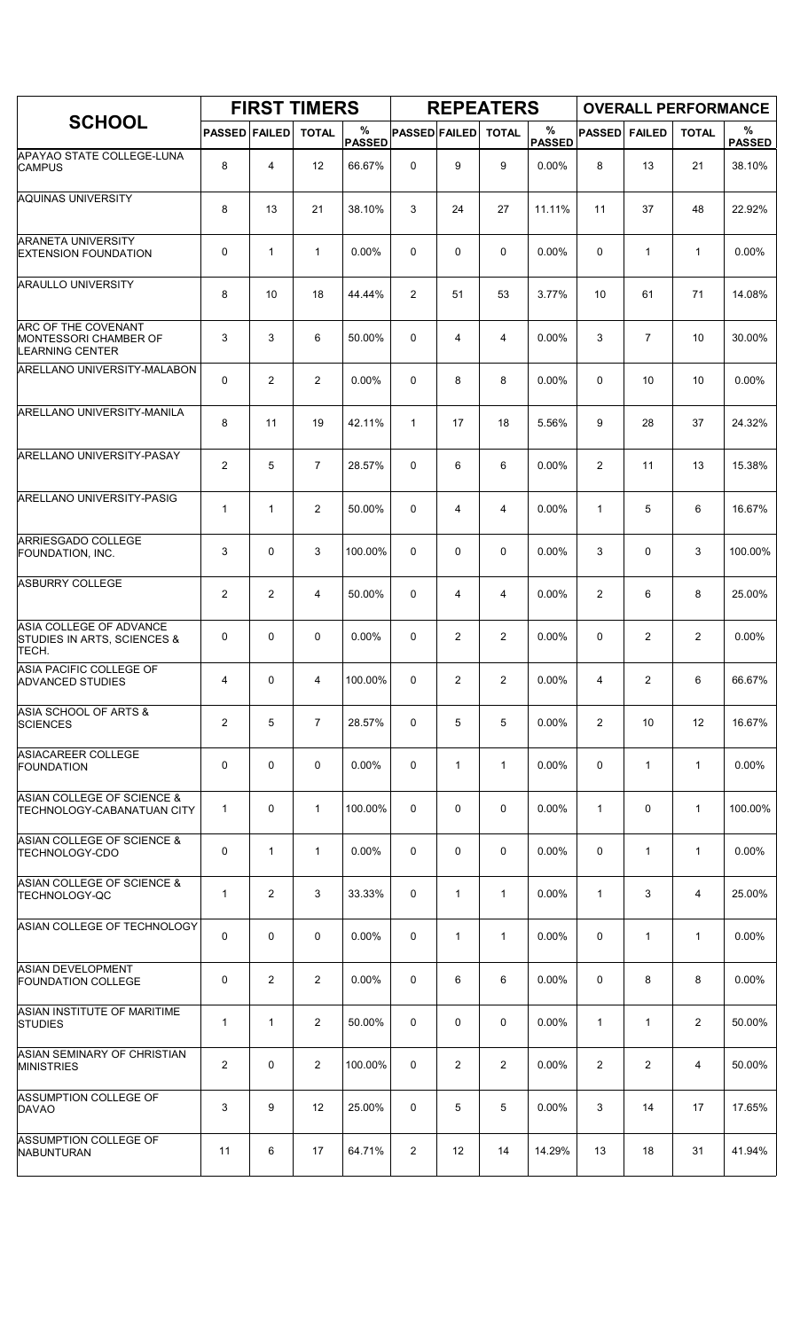|                                                                        |                      |                | <b>FIRST TIMERS</b> |                    |                      |              | <b>REPEATERS</b> |                    |                |                |                | <b>OVERALL PERFORMANCE</b> |
|------------------------------------------------------------------------|----------------------|----------------|---------------------|--------------------|----------------------|--------------|------------------|--------------------|----------------|----------------|----------------|----------------------------|
| <b>SCHOOL</b>                                                          | <b>PASSED FAILED</b> |                | <b>TOTAL</b>        | %<br><b>PASSED</b> | <b>PASSED FAILED</b> |              | <b>TOTAL</b>     | %<br><b>PASSED</b> | <b>PASSED</b>  | <b>FAILED</b>  | <b>TOTAL</b>   | $\%$<br><b>PASSED</b>      |
| APAYAO STATE COLLEGE-LUNA<br><b>CAMPUS</b>                             | 8                    | 4              | 12                  | 66.67%             | $\mathbf 0$          | 9            | 9                | 0.00%              | 8              | 13             | 21             | 38.10%                     |
| <b>AQUINAS UNIVERSITY</b>                                              | 8                    | 13             | 21                  | 38.10%             | 3                    | 24           | 27               | 11.11%             | 11             | 37             | 48             | 22.92%                     |
| <b>ARANETA UNIVERSITY</b><br><b>EXTENSION FOUNDATION</b>               | 0                    | $\mathbf{1}$   | 1                   | 0.00%              | 0                    | 0            | $\mathbf 0$      | 0.00%              | $\mathbf 0$    | $\mathbf{1}$   | $\mathbf{1}$   | 0.00%                      |
| <b>ARAULLO UNIVERSITY</b>                                              | 8                    | 10             | 18                  | 44.44%             | $\overline{2}$       | 51           | 53               | 3.77%              | 10             | 61             | 71             | 14.08%                     |
| ARC OF THE COVENANT<br>MONTESSORI CHAMBER OF<br><b>LEARNING CENTER</b> | 3                    | 3              | 6                   | 50.00%             | 0                    | 4            | $\overline{4}$   | 0.00%              | 3              | $\overline{7}$ | 10             | 30.00%                     |
| ARELLANO UNIVERSITY-MALABON                                            | 0                    | $\overline{2}$ | $\overline{2}$      | 0.00%              | 0                    | 8            | 8                | 0.00%              | $\mathbf 0$    | 10             | 10             | 0.00%                      |
| ARELLANO UNIVERSITY-MANILA                                             | 8                    | 11             | 19                  | 42.11%             | $\mathbf{1}$         | 17           | 18               | 5.56%              | 9              | 28             | 37             | 24.32%                     |
| ARELLANO UNIVERSITY-PASAY                                              | 2                    | 5              | $\overline{7}$      | 28.57%             | 0                    | 6            | 6                | 0.00%              | $\overline{2}$ | 11             | 13             | 15.38%                     |
| ARELLANO UNIVERSITY-PASIG                                              | $\mathbf{1}$         | 1              | $\overline{2}$      | 50.00%             | 0                    | 4            | $\overline{4}$   | 0.00%              | $\mathbf{1}$   | 5              | 6              | 16.67%                     |
| ARRIESGADO COLLEGE<br>FOUNDATION, INC.                                 | 3                    | 0              | 3                   | 100.00%            | 0                    | 0            | 0                | 0.00%              | 3              | 0              | 3              | 100.00%                    |
| <b>ASBURRY COLLEGE</b>                                                 | $\overline{2}$       | 2              | $\overline{4}$      | 50.00%             | 0                    | 4            | 4                | 0.00%              | $\overline{2}$ | 6              | 8              | 25.00%                     |
| ASIA COLLEGE OF ADVANCE<br>STUDIES IN ARTS, SCIENCES &<br>TECH.        | 0                    | 0              | $\mathbf 0$         | 0.00%              | 0                    | 2            | $\overline{2}$   | 0.00%              | 0              | 2              | $\overline{2}$ | 0.00%                      |
| ASIA PACIFIC COLLEGE OF<br><b>ADVANCED STUDIES</b>                     | 4                    | 0              | 4                   | 100.00%            | 0                    | 2            | $\overline{a}$   | 0.00%              | 4              | 2              | 6              | 66.67%                     |
| ASIA SCHOOL OF ARTS &<br><b>SCIENCES</b>                               | $\overline{2}$       | 5              | $\overline{7}$      | 28.57%             | 0                    | 5            | 5                | 0.00%              | $\overline{2}$ | 10             | 12             | 16.67%                     |
| ASIACAREER COLLEGE<br><b>FOUNDATION</b>                                | 0                    | 0              | $\mathbf 0$         | 0.00%              | 0                    | $\mathbf{1}$ | $\mathbf{1}$     | 0.00%              | 0              | $\mathbf{1}$   | $\mathbf{1}$   | 0.00%                      |
| ASIAN COLLEGE OF SCIENCE &<br>TECHNOLOGY-CABANATUAN CITY               | $\mathbf{1}$         | 0              | $\mathbf{1}$        | 100.00%            | 0                    | 0            | 0                | $0.00\%$           | $\mathbf{1}$   | 0              | $\mathbf{1}$   | 100.00%                    |
| ASIAN COLLEGE OF SCIENCE &<br><b>TECHNOLOGY-CDO</b>                    | 0                    | $\mathbf{1}$   | 1                   | 0.00%              | 0                    | 0            | 0                | 0.00%              | 0              | 1              | $\mathbf{1}$   | 0.00%                      |
| ASIAN COLLEGE OF SCIENCE &<br><b>TECHNOLOGY-QC</b>                     | $\mathbf{1}$         | 2              | 3                   | 33.33%             | 0                    | $\mathbf{1}$ | $\mathbf{1}$     | 0.00%              | $\mathbf{1}$   | 3              | 4              | 25.00%                     |
| ASIAN COLLEGE OF TECHNOLOGY                                            | 0                    | 0              | 0                   | $0.00\%$           | 0                    | $\mathbf{1}$ | $\mathbf{1}$     | $0.00\%$           | 0              | $\mathbf{1}$   | $\mathbf{1}$   | $0.00\%$                   |
| <b>ASIAN DEVELOPMENT</b><br><b>FOUNDATION COLLEGE</b>                  | 0                    | 2              | $\overline{2}$      | 0.00%              | 0                    | 6            | 6                | 0.00%              | $\mathbf 0$    | 8              | 8              | 0.00%                      |
| ASIAN INSTITUTE OF MARITIME<br><b>STUDIES</b>                          | $\mathbf{1}$         | $\mathbf{1}$   | $\overline{2}$      | 50.00%             | 0                    | 0            | 0                | $0.00\%$           | $\mathbf{1}$   | $\mathbf{1}$   | $\overline{2}$ | 50.00%                     |
| ASIAN SEMINARY OF CHRISTIAN<br><b>MINISTRIES</b>                       | $\overline{2}$       | 0              | $\overline{2}$      | 100.00%            | 0                    | 2            | $\overline{2}$   | 0.00%              | $\overline{2}$ | $\overline{2}$ | 4              | 50.00%                     |
| ASSUMPTION COLLEGE OF<br><b>DAVAO</b>                                  | 3                    | 9              | 12                  | 25.00%             | 0                    | 5            | 5                | 0.00%              | 3              | 14             | 17             | 17.65%                     |
| <b>ASSUMPTION COLLEGE OF</b><br><b>NABUNTURAN</b>                      | 11                   | 6              | 17                  | 64.71%             | $\overline{2}$       | 12           | 14               | 14.29%             | 13             | 18             | 31             | 41.94%                     |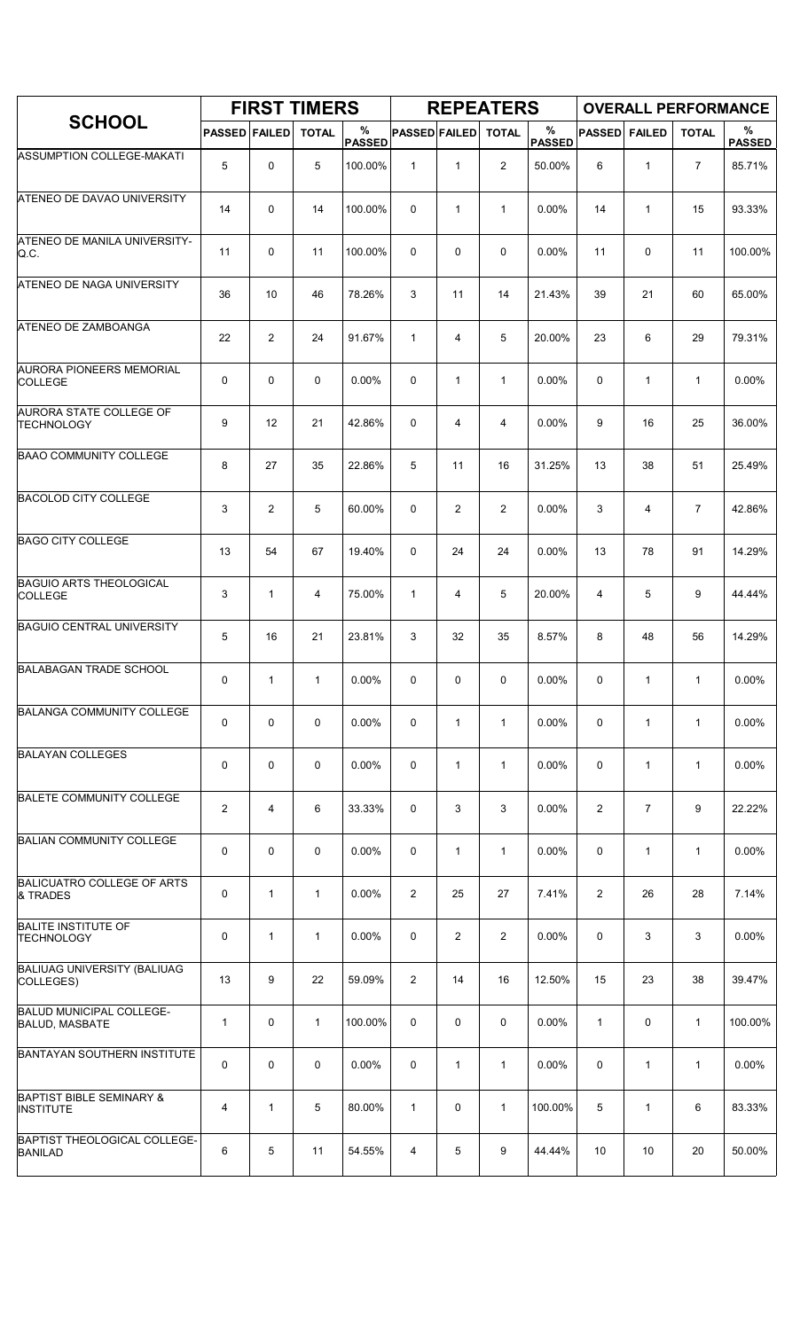|                                                          |                      |                | <b>FIRST TIMERS</b> |                    |                      |                | <b>REPEATERS</b> |                    |                |                | <b>OVERALL PERFORMANCE</b> |                    |
|----------------------------------------------------------|----------------------|----------------|---------------------|--------------------|----------------------|----------------|------------------|--------------------|----------------|----------------|----------------------------|--------------------|
| <b>SCHOOL</b>                                            | <b>PASSED FAILED</b> |                | <b>TOTAL</b>        | %<br><b>PASSED</b> | <b>PASSED FAILED</b> |                | <b>TOTAL</b>     | %<br><b>PASSED</b> | <b>PASSED</b>  | <b>FAILED</b>  | <b>TOTAL</b>               | %<br><b>PASSED</b> |
| ASSUMPTION COLLEGE-MAKATI                                | 5                    | 0              | 5                   | 100.00%            | $\mathbf{1}$         | $\mathbf{1}$   | $\overline{2}$   | 50.00%             | 6              | $\mathbf{1}$   | $\overline{7}$             | 85.71%             |
| ATENEO DE DAVAO UNIVERSITY                               | 14                   | 0              | 14                  | 100.00%            | 0                    | $\mathbf{1}$   | $\mathbf{1}$     | 0.00%              | 14             | $\mathbf{1}$   | 15                         | 93.33%             |
| ATENEO DE MANILA UNIVERSITY-<br>Q.C.                     | 11                   | 0              | 11                  | 100.00%            | 0                    | 0              | 0                | 0.00%              | 11             | $\mathbf 0$    | 11                         | 100.00%            |
| ATENEO DE NAGA UNIVERSITY                                | 36                   | 10             | 46                  | 78.26%             | 3                    | 11             | 14               | 21.43%             | 39             | 21             | 60                         | 65.00%             |
| <b>ATENEO DE ZAMBOANGA</b>                               | 22                   | $\overline{c}$ | 24                  | 91.67%             | $\mathbf{1}$         | 4              | 5                | 20.00%             | 23             | 6              | 29                         | 79.31%             |
| <b>AURORA PIONEERS MEMORIAL</b><br><b>COLLEGE</b>        | 0                    | 0              | 0                   | 0.00%              | 0                    | $\mathbf{1}$   | $\mathbf{1}$     | 0.00%              | 0              | $\mathbf{1}$   | $\mathbf{1}$               | 0.00%              |
| AURORA STATE COLLEGE OF<br><b>TECHNOLOGY</b>             | 9                    | 12             | 21                  | 42.86%             | 0                    | 4              | 4                | 0.00%              | 9              | 16             | 25                         | 36.00%             |
| <b>BAAO COMMUNITY COLLEGE</b>                            | 8                    | 27             | 35                  | 22.86%             | 5                    | 11             | 16               | 31.25%             | 13             | 38             | 51                         | 25.49%             |
| <b>BACOLOD CITY COLLEGE</b>                              | 3                    | $\overline{c}$ | 5                   | 60.00%             | 0                    | $\overline{2}$ | $\overline{2}$   | 0.00%              | 3              | 4              | $\overline{7}$             | 42.86%             |
| <b>BAGO CITY COLLEGE</b>                                 | 13                   | 54             | 67                  | 19.40%             | 0                    | 24             | 24               | 0.00%              | 13             | 78             | 91                         | 14.29%             |
| <b>BAGUIO ARTS THEOLOGICAL</b><br><b>COLLEGE</b>         | 3                    | 1              | 4                   | 75.00%             | 1                    | 4              | 5                | 20.00%             | 4              | 5              | 9                          | 44.44%             |
| <b>BAGUIO CENTRAL UNIVERSITY</b>                         | 5                    | 16             | 21                  | 23.81%             | 3                    | 32             | 35               | 8.57%              | 8              | 48             | 56                         | 14.29%             |
| <b>BALABAGAN TRADE SCHOOL</b>                            | 0                    | 1              | $\mathbf{1}$        | 0.00%              | 0                    | 0              | 0                | 0.00%              | 0              | 1              | $\mathbf{1}$               | 0.00%              |
| <b>BALANGA COMMUNITY COLLEGE</b>                         | 0                    | 0              | 0                   | 0.00%              | 0                    | $\mathbf{1}$   | $\mathbf{1}$     | 0.00%              | 0              | $\mathbf{1}$   | $\mathbf{1}$               | 0.00%              |
| <b>BALAYAN COLLEGES</b>                                  | 0                    | 0              | 0                   | 0.00%              | 0                    | 1              | $\mathbf{1}$     | 0.00%              | 0              | $\mathbf{1}$   | $\mathbf{1}$               | 0.00%              |
| <b>BALETE COMMUNITY COLLEGE</b>                          | $\mathbf{2}$         | $\overline{4}$ | 6                   | 33.33%             | 0                    | 3              | 3                | $0.00\%$           | $\overline{2}$ | $\overline{7}$ | 9                          | 22.22%             |
| <b>BALIAN COMMUNITY COLLEGE</b>                          | 0                    | 0              | 0                   | 0.00%              | 0                    | $\mathbf{1}$   | $\mathbf{1}$     | 0.00%              | 0              | $\mathbf{1}$   | $\mathbf{1}$               | 0.00%              |
| <b>BALICUATRO COLLEGE OF ARTS</b><br>& TRADES            | 0                    | $\mathbf{1}$   | $\mathbf{1}$        | 0.00%              | $\overline{2}$       | 25             | 27               | 7.41%              | $\overline{2}$ | 26             | 28                         | 7.14%              |
| <b>BALITE INSTITUTE OF</b><br><b>TECHNOLOGY</b>          | 0                    | $\mathbf{1}$   | $\mathbf{1}$        | 0.00%              | 0                    | $\overline{2}$ | $\overline{2}$   | 0.00%              | 0              | 3              | 3                          | 0.00%              |
| <b>BALIUAG UNIVERSITY (BALIUAG</b><br>COLLEGES)          | 13                   | 9              | 22                  | 59.09%             | $\overline{2}$       | 14             | 16               | 12.50%             | 15             | 23             | 38                         | 39.47%             |
| <b>BALUD MUNICIPAL COLLEGE-</b><br><b>BALUD, MASBATE</b> | $\mathbf{1}$         | 0              | $\mathbf{1}$        | 100.00%            | 0                    | 0              | 0                | 0.00%              | $\mathbf{1}$   | 0              | $\mathbf{1}$               | 100.00%            |
| <b>BANTAYAN SOUTHERN INSTITUTE</b>                       | 0                    | 0              | 0                   | 0.00%              | 0                    | $\mathbf{1}$   | $\mathbf{1}$     | 0.00%              | $\mathbf 0$    | $\mathbf{1}$   | $\mathbf{1}$               | 0.00%              |
| <b>BAPTIST BIBLE SEMINARY &amp;</b><br><b>INSTITUTE</b>  | 4                    | $\mathbf{1}$   | 5                   | 80.00%             | $\mathbf{1}$         | 0              | $\mathbf{1}$     | 100.00%            | 5              | $\mathbf{1}$   | 6                          | 83.33%             |
| <b>BAPTIST THEOLOGICAL COLLEGE-</b><br><b>BANILAD</b>    | 6                    | 5              | 11                  | 54.55%             | 4                    | 5              | 9                | 44.44%             | 10             | 10             | 20                         | 50.00%             |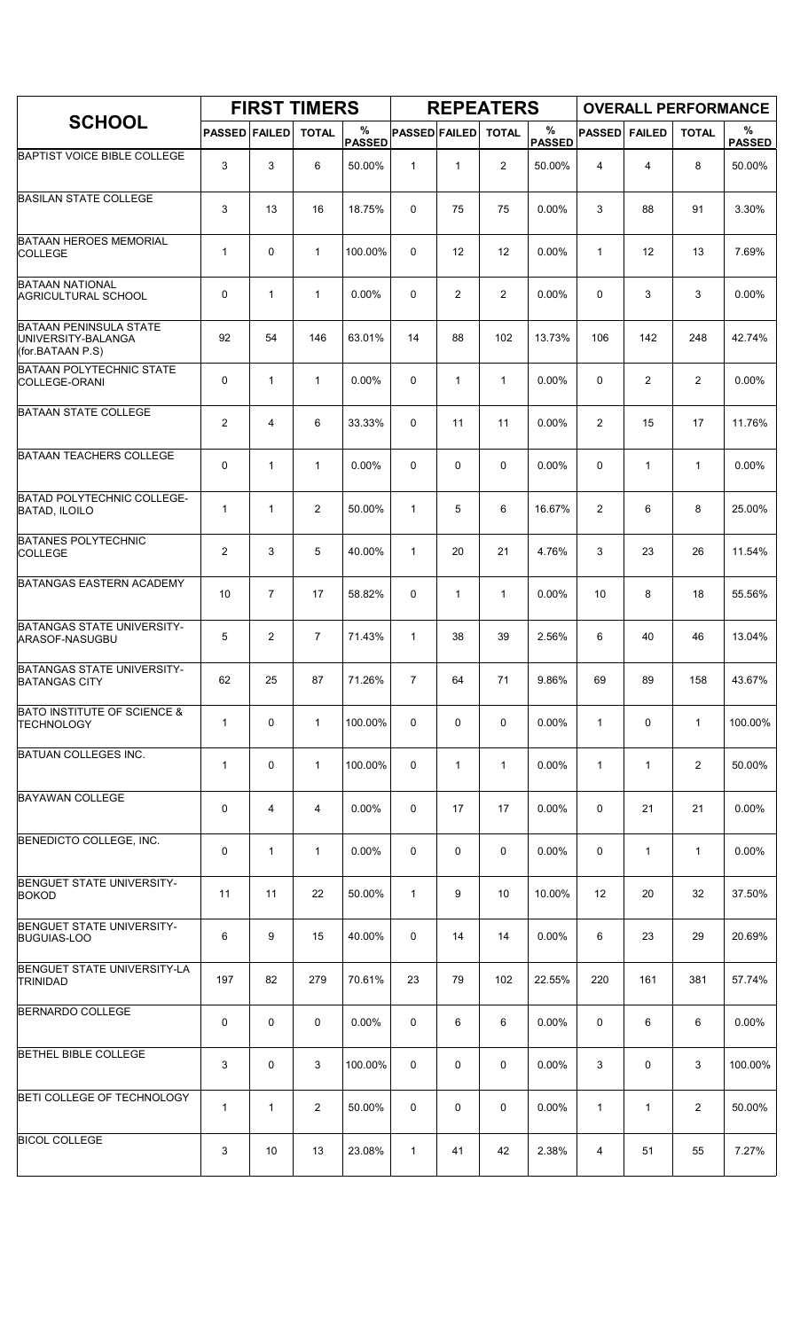|                                                                         |                         |                | <b>FIRST TIMERS</b> |                    |                      |                | <b>REPEATERS</b> |                    |                |                |                | <b>OVERALL PERFORMANCE</b> |
|-------------------------------------------------------------------------|-------------------------|----------------|---------------------|--------------------|----------------------|----------------|------------------|--------------------|----------------|----------------|----------------|----------------------------|
| <b>SCHOOL</b>                                                           | <b>PASSED FAILED</b>    |                | <b>TOTAL</b>        | %<br><b>PASSED</b> | <b>PASSED FAILED</b> |                | <b>TOTAL</b>     | %<br><b>PASSED</b> | <b>PASSED</b>  | <b>FAILED</b>  | <b>TOTAL</b>   | %<br><b>PASSED</b>         |
| <b>BAPTIST VOICE BIBLE COLLEGE</b>                                      | 3                       | 3              | 6                   | 50.00%             | $\mathbf{1}$         | $\mathbf{1}$   | $\overline{2}$   | 50.00%             | 4              | 4              | 8              | 50.00%                     |
| <b>BASILAN STATE COLLEGE</b>                                            | 3                       | 13             | 16                  | 18.75%             | 0                    | 75             | 75               | 0.00%              | 3              | 88             | 91             | 3.30%                      |
| <b>BATAAN HEROES MEMORIAL</b><br><b>COLLEGE</b>                         | $\mathbf{1}$            | 0              | $\mathbf{1}$        | 100.00%            | 0                    | 12             | 12               | 0.00%              | $\mathbf{1}$   | 12             | 13             | 7.69%                      |
| <b>BATAAN NATIONAL</b><br><b>AGRICULTURAL SCHOOL</b>                    | 0                       | $\mathbf{1}$   | $\mathbf{1}$        | 0.00%              | 0                    | $\overline{2}$ | $\overline{2}$   | 0.00%              | $\mathbf 0$    | 3              | 3              | 0.00%                      |
| <b>BATAAN PENINSULA STATE</b><br>UNIVERSITY-BALANGA<br>(for.BATAAN P.S) | 92                      | 54             | 146                 | 63.01%             | 14                   | 88             | 102              | 13.73%             | 106            | 142            | 248            | 42.74%                     |
| <b>BATAAN POLYTECHNIC STATE</b><br><b>COLLEGE-ORANI</b>                 | 0                       | $\mathbf{1}$   | 1                   | 0.00%              | 0                    | $\mathbf{1}$   | $\mathbf{1}$     | 0.00%              | 0              | $\overline{c}$ | $\overline{2}$ | 0.00%                      |
| <b>BATAAN STATE COLLEGE</b>                                             | $\overline{\mathbf{c}}$ | 4              | 6                   | 33.33%             | 0                    | 11             | 11               | 0.00%              | $\overline{2}$ | 15             | 17             | 11.76%                     |
| <b>BATAAN TEACHERS COLLEGE</b>                                          | 0                       | 1              | $\mathbf{1}$        | $0.00\%$           | 0                    | 0              | 0                | 0.00%              | 0              | $\mathbf{1}$   | $\mathbf{1}$   | $0.00\%$                   |
| <b>BATAD POLYTECHNIC COLLEGE-</b><br><b>BATAD, ILOILO</b>               | $\mathbf{1}$            | $\mathbf{1}$   | $\overline{2}$      | 50.00%             | $\mathbf{1}$         | 5              | 6                | 16.67%             | $\overline{2}$ | 6              | 8              | 25.00%                     |
| <b>BATANES POLYTECHNIC</b><br><b>COLLEGE</b>                            | $\overline{\mathbf{c}}$ | 3              | 5                   | 40.00%             | $\mathbf{1}$         | 20             | 21               | 4.76%              | 3              | 23             | 26             | 11.54%                     |
| <b>BATANGAS EASTERN ACADEMY</b>                                         | 10                      | $\overline{7}$ | 17                  | 58.82%             | 0                    | 1              | $\mathbf{1}$     | 0.00%              | 10             | 8              | 18             | 55.56%                     |
| BATANGAS STATE UNIVERSITY-<br>ARASOF-NASUGBU                            | 5                       | $\overline{c}$ | $\overline{7}$      | 71.43%             | $\mathbf{1}$         | 38             | 39               | 2.56%              | 6              | 40             | 46             | 13.04%                     |
| <b>BATANGAS STATE UNIVERSITY-</b><br><b>BATANGAS CITY</b>               | 62                      | 25             | 87                  | 71.26%             | $\overline{7}$       | 64             | 71               | 9.86%              | 69             | 89             | 158            | 43.67%                     |
| <b>BATO INSTITUTE OF SCIENCE &amp;</b><br><b>TECHNOLOGY</b>             | $\mathbf{1}$            | 0              | $\mathbf{1}$        | 100.00%            | 0                    | 0              | 0                | $0.00\%$           | $\mathbf{1}$   | 0              | $\mathbf{1}$   | 100.00%                    |
| BATUAN COLLEGES INC.                                                    | $\mathbf{1}$            | 0              | $\mathbf{1}$        | 100.00%            | 0                    | $\mathbf{1}$   | $\mathbf{1}$     | 0.00%              | $\mathbf{1}$   | 1              | $\overline{c}$ | 50.00%                     |
| <b>BAYAWAN COLLEGE</b>                                                  | 0                       | 4              | 4                   | 0.00%              | 0                    | 17             | 17               | $0.00\%$           | 0              | 21             | 21             | 0.00%                      |
| BENEDICTO COLLEGE, INC.                                                 | 0                       | $\mathbf{1}$   | 1                   | 0.00%              | 0                    | 0              | 0                | 0.00%              | 0              | 1              | $\mathbf{1}$   | 0.00%                      |
| <b>BENGUET STATE UNIVERSITY-</b><br><b>BOKOD</b>                        | 11                      | 11             | 22                  | 50.00%             | $\mathbf{1}$         | 9              | 10               | 10.00%             | 12             | 20             | 32             | 37.50%                     |
| <b>BENGUET STATE UNIVERSITY-</b><br><b>BUGUIAS-LOO</b>                  | 6                       | 9              | 15                  | 40.00%             | 0                    | 14             | 14               | $0.00\%$           | 6              | 23             | 29             | 20.69%                     |
| <b>BENGUET STATE UNIVERSITY-LA</b><br><b>TRINIDAD</b>                   | 197                     | 82             | 279                 | 70.61%             | 23                   | 79             | 102              | 22.55%             | 220            | 161            | 381            | 57.74%                     |
| <b>BERNARDO COLLEGE</b>                                                 | 0                       | 0              | 0                   | 0.00%              | 0                    | 6              | 6                | $0.00\%$           | 0              | 6              | 6              | 0.00%                      |
| <b>BETHEL BIBLE COLLEGE</b>                                             | 3                       | 0              | 3                   | 100.00%            | 0                    | 0              | 0                | 0.00%              | 3              | 0              | 3              | 100.00%                    |
| BETI COLLEGE OF TECHNOLOGY                                              | 1                       | $\mathbf{1}$   | $\overline{2}$      | 50.00%             | 0                    | 0              | 0                | $0.00\%$           | $\mathbf{1}$   | 1              | $\overline{2}$ | 50.00%                     |
| <b>BICOL COLLEGE</b>                                                    | 3                       | 10             | 13                  | 23.08%             | $\mathbf{1}$         | 41             | 42               | 2.38%              | 4              | 51             | 55             | 7.27%                      |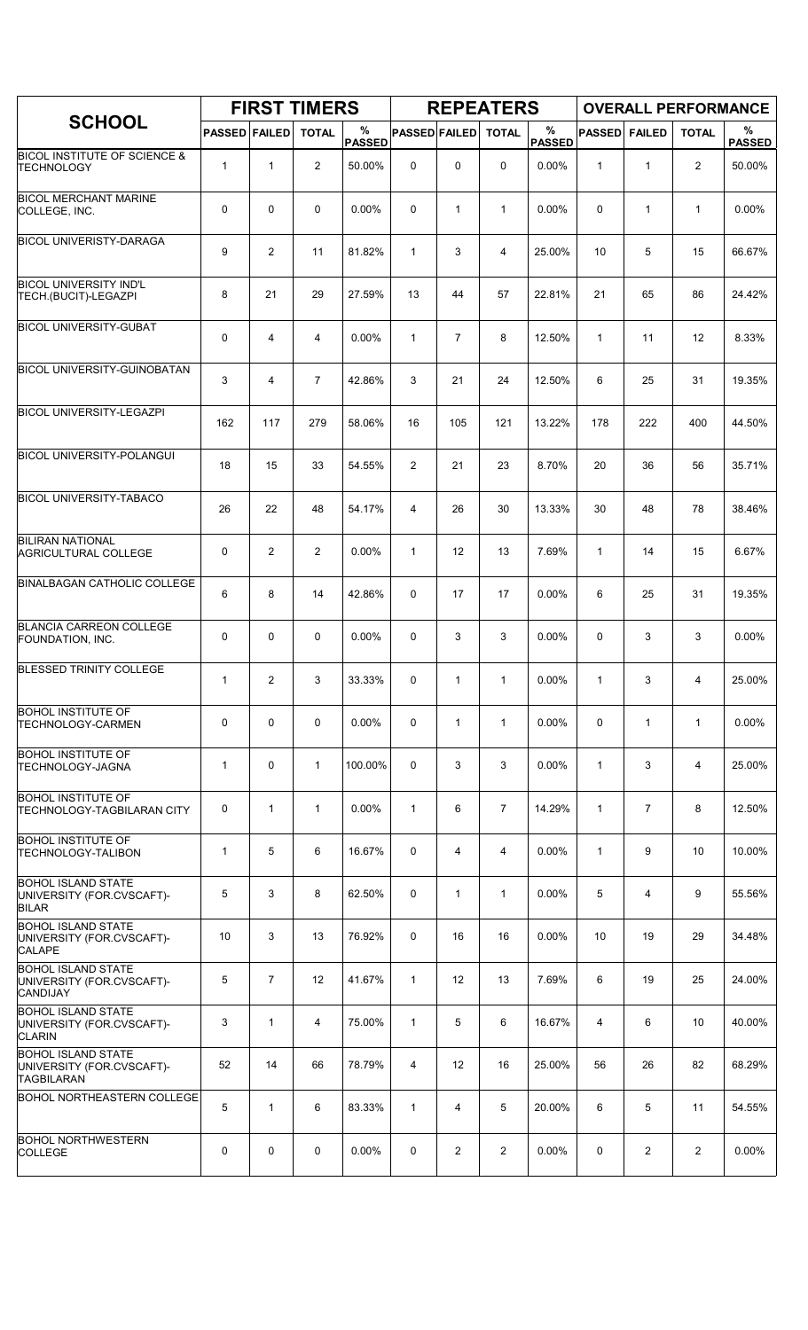|                                                                             |                      |                | <b>FIRST TIMERS</b> |                    |                      |                | <b>REPEATERS</b> |                    |                |                |                | <b>OVERALL PERFORMANCE</b> |
|-----------------------------------------------------------------------------|----------------------|----------------|---------------------|--------------------|----------------------|----------------|------------------|--------------------|----------------|----------------|----------------|----------------------------|
| <b>SCHOOL</b>                                                               | <b>PASSED FAILED</b> |                | <b>TOTAL</b>        | %<br><b>PASSED</b> | <b>PASSED FAILED</b> |                | <b>TOTAL</b>     | %<br><b>PASSED</b> | <b>PASSED</b>  | <b>FAILED</b>  | <b>TOTAL</b>   | %<br><b>PASSED</b>         |
| <b>BICOL INSTITUTE OF SCIENCE &amp;</b><br>TECHNOLOGY                       | $\mathbf{1}$         | 1              | $\overline{2}$      | 50.00%             | $\mathbf 0$          | 0              | 0                | 0.00%              | 1              | $\mathbf{1}$   | 2              | 50.00%                     |
| <b>BICOL MERCHANT MARINE</b><br>COLLEGE, INC.                               | 0                    | 0              | $\mathbf 0$         | 0.00%              | 0                    | $\mathbf{1}$   | $\mathbf{1}$     | 0.00%              | $\mathbf 0$    | $\mathbf{1}$   | $\mathbf{1}$   | 0.00%                      |
| <b>BICOL UNIVERISTY-DARAGA</b>                                              | 9                    | $\overline{2}$ | 11                  | 81.82%             | $\mathbf{1}$         | 3              | 4                | 25.00%             | 10             | 5              | 15             | 66.67%                     |
| <b>BICOL UNIVERSITY IND'L</b><br>TECH.(BUCIT)-LEGAZPI                       | 8                    | 21             | 29                  | 27.59%             | 13                   | 44             | 57               | 22.81%             | 21             | 65             | 86             | 24.42%                     |
| <b>BICOL UNIVERSITY-GUBAT</b>                                               | 0                    | 4              | 4                   | 0.00%              | $\mathbf{1}$         | $\overline{7}$ | 8                | 12.50%             | $\mathbf{1}$   | 11             | 12             | 8.33%                      |
| <b>BICOL UNIVERSITY-GUINOBATAN</b>                                          | 3                    | 4              | $\overline{7}$      | 42.86%             | 3                    | 21             | 24               | 12.50%             | 6              | 25             | 31             | 19.35%                     |
| <b>BICOL UNIVERSITY-LEGAZPI</b>                                             | 162                  | 117            | 279                 | 58.06%             | 16                   | 105            | 121              | 13.22%             | 178            | 222            | 400            | 44.50%                     |
| <b>BICOL UNIVERSITY-POLANGUI</b>                                            | 18                   | 15             | 33                  | 54.55%             | 2                    | 21             | 23               | 8.70%              | 20             | 36             | 56             | 35.71%                     |
| <b>BICOL UNIVERSITY-TABACO</b>                                              | 26                   | 22             | 48                  | 54.17%             | 4                    | 26             | 30               | 13.33%             | 30             | 48             | 78             | 38.46%                     |
| <b>BILIRAN NATIONAL</b><br><b>AGRICULTURAL COLLEGE</b>                      | 0                    | $\overline{c}$ | 2                   | 0.00%              | $\mathbf{1}$         | 12             | 13               | 7.69%              | $\mathbf{1}$   | 14             | 15             | 6.67%                      |
| <b>BINALBAGAN CATHOLIC COLLEGE</b>                                          | 6                    | 8              | 14                  | 42.86%             | 0                    | 17             | 17               | 0.00%              | 6              | 25             | 31             | 19.35%                     |
| <b>BLANCIA CARREON COLLEGE</b><br>FOUNDATION, INC.                          | 0                    | 0              | $\mathbf 0$         | 0.00%              | 0                    | 3              | 3                | 0.00%              | 0              | 3              | 3              | 0.00%                      |
| <b>BLESSED TRINITY COLLEGE</b>                                              | $\mathbf{1}$         | 2              | 3                   | 33.33%             | 0                    | 1              | 1                | 0.00%              | $\mathbf{1}$   | 3              | 4              | 25.00%                     |
| <b>BOHOL INSTITUTE OF</b><br><b>TECHNOLOGY-CARMEN</b>                       | 0                    | 0              | $\mathbf 0$         | 0.00%              | 0                    | $\mathbf{1}$   | $\mathbf{1}$     | 0.00%              | 0              | $\mathbf{1}$   | $\mathbf{1}$   | 0.00%                      |
| <b>BOHOL INSTITUTE OF</b><br>TECHNOLOGY-JAGNA                               | $\mathbf{1}$         | 0              | $\mathbf{1}$        | 100.00%            | 0                    | 3              | 3                | 0.00%              | $\mathbf{1}$   | 3              | $\overline{4}$ | 25.00%                     |
| <b>BOHOL INSTITUTE OF</b><br>TECHNOLOGY-TAGBILARAN CITY                     | 0                    | 1              | $\mathbf{1}$        | 0.00%              | $\mathbf{1}$         | 6              | $\overline{7}$   | 14.29%             | $\mathbf{1}$   | $\overline{7}$ | 8              | 12.50%                     |
| <b>BOHOL INSTITUTE OF</b><br>TECHNOLOGY-TALIBON                             | $\mathbf{1}$         | 5              | 6                   | 16.67%             | 0                    | 4              | 4                | 0.00%              | $\mathbf{1}$   | 9              | 10             | 10.00%                     |
| <b>BOHOL ISLAND STATE</b><br>UNIVERSITY (FOR.CVSCAFT)-<br><b>BILAR</b>      | 5                    | 3              | 8                   | 62.50%             | 0                    | $\mathbf{1}$   | $\mathbf{1}$     | $0.00\%$           | 5              | 4              | 9              | 55.56%                     |
| <b>BOHOL ISLAND STATE</b><br>UNIVERSITY (FOR.CVSCAFT)-<br><b>CALAPE</b>     | 10                   | 3              | 13                  | 76.92%             | 0                    | 16             | 16               | 0.00%              | 10             | 19             | 29             | 34.48%                     |
| <b>BOHOL ISLAND STATE</b><br>UNIVERSITY (FOR.CVSCAFT)-<br><b>CANDIJAY</b>   | 5                    | $\overline{7}$ | 12                  | 41.67%             | $\mathbf{1}$         | 12             | 13               | 7.69%              | 6              | 19             | 25             | 24.00%                     |
| <b>BOHOL ISLAND STATE</b><br>UNIVERSITY (FOR.CVSCAFT)-<br><b>CLARIN</b>     | 3                    | $\mathbf{1}$   | 4                   | 75.00%             | $\mathbf{1}$         | 5              | 6                | 16.67%             | $\overline{4}$ | 6              | 10             | 40.00%                     |
| <b>BOHOL ISLAND STATE</b><br>UNIVERSITY (FOR.CVSCAFT)-<br><b>TAGBILARAN</b> | 52                   | 14             | 66                  | 78.79%             | $\overline{4}$       | 12             | 16               | 25.00%             | 56             | 26             | 82             | 68.29%                     |
| <b>BOHOL NORTHEASTERN COLLEGE</b>                                           | 5                    | $\mathbf{1}$   | 6                   | 83.33%             | $\mathbf{1}$         | 4              | 5                | 20.00%             | 6              | 5              | 11             | 54.55%                     |
| <b>BOHOL NORTHWESTERN</b><br><b>COLLEGE</b>                                 | 0                    | 0              | $\mathbf 0$         | 0.00%              | 0                    | 2              | $\overline{2}$   | 0.00%              | 0              | 2              | $\overline{2}$ | $0.00\%$                   |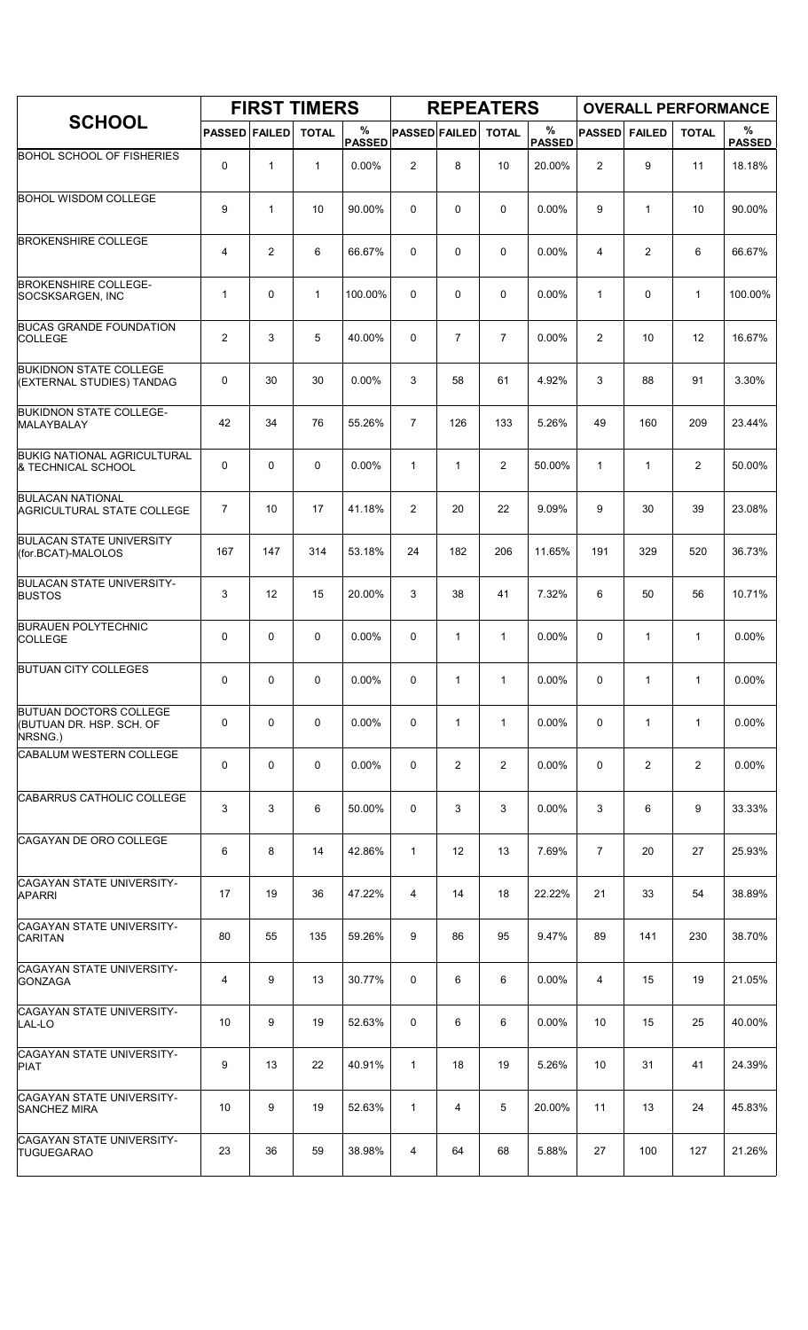|                                                                      |                      |                | <b>FIRST TIMERS</b> |                    |                      |                | <b>REPEATERS</b> |                       |                |                | <b>OVERALL PERFORMANCE</b> |                    |
|----------------------------------------------------------------------|----------------------|----------------|---------------------|--------------------|----------------------|----------------|------------------|-----------------------|----------------|----------------|----------------------------|--------------------|
| <b>SCHOOL</b>                                                        | <b>PASSED FAILED</b> |                | <b>TOTAL</b>        | %<br><b>PASSED</b> | <b>PASSED FAILED</b> |                | <b>TOTAL</b>     | $\%$<br><b>PASSED</b> | <b>PASSED</b>  | <b>FAILED</b>  | <b>TOTAL</b>               | %<br><b>PASSED</b> |
| <b>BOHOL SCHOOL OF FISHERIES</b>                                     | 0                    | 1              | $\mathbf{1}$        | 0.00%              | $\overline{2}$       | 8              | 10               | 20.00%                | $\overline{2}$ | 9              | 11                         | 18.18%             |
| <b>BOHOL WISDOM COLLEGE</b>                                          | 9                    | $\mathbf{1}$   | 10                  | 90.00%             | $\Omega$             | 0              | 0                | 0.00%                 | 9              | $\mathbf{1}$   | 10                         | 90.00%             |
| <b>BROKENSHIRE COLLEGE</b>                                           | 4                    | $\overline{2}$ | 6                   | 66.67%             | $\Omega$             | 0              | 0                | 0.00%                 | 4              | $\overline{c}$ | 6                          | 66.67%             |
| <b>BROKENSHIRE COLLEGE-</b><br>SOCSKSARGEN, INC                      | $\mathbf 1$          | 0              | $\mathbf{1}$        | 100.00%            | 0                    | 0              | 0                | $0.00\%$              | $\mathbf{1}$   | 0              | $\mathbf{1}$               | 100.00%            |
| <b>BUCAS GRANDE FOUNDATION</b><br><b>COLLEGE</b>                     | $\overline{2}$       | 3              | 5                   | 40.00%             | 0                    | $\overline{7}$ | $\overline{7}$   | 0.00%                 | $\overline{c}$ | 10             | 12                         | 16.67%             |
| <b>BUKIDNON STATE COLLEGE</b><br>(EXTERNAL STUDIES) TANDAG           | 0                    | 30             | 30                  | 0.00%              | 3                    | 58             | 61               | 4.92%                 | 3              | 88             | 91                         | 3.30%              |
| <b>BUKIDNON STATE COLLEGE-</b><br>MALAYBALAY                         | 42                   | 34             | 76                  | 55.26%             | $\overline{7}$       | 126            | 133              | 5.26%                 | 49             | 160            | 209                        | 23.44%             |
| <b>BUKIG NATIONAL AGRICULTURAL</b><br>& TECHNICAL SCHOOL             | 0                    | $\Omega$       | 0                   | 0.00%              | $\mathbf{1}$         | $\mathbf{1}$   | $\overline{2}$   | 50.00%                | $\mathbf{1}$   | $\mathbf{1}$   | $\overline{2}$             | 50.00%             |
| <b>BULACAN NATIONAL</b><br><b>AGRICULTURAL STATE COLLEGE</b>         | $\overline{7}$       | 10             | 17                  | 41.18%             | $\overline{2}$       | 20             | 22               | 9.09%                 | 9              | 30             | 39                         | 23.08%             |
| <b>BULACAN STATE UNIVERSITY</b><br>(for.BCAT)-MALOLOS                | 167                  | 147            | 314                 | 53.18%             | 24                   | 182            | 206              | 11.65%                | 191            | 329            | 520                        | 36.73%             |
| <b>BULACAN STATE UNIVERSITY-</b><br><b>BUSTOS</b>                    | 3                    | 12             | 15                  | 20.00%             | 3                    | 38             | 41               | 7.32%                 | 6              | 50             | 56                         | 10.71%             |
| <b>BURAUEN POLYTECHNIC</b><br><b>COLLEGE</b>                         | 0                    | 0              | $\mathbf 0$         | 0.00%              | 0                    | $\mathbf{1}$   | $\mathbf{1}$     | 0.00%                 | 0              | $\mathbf{1}$   | $\mathbf{1}$               | 0.00%              |
| <b>BUTUAN CITY COLLEGES</b>                                          | 0                    | 0              | 0                   | 0.00%              | 0                    | $\mathbf{1}$   | 1                | 0.00%                 | 0              | 1              | 1                          | 0.00%              |
| <b>BUTUAN DOCTORS COLLEGE</b><br>(BUTUAN DR. HSP. SCH. OF<br>NRSNG.) | 0                    | 0              | 0                   | 0.00%              | 0                    | $\mathbf{1}$   | $\mathbf{1}$     | $0.00\%$              | 0              | $\mathbf{1}$   | $\mathbf{1}$               | 0.00%              |
| CABALUM WESTERN COLLEGE                                              | 0                    | 0              | 0                   | 0.00%              | 0                    | 2              | $\overline{2}$   | 0.00%                 | 0              | $\overline{c}$ | $\overline{2}$             | $0.00\%$           |
| CABARRUS CATHOLIC COLLEGE                                            | 3                    | 3              | 6                   | 50.00%             | 0                    | 3              | 3                | 0.00%                 | 3              | 6              | 9                          | 33.33%             |
| CAGAYAN DE ORO COLLEGE                                               | 6                    | 8              | 14                  | 42.86%             | $\mathbf{1}$         | 12             | 13               | 7.69%                 | $\overline{7}$ | 20             | 27                         | 25.93%             |
| CAGAYAN STATE UNIVERSITY-<br>APARRI                                  | 17                   | 19             | 36                  | 47.22%             | 4                    | 14             | 18               | 22.22%                | 21             | 33             | 54                         | 38.89%             |
| CAGAYAN STATE UNIVERSITY-<br><b>CARITAN</b>                          | 80                   | 55             | 135                 | 59.26%             | 9                    | 86             | 95               | 9.47%                 | 89             | 141            | 230                        | 38.70%             |
| CAGAYAN STATE UNIVERSITY-<br><b>GONZAGA</b>                          | 4                    | 9              | 13                  | 30.77%             | 0                    | 6              | 6                | $0.00\%$              | 4              | 15             | 19                         | 21.05%             |
| CAGAYAN STATE UNIVERSITY-<br>LAL-LO                                  | 10                   | 9              | 19                  | 52.63%             | 0                    | 6              | 6                | $0.00\%$              | 10             | 15             | 25                         | 40.00%             |
| CAGAYAN STATE UNIVERSITY-<br><b>PIAT</b>                             | 9                    | 13             | 22                  | 40.91%             | $\mathbf{1}$         | 18             | 19               | 5.26%                 | 10             | 31             | 41                         | 24.39%             |
| CAGAYAN STATE UNIVERSITY-<br>SANCHEZ MIRA                            | 10                   | 9              | 19                  | 52.63%             | $\mathbf{1}$         | 4              | 5                | 20.00%                | 11             | 13             | 24                         | 45.83%             |
| CAGAYAN STATE UNIVERSITY-<br><b>TUGUEGARAO</b>                       | 23                   | 36             | 59                  | 38.98%             | 4                    | 64             | 68               | 5.88%                 | 27             | 100            | 127                        | 21.26%             |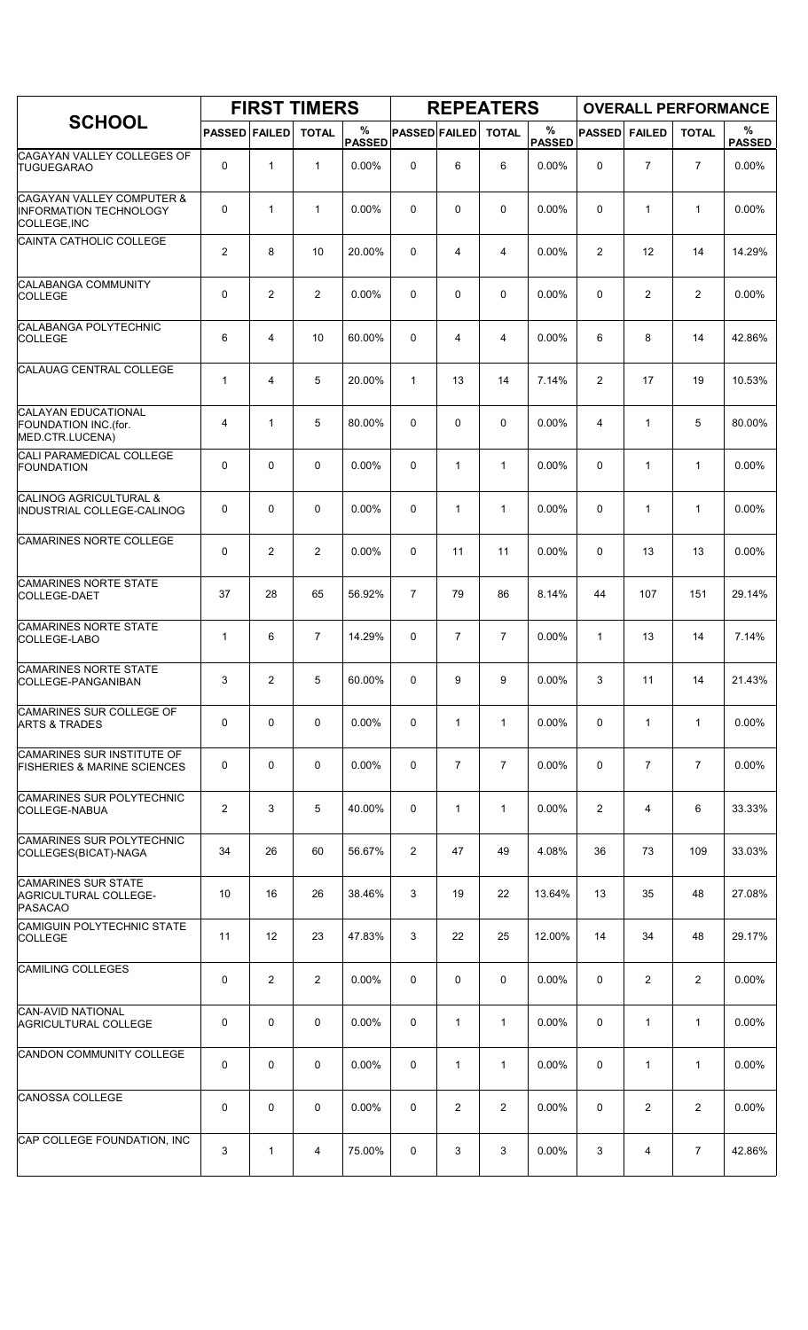|                                                                                       |                      |                         | <b>FIRST TIMERS</b> |                    |                      |                | <b>REPEATERS</b> |                       |                |                | <b>OVERALL PERFORMANCE</b> |                    |
|---------------------------------------------------------------------------------------|----------------------|-------------------------|---------------------|--------------------|----------------------|----------------|------------------|-----------------------|----------------|----------------|----------------------------|--------------------|
| <b>SCHOOL</b>                                                                         | <b>PASSED FAILED</b> |                         | <b>TOTAL</b>        | %<br><b>PASSED</b> | <b>PASSED FAILED</b> |                | <b>TOTAL</b>     | $\%$<br><b>PASSED</b> | <b>PASSED</b>  | <b>FAILED</b>  | <b>TOTAL</b>               | %<br><b>PASSED</b> |
| CAGAYAN VALLEY COLLEGES OF<br><b>TUGUEGARAO</b>                                       | 0                    | $\mathbf{1}$            | $\mathbf{1}$        | 0.00%              | 0                    | 6              | 6                | 0.00%                 | $\Omega$       | $\overline{7}$ | $\overline{7}$             | 0.00%              |
| <b>CAGAYAN VALLEY COMPUTER &amp;</b><br><b>INFORMATION TECHNOLOGY</b><br>COLLEGE, INC | 0                    | $\mathbf{1}$            | $\mathbf{1}$        | 0.00%              | 0                    | 0              | $\mathbf 0$      | 0.00%                 | $\mathbf 0$    | 1              | $\mathbf{1}$               | 0.00%              |
| CAINTA CATHOLIC COLLEGE                                                               | $\mathbf{2}$         | 8                       | 10                  | 20.00%             | 0                    | 4              | 4                | 0.00%                 | $\overline{2}$ | 12             | 14                         | 14.29%             |
| <b>CALABANGA COMMUNITY</b><br><b>COLLEGE</b>                                          | 0                    | $\overline{2}$          | 2                   | 0.00%              | 0                    | 0              | $\mathbf 0$      | 0.00%                 | $\mathbf 0$    | 2              | $\overline{2}$             | 0.00%              |
| CALABANGA POLYTECHNIC<br><b>COLLEGE</b>                                               | 6                    | $\overline{\mathbf{4}}$ | 10                  | 60.00%             | 0                    | 4              | $\overline{4}$   | 0.00%                 | 6              | 8              | 14                         | 42.86%             |
| CALAUAG CENTRAL COLLEGE                                                               | $\mathbf{1}$         | 4                       | 5                   | 20.00%             | $\mathbf{1}$         | 13             | 14               | 7.14%                 | $\overline{c}$ | 17             | 19                         | 10.53%             |
| CALAYAN EDUCATIONAL<br>FOUNDATION INC.(for.<br>MED.CTR.LUCENA)                        | 4                    | $\mathbf{1}$            | 5                   | 80.00%             | 0                    | 0              | $\mathbf 0$      | 0.00%                 | $\overline{4}$ | $\mathbf{1}$   | 5                          | 80.00%             |
| <b>CALI PARAMEDICAL COLLEGE</b><br><b>FOUNDATION</b>                                  | 0                    | $\Omega$                | 0                   | 0.00%              | $\Omega$             | $\mathbf{1}$   | $\mathbf{1}$     | 0.00%                 | $\Omega$       | $\mathbf{1}$   | $\mathbf{1}$               | $0.00\%$           |
| CALINOG AGRICULTURAL &<br>INDUSTRIAL COLLEGE-CALINOG                                  | 0                    | $\mathbf 0$             | $\mathbf 0$         | 0.00%              | 0                    | $\mathbf{1}$   | 1                | 0.00%                 | $\mathbf 0$    | 1              | $\mathbf{1}$               | 0.00%              |
| CAMARINES NORTE COLLEGE                                                               | 0                    | $\overline{2}$          | $\overline{2}$      | 0.00%              | 0                    | 11             | 11               | 0.00%                 | $\mathbf 0$    | 13             | 13                         | 0.00%              |
| <b>CAMARINES NORTE STATE</b><br>COLLEGE-DAET                                          | 37                   | 28                      | 65                  | 56.92%             | $\overline{7}$       | 79             | 86               | 8.14%                 | 44             | 107            | 151                        | 29.14%             |
| <b>CAMARINES NORTE STATE</b><br>COLLEGE-LABO                                          | $\mathbf{1}$         | 6                       | $\overline{7}$      | 14.29%             | 0                    | $\overline{7}$ | $\overline{7}$   | 0.00%                 | $\mathbf{1}$   | 13             | 14                         | 7.14%              |
| <b>CAMARINES NORTE STATE</b><br>COLLEGE-PANGANIBAN                                    | 3                    | $\overline{c}$          | 5                   | 60.00%             | 0                    | 9              | 9                | 0.00%                 | 3              | 11             | 14                         | 21.43%             |
| <b>CAMARINES SUR COLLEGE OF</b><br><b>ARTS &amp; TRADES</b>                           | 0                    | 0                       | 0                   | $0.00\%$           | 0                    | $\mathbf{1}$   | $\mathbf{1}$     | $0.00\%$              | 0              | $\mathbf{1}$   | $\mathbf{1}$               | 0.00%              |
| CAMARINES SUR INSTITUTE OF<br><b>FISHERIES &amp; MARINE SCIENCES</b>                  | 0                    | 0                       | $\mathbf 0$         | 0.00%              | 0                    | $\overline{7}$ | $\overline{7}$   | 0.00%                 | 0              | $\overline{7}$ | $\overline{7}$             | 0.00%              |
| CAMARINES SUR POLYTECHNIC<br> COLLEGE-NABUA                                           | $\overline{2}$       | 3                       | 5                   | 40.00%             | 0                    | $\mathbf{1}$   | $\mathbf{1}$     | 0.00%                 | 2              | 4              | 6                          | 33.33%             |
| CAMARINES SUR POLYTECHNIC<br>COLLEGES(BICAT)-NAGA                                     | 34                   | 26                      | 60                  | 56.67%             | 2                    | 47             | 49               | 4.08%                 | 36             | 73             | 109                        | 33.03%             |
| <b>CAMARINES SUR STATE</b><br>AGRICULTURAL COLLEGE-<br><b>PASACAO</b>                 | 10                   | 16                      | 26                  | 38.46%             | 3                    | 19             | 22               | 13.64%                | 13             | 35             | 48                         | 27.08%             |
| CAMIGUIN POLYTECHNIC STATE<br><b>COLLEGE</b>                                          | 11                   | 12                      | 23                  | 47.83%             | 3                    | 22             | 25               | 12.00%                | 14             | 34             | 48                         | 29.17%             |
| <b>CAMILING COLLEGES</b>                                                              | 0                    | $\overline{2}$          | $\overline{2}$      | $0.00\%$           | 0                    | 0              | 0                | $0.00\%$              | 0              | $\overline{2}$ | 2                          | 0.00%              |
| CAN-AVID NATIONAL<br><b>AGRICULTURAL COLLEGE</b>                                      | 0                    | 0                       | 0                   | 0.00%              | 0                    | $\mathbf{1}$   | $\mathbf{1}$     | $0.00\%$              | 0              | $\mathbf{1}$   | $\mathbf{1}$               | 0.00%              |
| <b>CANDON COMMUNITY COLLEGE</b>                                                       | 0                    | $\mathbf 0$             | 0                   | 0.00%              | 0                    | 1              | $\mathbf{1}$     | 0.00%                 | 0              | 1              | $\mathbf{1}$               | 0.00%              |
| CANOSSA COLLEGE                                                                       | 0                    | $\mathbf 0$             | 0                   | $0.00\%$           | 0                    | 2              | $\overline{2}$   | $0.00\%$              | 0              | $\overline{2}$ | 2                          | $0.00\%$           |
| CAP COLLEGE FOUNDATION, INC                                                           | 3                    | $\mathbf{1}$            | 4                   | 75.00%             | 0                    | 3              | 3                | 0.00%                 | 3              | 4              | $\overline{7}$             | 42.86%             |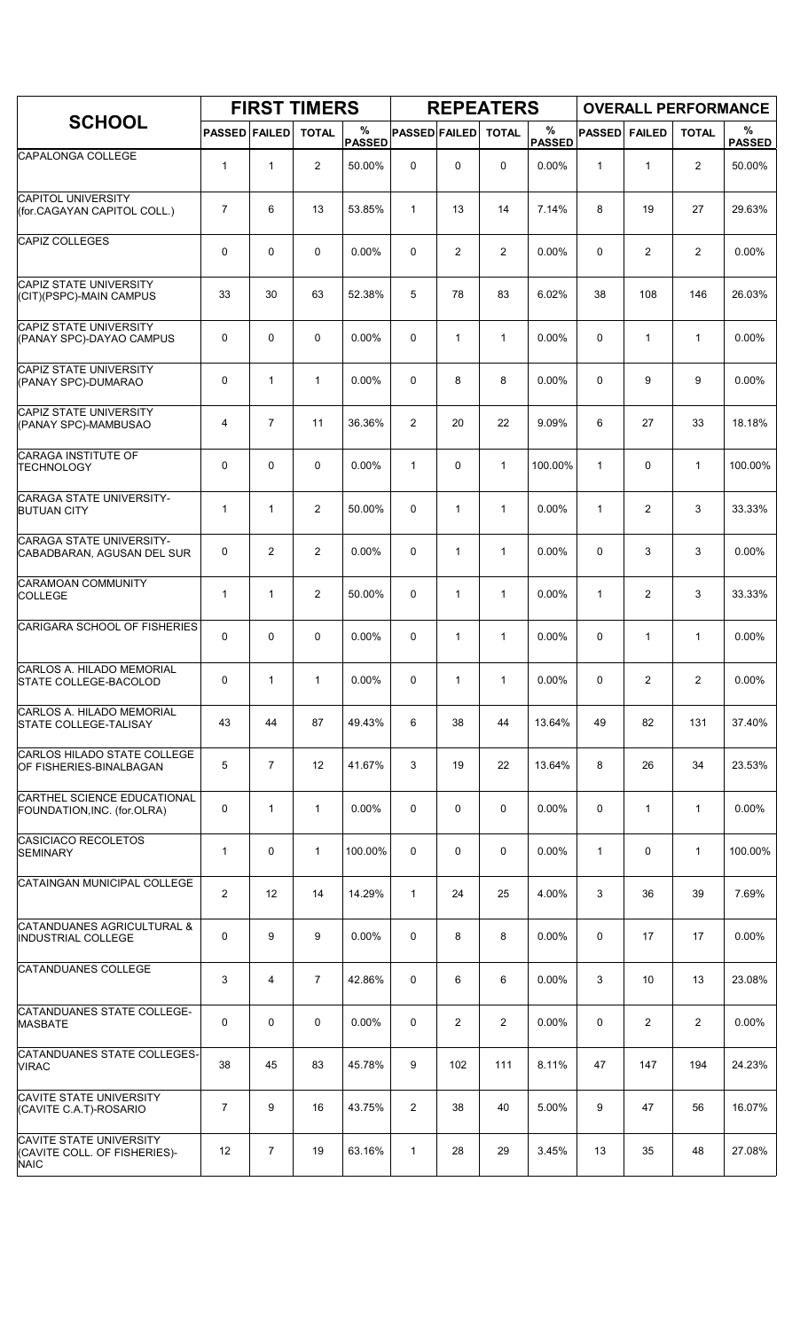|                                                                               |                         |                | <b>FIRST TIMERS</b> |                    |                      |                | <b>REPEATERS</b> |                       |               |                |                | <b>OVERALL PERFORMANCE</b> |
|-------------------------------------------------------------------------------|-------------------------|----------------|---------------------|--------------------|----------------------|----------------|------------------|-----------------------|---------------|----------------|----------------|----------------------------|
| <b>SCHOOL</b>                                                                 | <b>PASSED FAILED</b>    |                | <b>TOTAL</b>        | %<br><b>PASSED</b> | <b>PASSED FAILED</b> |                | <b>TOTAL</b>     | $\%$<br><b>PASSED</b> | <b>PASSED</b> | <b>FAILED</b>  | <b>TOTAL</b>   | %<br><b>PASSED</b>         |
| CAPALONGA COLLEGE                                                             | $\mathbf{1}$            | $\mathbf{1}$   | $\overline{c}$      | 50.00%             | $\mathbf 0$          | 0              | $\mathbf 0$      | 0.00%                 | $\mathbf{1}$  | $\mathbf{1}$   | 2              | 50.00%                     |
| <b>CAPITOL UNIVERSITY</b><br>(for.CAGAYAN CAPITOL COLL.)                      | 7                       | 6              | 13                  | 53.85%             | $\mathbf{1}$         | 13             | 14               | 7.14%                 | 8             | 19             | 27             | 29.63%                     |
| CAPIZ COLLEGES                                                                | 0                       | 0              | $\mathbf 0$         | 0.00%              | 0                    | $\overline{2}$ | $\overline{2}$   | 0.00%                 | $\mathbf 0$   | 2              | $\overline{2}$ | 0.00%                      |
| <b>CAPIZ STATE UNIVERSITY</b><br>(CIT)(PSPC)-MAIN CAMPUS                      | 33                      | 30             | 63                  | 52.38%             | 5                    | 78             | 83               | 6.02%                 | 38            | 108            | 146            | 26.03%                     |
| CAPIZ STATE UNIVERSITY<br>(PANAY SPC)-DAYAO CAMPUS                            | 0                       | 0              | $\mathbf 0$         | 0.00%              | $\mathbf 0$          | $\mathbf{1}$   | $\mathbf{1}$     | 0.00%                 | $\mathbf 0$   | $\mathbf{1}$   | $\mathbf{1}$   | 0.00%                      |
| <b>CAPIZ STATE UNIVERSITY</b><br>(PANAY SPC)-DUMARAO                          | 0                       | $\mathbf{1}$   | $\mathbf{1}$        | 0.00%              | 0                    | 8              | 8                | 0.00%                 | $\mathbf 0$   | 9              | 9              | 0.00%                      |
| CAPIZ STATE UNIVERSITY<br>(PANAY SPC)-MAMBUSAO                                | 4                       | $\overline{7}$ | 11                  | 36.36%             | 2                    | 20             | 22               | 9.09%                 | 6             | 27             | 33             | 18.18%                     |
| CARAGA INSTITUTE OF<br><b>TECHNOLOGY</b>                                      | $\mathbf 0$             | $\Omega$       | $\mathbf 0$         | 0.00%              | $\mathbf{1}$         | $\mathbf 0$    | $\mathbf{1}$     | 100.00%               | $\mathbf{1}$  | 0              | $\mathbf{1}$   | 100.00%                    |
| <b>CARAGA STATE UNIVERSITY-</b><br><b>BUTUAN CITY</b>                         | $\mathbf{1}$            | $\mathbf{1}$   | $\overline{2}$      | 50.00%             | 0                    | $\mathbf{1}$   | $\mathbf{1}$     | 0.00%                 | $\mathbf{1}$  | $\overline{2}$ | 3              | 33.33%                     |
| CARAGA STATE UNIVERSITY-<br>CABADBARAN, AGUSAN DEL SUR                        | 0                       | $\overline{c}$ | $\overline{2}$      | 0.00%              | $\mathbf 0$          | $\mathbf{1}$   | $\mathbf{1}$     | 0.00%                 | $\mathbf 0$   | 3              | 3              | 0.00%                      |
| <b>CARAMOAN COMMUNITY</b><br><b>COLLEGE</b>                                   | $\mathbf{1}$            | $\mathbf{1}$   | 2                   | 50.00%             | $\mathbf 0$          | $\mathbf{1}$   | $\mathbf{1}$     | 0.00%                 | $\mathbf{1}$  | $\overline{2}$ | 3              | 33.33%                     |
| CARIGARA SCHOOL OF FISHERIES                                                  | 0                       | 0              | $\mathbf 0$         | 0.00%              | $\mathbf 0$          | $\mathbf{1}$   | $\mathbf{1}$     | 0.00%                 | 0             | $\mathbf{1}$   | $\mathbf{1}$   | 0.00%                      |
| CARLOS A. HILADO MEMORIAL<br>STATE COLLEGE-BACOLOD                            | 0                       | $\mathbf{1}$   | $\mathbf{1}$        | 0.00%              | 0                    | 1              | $\mathbf{1}$     | 0.00%                 | 0             | $\overline{c}$ | $\overline{2}$ | 0.00%                      |
| CARLOS A. HILADO MEMORIAL<br><b>STATE COLLEGE-TALISAY</b>                     | 43                      | 44             | 87                  | 49.43%             | 6                    | 38             | 44               | 13.64%                | 49            | 82             | 131            | 37.40%                     |
| CARLOS HILADO STATE COLLEGE<br>OF FISHERIES-BINALBAGAN                        | 5                       | $\overline{7}$ | 12                  | 41.67%             | 3                    | 19             | 22               | 13.64%                | 8             | 26             | 34             | 23.53%                     |
| CARTHEL SCIENCE EDUCATIONAL<br>FOUNDATION, INC. (for. OLRA)                   | 0                       | $\mathbf{1}$   | $\mathbf{1}$        | 0.00%              | 0                    | 0              | 0                | 0.00%                 | 0             | $\mathbf{1}$   | $\mathbf{1}$   | $0.00\%$                   |
| CASICIACO RECOLETOS<br>SEMINARY                                               | $\mathbf{1}$            | 0              | $\mathbf{1}$        | 100.00%            | 0                    | 0              | 0                | 0.00%                 | $\mathbf{1}$  | 0              | $\mathbf{1}$   | 100.00%                    |
| CATAINGAN MUNICIPAL COLLEGE                                                   | $\overline{\mathbf{c}}$ | 12             | 14                  | 14.29%             | $\mathbf{1}$         | 24             | 25               | 4.00%                 | 3             | 36             | 39             | 7.69%                      |
| CATANDUANES AGRICULTURAL &<br><b>INDUSTRIAL COLLEGE</b>                       | 0                       | 9              | 9                   | 0.00%              | 0                    | 8              | 8                | 0.00%                 | 0             | 17             | 17             | 0.00%                      |
| <b>CATANDUANES COLLEGE</b>                                                    | 3                       | 4              | $\overline{7}$      | 42.86%             | 0                    | 6              | 6                | 0.00%                 | 3             | 10             | 13             | 23.08%                     |
| CATANDUANES STATE COLLEGE-<br><b>MASBATE</b>                                  | 0                       | 0              | $\mathbf 0$         | 0.00%              | 0                    | 2              | $\overline{2}$   | 0.00%                 | 0             | $\overline{2}$ | $\overline{2}$ | 0.00%                      |
| CATANDUANES STATE COLLEGES-<br><b>VIRAC</b>                                   | 38                      | 45             | 83                  | 45.78%             | 9                    | 102            | 111              | 8.11%                 | 47            | 147            | 194            | 24.23%                     |
| <b>CAVITE STATE UNIVERSITY</b><br>(CAVITE C.A.T)-ROSARIO                      | $\overline{7}$          | 9              | 16                  | 43.75%             | $\overline{2}$       | 38             | 40               | 5.00%                 | 9             | 47             | 56             | 16.07%                     |
| <b>CAVITE STATE UNIVERSITY</b><br>(CAVITE COLL. OF FISHERIES)-<br><b>NAIC</b> | 12                      | 7              | 19                  | 63.16%             | $\mathbf{1}$         | 28             | 29               | 3.45%                 | 13            | 35             | 48             | 27.08%                     |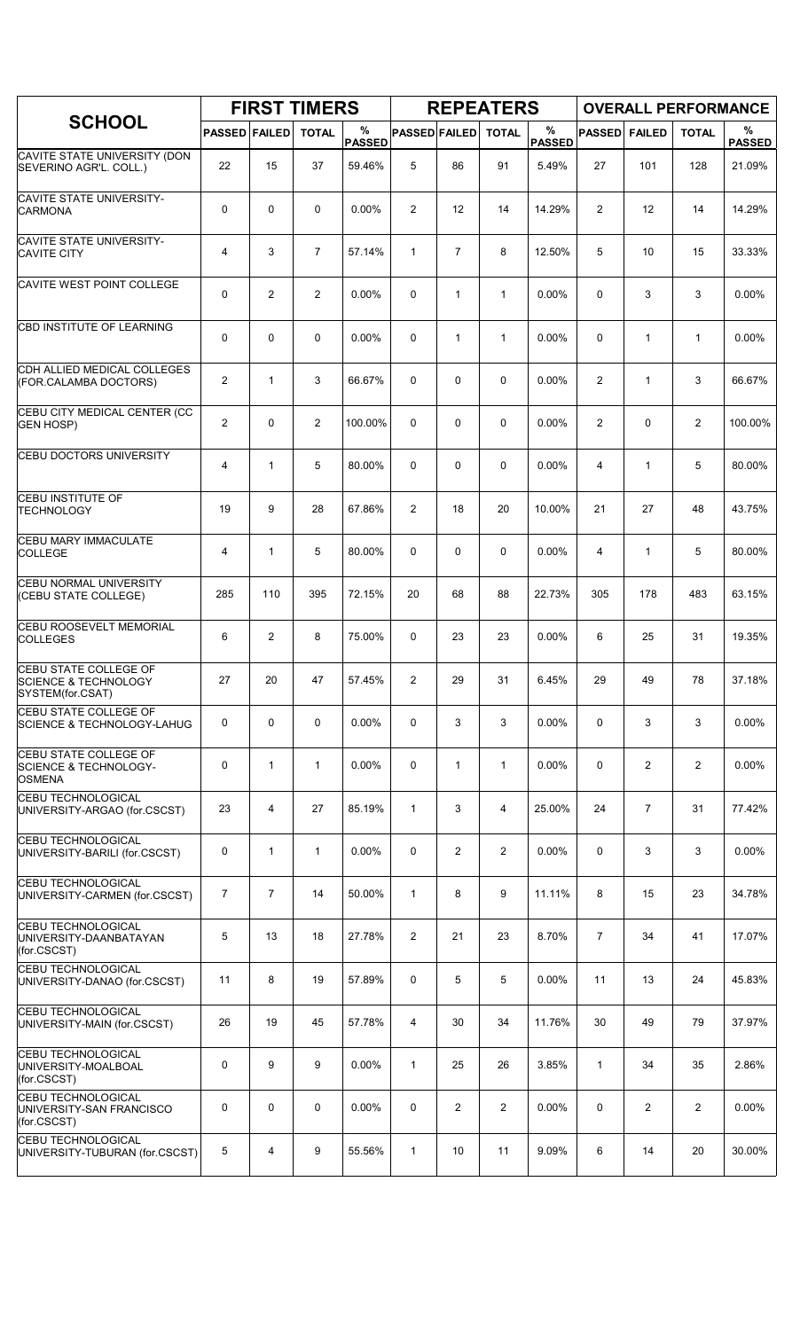|                                                                              |                      |                | <b>FIRST TIMERS</b> |                    |                      |                | <b>REPEATERS</b> |                    |                |                | <b>OVERALL PERFORMANCE</b> |                    |
|------------------------------------------------------------------------------|----------------------|----------------|---------------------|--------------------|----------------------|----------------|------------------|--------------------|----------------|----------------|----------------------------|--------------------|
| <b>SCHOOL</b>                                                                | <b>PASSED FAILED</b> |                | <b>TOTAL</b>        | %<br><b>PASSED</b> | <b>PASSED FAILED</b> |                | <b>TOTAL</b>     | %<br><b>PASSED</b> | <b>PASSED</b>  | <b>FAILED</b>  | <b>TOTAL</b>               | %<br><b>PASSED</b> |
| CAVITE STATE UNIVERSITY (DON<br>SEVERINO AGR'L. COLL.)                       | 22                   | 15             | 37                  | 59.46%             | 5                    | 86             | 91               | 5.49%              | 27             | 101            | 128                        | 21.09%             |
| <b>CAVITE STATE UNIVERSITY-</b><br><b>CARMONA</b>                            | 0                    | $\mathbf 0$    | $\mathbf 0$         | 0.00%              | $\overline{c}$       | 12             | 14               | 14.29%             | $\overline{2}$ | 12             | 14                         | 14.29%             |
| <b>CAVITE STATE UNIVERSITY-</b><br><b>CAVITE CITY</b>                        | 4                    | 3              | $\overline{7}$      | 57.14%             | $\mathbf{1}$         | $\overline{7}$ | 8                | 12.50%             | 5              | 10             | 15                         | 33.33%             |
| CAVITE WEST POINT COLLEGE                                                    | 0                    | 2              | 2                   | 0.00%              | 0                    | $\mathbf{1}$   | $\mathbf{1}$     | 0.00%              | 0              | 3              | 3                          | 0.00%              |
| CBD INSTITUTE OF LEARNING                                                    | 0                    | $\mathbf 0$    | $\mathbf 0$         | 0.00%              | 0                    | $\mathbf{1}$   | $\mathbf{1}$     | 0.00%              | $\Omega$       | 1              | $\mathbf{1}$               | 0.00%              |
| CDH ALLIED MEDICAL COLLEGES<br>(FOR.CALAMBA DOCTORS)                         | $\overline{2}$       | $\mathbf{1}$   | 3                   | 66.67%             | 0                    | 0              | 0                | 0.00%              | 2              | $\mathbf{1}$   | 3                          | 66.67%             |
| CEBU CITY MEDICAL CENTER (CC<br><b>GEN HOSP)</b>                             | $\overline{c}$       | 0              | $\overline{2}$      | 100.00%            | 0                    | 0              | 0                | 0.00%              | $\overline{c}$ | 0              | $\overline{c}$             | 100.00%            |
| <b>CEBU DOCTORS UNIVERSITY</b>                                               | 4                    | $\mathbf{1}$   | 5                   | 80.00%             | $\Omega$             | 0              | 0                | 0.00%              | 4              | $\mathbf{1}$   | 5                          | 80.00%             |
| CEBU INSTITUTE OF<br><b>TECHNOLOGY</b>                                       | 19                   | 9              | 28                  | 67.86%             | 2                    | 18             | 20               | 10.00%             | 21             | 27             | 48                         | 43.75%             |
| CEBU MARY IMMACULATE<br><b>COLLEGE</b>                                       | 4                    | $\mathbf{1}$   | 5                   | 80.00%             | 0                    | 0              | $\mathbf 0$      | 0.00%              | 4              | $\mathbf{1}$   | 5                          | 80.00%             |
| <b>CEBU NORMAL UNIVERSITY</b><br>(CEBU STATE COLLEGE)                        | 285                  | 110            | 395                 | 72.15%             | 20                   | 68             | 88               | 22.73%             | 305            | 178            | 483                        | 63.15%             |
| CEBU ROOSEVELT MEMORIAL<br><b>COLLEGES</b>                                   | 6                    | $\overline{2}$ | 8                   | 75.00%             | 0                    | 23             | 23               | 0.00%              | 6              | 25             | 31                         | 19.35%             |
| CEBU STATE COLLEGE OF<br><b>SCIENCE &amp; TECHNOLOGY</b><br>SYSTEM(for.CSAT) | 27                   | 20             | 47                  | 57.45%             | 2                    | 29             | 31               | 6.45%              | 29             | 49             | 78                         | 37.18%             |
| <b>CEBU STATE COLLEGE OF</b><br><b>SCIENCE &amp; TECHNOLOGY-LAHUG</b>        | 0                    | $\mathbf 0$    | 0                   | 0.00%              | 0                    | 3              | 3                | 0.00%              | 0              | 3              | 3                          | 0.00%              |
| CEBU STATE COLLEGE OF<br><b>SCIENCE &amp; TECHNOLOGY-</b><br><b>OSMENA</b>   | 0                    | $\mathbf{1}$   | $\mathbf{1}$        | 0.00%              | 0                    | 1              | $\mathbf{1}$     | 0.00%              | $\mathbf 0$    | $\overline{2}$ | $\overline{2}$             | 0.00%              |
| <b>CEBU TECHNOLOGICAL</b><br>UNIVERSITY-ARGAO (for.CSCST)                    | 23                   | $\overline{4}$ | 27                  | 85.19%             | $\mathbf{1}$         | 3              | 4                | 25.00%             | 24             | $\overline{7}$ | 31                         | 77.42%             |
| <b>CEBU TECHNOLOGICAL</b><br>UNIVERSITY-BARILI (for.CSCST)                   | 0                    | $\mathbf{1}$   | $\mathbf{1}$        | $0.00\%$           | 0                    | $\overline{2}$ | $\overline{2}$   | $0.00\%$           | $\mathbf 0$    | 3              | 3                          | $0.00\%$           |
| <b>CEBU TECHNOLOGICAL</b><br>UNIVERSITY-CARMEN (for.CSCST)                   | $\overline{7}$       | $\overline{7}$ | 14                  | 50.00%             | $\mathbf{1}$         | 8              | 9                | 11.11%             | 8              | 15             | 23                         | 34.78%             |
| <b>CEBU TECHNOLOGICAL</b><br>UNIVERSITY-DAANBATAYAN<br>(for.CSCST)           | 5                    | 13             | 18                  | 27.78%             | $\overline{2}$       | 21             | 23               | 8.70%              | $\overline{7}$ | 34             | 41                         | 17.07%             |
| <b>CEBU TECHNOLOGICAL</b><br>UNIVERSITY-DANAO (for.CSCST)                    | 11                   | 8              | 19                  | 57.89%             | 0                    | 5              | 5                | 0.00%              | 11             | 13             | 24                         | 45.83%             |
| <b>CEBU TECHNOLOGICAL</b><br>UNIVERSITY-MAIN (for.CSCST)                     | 26                   | 19             | 45                  | 57.78%             | 4                    | 30             | 34               | 11.76%             | 30             | 49             | 79                         | 37.97%             |
| <b>CEBU TECHNOLOGICAL</b><br>UNIVERSITY-MOALBOAL<br>(for.CSCST)              | 0                    | 9              | 9                   | 0.00%              | $\mathbf{1}$         | 25             | 26               | 3.85%              | $\mathbf{1}$   | 34             | 35                         | 2.86%              |
| <b>CEBU TECHNOLOGICAL</b><br>UNIVERSITY-SAN FRANCISCO<br>(for.CSCST)         | 0                    | 0              | $\mathbf 0$         | 0.00%              | 0                    | 2              | $\overline{2}$   | 0.00%              | $\mathbf 0$    | $\overline{2}$ | $\overline{2}$             | 0.00%              |
| <b>CEBU TECHNOLOGICAL</b><br>UNIVERSITY-TUBURAN (for.CSCST)                  | 5                    | 4              | 9                   | 55.56%             | $\mathbf{1}$         | 10             | 11               | 9.09%              | 6              | 14             | 20                         | 30.00%             |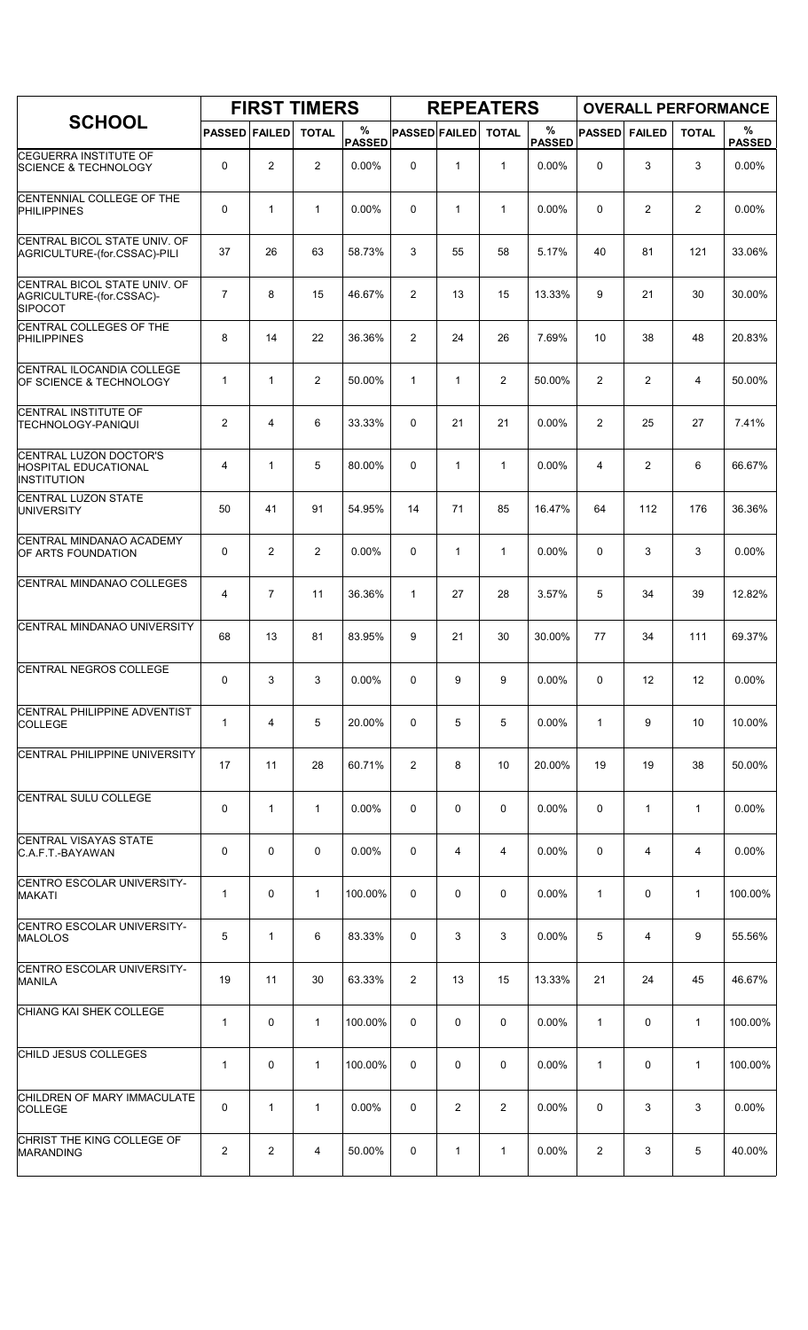|                                                                            |                      |                | <b>FIRST TIMERS</b> |                    |                      |              | <b>REPEATERS</b> |                       |               |                | <b>OVERALL PERFORMANCE</b> |                    |
|----------------------------------------------------------------------------|----------------------|----------------|---------------------|--------------------|----------------------|--------------|------------------|-----------------------|---------------|----------------|----------------------------|--------------------|
| <b>SCHOOL</b>                                                              | <b>PASSED FAILED</b> |                | <b>TOTAL</b>        | %<br><b>PASSED</b> | <b>PASSED FAILED</b> |              | <b>TOTAL</b>     | $\%$<br><b>PASSED</b> | <b>PASSED</b> | <b>FAILED</b>  | <b>TOTAL</b>               | %<br><b>PASSED</b> |
| <b>CEGUERRA INSTITUTE OF</b><br><b>SCIENCE &amp; TECHNOLOGY</b>            | 0                    | $\overline{2}$ | 2                   | 0.00%              | 0                    | $\mathbf{1}$ | $\mathbf{1}$     | 0.00%                 | $\mathbf 0$   | 3              | 3                          | 0.00%              |
| CENTENNIAL COLLEGE OF THE<br>PHILIPPINES                                   | 0                    | $\mathbf{1}$   | $\mathbf{1}$        | 0.00%              | 0                    | $\mathbf{1}$ | 1                | 0.00%                 | 0             | $\overline{c}$ | $\overline{2}$             | 0.00%              |
| CENTRAL BICOL STATE UNIV. OF<br>AGRICULTURE-(for.CSSAC)-PILI               | 37                   | 26             | 63                  | 58.73%             | 3                    | 55           | 58               | 5.17%                 | 40            | 81             | 121                        | 33.06%             |
| CENTRAL BICOL STATE UNIV. OF<br>AGRICULTURE-(for.CSSAC)-<br><b>SIPOCOT</b> | $\overline{7}$       | 8              | 15                  | 46.67%             | $\overline{c}$       | 13           | 15               | 13.33%                | 9             | 21             | 30                         | 30.00%             |
| CENTRAL COLLEGES OF THE<br><b>PHILIPPINES</b>                              | 8                    | 14             | 22                  | 36.36%             | 2                    | 24           | 26               | 7.69%                 | 10            | 38             | 48                         | 20.83%             |
| CENTRAL ILOCANDIA COLLEGE<br>OF SCIENCE & TECHNOLOGY                       | 1                    | $\mathbf{1}$   | 2                   | 50.00%             | $\mathbf{1}$         | $\mathbf{1}$ | $\overline{2}$   | 50.00%                | 2             | $\overline{c}$ | 4                          | 50.00%             |
| CENTRAL INSTITUTE OF<br><b>TECHNOLOGY-PANIQUI</b>                          | $\mathbf{2}$         | 4              | 6                   | 33.33%             | 0                    | 21           | 21               | 0.00%                 | 2             | 25             | 27                         | 7.41%              |
| CENTRAL LUZON DOCTOR'S<br><b>HOSPITAL EDUCATIONAL</b><br>INSTITUTION       | 4                    | $\mathbf{1}$   | 5                   | 80.00%             | 0                    | $\mathbf{1}$ | $\mathbf{1}$     | 0.00%                 | 4             | $\overline{2}$ | 6                          | 66.67%             |
| CENTRAL LUZON STATE<br>UNIVERSITY                                          | 50                   | 41             | 91                  | 54.95%             | 14                   | 71           | 85               | 16.47%                | 64            | 112            | 176                        | 36.36%             |
| CENTRAL MINDANAO ACADEMY<br>OF ARTS FOUNDATION                             | 0                    | $\overline{2}$ | $\overline{2}$      | 0.00%              | 0                    | $\mathbf{1}$ | $\mathbf{1}$     | 0.00%                 | 0             | 3              | 3                          | 0.00%              |
| CENTRAL MINDANAO COLLEGES                                                  | 4                    | $\overline{7}$ | 11                  | 36.36%             | $\mathbf{1}$         | 27           | 28               | 3.57%                 | 5             | 34             | 39                         | 12.82%             |
| CENTRAL MINDANAO UNIVERSITY                                                | 68                   | 13             | 81                  | 83.95%             | 9                    | 21           | 30               | 30.00%                | 77            | 34             | 111                        | 69.37%             |
| CENTRAL NEGROS COLLEGE                                                     | 0                    | 3              | 3                   | 0.00%              | 0                    | 9            | 9                | 0.00%                 | $\Omega$      | 12             | 12                         | 0.00%              |
| CENTRAL PHILIPPINE ADVENTIST<br><b>COLLEGE</b>                             | 1                    | 4              | 5                   | 20.00%             | 0                    | 5            | 5                | 0.00%                 | 1             | 9              | 10                         | 10.00%             |
| CENTRAL PHILIPPINE UNIVERSITY                                              | 17                   | 11             | 28                  | 60.71%             | 2                    | 8            | 10               | 20.00%                | 19            | 19             | 38                         | 50.00%             |
| CENTRAL SULU COLLEGE                                                       | 0                    | $\mathbf{1}$   | $\mathbf{1}$        | $0.00\%$           | 0                    | 0            | 0                | $0.00\%$              | 0             | $\mathbf{1}$   | $\mathbf{1}$               | $0.00\%$           |
| CENTRAL VISAYAS STATE<br>C.A.F.T.-BAYAWAN                                  | 0                    | $\mathbf 0$    | 0                   | 0.00%              | 0                    | 4            | 4                | 0.00%                 | 0             | 4              | 4                          | 0.00%              |
| CENTRO ESCOLAR UNIVERSITY-<br>MAKATI                                       | 1                    | 0              | $\mathbf{1}$        | 100.00%            | 0                    | 0            | 0                | 0.00%                 | $\mathbf{1}$  | 0              | $\mathbf{1}$               | 100.00%            |
| CENTRO ESCOLAR UNIVERSITY-<br><b>MALOLOS</b>                               | 5                    | $\mathbf{1}$   | 6                   | 83.33%             | 0                    | 3            | 3                | 0.00%                 | 5             | 4              | 9                          | 55.56%             |
| CENTRO ESCOLAR UNIVERSITY-<br><b>MANILA</b>                                | 19                   | 11             | 30                  | 63.33%             | 2                    | 13           | 15               | 13.33%                | 21            | 24             | 45                         | 46.67%             |
| CHIANG KAI SHEK COLLEGE                                                    | $\mathbf{1}$         | 0              | $\mathbf{1}$        | 100.00%            | 0                    | 0            | 0                | 0.00%                 | $\mathbf{1}$  | 0              | $\mathbf{1}$               | 100.00%            |
| CHILD JESUS COLLEGES                                                       | 1                    | 0              | 1                   | 100.00%            | 0                    | 0            | 0                | 0.00%                 | $\mathbf{1}$  | 0              | 1                          | 100.00%            |
| CHILDREN OF MARY IMMACULATE<br><b>COLLEGE</b>                              | 0                    | $\mathbf{1}$   | 1                   | 0.00%              | 0                    | 2            | $\overline{2}$   | 0.00%                 | 0             | 3              | 3                          | 0.00%              |
| CHRIST THE KING COLLEGE OF<br>MARANDING                                    | 2                    | $\overline{2}$ | 4                   | 50.00%             | 0                    | 1            | $\mathbf{1}$     | 0.00%                 | 2             | 3              | 5                          | 40.00%             |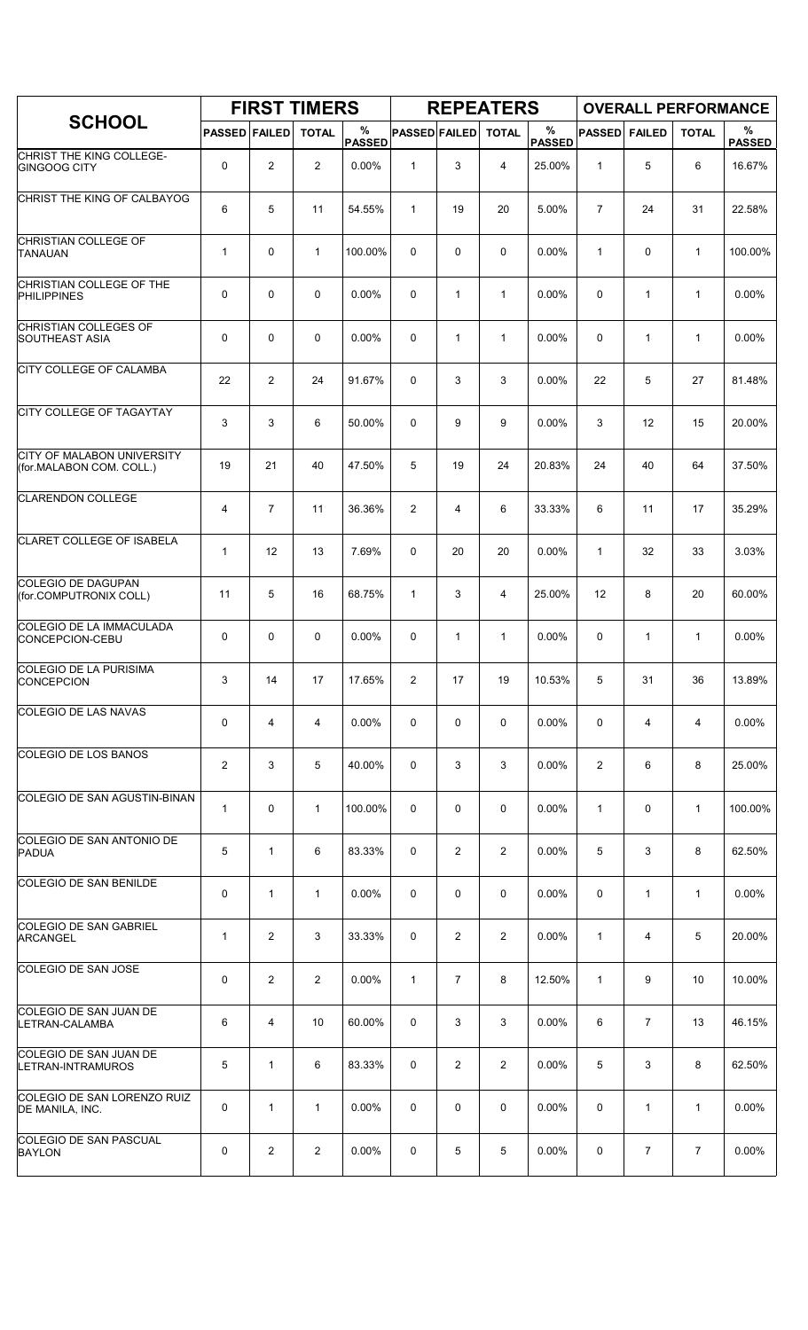|                                                        |                         |                | <b>FIRST TIMERS</b> |                    |                      |                | <b>REPEATERS</b> |                       |                 |                | <b>OVERALL PERFORMANCE</b> |                    |
|--------------------------------------------------------|-------------------------|----------------|---------------------|--------------------|----------------------|----------------|------------------|-----------------------|-----------------|----------------|----------------------------|--------------------|
| <b>SCHOOL</b>                                          | <b>PASSED FAILED</b>    |                | <b>TOTAL</b>        | %<br><b>PASSED</b> | <b>PASSED FAILED</b> |                | <b>TOTAL</b>     | $\%$<br><b>PASSED</b> | <b>PASSED</b>   | <b>FAILED</b>  | <b>TOTAL</b>               | %<br><b>PASSED</b> |
| CHRIST THE KING COLLEGE-<br><b>GINGOOG CITY</b>        | 0                       | $\overline{2}$ | $\overline{2}$      | 0.00%              | $\mathbf{1}$         | 3              | 4                | 25.00%                | $\mathbf{1}$    | 5              | 6                          | 16.67%             |
| CHRIST THE KING OF CALBAYOG                            | 6                       | 5              | 11                  | 54.55%             | $\mathbf{1}$         | 19             | 20               | 5.00%                 | $\overline{7}$  | 24             | 31                         | 22.58%             |
| CHRISTIAN COLLEGE OF<br><b>TANAUAN</b>                 | $\mathbf{1}$            | 0              | $\mathbf{1}$        | 100.00%            | $\Omega$             | 0              | 0                | $0.00\%$              | $\mathbf{1}$    | $\mathbf 0$    | $\mathbf{1}$               | 100.00%            |
| CHRISTIAN COLLEGE OF THE<br><b>PHILIPPINES</b>         | 0                       | $\mathbf 0$    | $\mathbf 0$         | 0.00%              | 0                    | $\mathbf{1}$   | $\mathbf{1}$     | 0.00%                 | 0               | $\mathbf{1}$   | $\mathbf{1}$               | 0.00%              |
| CHRISTIAN COLLEGES OF<br><b>SOUTHEAST ASIA</b>         | 0                       | 0              | $\mathbf 0$         | 0.00%              | 0                    | $\mathbf{1}$   | 1                | $0.00\%$              | 0               | 1              | $\mathbf{1}$               | 0.00%              |
| CITY COLLEGE OF CALAMBA                                | 22                      | $\overline{2}$ | 24                  | 91.67%             | 0                    | 3              | 3                | 0.00%                 | 22              | 5              | 27                         | 81.48%             |
| <b>CITY COLLEGE OF TAGAYTAY</b>                        | 3                       | 3              | 6                   | 50.00%             | $\mathbf 0$          | 9              | 9                | 0.00%                 | 3               | 12             | 15                         | 20.00%             |
| CITY OF MALABON UNIVERSITY<br>(for.MALABON COM. COLL.) | 19                      | 21             | 40                  | 47.50%             | 5                    | 19             | 24               | 20.83%                | 24              | 40             | 64                         | 37.50%             |
| <b>CLARENDON COLLEGE</b>                               | 4                       | $\overline{7}$ | 11                  | 36.36%             | $\overline{c}$       | 4              | 6                | 33.33%                | 6               | 11             | 17                         | 35.29%             |
| CLARET COLLEGE OF ISABELA                              | $\mathbf{1}$            | 12             | 13                  | 7.69%              | 0                    | 20             | 20               | 0.00%                 | $\mathbf{1}$    | 32             | 33                         | 3.03%              |
| COLEGIO DE DAGUPAN<br>(for.COMPUTRONIX COLL)           | 11                      | 5              | 16                  | 68.75%             | $\mathbf{1}$         | 3              | 4                | 25.00%                | 12 <sup>2</sup> | 8              | 20                         | 60.00%             |
| COLEGIO DE LA IMMACULADA<br>CONCEPCION-CEBU            | 0                       | 0              | $\mathbf 0$         | 0.00%              | 0                    | $\mathbf{1}$   | $\mathbf{1}$     | 0.00%                 | 0               | $\mathbf{1}$   | $\mathbf{1}$               | 0.00%              |
| COLEGIO DE LA PURISIMA<br>CONCEPCION                   | 3                       | 14             | 17                  | 17.65%             | 2                    | 17             | 19               | 10.53%                | 5               | 31             | 36                         | 13.89%             |
| <b>COLEGIO DE LAS NAVAS</b>                            | 0                       | $\overline{4}$ | 4                   | 0.00%              | 0                    | 0              | 0                | 0.00%                 | 0               | 4              | 4                          | 0.00%              |
| COLEGIO DE LOS BANOS                                   | $\overline{\mathbf{c}}$ | 3              | 5                   | 40.00%             | 0                    | 3              | 3                | 0.00%                 | 2               | 6              | 8                          | 25.00%             |
| COLEGIO DE SAN AGUSTIN-BINAN                           | $\mathbf{1}$            | 0              | $\mathbf{1}$        | 100.00%            | 0                    | 0              | 0                | 0.00%                 | $\mathbf{1}$    | 0              | $\mathbf{1}$               | 100.00%            |
| COLEGIO DE SAN ANTONIO DE<br><b>PADUA</b>              | 5                       | 1              | 6                   | 83.33%             | 0                    | $\overline{c}$ | $\overline{2}$   | 0.00%                 | 5               | 3              | 8                          | 62.50%             |
| COLEGIO DE SAN BENILDE                                 | 0                       | $\mathbf{1}$   | $\mathbf{1}$        | 0.00%              | 0                    | 0              | 0                | $0.00\%$              | 0               | $\mathbf{1}$   | $\mathbf{1}$               | 0.00%              |
| COLEGIO DE SAN GABRIEL<br><b>ARCANGEL</b>              | $\mathbf{1}$            | $\overline{2}$ | 3                   | 33.33%             | 0                    | $\overline{2}$ | $\overline{2}$   | 0.00%                 | $\mathbf{1}$    | 4              | 5                          | 20.00%             |
| COLEGIO DE SAN JOSE                                    | 0                       | $\overline{c}$ | $\overline{2}$      | 0.00%              | $\mathbf{1}$         | $\overline{7}$ | 8                | 12.50%                | 1               | 9              | 10                         | 10.00%             |
| COLEGIO DE SAN JUAN DE<br>LETRAN-CALAMBA               | 6                       | 4              | 10                  | 60.00%             | 0                    | 3              | 3                | 0.00%                 | 6               | $\overline{7}$ | 13                         | 46.15%             |
| COLEGIO DE SAN JUAN DE<br>LETRAN-INTRAMUROS            | 5                       | 1              | 6                   | 83.33%             | 0                    | $\overline{2}$ | $\overline{c}$   | 0.00%                 | 5               | 3              | 8                          | 62.50%             |
| COLEGIO DE SAN LORENZO RUIZ<br>DE MANILA, INC.         | 0                       | $\mathbf{1}$   | $\mathbf{1}$        | 0.00%              | $\Omega$             | 0              | 0                | 0.00%                 | 0               | 1              | $\mathbf{1}$               | 0.00%              |
| <b>COLEGIO DE SAN PASCUAL</b><br><b>BAYLON</b>         | 0                       | 2              | $\overline{2}$      | 0.00%              | 0                    | 5              | 5                | 0.00%                 | 0               | 7              | $\overline{7}$             | 0.00%              |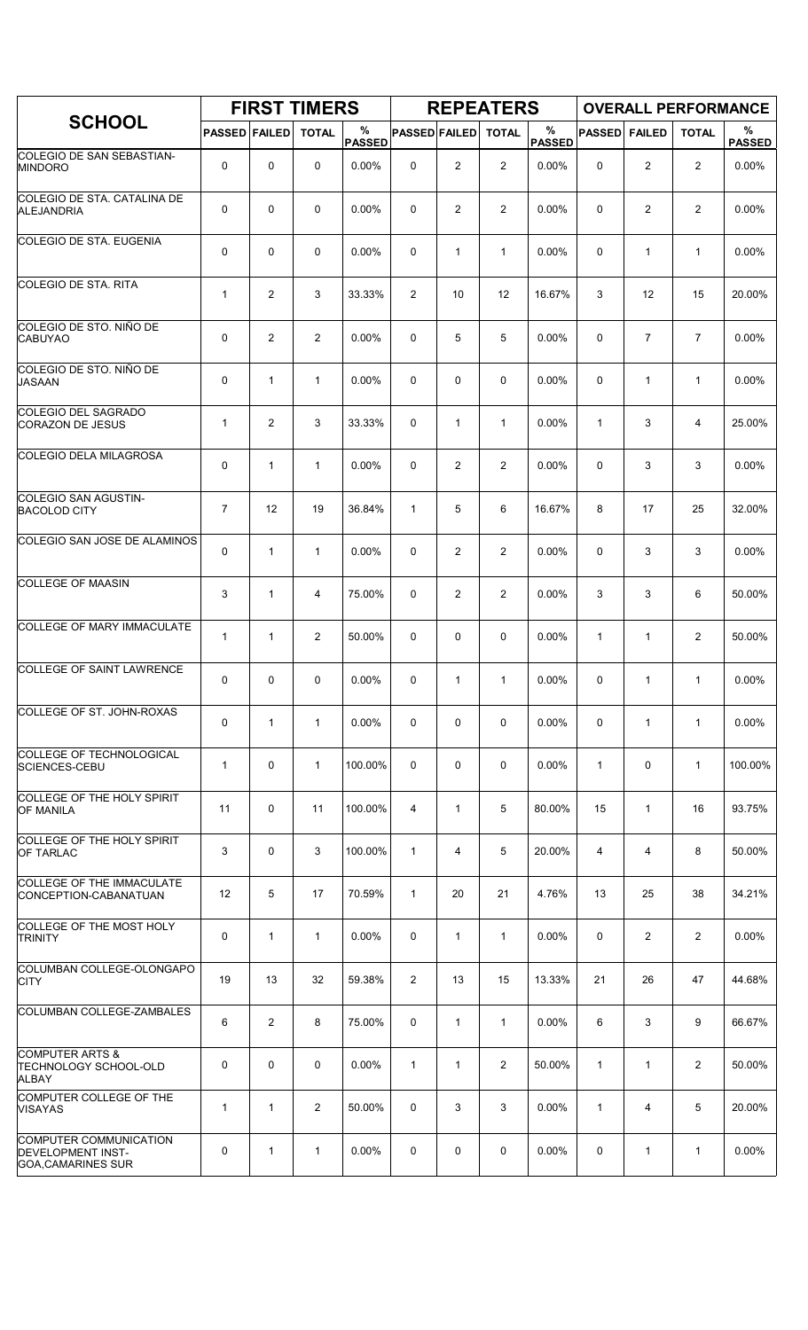|                                                                                        |                      |                | <b>FIRST TIMERS</b> |                    |                      |                | <b>REPEATERS</b> |                       |               |                | <b>OVERALL PERFORMANCE</b> |                    |
|----------------------------------------------------------------------------------------|----------------------|----------------|---------------------|--------------------|----------------------|----------------|------------------|-----------------------|---------------|----------------|----------------------------|--------------------|
| <b>SCHOOL</b>                                                                          | <b>PASSED FAILED</b> |                | <b>TOTAL</b>        | %<br><b>PASSED</b> | <b>PASSED FAILED</b> |                | <b>TOTAL</b>     | $\%$<br><b>PASSED</b> | <b>PASSED</b> | <b>FAILED</b>  | <b>TOTAL</b>               | %<br><b>PASSED</b> |
| COLEGIO DE SAN SEBASTIAN-<br><b>MINDORO</b>                                            | 0                    | $\mathbf 0$    | 0                   | 0.00%              | 0                    | $\overline{c}$ | 2                | 0.00%                 | 0             | $\overline{c}$ | $\overline{2}$             | 0.00%              |
| <b>COLEGIO DE STA. CATALINA DE</b><br>ALEJANDRIA                                       | 0                    | $\mathbf 0$    | $\mathbf 0$         | 0.00%              | 0                    | 2              | $\overline{2}$   | 0.00%                 | $\mathbf 0$   | $\overline{c}$ | 2                          | 0.00%              |
| <b>COLEGIO DE STA. EUGENIA</b>                                                         | 0                    | $\mathbf 0$    | $\mathbf 0$         | 0.00%              | 0                    | $\mathbf{1}$   | $\mathbf{1}$     | 0.00%                 | 0             | $\mathbf{1}$   | $\mathbf{1}$               | 0.00%              |
| <b>COLEGIO DE STA. RITA</b>                                                            | 1                    | 2              | 3                   | 33.33%             | 2                    | 10             | 12               | 16.67%                | 3             | 12             | 15                         | 20.00%             |
| COLEGIO DE STO. NIÑO DE<br><b>CABUYAO</b>                                              | 0                    | $\overline{2}$ | $\overline{2}$      | 0.00%              | 0                    | 5              | 5                | 0.00%                 | $\mathbf 0$   | $\overline{7}$ | $\overline{7}$             | 0.00%              |
| COLEGIO DE STO. NIÑO DE<br><b>JASAAN</b>                                               | 0                    | $\mathbf{1}$   | $\mathbf{1}$        | 0.00%              | 0                    | 0              | $\mathbf 0$      | 0.00%                 | $\Omega$      | $\mathbf{1}$   | $\mathbf{1}$               | 0.00%              |
| COLEGIO DEL SAGRADO<br><b>CORAZON DE JESUS</b>                                         | 1                    | $\overline{c}$ | 3                   | 33.33%             | 0                    | $\mathbf{1}$   | $\mathbf{1}$     | 0.00%                 | $\mathbf{1}$  | 3              | 4                          | 25.00%             |
| <b>COLEGIO DELA MILAGROSA</b>                                                          | 0                    | $\mathbf{1}$   | $\mathbf{1}$        | 0.00%              | 0                    | 2              | $\overline{2}$   | 0.00%                 | 0             | 3              | 3                          | $0.00\%$           |
| COLEGIO SAN AGUSTIN-<br><b>BACOLOD CITY</b>                                            | $\overline{7}$       | 12             | 19                  | 36.84%             | $\mathbf{1}$         | 5              | 6                | 16.67%                | 8             | 17             | 25                         | 32.00%             |
| COLEGIO SAN JOSE DE ALAMINOS                                                           | 0                    | $\mathbf{1}$   | $\mathbf{1}$        | 0.00%              | 0                    | 2              | $\overline{2}$   | 0.00%                 | $\mathbf 0$   | 3              | 3                          | 0.00%              |
| <b>COLLEGE OF MAASIN</b>                                                               | 3                    | $\mathbf{1}$   | 4                   | 75.00%             | 0                    | 2              | $\overline{2}$   | 0.00%                 | 3             | 3              | 6                          | 50.00%             |
| COLLEGE OF MARY IMMACULATE                                                             | $\mathbf{1}$         | $\mathbf{1}$   | 2                   | 50.00%             | 0                    | 0              | $\mathbf 0$      | 0.00%                 | 1             | $\mathbf{1}$   | 2                          | 50.00%             |
| <b>COLLEGE OF SAINT LAWRENCE</b>                                                       | 0                    | $\mathbf 0$    | 0                   | 0.00%              | 0                    | 1              | 1                | 0.00%                 | 0             | $\mathbf{1}$   | $\mathbf{1}$               | 0.00%              |
| <b>COLLEGE OF ST. JOHN-ROXAS</b>                                                       | 0                    | $\mathbf{1}$   | $\mathbf{1}$        | $0.00\%$           | 0                    | 0              | 0                | $0.00\%$              | 0             | $\mathbf{1}$   | $\mathbf{1}$               | 0.00%              |
| COLLEGE OF TECHNOLOGICAL<br>SCIENCES-CEBU                                              | 1                    | $\mathbf 0$    | $\mathbf{1}$        | 100.00%            | 0                    | 0              | 0                | 0.00%                 | $\mathbf{1}$  | 0              | $\mathbf{1}$               | 100.00%            |
| COLLEGE OF THE HOLY SPIRIT<br><b>OF MANILA</b>                                         | 11                   | 0              | 11                  | 100.00%            | 4                    | $\mathbf{1}$   | 5                | 80.00%                | 15            | $\mathbf{1}$   | 16                         | 93.75%             |
| COLLEGE OF THE HOLY SPIRIT<br><b>OF TARLAC</b>                                         | 3                    | $\mathbf 0$    | 3                   | 100.00%            | $\mathbf{1}$         | 4              | 5                | 20.00%                | 4             | 4              | 8                          | 50.00%             |
| <b>COLLEGE OF THE IMMACULATE</b><br>CONCEPTION-CABANATUAN                              | 12                   | 5              | 17                  | 70.59%             | $\mathbf{1}$         | 20             | 21               | 4.76%                 | 13            | 25             | 38                         | 34.21%             |
| COLLEGE OF THE MOST HOLY<br><b>TRINITY</b>                                             | 0                    | $\mathbf{1}$   | $\mathbf{1}$        | 0.00%              | 0                    | $\mathbf{1}$   | $\mathbf{1}$     | 0.00%                 | 0             | 2              | 2                          | 0.00%              |
| COLUMBAN COLLEGE-OLONGAPO<br><b>CITY</b>                                               | 19                   | 13             | 32                  | 59.38%             | 2                    | 13             | 15               | 13.33%                | 21            | 26             | 47                         | 44.68%             |
| COLUMBAN COLLEGE-ZAMBALES                                                              | 6                    | $\overline{2}$ | 8                   | 75.00%             | 0                    | $\mathbf{1}$   | $\mathbf{1}$     | $0.00\%$              | 6             | 3              | 9                          | 66.67%             |
| <b>COMPUTER ARTS &amp;</b><br>TECHNOLOGY SCHOOL-OLD<br>ALBAY                           | 0                    | 0              | 0                   | 0.00%              | $\mathbf{1}$         | $\mathbf{1}$   | 2                | 50.00%                | $\mathbf{1}$  | $\mathbf{1}$   | 2                          | 50.00%             |
| COMPUTER COLLEGE OF THE<br><b>VISAYAS</b>                                              | $\mathbf{1}$         | $\mathbf{1}$   | $\overline{2}$      | 50.00%             | 0                    | 3              | 3                | 0.00%                 | $\mathbf{1}$  | 4              | 5                          | 20.00%             |
| <b>COMPUTER COMMUNICATION</b><br><b>DEVELOPMENT INST-</b><br><b>GOA, CAMARINES SUR</b> | 0                    | $\mathbf{1}$   | 1                   | 0.00%              | 0                    | 0              | 0                | 0.00%                 | 0             | 1              | $\mathbf{1}$               | 0.00%              |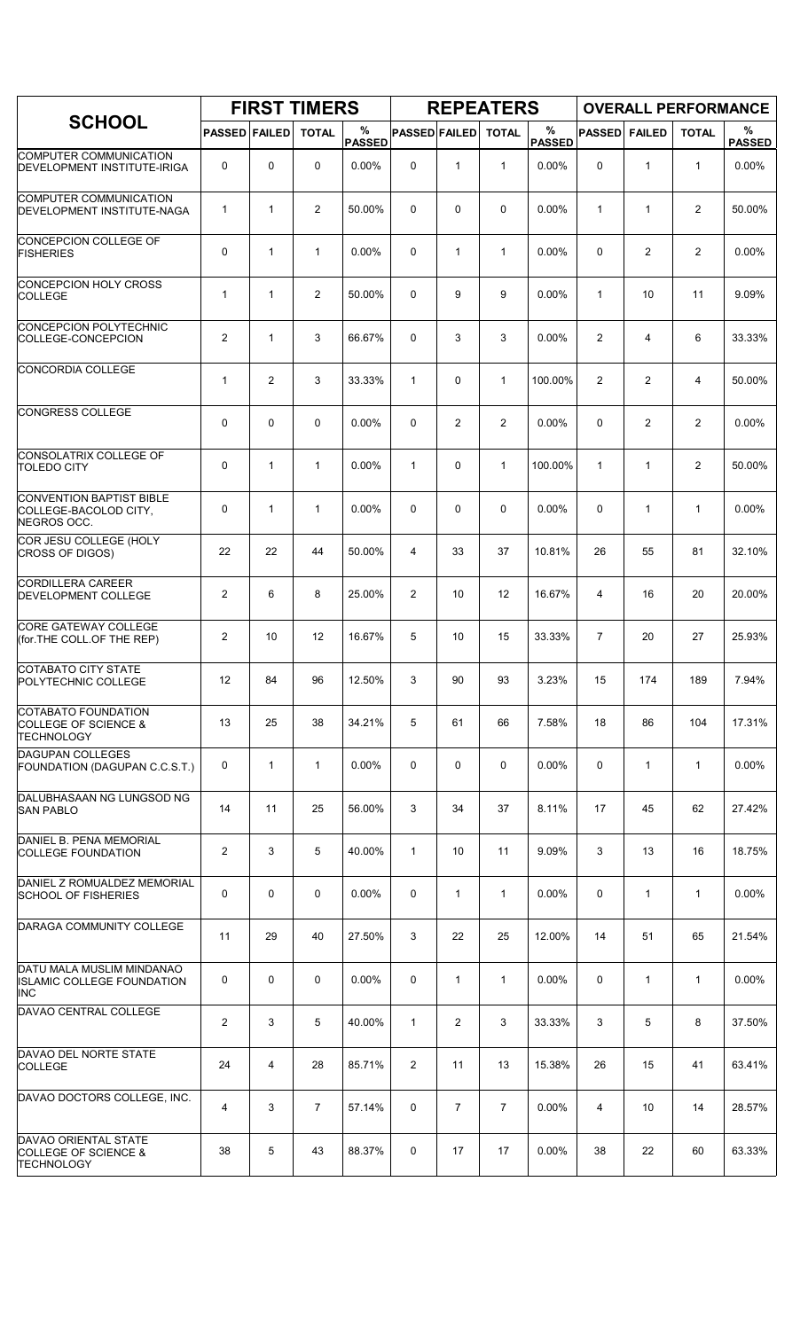|                                                                                     |                      |              | <b>FIRST TIMERS</b> |                    |                      |                | <b>REPEATERS</b> |                       |                |                | <b>OVERALL PERFORMANCE</b> |                    |
|-------------------------------------------------------------------------------------|----------------------|--------------|---------------------|--------------------|----------------------|----------------|------------------|-----------------------|----------------|----------------|----------------------------|--------------------|
| <b>SCHOOL</b>                                                                       | <b>PASSED FAILED</b> |              | <b>TOTAL</b>        | %<br><b>PASSED</b> | <b>PASSED FAILED</b> |                | <b>TOTAL</b>     | $\%$<br><b>PASSED</b> | <b>PASSED</b>  | <b>FAILED</b>  | <b>TOTAL</b>               | %<br><b>PASSED</b> |
| <b>COMPUTER COMMUNICATION</b><br>DEVELOPMENT INSTITUTE-IRIGA                        | 0                    | 0            | $\mathbf 0$         | 0.00%              | 0                    | $\mathbf{1}$   | $\mathbf{1}$     | 0.00%                 | $\mathbf 0$    | $\mathbf{1}$   | $\mathbf{1}$               | 0.00%              |
| COMPUTER COMMUNICATION<br>DEVELOPMENT INSTITUTE-NAGA                                | 1                    | $\mathbf{1}$ | 2                   | 50.00%             | $\Omega$             | 0              | 0                | 0.00%                 | $\mathbf{1}$   | $\mathbf{1}$   | $\overline{2}$             | 50.00%             |
| CONCEPCION COLLEGE OF<br><b>FISHERIES</b>                                           | $\mathbf 0$          | $\mathbf{1}$ | $\mathbf{1}$        | 0.00%              | 0                    | $\mathbf{1}$   | $\mathbf{1}$     | 0.00%                 | 0              | $\overline{2}$ | $\overline{c}$             | 0.00%              |
| <b>CONCEPCION HOLY CROSS</b><br><b>COLLEGE</b>                                      | 1                    | $\mathbf{1}$ | $\overline{2}$      | 50.00%             | 0                    | 9              | 9                | 0.00%                 | $\mathbf{1}$   | 10             | 11                         | 9.09%              |
| <b>CONCEPCION POLYTECHNIC</b><br>COLLEGE-CONCEPCION                                 | $\overline{2}$       | $\mathbf{1}$ | 3                   | 66.67%             | 0                    | 3              | 3                | 0.00%                 | 2              | 4              | 6                          | 33.33%             |
| CONCORDIA COLLEGE                                                                   | $\mathbf{1}$         | 2            | 3                   | 33.33%             | $\mathbf{1}$         | 0              | $\mathbf{1}$     | 100.00%               | 2              | $\overline{2}$ | 4                          | 50.00%             |
| <b>CONGRESS COLLEGE</b>                                                             | 0                    | $\mathbf 0$  | 0                   | 0.00%              | 0                    | 2              | $\overline{2}$   | 0.00%                 | $\mathbf 0$    | $\overline{2}$ | $\overline{c}$             | 0.00%              |
| <b>CONSOLATRIX COLLEGE OF</b><br><b>TOLEDO CITY</b>                                 | 0                    | $\mathbf{1}$ | $\mathbf{1}$        | 0.00%              | $\mathbf{1}$         | 0              | $\mathbf{1}$     | 100.00%               | $\mathbf{1}$   | $\mathbf{1}$   | $\overline{2}$             | 50.00%             |
| <b>CONVENTION BAPTIST BIBLE</b><br>COLLEGE-BACOLOD CITY,<br>NEGROS OCC.             | 0                    | $\mathbf{1}$ | $\mathbf{1}$        | 0.00%              | 0                    | 0              | 0                | 0.00%                 | 0              | $\mathbf{1}$   | $\mathbf{1}$               | 0.00%              |
| COR JESU COLLEGE (HOLY<br>CROSS OF DIGOS)                                           | 22                   | 22           | 44                  | 50.00%             | 4                    | 33             | 37               | 10.81%                | 26             | 55             | 81                         | 32.10%             |
| <b>CORDILLERA CAREER</b><br>DEVELOPMENT COLLEGE                                     | $\overline{2}$       | 6            | 8                   | 25.00%             | $\overline{2}$       | 10             | 12               | 16.67%                | $\overline{4}$ | 16             | 20                         | 20.00%             |
| <b>CORE GATEWAY COLLEGE</b><br>(for.THE COLL.OF THE REP)                            | $\overline{2}$       | 10           | 12                  | 16.67%             | 5                    | 10             | 15               | 33.33%                | $\overline{7}$ | 20             | 27                         | 25.93%             |
| COTABATO CITY STATE<br>POLYTECHNIC COLLEGE                                          | 12                   | 84           | 96                  | 12.50%             | 3                    | 90             | 93               | 3.23%                 | 15             | 174            | 189                        | 7.94%              |
| COTABATO FOUNDATION<br><b>COLLEGE OF SCIENCE &amp;</b><br><b>TECHNOLOGY</b>         | 13                   | 25           | 38                  | 34.21%             | 5                    | 61             | 66               | 7.58%                 | 18             | 86             | 104                        | 17.31%             |
| <b>DAGUPAN COLLEGES</b><br>FOUNDATION (DAGUPAN C.C.S.T.)                            | 0                    | $\mathbf{1}$ | $\mathbf{1}$        | 0.00%              | 0                    | 0              | 0                | 0.00%                 | 0              | $\mathbf{1}$   | $\mathbf{1}$               | 0.00%              |
| DALUBHASAAN NG LUNGSOD NG<br><b>SAN PABLO</b>                                       | 14                   | 11           | 25                  | 56.00%             | 3                    | 34             | 37               | 8.11%                 | 17             | 45             | 62                         | 27.42%             |
| DANIEL B. PENA MEMORIAL<br><b>COLLEGE FOUNDATION</b>                                | $\overline{2}$       | 3            | 5                   | 40.00%             | $\mathbf{1}$         | 10             | 11               | 9.09%                 | 3              | 13             | 16                         | 18.75%             |
| DANIEL Z ROMUALDEZ MEMORIAL<br><b>SCHOOL OF FISHERIES</b>                           | 0                    | $\mathbf 0$  | $\mathbf 0$         | 0.00%              | 0                    | $\mathbf{1}$   | $\mathbf{1}$     | 0.00%                 | 0              | $\mathbf{1}$   | $\mathbf{1}$               | 0.00%              |
| DARAGA COMMUNITY COLLEGE                                                            | 11                   | 29           | 40                  | 27.50%             | 3                    | 22             | 25               | 12.00%                | 14             | 51             | 65                         | 21.54%             |
| DATU MALA MUSLIM MINDANAO<br>ISLAMIC COLLEGE FOUNDATION<br><b>INC</b>               | 0                    | 0            | $\mathbf 0$         | 0.00%              | 0                    | 1              | $\mathbf{1}$     | $0.00\%$              | 0              | $\mathbf{1}$   | $\mathbf{1}$               | 0.00%              |
| DAVAO CENTRAL COLLEGE                                                               | $\overline{2}$       | 3            | 5                   | 40.00%             | $\mathbf{1}$         | $\overline{2}$ | 3                | 33.33%                | 3              | 5              | 8                          | 37.50%             |
| DAVAO DEL NORTE STATE<br><b>COLLEGE</b>                                             | 24                   | 4            | 28                  | 85.71%             | 2                    | 11             | 13               | 15.38%                | 26             | 15             | 41                         | 63.41%             |
| DAVAO DOCTORS COLLEGE, INC.                                                         | 4                    | 3            | $\overline{7}$      | 57.14%             | 0                    | $\overline{7}$ | $\overline{7}$   | 0.00%                 | 4              | 10             | 14                         | 28.57%             |
| <b>DAVAO ORIENTAL STATE</b><br><b>COLLEGE OF SCIENCE &amp;</b><br><b>TECHNOLOGY</b> | 38                   | 5            | 43                  | 88.37%             | 0                    | 17             | 17               | $0.00\%$              | 38             | 22             | 60                         | 63.33%             |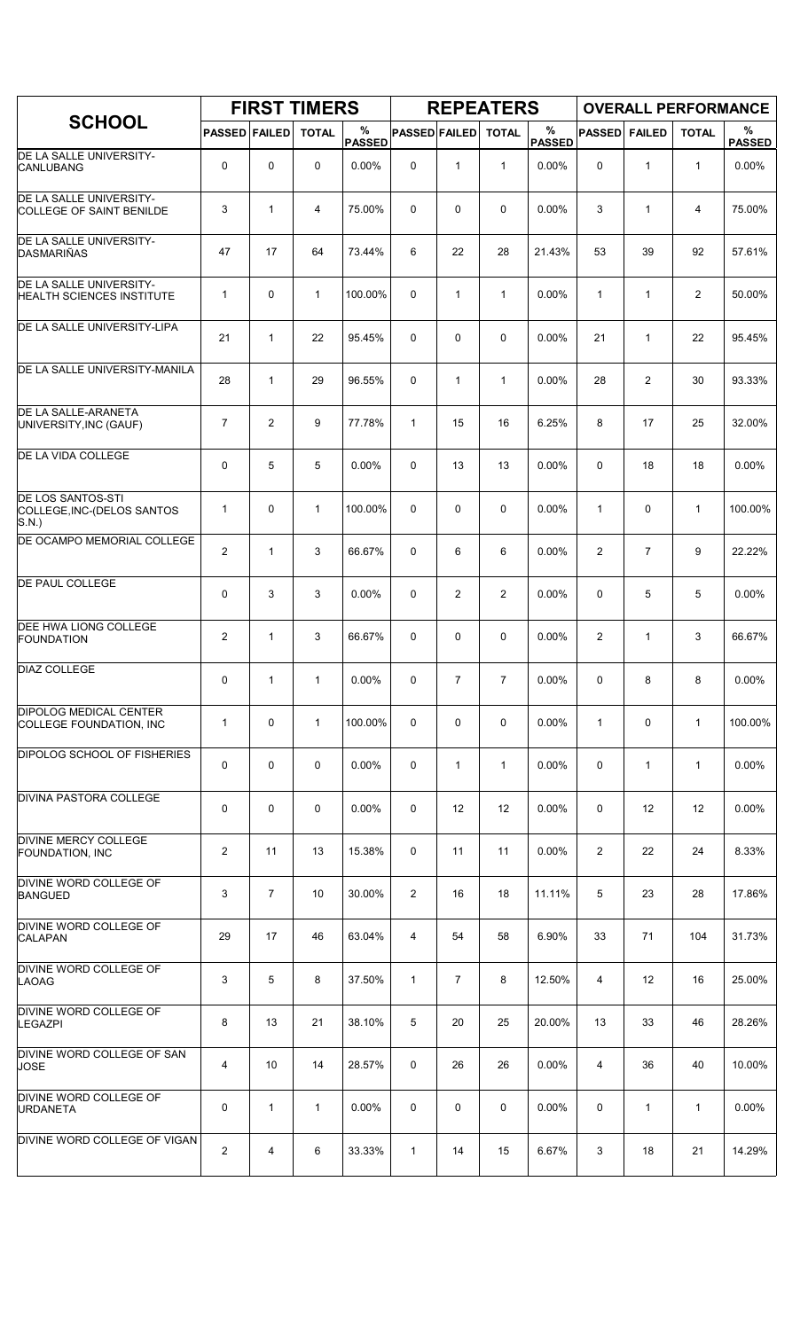|                                                                    |                         |                | <b>FIRST TIMERS</b> |                    |                      |                   | <b>REPEATERS</b> |                       |                |                | <b>OVERALL PERFORMANCE</b> |                    |
|--------------------------------------------------------------------|-------------------------|----------------|---------------------|--------------------|----------------------|-------------------|------------------|-----------------------|----------------|----------------|----------------------------|--------------------|
| <b>SCHOOL</b>                                                      | <b>PASSED FAILED</b>    |                | <b>TOTAL</b>        | %<br><b>PASSED</b> | <b>PASSED FAILED</b> |                   | <b>TOTAL</b>     | $\%$<br><b>PASSED</b> | <b>PASSED</b>  | <b>FAILED</b>  | <b>TOTAL</b>               | %<br><b>PASSED</b> |
| DE LA SALLE UNIVERSITY-<br><b>CANLUBANG</b>                        | 0                       | $\mathbf 0$    | 0                   | 0.00%              | 0                    | $\mathbf{1}$      | $\mathbf{1}$     | 0.00%                 | $\Omega$       | 1              | $\mathbf{1}$               | 0.00%              |
| DE LA SALLE UNIVERSITY-<br>COLLEGE OF SAINT BENILDE                | 3                       | $\mathbf{1}$   | 4                   | 75.00%             | 0                    | 0                 | $\mathbf 0$      | 0.00%                 | 3              | $\mathbf{1}$   | 4                          | 75.00%             |
| DE LA SALLE UNIVERSITY-<br>DASMARIÑAS                              | 47                      | 17             | 64                  | 73.44%             | 6                    | 22                | 28               | 21.43%                | 53             | 39             | 92                         | 57.61%             |
| DE LA SALLE UNIVERSITY-<br><b>HEALTH SCIENCES INSTITUTE</b>        | 1                       | $\mathbf 0$    | $\mathbf{1}$        | 100.00%            | 0                    | $\mathbf{1}$      | $\mathbf{1}$     | 0.00%                 | $\mathbf{1}$   | $\mathbf{1}$   | $\overline{c}$             | 50.00%             |
| DE LA SALLE UNIVERSITY-LIPA                                        | 21                      | $\mathbf{1}$   | 22                  | 95.45%             | 0                    | 0                 | $\mathbf 0$      | 0.00%                 | 21             | 1              | 22                         | 95.45%             |
| DE LA SALLE UNIVERSITY-MANILA                                      | 28                      | $\mathbf{1}$   | 29                  | 96.55%             | 0                    | $\mathbf{1}$      | $\mathbf{1}$     | 0.00%                 | 28             | $\overline{c}$ | 30                         | 93.33%             |
| <b>DE LA SALLE-ARANETA</b><br>UNIVERSITY, INC (GAUF)               | $\overline{7}$          | 2              | 9                   | 77.78%             | $\mathbf{1}$         | 15                | 16               | 6.25%                 | 8              | 17             | 25                         | 32.00%             |
| DE LA VIDA COLLEGE                                                 | 0                       | 5              | 5                   | 0.00%              | 0                    | 13                | 13               | 0.00%                 | $\mathbf 0$    | 18             | 18                         | 0.00%              |
| <b>DE LOS SANTOS-STI</b><br>COLLEGE, INC-(DELOS SANTOS<br>$S.N.$ ) | 1                       | $\mathbf 0$    | $\mathbf{1}$        | 100.00%            | 0                    | 0                 | $\mathbf 0$      | 0.00%                 | $\mathbf{1}$   | $\mathbf 0$    | $\mathbf{1}$               | 100.00%            |
| DE OCAMPO MEMORIAL COLLEGE                                         | $\overline{\mathbf{c}}$ | $\mathbf{1}$   | 3                   | 66.67%             | 0                    | 6                 | 6                | 0.00%                 | $\overline{2}$ | $\overline{7}$ | 9                          | 22.22%             |
| <b>DE PAUL COLLEGE</b>                                             | 0                       | 3              | 3                   | 0.00%              | 0                    | 2                 | $\overline{2}$   | 0.00%                 | $\mathbf 0$    | 5              | 5                          | 0.00%              |
| <b>DEE HWA LIONG COLLEGE</b><br><b>FOUNDATION</b>                  | $\overline{2}$          | $\mathbf{1}$   | 3                   | 66.67%             | 0                    | 0                 | $\mathbf 0$      | 0.00%                 | 2              | 1              | 3                          | 66.67%             |
| <b>DIAZ COLLEGE</b>                                                | 0                       | 1              | $\mathbf{1}$        | 0.00%              | 0                    | $\overline{7}$    | $\overline{7}$   | 0.00%                 | 0              | 8              | 8                          | 0.00%              |
| <b>DIPOLOG MEDICAL CENTER</b><br>COLLEGE FOUNDATION, INC           | 1                       | $\mathbf 0$    | $\mathbf{1}$        | 100.00%            | 0                    | 0                 | 0                | 0.00%                 | $\mathbf{1}$   | 0              | $\mathbf{1}$               | 100.00%            |
| <b>DIPOLOG SCHOOL OF FISHERIES</b>                                 | 0                       | $\mathbf 0$    | $\mathbf 0$         | 0.00%              | 0                    | $\mathbf{1}$      | $\mathbf{1}$     | 0.00%                 | 0              | 1              | $\mathbf{1}$               | 0.00%              |
| <b>DIVINA PASTORA COLLEGE</b>                                      | 0                       | 0              | 0                   | 0.00%              | 0                    | $12 \overline{ }$ | 12               | 0.00%                 | 0              | 12             | 12                         | $0.00\%$           |
| DIVINE MERCY COLLEGE<br>FOUNDATION, INC                            | $\overline{c}$          | 11             | 13                  | 15.38%             | 0                    | 11                | 11               | 0.00%                 | 2              | 22             | 24                         | 8.33%              |
| <b>DIVINE WORD COLLEGE OF</b><br><b>BANGUED</b>                    | 3                       | $\overline{7}$ | 10                  | 30.00%             | $\overline{2}$       | 16                | 18               | 11.11%                | 5              | 23             | 28                         | 17.86%             |
| DIVINE WORD COLLEGE OF<br><b>CALAPAN</b>                           | 29                      | 17             | 46                  | 63.04%             | 4                    | 54                | 58               | 6.90%                 | 33             | 71             | 104                        | 31.73%             |
| DIVINE WORD COLLEGE OF<br>LAOAG                                    | 3                       | 5              | 8                   | 37.50%             | $\mathbf{1}$         | $\overline{7}$    | 8                | 12.50%                | 4              | 12             | 16                         | 25.00%             |
| DIVINE WORD COLLEGE OF<br><b>LEGAZPI</b>                           | 8                       | 13             | 21                  | 38.10%             | 5                    | 20                | 25               | 20.00%                | 13             | 33             | 46                         | 28.26%             |
| DIVINE WORD COLLEGE OF SAN<br><b>JOSE</b>                          | 4                       | 10             | 14                  | 28.57%             | 0                    | 26                | 26               | 0.00%                 | 4              | 36             | 40                         | 10.00%             |
| DIVINE WORD COLLEGE OF<br><b>URDANETA</b>                          | 0                       | 1              | $\mathbf{1}$        | 0.00%              | 0                    | 0                 | 0                | 0.00%                 | 0              | $\mathbf{1}$   | $\mathbf{1}$               | 0.00%              |
| DIVINE WORD COLLEGE OF VIGAN                                       | $\overline{c}$          | 4              | 6                   | 33.33%             | 1                    | 14                | 15               | 6.67%                 | 3              | 18             | 21                         | 14.29%             |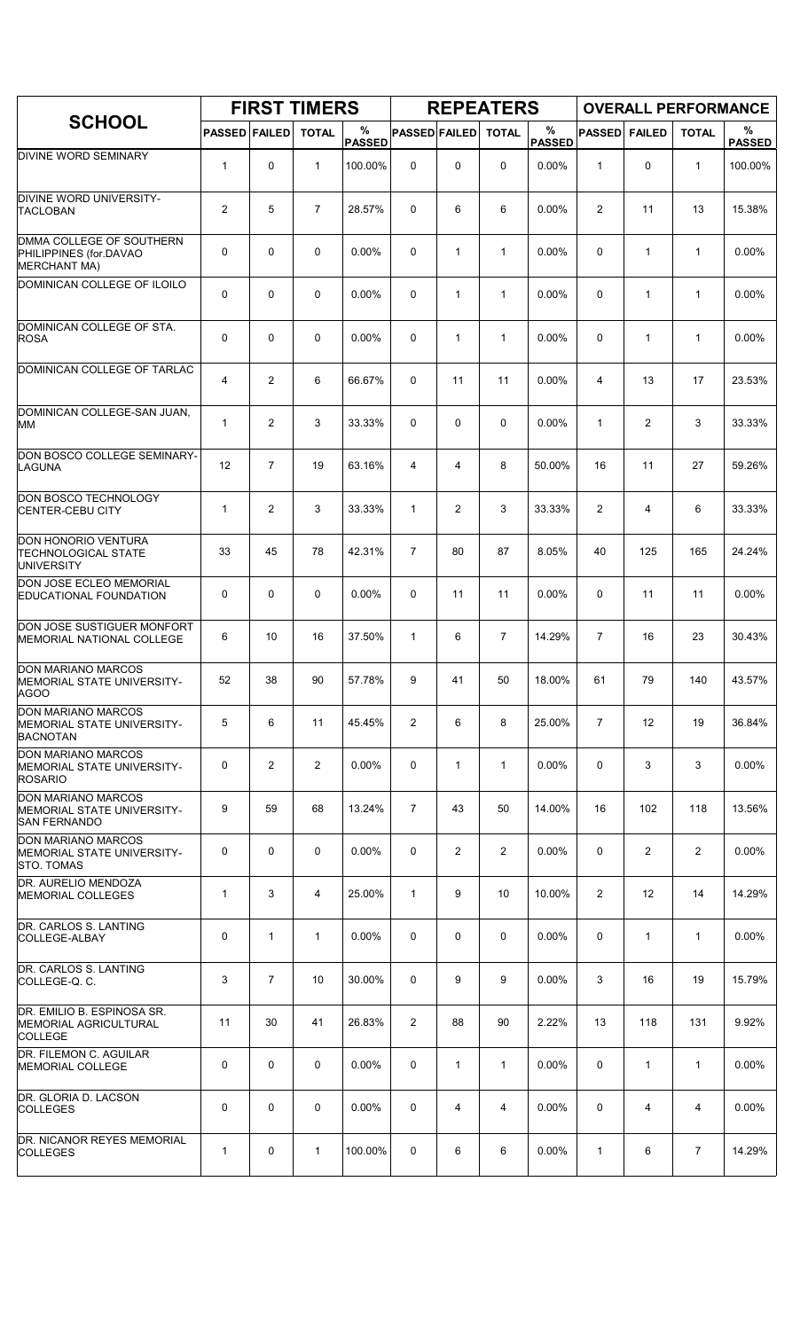|                                                                            |                      |                | <b>FIRST TIMERS</b> |                    |                      |                | <b>REPEATERS</b> |                       |                |                | <b>OVERALL PERFORMANCE</b> |                    |
|----------------------------------------------------------------------------|----------------------|----------------|---------------------|--------------------|----------------------|----------------|------------------|-----------------------|----------------|----------------|----------------------------|--------------------|
| <b>SCHOOL</b>                                                              | <b>PASSED FAILED</b> |                | <b>TOTAL</b>        | %<br><b>PASSED</b> | <b>PASSED FAILED</b> |                | <b>TOTAL</b>     | $\%$<br><b>PASSED</b> | <b>PASSED</b>  | <b>FAILED</b>  | <b>TOTAL</b>               | %<br><b>PASSED</b> |
| DIVINE WORD SEMINARY                                                       | $\mathbf{1}$         | 0              | $\mathbf{1}$        | 100.00%            | 0                    | 0              | $\mathbf 0$      | 0.00%                 | 1              | 0              | $\mathbf{1}$               | 100.00%            |
| <b>DIVINE WORD UNIVERSITY-</b><br><b>TACLOBAN</b>                          | 2                    | 5              | $\overline{7}$      | 28.57%             | 0                    | 6              | 6                | 0.00%                 | 2              | 11             | 13                         | 15.38%             |
| DMMA COLLEGE OF SOUTHERN<br>PHILIPPINES (for.DAVAO<br><b>MERCHANT MA)</b>  | 0                    | $\mathbf 0$    | $\mathbf 0$         | 0.00%              | 0                    | $\mathbf{1}$   | $\mathbf{1}$     | 0.00%                 | $\mathbf 0$    | $\mathbf{1}$   | $\mathbf{1}$               | 0.00%              |
| DOMINICAN COLLEGE OF ILOILO                                                | 0                    | $\Omega$       | $\mathbf 0$         | 0.00%              | 0                    | $\mathbf{1}$   | $\mathbf{1}$     | 0.00%                 | $\Omega$       | 1              | $\mathbf{1}$               | 0.00%              |
| DOMINICAN COLLEGE OF STA.<br><b>ROSA</b>                                   | 0                    | $\mathbf 0$    | $\mathbf 0$         | 0.00%              | 0                    | 1              | $\mathbf{1}$     | 0.00%                 | $\mathbf 0$    | 1              | $\mathbf{1}$               | 0.00%              |
| DOMINICAN COLLEGE OF TARLAC                                                | 4                    | $\overline{2}$ | 6                   | 66.67%             | 0                    | 11             | 11               | 0.00%                 | $\overline{4}$ | 13             | 17                         | 23.53%             |
| DOMINICAN COLLEGE-SAN JUAN,<br>MM                                          | 1                    | 2              | 3                   | 33.33%             | $\Omega$             | 0              | 0                | 0.00%                 | 1              | $\overline{c}$ | 3                          | 33.33%             |
| DON BOSCO COLLEGE SEMINARY-<br>LAGUNA                                      | 12                   | $\overline{7}$ | 19                  | 63.16%             | 4                    | 4              | 8                | 50.00%                | 16             | 11             | 27                         | 59.26%             |
| DON BOSCO TECHNOLOGY<br><b>CENTER-CEBU CITY</b>                            | $\mathbf{1}$         | $\overline{2}$ | 3                   | 33.33%             | $\mathbf{1}$         | $\overline{c}$ | 3                | 33.33%                | 2              | 4              | 6                          | 33.33%             |
| DON HONORIO VENTURA<br><b>TECHNOLOGICAL STATE</b><br><b>UNIVERSITY</b>     | 33                   | 45             | 78                  | 42.31%             | $\overline{7}$       | 80             | 87               | 8.05%                 | 40             | 125            | 165                        | 24.24%             |
| DON JOSE ECLEO MEMORIAL<br>EDUCATIONAL FOUNDATION                          | 0                    | $\mathbf 0$    | 0                   | 0.00%              | 0                    | 11             | 11               | 0.00%                 | $\mathbf 0$    | 11             | 11                         | 0.00%              |
| DON JOSE SUSTIGUER MONFORT<br><b>MEMORIAL NATIONAL COLLEGE</b>             | 6                    | 10             | 16                  | 37.50%             | 1                    | 6              | $\overline{7}$   | 14.29%                | $\overline{7}$ | 16             | 23                         | 30.43%             |
| DON MARIANO MARCOS<br><b>MEMORIAL STATE UNIVERSITY-</b><br><b>AGOO</b>     | 52                   | 38             | 90                  | 57.78%             | 9                    | 41             | 50               | 18.00%                | 61             | 79             | 140                        | 43.57%             |
| <b>DON MARIANO MARCOS</b><br>MEMORIAL STATE UNIVERSITY-<br><b>BACNOTAN</b> | 5                    | 6              | 11                  | 45.45%             | 2                    | 6              | 8                | 25.00%                | $\overline{7}$ | 12             | 19                         | 36.84%             |
| <b>DON MARIANO MARCOS</b><br>MEMORIAL STATE UNIVERSITY-<br><b>ROSARIO</b>  | 0                    | $\overline{2}$ | $\overline{2}$      | $0.00\%$           | 0                    | $\mathbf{1}$   | $\mathbf{1}$     | 0.00%                 | 0              | 3              | 3                          | $0.00\%$           |
| <b>DON MARIANO MARCOS</b><br>MEMORIAL STATE UNIVERSITY-<br>SAN FERNANDO    | 9                    | 59             | 68                  | 13.24%             | $\overline{7}$       | 43             | 50               | 14.00%                | 16             | 102            | 118                        | 13.56%             |
| DON MARIANO MARCOS<br>MEMORIAL STATE UNIVERSITY-<br><b>STO. TOMAS</b>      | 0                    | $\mathbf 0$    | $\mathbf 0$         | 0.00%              | 0                    | 2              | $\overline{2}$   | 0.00%                 | 0              | 2              | 2                          | 0.00%              |
| DR. AURELIO MENDOZA<br><b>MEMORIAL COLLEGES</b>                            | 1                    | 3              | 4                   | 25.00%             | $\mathbf{1}$         | 9              | 10               | 10.00%                | $\overline{2}$ | 12             | 14                         | 14.29%             |
| DR. CARLOS S. LANTING<br>COLLEGE-ALBAY                                     | 0                    | $\mathbf{1}$   | $\mathbf{1}$        | $0.00\%$           | 0                    | 0              | 0                | $0.00\%$              | 0              | $\mathbf{1}$   | $\mathbf{1}$               | $0.00\%$           |
| DR. CARLOS S. LANTING<br>COLLEGE-Q.C.                                      | 3                    | $\overline{7}$ | 10                  | 30.00%             | 0                    | 9              | 9                | 0.00%                 | 3              | 16             | 19                         | 15.79%             |
| DR. EMILIO B. ESPINOSA SR.<br>MEMORIAL AGRICULTURAL<br><b>COLLEGE</b>      | 11                   | 30             | 41                  | 26.83%             | 2                    | 88             | 90               | 2.22%                 | 13             | 118            | 131                        | 9.92%              |
| DR. FILEMON C. AGUILAR<br>MEMORIAL COLLEGE                                 | 0                    | $\mathbf 0$    | $\mathbf 0$         | 0.00%              | 0                    | $\mathbf{1}$   | 1                | 0.00%                 | 0              | $\mathbf{1}$   | $\mathbf{1}$               | 0.00%              |
| DR. GLORIA D. LACSON<br><b>COLLEGES</b>                                    | 0                    | 0              | $\mathbf 0$         | $0.00\%$           | 0                    | 4              | 4                | $0.00\%$              | 0              | 4              | 4                          | $0.00\%$           |
| DR. NICANOR REYES MEMORIAL<br><b>COLLEGES</b>                              | 1                    | 0              | $\mathbf{1}$        | 100.00%            | 0                    | 6              | 6                | $0.00\%$              | 1              | 6              | 7                          | 14.29%             |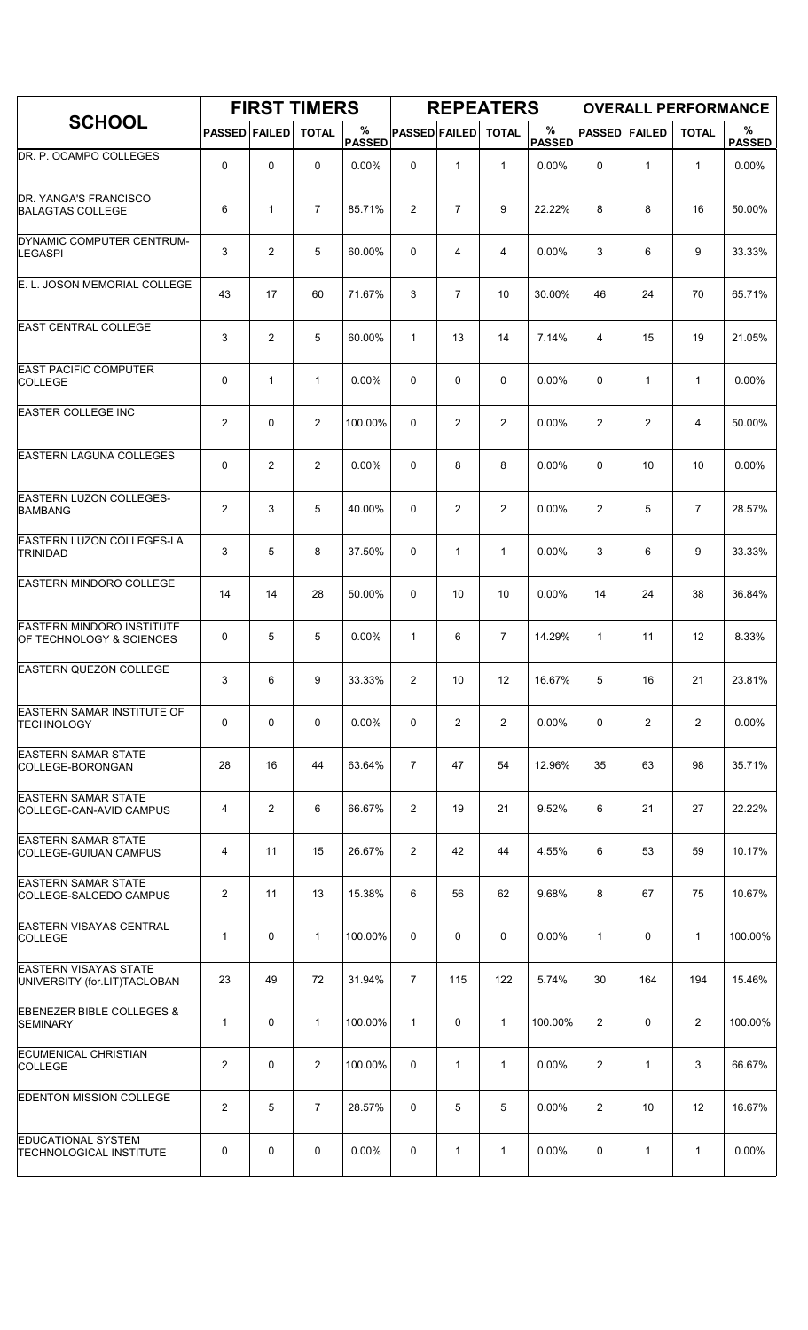|                                                              |                         |                | <b>FIRST TIMERS</b> |                    |                      |                | <b>REPEATERS</b> |                    |                |                | <b>OVERALL PERFORMANCE</b> |                    |
|--------------------------------------------------------------|-------------------------|----------------|---------------------|--------------------|----------------------|----------------|------------------|--------------------|----------------|----------------|----------------------------|--------------------|
| <b>SCHOOL</b>                                                | <b>PASSED FAILED</b>    |                | <b>TOTAL</b>        | %<br><b>PASSED</b> | <b>PASSED FAILED</b> |                | <b>TOTAL</b>     | %<br><b>PASSED</b> | <b>PASSED</b>  | <b>FAILED</b>  | <b>TOTAL</b>               | %<br><b>PASSED</b> |
| DR. P. OCAMPO COLLEGES                                       | 0                       | $\mathbf 0$    | 0                   | 0.00%              | 0                    | $\mathbf{1}$   | $\mathbf{1}$     | 0.00%              | 0              | $\mathbf{1}$   | $\mathbf{1}$               | 0.00%              |
| DR. YANGA'S FRANCISCO<br><b>BALAGTAS COLLEGE</b>             | 6                       | $\mathbf{1}$   | $\overline{7}$      | 85.71%             | 2                    | $\overline{7}$ | 9                | 22.22%             | 8              | 8              | 16                         | 50.00%             |
| DYNAMIC COMPUTER CENTRUM-<br><b>LEGASPI</b>                  | 3                       | $\overline{2}$ | 5                   | 60.00%             | 0                    | 4              | 4                | 0.00%              | 3              | 6              | 9                          | 33.33%             |
| E. L. JOSON MEMORIAL COLLEGE                                 | 43                      | 17             | 60                  | 71.67%             | 3                    | $\overline{7}$ | 10               | 30.00%             | 46             | 24             | 70                         | 65.71%             |
| <b>EAST CENTRAL COLLEGE</b>                                  | 3                       | $\overline{2}$ | 5                   | 60.00%             | $\mathbf{1}$         | 13             | 14               | 7.14%              | 4              | 15             | 19                         | 21.05%             |
| <b>EAST PACIFIC COMPUTER</b><br><b>COLLEGE</b>               | 0                       | $\mathbf{1}$   | $\mathbf{1}$        | 0.00%              | 0                    | 0              | 0                | 0.00%              | 0              | $\mathbf{1}$   | $\mathbf{1}$               | 0.00%              |
| <b>EASTER COLLEGE INC</b>                                    | $\overline{2}$          | $\mathbf 0$    | $\overline{2}$      | 100.00%            | 0                    | 2              | $\overline{2}$   | 0.00%              | 2              | 2              | 4                          | 50.00%             |
| <b>EASTERN LAGUNA COLLEGES</b>                               | 0                       | $\overline{2}$ | 2                   | 0.00%              | 0                    | 8              | 8                | $0.00\%$           | 0              | 10             | 10                         | 0.00%              |
| <b>EASTERN LUZON COLLEGES-</b><br><b>BAMBANG</b>             | $\overline{2}$          | 3              | 5                   | 40.00%             | 0                    | 2              | $\overline{2}$   | 0.00%              | 2              | 5              | $\overline{7}$             | 28.57%             |
| EASTERN LUZON COLLEGES-LA<br><b>TRINIDAD</b>                 | 3                       | 5              | 8                   | 37.50%             | 0                    | $\mathbf{1}$   | $\mathbf{1}$     | 0.00%              | 3              | 6              | 9                          | 33.33%             |
| <b>EASTERN MINDORO COLLEGE</b>                               | 14                      | 14             | 28                  | 50.00%             | 0                    | 10             | 10               | 0.00%              | 14             | 24             | 38                         | 36.84%             |
| <b>EASTERN MINDORO INSTITUTE</b><br>OF TECHNOLOGY & SCIENCES | 0                       | 5              | 5                   | 0.00%              | $\mathbf{1}$         | 6              | $\overline{7}$   | 14.29%             | 1              | 11             | 12                         | 8.33%              |
| <b>EASTERN QUEZON COLLEGE</b>                                | 3                       | 6              | 9                   | 33.33%             | 2                    | 10             | 12               | 16.67%             | 5              | 16             | 21                         | 23.81%             |
| EASTERN SAMAR INSTITUTE OF<br><b>TECHNOLOGY</b>              | 0                       | $\mathbf 0$    | 0                   | 0.00%              | 0                    | 2              | $\overline{2}$   | 0.00%              | 0              | $\overline{2}$ | 2                          | 0.00%              |
| <b>EASTERN SAMAR STATE</b><br>COLLEGE-BORONGAN               | 28                      | 16             | 44                  | 63.64%             | $\overline{7}$       | 47             | 54               | 12.96%             | 35             | 63             | 98                         | 35.71%             |
| <b>EASTERN SAMAR STATE</b><br>COLLEGE-CAN-AVID CAMPUS        | 4                       | $\overline{2}$ | 6                   | 66.67%             | $\overline{2}$       | 19             | 21               | 9.52%              | 6              | 21             | 27                         | 22.22%             |
| <b>EASTERN SAMAR STATE</b><br><b>COLLEGE-GUIUAN CAMPUS</b>   | 4                       | 11             | 15                  | 26.67%             | 2                    | 42             | 44               | 4.55%              | 6              | 53             | 59                         | 10.17%             |
| <b>EASTERN SAMAR STATE</b><br>COLLEGE-SALCEDO CAMPUS         | $\overline{c}$          | 11             | 13                  | 15.38%             | 6                    | 56             | 62               | 9.68%              | 8              | 67             | 75                         | 10.67%             |
| <b>EASTERN VISAYAS CENTRAL</b><br><b>COLLEGE</b>             | 1                       | $\mathbf 0$    | $\mathbf{1}$        | 100.00%            | 0                    | 0              | 0                | 0.00%              | $\mathbf{1}$   | 0              | $\mathbf{1}$               | 100.00%            |
| <b>EASTERN VISAYAS STATE</b><br>UNIVERSITY (for.LIT)TACLOBAN | 23                      | 49             | 72                  | 31.94%             | $\overline{7}$       | 115            | 122              | 5.74%              | 30             | 164            | 194                        | 15.46%             |
| <b>EBENEZER BIBLE COLLEGES &amp;</b><br><b>SEMINARY</b>      | 1                       | 0              | $\mathbf{1}$        | 100.00%            | $\mathbf{1}$         | 0              | $\mathbf{1}$     | 100.00%            | 2              | 0              | $\overline{c}$             | 100.00%            |
| <b>ECUMENICAL CHRISTIAN</b><br><b>COLLEGE</b>                | $\overline{\mathbf{c}}$ | 0              | $\overline{2}$      | 100.00%            | 0                    | 1              | 1                | 0.00%              | $\overline{2}$ | 1              | 3                          | 66.67%             |
| <b>EDENTON MISSION COLLEGE</b>                               | $\overline{2}$          | 5              | $\overline{7}$      | 28.57%             | 0                    | 5              | 5                | 0.00%              | $\overline{2}$ | 10             | 12                         | 16.67%             |
| <b>EDUCATIONAL SYSTEM</b><br><b>TECHNOLOGICAL INSTITUTE</b>  | 0                       | 0              | 0                   | $0.00\%$           | 0                    | 1              | $\mathbf{1}$     | 0.00%              | 0              | $\mathbf{1}$   | $\mathbf{1}$               | 0.00%              |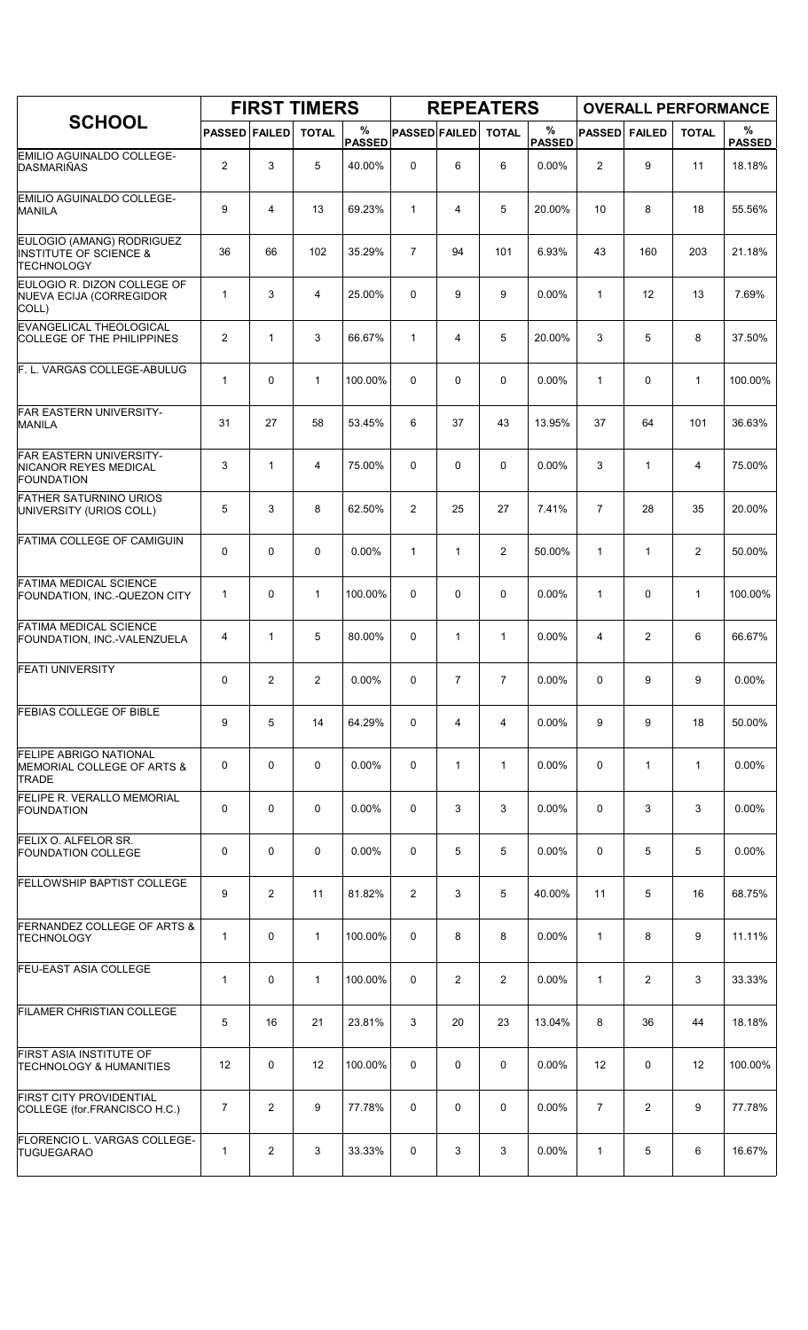|                                                                                     |                      |                | <b>FIRST TIMERS</b> |                    |                      |                | <b>REPEATERS</b> |                    |                |                | <b>OVERALL PERFORMANCE</b> |                    |
|-------------------------------------------------------------------------------------|----------------------|----------------|---------------------|--------------------|----------------------|----------------|------------------|--------------------|----------------|----------------|----------------------------|--------------------|
| <b>SCHOOL</b>                                                                       | <b>PASSED FAILED</b> |                | <b>TOTAL</b>        | %<br><b>PASSED</b> | <b>PASSED FAILED</b> |                | <b>TOTAL</b>     | %<br><b>PASSED</b> | <b>PASSED</b>  | <b>FAILED</b>  | <b>TOTAL</b>               | %<br><b>PASSED</b> |
| <b>EMILIO AGUINALDO COLLEGE-</b><br><b>DASMARIÑAS</b>                               | $\mathbf{2}$         | 3              | 5                   | 40.00%             | 0                    | 6              | 6                | 0.00%              | $\overline{2}$ | 9              | 11                         | 18.18%             |
| <b>EMILIO AGUINALDO COLLEGE-</b><br><b>MANILA</b>                                   | 9                    | 4              | 13                  | 69.23%             | $\mathbf{1}$         | 4              | 5                | 20.00%             | 10             | 8              | 18                         | 55.56%             |
| EULOGIO (AMANG) RODRIGUEZ<br><b>INSTITUTE OF SCIENCE &amp;</b><br><b>TECHNOLOGY</b> | 36                   | 66             | 102                 | 35.29%             | $\overline{7}$       | 94             | 101              | 6.93%              | 43             | 160            | 203                        | 21.18%             |
| EULOGIO R. DIZON COLLEGE OF<br>NUEVA ECIJA (CORREGIDOR<br>COLL)                     | 1                    | 3              | $\overline{4}$      | 25.00%             | 0                    | 9              | 9                | 0.00%              | $\mathbf{1}$   | 12             | 13                         | 7.69%              |
| EVANGELICAL THEOLOGICAL<br><b>COLLEGE OF THE PHILIPPINES</b>                        | $\overline{2}$       | $\mathbf{1}$   | 3                   | 66.67%             | $\mathbf{1}$         | 4              | 5                | 20.00%             | 3              | 5              | 8                          | 37.50%             |
| F. L. VARGAS COLLEGE-ABULUG                                                         | 1                    | $\mathbf 0$    | $\mathbf{1}$        | 100.00%            | 0                    | 0              | 0                | 0.00%              | $\mathbf{1}$   | 0              | $\mathbf{1}$               | 100.00%            |
| <b>FAR EASTERN UNIVERSITY-</b><br><b>MANILA</b>                                     | 31                   | 27             | 58                  | 53.45%             | 6                    | 37             | 43               | 13.95%             | 37             | 64             | 101                        | 36.63%             |
| FAR EASTERN UNIVERSITY-<br>NICANOR REYES MEDICAL<br>FOUNDATION                      | 3                    | $\mathbf{1}$   | $\overline{4}$      | 75.00%             | 0                    | 0              | 0                | 0.00%              | 3              | $\mathbf{1}$   | 4                          | 75.00%             |
| <b>FATHER SATURNINO URIOS</b><br>UNIVERSITY (URIOS COLL)                            | 5                    | 3              | 8                   | 62.50%             | $\overline{2}$       | 25             | 27               | 7.41%              | $\overline{7}$ | 28             | 35                         | 20.00%             |
| FATIMA COLLEGE OF CAMIGUIN                                                          | 0                    | $\mathbf 0$    | 0                   | 0.00%              | $\mathbf{1}$         | 1              | $\overline{2}$   | 50.00%             | $\mathbf{1}$   | $\mathbf{1}$   | 2                          | 50.00%             |
| <b>FATIMA MEDICAL SCIENCE</b><br>FOUNDATION, INC.-QUEZON CITY                       | $\mathbf{1}$         | $\mathbf 0$    | $\mathbf{1}$        | 100.00%            | 0                    | 0              | $\mathbf 0$      | 0.00%              | $\mathbf{1}$   | 0              | $\mathbf{1}$               | 100.00%            |
| <b>FATIMA MEDICAL SCIENCE</b><br>FOUNDATION, INC.-VALENZUELA                        | 4                    | $\mathbf{1}$   | 5                   | 80.00%             | 0                    | $\mathbf{1}$   | 1                | 0.00%              | 4              | 2              | 6                          | 66.67%             |
| <b>FEATI UNIVERSITY</b>                                                             | 0                    | $\overline{2}$ | 2                   | 0.00%              | 0                    | $\overline{7}$ | $\overline{7}$   | 0.00%              | 0              | 9              | 9                          | 0.00%              |
| <b>FEBIAS COLLEGE OF BIBLE</b>                                                      | 9                    | 5              | 14                  | 64.29%             | 0                    | 4              | 4                | 0.00%              | 9              | 9              | 18                         | 50.00%             |
| <b>FELIPE ABRIGO NATIONAL</b><br>MEMORIAL COLLEGE OF ARTS &<br><b>TRADE</b>         | 0                    | $\mathbf 0$    | 0                   | $0.00\%$           | 0                    | $\mathbf{1}$   | $\mathbf{1}$     | 0.00%              | 0              | $\mathbf{1}$   | $\mathbf{1}$               | $0.00\%$           |
| FELIPE R. VERALLO MEMORIAL<br><b>FOUNDATION</b>                                     | 0                    | 0              | 0                   | $0.00\%$           | 0                    | 3              | 3                | $0.00\%$           | 0              | 3              | 3                          | $0.00\%$           |
| FELIX O. ALFELOR SR.<br><b>FOUNDATION COLLEGE</b>                                   | 0                    | $\mathbf 0$    | $\mathbf 0$         | 0.00%              | 0                    | 5              | 5                | 0.00%              | 0              | 5              | 5                          | 0.00%              |
| <b>FELLOWSHIP BAPTIST COLLEGE</b>                                                   | 9                    | $\overline{2}$ | 11                  | 81.82%             | 2                    | 3              | 5                | 40.00%             | 11             | 5              | 16                         | 68.75%             |
| FERNANDEZ COLLEGE OF ARTS &<br>TECHNOLOGY                                           | 1                    | 0              | $\mathbf{1}$        | 100.00%            | 0                    | 8              | 8                | $0.00\%$           | $\mathbf{1}$   | 8              | 9                          | 11.11%             |
| <b>FEU-EAST ASIA COLLEGE</b>                                                        | 1                    | 0              | $\mathbf{1}$        | 100.00%            | 0                    | $\overline{2}$ | $\overline{2}$   | 0.00%              | $\mathbf{1}$   | 2              | 3                          | 33.33%             |
| FILAMER CHRISTIAN COLLEGE                                                           | 5                    | 16             | 21                  | 23.81%             | 3                    | 20             | 23               | 13.04%             | 8              | 36             | 44                         | 18.18%             |
| FIRST ASIA INSTITUTE OF<br>TECHNOLOGY & HUMANITIES                                  | 12                   | 0              | 12                  | 100.00%            | 0                    | 0              | 0                | 0.00%              | 12             | 0              | 12                         | 100.00%            |
| FIRST CITY PROVIDENTIAL<br>COLLEGE (for FRANCISCO H.C.)                             | 7                    | $\overline{2}$ | 9                   | 77.78%             | 0                    | 0              | 0                | $0.00\%$           | $\overline{7}$ | $\overline{2}$ | 9                          | 77.78%             |
| FLORENCIO L. VARGAS COLLEGE-<br><b>TUGUEGARAO</b>                                   | 1                    | $\overline{2}$ | 3                   | 33.33%             | 0                    | 3              | 3                | $0.00\%$           | 1              | 5              | 6                          | 16.67%             |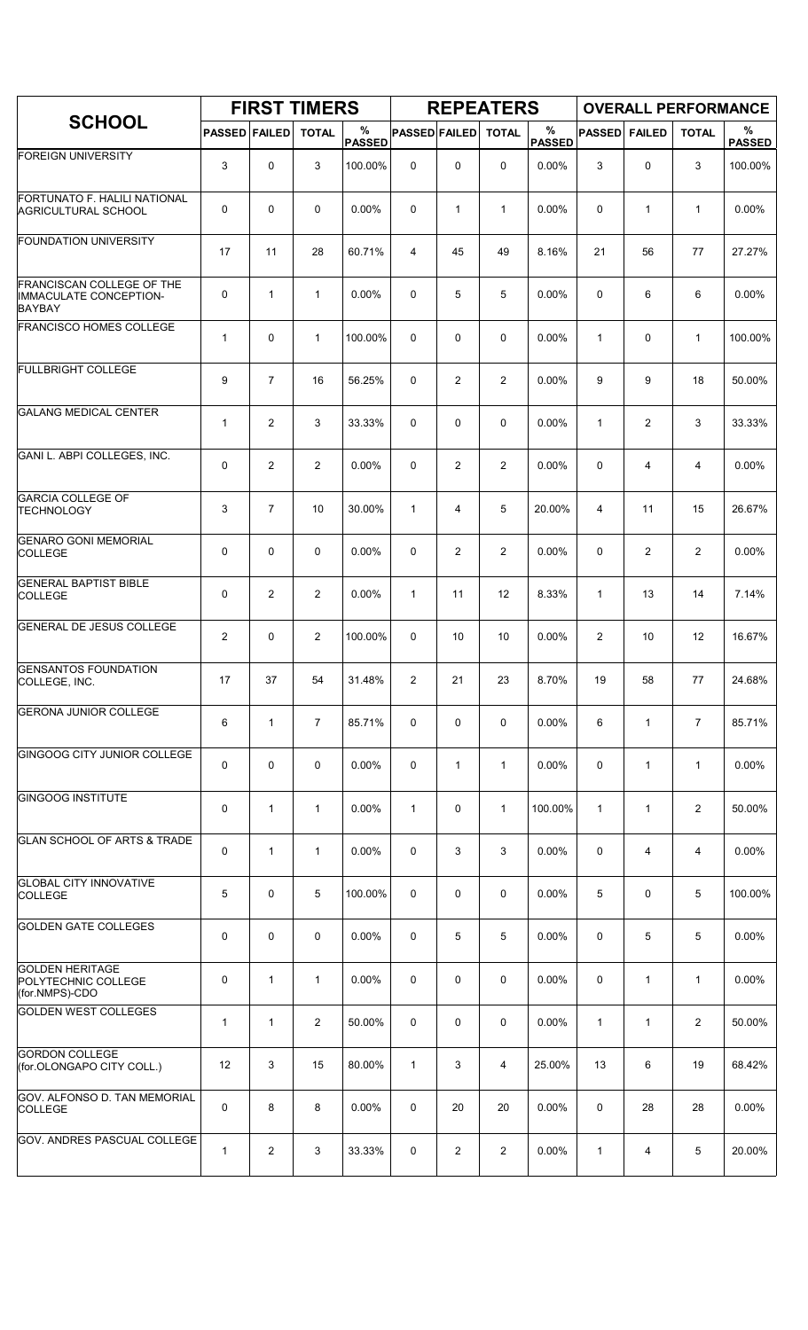|                                                                                    |                      |                | <b>FIRST TIMERS</b> |                    |                      |                | <b>REPEATERS</b> |                    |                |                | <b>OVERALL PERFORMANCE</b> |                       |
|------------------------------------------------------------------------------------|----------------------|----------------|---------------------|--------------------|----------------------|----------------|------------------|--------------------|----------------|----------------|----------------------------|-----------------------|
| <b>SCHOOL</b>                                                                      | <b>PASSED FAILED</b> |                | <b>TOTAL</b>        | %<br><b>PASSED</b> | <b>PASSED FAILED</b> |                | <b>TOTAL</b>     | %<br><b>PASSED</b> | <b>PASSED</b>  | <b>FAILED</b>  | <b>TOTAL</b>               | $\%$<br><b>PASSED</b> |
| <b>FOREIGN UNIVERSITY</b>                                                          | 3                    | 0              | 3                   | 100.00%            | $\mathbf 0$          | 0              | 0                | 0.00%              | 3              | 0              | 3                          | 100.00%               |
| FORTUNATO F. HALILI NATIONAL<br><b>AGRICULTURAL SCHOOL</b>                         | 0                    | 0              | $\mathbf 0$         | 0.00%              | 0                    | $\mathbf{1}$   | $\mathbf{1}$     | 0.00%              | 0              | $\mathbf{1}$   | $\mathbf{1}$               | 0.00%                 |
| <b>FOUNDATION UNIVERSITY</b>                                                       | 17                   | 11             | 28                  | 60.71%             | 4                    | 45             | 49               | 8.16%              | 21             | 56             | 77                         | 27.27%                |
| <b>FRANCISCAN COLLEGE OF THE</b><br><b>IMMACULATE CONCEPTION-</b><br><b>BAYBAY</b> | 0                    | 1              | $\mathbf{1}$        | 0.00%              | 0                    | 5              | 5                | 0.00%              | 0              | 6              | 6                          | 0.00%                 |
| <b>FRANCISCO HOMES COLLEGE</b>                                                     | $\mathbf{1}$         | 0              | $\mathbf{1}$        | 100.00%            | 0                    | 0              | 0                | 0.00%              | $\mathbf{1}$   | 0              | $\mathbf{1}$               | 100.00%               |
| <b>FULLBRIGHT COLLEGE</b>                                                          | 9                    | $\overline{7}$ | 16                  | 56.25%             | 0                    | $\overline{2}$ | $\overline{2}$   | 0.00%              | 9              | 9              | 18                         | 50.00%                |
| <b>GALANG MEDICAL CENTER</b>                                                       | $\mathbf{1}$         | $\overline{2}$ | 3                   | 33.33%             | 0                    | 0              | 0                | 0.00%              | $\mathbf{1}$   | $\overline{c}$ | 3                          | 33.33%                |
| GANI L. ABPI COLLEGES, INC.                                                        | 0                    | $\overline{2}$ | $\overline{2}$      | 0.00%              | 0                    | $\overline{2}$ | $\overline{2}$   | 0.00%              | $\mathbf 0$    | 4              | 4                          | 0.00%                 |
| <b>GARCIA COLLEGE OF</b><br><b>TECHNOLOGY</b>                                      | 3                    | $\overline{7}$ | 10                  | 30.00%             | $\mathbf{1}$         | $\overline{4}$ | 5                | 20.00%             | $\overline{4}$ | 11             | 15                         | 26.67%                |
| <b>GENARO GONI MEMORIAL</b><br><b>COLLEGE</b>                                      | 0                    | 0              | 0                   | 0.00%              | 0                    | $\overline{2}$ | $\overline{2}$   | 0.00%              | $\mathbf 0$    | $\overline{c}$ | $\overline{2}$             | 0.00%                 |
| <b>GENERAL BAPTIST BIBLE</b><br><b>COLLEGE</b>                                     | 0                    | 2              | $\overline{2}$      | 0.00%              | $\mathbf{1}$         | 11             | 12               | 8.33%              | $\mathbf{1}$   | 13             | 14                         | 7.14%                 |
| <b>GENERAL DE JESUS COLLEGE</b>                                                    | 2                    | 0              | $\overline{2}$      | 100.00%            | 0                    | 10             | 10               | 0.00%              | $\overline{2}$ | 10             | 12                         | 16.67%                |
| <b>GENSANTOS FOUNDATION</b><br>COLLEGE, INC.                                       | 17                   | 37             | 54                  | 31.48%             | $\overline{2}$       | 21             | 23               | 8.70%              | 19             | 58             | 77                         | 24.68%                |
| <b>GERONA JUNIOR COLLEGE</b>                                                       | 6                    | $\mathbf{1}$   | $\overline{7}$      | 85.71%             | 0                    | 0              | $\mathbf 0$      | 0.00%              | 6              | $\mathbf{1}$   | $\overline{7}$             | 85.71%                |
| GINGOOG CITY JUNIOR COLLEGE                                                        | 0                    | 0              | $\mathbf 0$         | 0.00%              | 0                    | $\mathbf{1}$   | $\mathbf{1}$     | $0.00\%$           | 0              | $\mathbf{1}$   | $\mathbf{1}$               | 0.00%                 |
| <b>GINGOOG INSTITUTE</b>                                                           | 0                    | 1              | $\mathbf{1}$        | 0.00%              | $\mathbf{1}$         | $\mathbf 0$    | $\mathbf{1}$     | 100.00%            | $\mathbf{1}$   | $\mathbf{1}$   | $\overline{2}$             | 50.00%                |
| <b>GLAN SCHOOL OF ARTS &amp; TRADE</b>                                             | 0                    | $\mathbf{1}$   | 1                   | 0.00%              | $\mathbf 0$          | 3              | 3                | 0.00%              | 0              | 4              | 4                          | 0.00%                 |
| <b>GLOBAL CITY INNOVATIVE</b><br><b>COLLEGE</b>                                    | 5                    | 0              | 5                   | 100.00%            | 0                    | 0              | 0                | 0.00%              | 5              | 0              | 5                          | 100.00%               |
| <b>GOLDEN GATE COLLEGES</b>                                                        | 0                    | $\mathbf 0$    | 0                   | 0.00%              | 0                    | 5              | 5                | 0.00%              | $\mathbf 0$    | 5              | 5                          | 0.00%                 |
| <b>GOLDEN HERITAGE</b><br>POLYTECHNIC COLLEGE<br>(for.NMPS)-CDO                    | 0                    | 1              | $\mathbf{1}$        | 0.00%              | $\mathbf 0$          | 0              | 0                | 0.00%              | $\mathbf 0$    | 1              | $\mathbf{1}$               | 0.00%                 |
| <b>GOLDEN WEST COLLEGES</b>                                                        | $\mathbf{1}$         | 1              | $\overline{2}$      | 50.00%             | 0                    | 0              | 0                | 0.00%              | $\mathbf{1}$   | $\mathbf{1}$   | $\overline{2}$             | 50.00%                |
| <b>GORDON COLLEGE</b><br>(for.OLONGAPO CITY COLL.)                                 | 12                   | 3              | 15                  | 80.00%             | $\mathbf{1}$         | 3              | 4                | 25.00%             | 13             | 6              | 19                         | 68.42%                |
| GOV. ALFONSO D. TAN MEMORIAL<br><b>COLLEGE</b>                                     | 0                    | 8              | 8                   | $0.00\%$           | 0                    | 20             | 20               | $0.00\%$           | 0              | 28             | 28                         | 0.00%                 |
| <b>GOV. ANDRES PASCUAL COLLEGE</b>                                                 | $\mathbf{1}$         | $\overline{2}$ | 3                   | 33.33%             | 0                    | $\overline{c}$ | $\overline{c}$   | $0.00\%$           | 1              | 4              | 5                          | 20.00%                |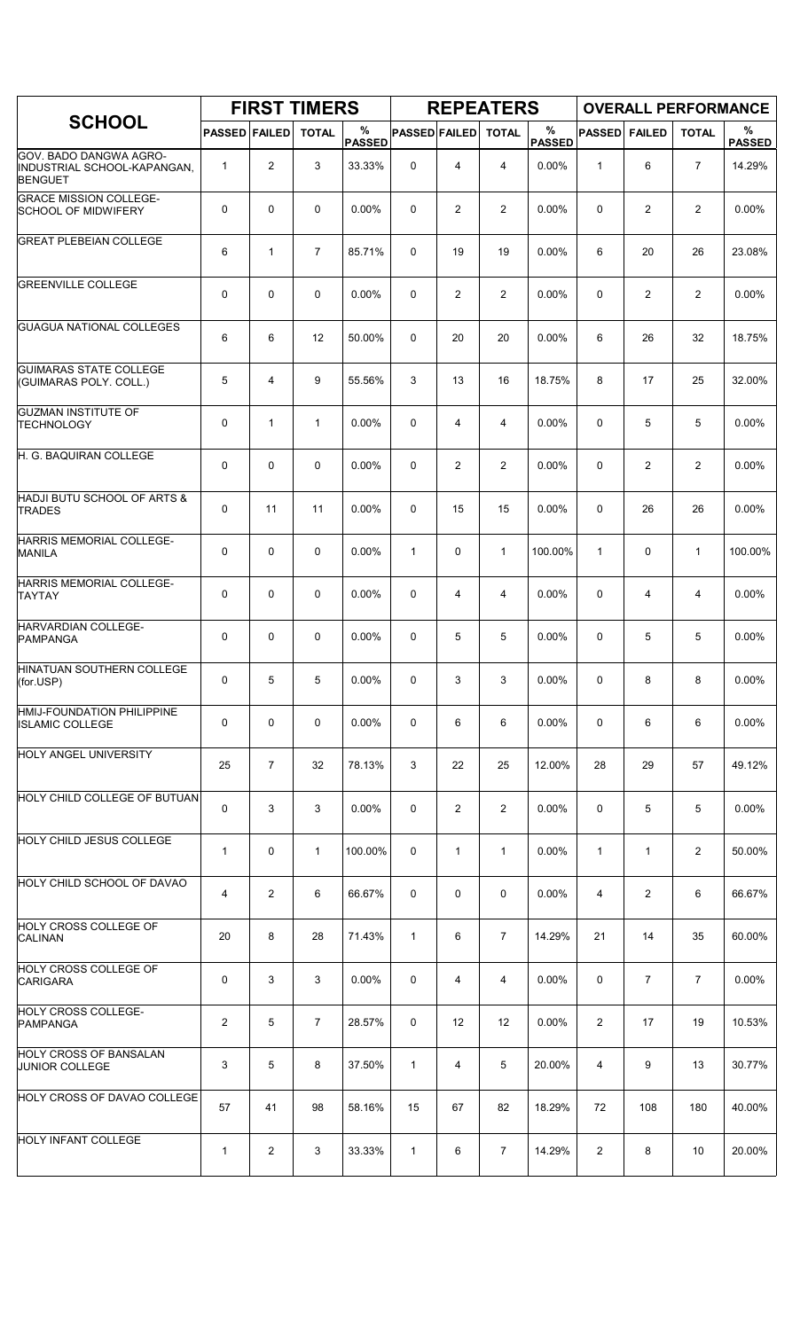|                                                                         |                      |                | <b>FIRST TIMERS</b> |                    |                      |                   | <b>REPEATERS</b> |                       |                |                | <b>OVERALL PERFORMANCE</b> |                    |
|-------------------------------------------------------------------------|----------------------|----------------|---------------------|--------------------|----------------------|-------------------|------------------|-----------------------|----------------|----------------|----------------------------|--------------------|
| <b>SCHOOL</b>                                                           | <b>PASSED FAILED</b> |                | <b>TOTAL</b>        | %<br><b>PASSED</b> | <b>PASSED FAILED</b> |                   | <b>TOTAL</b>     | $\%$<br><b>PASSED</b> | <b>PASSED</b>  | <b>FAILED</b>  | <b>TOTAL</b>               | %<br><b>PASSED</b> |
| GOV. BADO DANGWA AGRO-<br>INDUSTRIAL SCHOOL-KAPANGAN.<br><b>BENGUET</b> | $\mathbf{1}$         | $\overline{2}$ | 3                   | 33.33%             | 0                    | 4                 | 4                | 0.00%                 | 1              | 6              | $\overline{7}$             | 14.29%             |
| <b>GRACE MISSION COLLEGE-</b><br><b>SCHOOL OF MIDWIFERY</b>             | 0                    | $\mathbf 0$    | $\mathbf 0$         | $0.00\%$           | 0                    | 2                 | $\overline{2}$   | 0.00%                 | 0              | 2              | 2                          | 0.00%              |
| <b>GREAT PLEBEIAN COLLEGE</b>                                           | 6                    | $\mathbf{1}$   | $\overline{7}$      | 85.71%             | 0                    | 19                | 19               | 0.00%                 | 6              | 20             | 26                         | 23.08%             |
| <b>GREENVILLE COLLEGE</b>                                               | 0                    | $\mathbf 0$    | $\mathbf 0$         | 0.00%              | 0                    | 2                 | $\overline{2}$   | 0.00%                 | $\mathbf 0$    | $\overline{c}$ | 2                          | 0.00%              |
| <b>GUAGUA NATIONAL COLLEGES</b>                                         | 6                    | 6              | 12                  | 50.00%             | 0                    | 20                | 20               | 0.00%                 | 6              | 26             | 32                         | 18.75%             |
| <b>GUIMARAS STATE COLLEGE</b><br>(GUIMARAS POLY. COLL.)                 | 5                    | 4              | 9                   | 55.56%             | 3                    | 13                | 16               | 18.75%                | 8              | 17             | 25                         | 32.00%             |
| <b>GUZMAN INSTITUTE OF</b><br><b>TECHNOLOGY</b>                         | 0                    | $\mathbf{1}$   | $\mathbf{1}$        | 0.00%              | 0                    | 4                 | 4                | 0.00%                 | 0              | 5              | 5                          | 0.00%              |
| H. G. BAQUIRAN COLLEGE                                                  | 0                    | 0              | $\mathbf 0$         | $0.00\%$           | 0                    | $\overline{2}$    | $\overline{2}$   | $0.00\%$              | $\mathbf 0$    | $\overline{2}$ | 2                          | 0.00%              |
| HADJI BUTU SCHOOL OF ARTS &<br><b>TRADES</b>                            | 0                    | 11             | 11                  | 0.00%              | 0                    | 15                | 15               | 0.00%                 | $\mathbf 0$    | 26             | 26                         | 0.00%              |
| HARRIS MEMORIAL COLLEGE-<br><b>MANILA</b>                               | 0                    | $\mathbf 0$    | $\mathbf 0$         | 0.00%              | $\mathbf{1}$         | 0                 | $\mathbf{1}$     | 100.00%               | $\mathbf{1}$   | 0              | $\mathbf{1}$               | 100.00%            |
| HARRIS MEMORIAL COLLEGE-<br><b>TAYTAY</b>                               | 0                    | $\mathbf 0$    | 0                   | 0.00%              | 0                    | 4                 | 4                | 0.00%                 | 0              | 4              | 4                          | $0.00\%$           |
| HARVARDIAN COLLEGE-<br>PAMPANGA                                         | 0                    | $\mathbf 0$    | $\mathbf 0$         | 0.00%              | 0                    | 5                 | 5                | 0.00%                 | $\mathbf 0$    | 5              | 5                          | 0.00%              |
| <b>HINATUAN SOUTHERN COLLEGE</b><br>(for.USP)                           | 0                    | 5              | 5                   | 0.00%              | 0                    | 3                 | 3                | 0.00%                 | 0              | 8              | 8                          | 0.00%              |
| HMIJ-FOUNDATION PHILIPPINE<br><b>ISLAMIC COLLEGE</b>                    | 0                    | 0              | 0                   | $0.00\%$           | 0                    | 6                 | 6                | 0.00%                 | 0              | 6              | 6                          | 0.00%              |
| HOLY ANGEL UNIVERSITY                                                   | 25                   | $\overline{7}$ | 32                  | 78.13%             | 3                    | 22                | 25               | 12.00%                | 28             | 29             | 57                         | 49.12%             |
| HOLY CHILD COLLEGE OF BUTUAN                                            | 0                    | 3              | 3                   | 0.00%              | 0                    | $\overline{2}$    | $\overline{2}$   | $0.00\%$              | 0              | 5              | 5                          | 0.00%              |
| HOLY CHILD JESUS COLLEGE                                                | $\mathbf{1}$         | 0              | 1                   | 100.00%            | 0                    | 1                 | $\mathbf{1}$     | 0.00%                 | $\mathbf{1}$   | 1              | 2                          | 50.00%             |
| HOLY CHILD SCHOOL OF DAVAO                                              | 4                    | $\overline{2}$ | 6                   | 66.67%             | 0                    | 0                 | 0                | 0.00%                 | 4              | 2              | 6                          | 66.67%             |
| <b>HOLY CROSS COLLEGE OF</b><br><b>CALINAN</b>                          | 20                   | 8              | 28                  | 71.43%             | $\mathbf{1}$         | 6                 | $\overline{7}$   | 14.29%                | 21             | 14             | 35                         | 60.00%             |
| HOLY CROSS COLLEGE OF<br><b>CARIGARA</b>                                | 0                    | 3              | 3                   | $0.00\%$           | 0                    | 4                 | 4                | $0.00\%$              | 0              | $\overline{7}$ | $\overline{7}$             | 0.00%              |
| <b>HOLY CROSS COLLEGE-</b><br><b>PAMPANGA</b>                           | $\overline{c}$       | 5              | 7                   | 28.57%             | 0                    | $12 \overline{ }$ | 12               | $0.00\%$              | 2              | 17             | 19                         | 10.53%             |
| <b>HOLY CROSS OF BANSALAN</b><br><b>JUNIOR COLLEGE</b>                  | 3                    | 5              | 8                   | 37.50%             | 1                    | 4                 | 5                | 20.00%                | 4              | 9              | 13                         | 30.77%             |
| HOLY CROSS OF DAVAO COLLEGE                                             | 57                   | 41             | 98                  | 58.16%             | 15                   | 67                | 82               | 18.29%                | 72             | 108            | 180                        | 40.00%             |
| <b>HOLY INFANT COLLEGE</b>                                              | 1                    | 2              | 3                   | 33.33%             | $\mathbf{1}$         | 6                 | $\overline{7}$   | 14.29%                | $\overline{2}$ | 8              | 10                         | 20.00%             |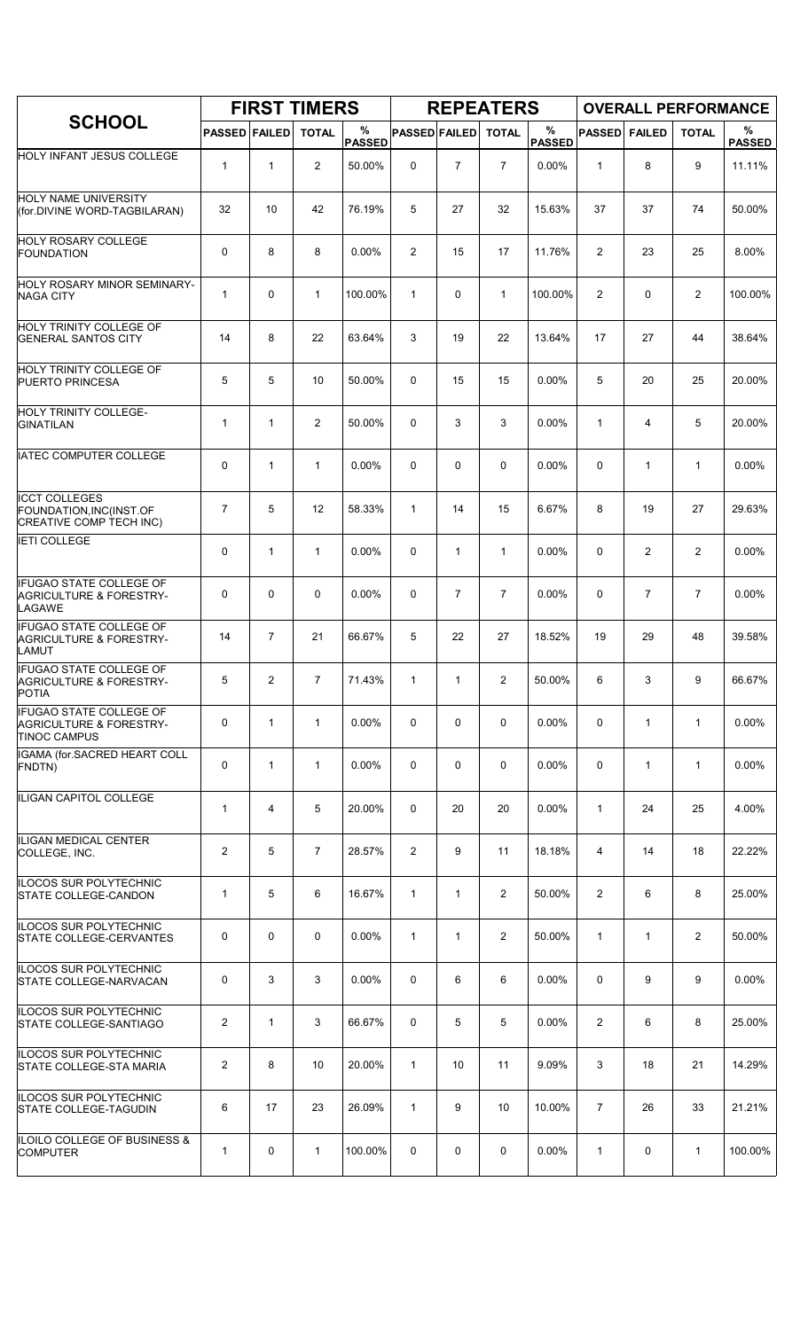|                                                                                             |                      |                | <b>FIRST TIMERS</b> |                    |                      |                | <b>REPEATERS</b> |                       |                |                | <b>OVERALL PERFORMANCE</b> |                    |
|---------------------------------------------------------------------------------------------|----------------------|----------------|---------------------|--------------------|----------------------|----------------|------------------|-----------------------|----------------|----------------|----------------------------|--------------------|
| <b>SCHOOL</b>                                                                               | <b>PASSED FAILED</b> |                | <b>TOTAL</b>        | %<br><b>PASSED</b> | <b>PASSED FAILED</b> |                | <b>TOTAL</b>     | $\%$<br><b>PASSED</b> | <b>PASSED</b>  | <b>FAILED</b>  | <b>TOTAL</b>               | %<br><b>PASSED</b> |
| HOLY INFANT JESUS COLLEGE                                                                   | $\mathbf{1}$         | 1              | $\overline{2}$      | 50.00%             | 0                    | $\overline{7}$ | $\overline{7}$   | 0.00%                 | 1              | 8              | 9                          | 11.11%             |
| <b>HOLY NAME UNIVERSITY</b><br>(for.DIVINE WORD-TAGBILARAN)                                 | 32                   | 10             | 42                  | 76.19%             | 5                    | 27             | 32               | 15.63%                | 37             | 37             | 74                         | 50.00%             |
| <b>HOLY ROSARY COLLEGE</b><br><b>FOUNDATION</b>                                             | 0                    | 8              | 8                   | $0.00\%$           | $\overline{2}$       | 15             | 17               | 11.76%                | $\overline{2}$ | 23             | 25                         | 8.00%              |
| HOLY ROSARY MINOR SEMINARY-<br><b>NAGA CITY</b>                                             | $\mathbf{1}$         | 0              | $\mathbf{1}$        | 100.00%            | $\mathbf{1}$         | 0              | $\mathbf{1}$     | 100.00%               | $\overline{2}$ | $\mathbf 0$    | 2                          | 100.00%            |
| HOLY TRINITY COLLEGE OF<br><b>GENERAL SANTOS CITY</b>                                       | 14                   | 8              | 22                  | 63.64%             | 3                    | 19             | 22               | 13.64%                | 17             | 27             | 44                         | 38.64%             |
| HOLY TRINITY COLLEGE OF<br><b>PUERTO PRINCESA</b>                                           | 5                    | 5              | 10                  | 50.00%             | $\mathbf 0$          | 15             | 15               | 0.00%                 | 5              | 20             | 25                         | 20.00%             |
| HOLY TRINITY COLLEGE-<br>GINATILAN                                                          | $\mathbf{1}$         | $\mathbf{1}$   | $\overline{2}$      | 50.00%             | 0                    | 3              | 3                | 0.00%                 | $\mathbf{1}$   | 4              | 5                          | 20.00%             |
| <b>IATEC COMPUTER COLLEGE</b>                                                               | 0                    | $\mathbf{1}$   | $\mathbf{1}$        | $0.00\%$           | 0                    | 0              | 0                | 0.00%                 | 0              | 1              | $\mathbf{1}$               | $0.00\%$           |
| <b>ICCT COLLEGES</b><br>FOUNDATION, INC(INST.OF<br>CREATIVE COMP TECH INC)                  | 7                    | 5              | 12                  | 58.33%             | $\mathbf{1}$         | 14             | 15               | 6.67%                 | 8              | 19             | 27                         | 29.63%             |
| <b>IETI COLLEGE</b>                                                                         | 0                    | $\mathbf{1}$   | $\mathbf{1}$        | 0.00%              | 0                    | $\mathbf{1}$   | $\mathbf{1}$     | 0.00%                 | 0              | $\overline{2}$ | $\overline{c}$             | 0.00%              |
| <b>IFUGAO STATE COLLEGE OF</b><br><b>AGRICULTURE &amp; FORESTRY-</b><br>LAGAWE              | 0                    | 0              | $\mathbf 0$         | 0.00%              | 0                    | $\overline{7}$ | $\overline{7}$   | 0.00%                 | 0              | $\overline{7}$ | $\overline{7}$             | 0.00%              |
| <b>IFUGAO STATE COLLEGE OF</b><br><b>AGRICULTURE &amp; FORESTRY-</b><br>LAMUT               | 14                   | $\overline{7}$ | 21                  | 66.67%             | 5                    | 22             | 27               | 18.52%                | 19             | 29             | 48                         | 39.58%             |
| <b>IFUGAO STATE COLLEGE OF</b><br><b>AGRICULTURE &amp; FORESTRY-</b><br>POTIA               | 5                    | 2              | 7                   | 71.43%             | $\mathbf{1}$         | 1              | 2                | 50.00%                | 6              | 3              | 9                          | 66.67%             |
| <b>IFUGAO STATE COLLEGE OF</b><br><b>AGRICULTURE &amp; FORESTRY-</b><br><b>TINOC CAMPUS</b> | 0                    | $\mathbf{1}$   | $\mathbf{1}$        | $0.00\%$           | 0                    | 0              | 0                | 0.00%                 | 0              | 1              | $\mathbf{1}$               | 0.00%              |
| IGAMA (for.SACRED HEART COLL<br>FNDTN)                                                      | 0                    | $\mathbf{1}$   | $\mathbf{1}$        | 0.00%              | 0                    | 0              | 0                | 0.00%                 | 0              | $\mathbf{1}$   | $\mathbf{1}$               | 0.00%              |
| ILIGAN CAPITOL COLLEGE                                                                      | $\mathbf{1}$         | 4              | 5                   | 20.00%             | 0                    | 20             | 20               | 0.00%                 | $\mathbf{1}$   | 24             | 25                         | 4.00%              |
| ILIGAN MEDICAL CENTER<br>COLLEGE, INC.                                                      | 2                    | 5              | $\overline{7}$      | 28.57%             | $\overline{2}$       | 9              | 11               | 18.18%                | 4              | 14             | 18                         | 22.22%             |
| ILOCOS SUR POLYTECHNIC<br>STATE COLLEGE-CANDON                                              | $\mathbf{1}$         | 5              | 6                   | 16.67%             | $\mathbf{1}$         | $\mathbf{1}$   | $\overline{2}$   | 50.00%                | $\overline{2}$ | 6              | 8                          | 25.00%             |
| ILOCOS SUR POLYTECHNIC<br><b>STATE COLLEGE-CERVANTES</b>                                    | 0                    | 0              | $\mathbf 0$         | 0.00%              | $\mathbf{1}$         | $\mathbf{1}$   | $\overline{2}$   | 50.00%                | $\mathbf{1}$   | $\mathbf{1}$   | 2                          | 50.00%             |
| ILOCOS SUR POLYTECHNIC<br>STATE COLLEGE-NARVACAN                                            | 0                    | 3              | 3                   | $0.00\%$           | 0                    | 6              | 6                | $0.00\%$              | 0              | 9              | 9                          | 0.00%              |
| ILOCOS SUR POLYTECHNIC<br><b>STATE COLLEGE-SANTIAGO</b>                                     | $\overline{2}$       | $\mathbf{1}$   | 3                   | 66.67%             | 0                    | 5              | 5                | 0.00%                 | 2              | 6              | 8                          | 25.00%             |
| ILOCOS SUR POLYTECHNIC<br>STATE COLLEGE-STA MARIA                                           | 2                    | 8              | 10                  | 20.00%             | $\mathbf{1}$         | 10             | 11               | 9.09%                 | 3              | 18             | 21                         | 14.29%             |
| ILOCOS SUR POLYTECHNIC<br>STATE COLLEGE-TAGUDIN                                             | 6                    | 17             | 23                  | 26.09%             | $\mathbf{1}$         | 9              | 10               | 10.00%                | $\overline{7}$ | 26             | 33                         | 21.21%             |
| ILOILO COLLEGE OF BUSINESS &<br><b>COMPUTER</b>                                             | $\mathbf{1}$         | 0              | $\mathbf 1$         | 100.00%            | $\mathbf 0$          | 0              | 0                | 0.00%                 | $\mathbf{1}$   | 0              | $\mathbf{1}$               | 100.00%            |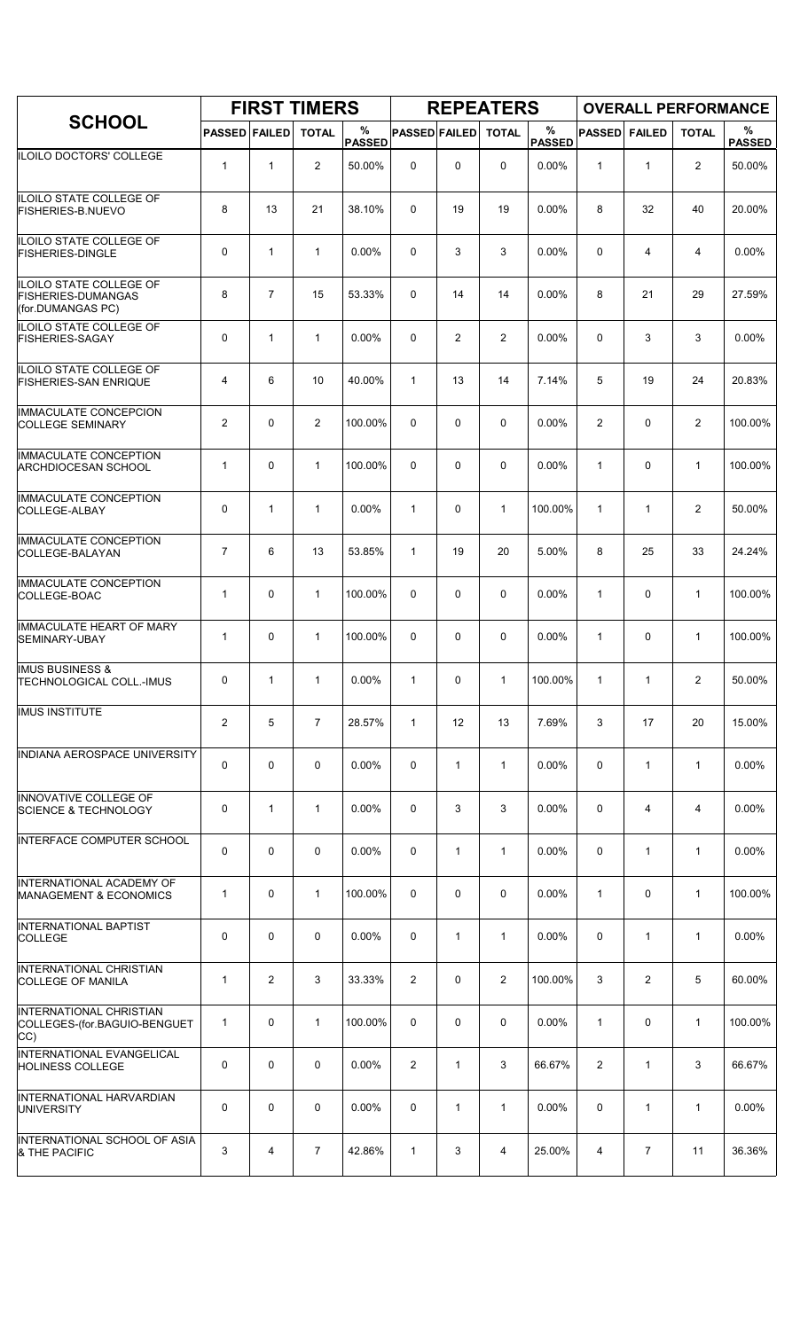|                                                                                  |                      |                | <b>FIRST TIMERS</b> |                    |                      |                | <b>REPEATERS</b> |                       |                |                |                | <b>OVERALL PERFORMANCE</b> |
|----------------------------------------------------------------------------------|----------------------|----------------|---------------------|--------------------|----------------------|----------------|------------------|-----------------------|----------------|----------------|----------------|----------------------------|
| <b>SCHOOL</b>                                                                    | <b>PASSED FAILED</b> |                | <b>TOTAL</b>        | %<br><b>PASSED</b> | <b>PASSED FAILED</b> |                | <b>TOTAL</b>     | $\%$<br><b>PASSED</b> | <b>PASSED</b>  | <b>FAILED</b>  | <b>TOTAL</b>   | %<br><b>PASSED</b>         |
| ILOILO DOCTORS' COLLEGE                                                          | $\mathbf{1}$         | 1              | $\overline{2}$      | 50.00%             | 0                    | 0              | $\mathbf 0$      | 0.00%                 | $\mathbf{1}$   | $\mathbf{1}$   | 2              | 50.00%                     |
| ILOILO STATE COLLEGE OF<br><b>FISHERIES-B.NUEVO</b>                              | 8                    | 13             | 21                  | 38.10%             | $\mathbf 0$          | 19             | 19               | 0.00%                 | 8              | 32             | 40             | 20.00%                     |
| ILOILO STATE COLLEGE OF<br><b>FISHERIES-DINGLE</b>                               | 0                    | $\mathbf{1}$   | $\mathbf{1}$        | $0.00\%$           | 0                    | 3              | 3                | 0.00%                 | 0              | 4              | 4              | $0.00\%$                   |
| <b>ILOILO STATE COLLEGE OF</b><br><b>FISHERIES-DUMANGAS</b><br>(for.DUMANGAS PC) | 8                    | $\overline{7}$ | 15                  | 53.33%             | 0                    | 14             | 14               | 0.00%                 | 8              | 21             | 29             | 27.59%                     |
| ILOILO STATE COLLEGE OF<br><b>FISHERIES-SAGAY</b>                                | 0                    | 1              | $\mathbf{1}$        | 0.00%              | 0                    | $\overline{c}$ | $\overline{2}$   | 0.00%                 | $\mathbf 0$    | 3              | 3              | 0.00%                      |
| ILOILO STATE COLLEGE OF<br><b>FISHERIES-SAN ENRIQUE</b>                          | 4                    | 6              | 10                  | 40.00%             | $\mathbf{1}$         | 13             | 14               | 7.14%                 | 5              | 19             | 24             | 20.83%                     |
| <b>IMMACULATE CONCEPCION</b><br><b>COLLEGE SEMINARY</b>                          | $\overline{2}$       | 0              | $\overline{2}$      | 100.00%            | $\mathbf 0$          | 0              | $\mathbf 0$      | 0.00%                 | 2              | $\mathbf 0$    | $\overline{2}$ | 100.00%                    |
| <b>IMMACULATE CONCEPTION</b><br><b>ARCHDIOCESAN SCHOOL</b>                       | $\mathbf{1}$         | $\Omega$       | $\mathbf{1}$        | 100.00%            | $\Omega$             | 0              | 0                | 0.00%                 | $\mathbf{1}$   | 0              | $\mathbf{1}$   | 100.00%                    |
| <b>IMMACULATE CONCEPTION</b><br>COLLEGE-ALBAY                                    | 0                    | $\mathbf{1}$   | $\mathbf{1}$        | 0.00%              | $\mathbf{1}$         | 0              | $\mathbf{1}$     | 100.00%               | 1              | $\mathbf{1}$   | $\overline{2}$ | 50.00%                     |
| <b>IMMACULATE CONCEPTION</b><br>COLLEGE-BALAYAN                                  | 7                    | 6              | 13                  | 53.85%             | $\mathbf{1}$         | 19             | 20               | 5.00%                 | 8              | 25             | 33             | 24.24%                     |
| IMMACULATE CONCEPTION<br>COLLEGE-BOAC                                            | $\mathbf{1}$         | 0              | $\mathbf{1}$        | 100.00%            | 0                    | 0              | 0                | 0.00%                 | $\mathbf{1}$   | 0              | $\mathbf{1}$   | 100.00%                    |
| <b>IMMACULATE HEART OF MARY</b><br>SEMINARY-UBAY                                 | $\mathbf{1}$         | 0              | $\mathbf{1}$        | 100.00%            | $\mathbf 0$          | 0              | $\mathbf 0$      | 0.00%                 | $\mathbf{1}$   | 0              | $\mathbf{1}$   | 100.00%                    |
| <b>IMUS BUSINESS &amp;</b><br><b>TECHNOLOGICAL COLL.-IMUS</b>                    | 0                    | $\mathbf{1}$   | $\mathbf{1}$        | 0.00%              | $\mathbf{1}$         | 0              | $\mathbf{1}$     | 100.00%               | $\mathbf{1}$   | $\mathbf{1}$   | $\overline{2}$ | 50.00%                     |
| <b>IMUS INSTITUTE</b>                                                            | $\overline{2}$       | 5              | $\overline{7}$      | 28.57%             | $\mathbf{1}$         | 12             | 13               | 7.69%                 | 3              | 17             | 20             | 15.00%                     |
| INDIANA AEROSPACE UNIVERSITY                                                     | 0                    | 0              | $\mathbf 0$         | 0.00%              | 0                    | $\mathbf{1}$   | $\mathbf{1}$     | 0.00%                 | $\mathbf 0$    | $\mathbf{1}$   | $\mathbf{1}$   | 0.00%                      |
| INNOVATIVE COLLEGE OF<br><b>SCIENCE &amp; TECHNOLOGY</b>                         | 0                    | $\mathbf{1}$   | $\mathbf{1}$        | 0.00%              | $\Omega$             | 3              | 3                | 0.00%                 | 0              | 4              | $\overline{4}$ | 0.00%                      |
| INTERFACE COMPUTER SCHOOL                                                        | 0                    | 0              | 0                   | $0.00\%$           | 0                    | 1              | $\mathbf{1}$     | 0.00%                 | 0              | 1              | $\mathbf{1}$   | 0.00%                      |
| INTERNATIONAL ACADEMY OF<br><b>MANAGEMENT &amp; ECONOMICS</b>                    | $\mathbf{1}$         | 0              | $\mathbf{1}$        | 100.00%            | 0                    | 0              | $\mathbf 0$      | 0.00%                 | $\mathbf{1}$   | 0              | $\mathbf{1}$   | 100.00%                    |
| <b>INTERNATIONAL BAPTIST</b><br><b>COLLEGE</b>                                   | 0                    | 0              | $\mathbf 0$         | 0.00%              | 0                    | $\mathbf{1}$   | $\mathbf{1}$     | 0.00%                 | 0              | $\mathbf{1}$   | $\mathbf{1}$   | 0.00%                      |
| <b>INTERNATIONAL CHRISTIAN</b><br><b>COLLEGE OF MANILA</b>                       | $\mathbf{1}$         | 2              | 3                   | 33.33%             | $\overline{2}$       | 0              | $\overline{2}$   | 100.00%               | 3              | $\overline{2}$ | 5              | 60.00%                     |
| <b>INTERNATIONAL CHRISTIAN</b><br>COLLEGES-(for.BAGUIO-BENGUET<br>CC)            | $\mathbf{1}$         | 0              | $\mathbf{1}$        | 100.00%            | 0                    | 0              | 0                | 0.00%                 | $\mathbf{1}$   | 0              | $\mathbf{1}$   | 100.00%                    |
| INTERNATIONAL EVANGELICAL<br><b>HOLINESS COLLEGE</b>                             | 0                    | 0              | $\mathbf 0$         | $0.00\%$           | $\overline{2}$       | $\mathbf{1}$   | 3                | 66.67%                | $\overline{2}$ | $\mathbf{1}$   | 3              | 66.67%                     |
| <b>INTERNATIONAL HARVARDIAN</b><br><b>UNIVERSITY</b>                             | 0                    | 0              | $\mathbf 0$         | 0.00%              | 0                    | $\mathbf{1}$   | $\mathbf{1}$     | 0.00%                 | 0              | $\mathbf{1}$   | $\mathbf{1}$   | $0.00\%$                   |
| INTERNATIONAL SCHOOL OF ASIA<br>& THE PACIFIC                                    | 3                    | 4              | $\overline{7}$      | 42.86%             | $\mathbf{1}$         | 3              | 4                | 25.00%                | 4              | 7              | 11             | 36.36%                     |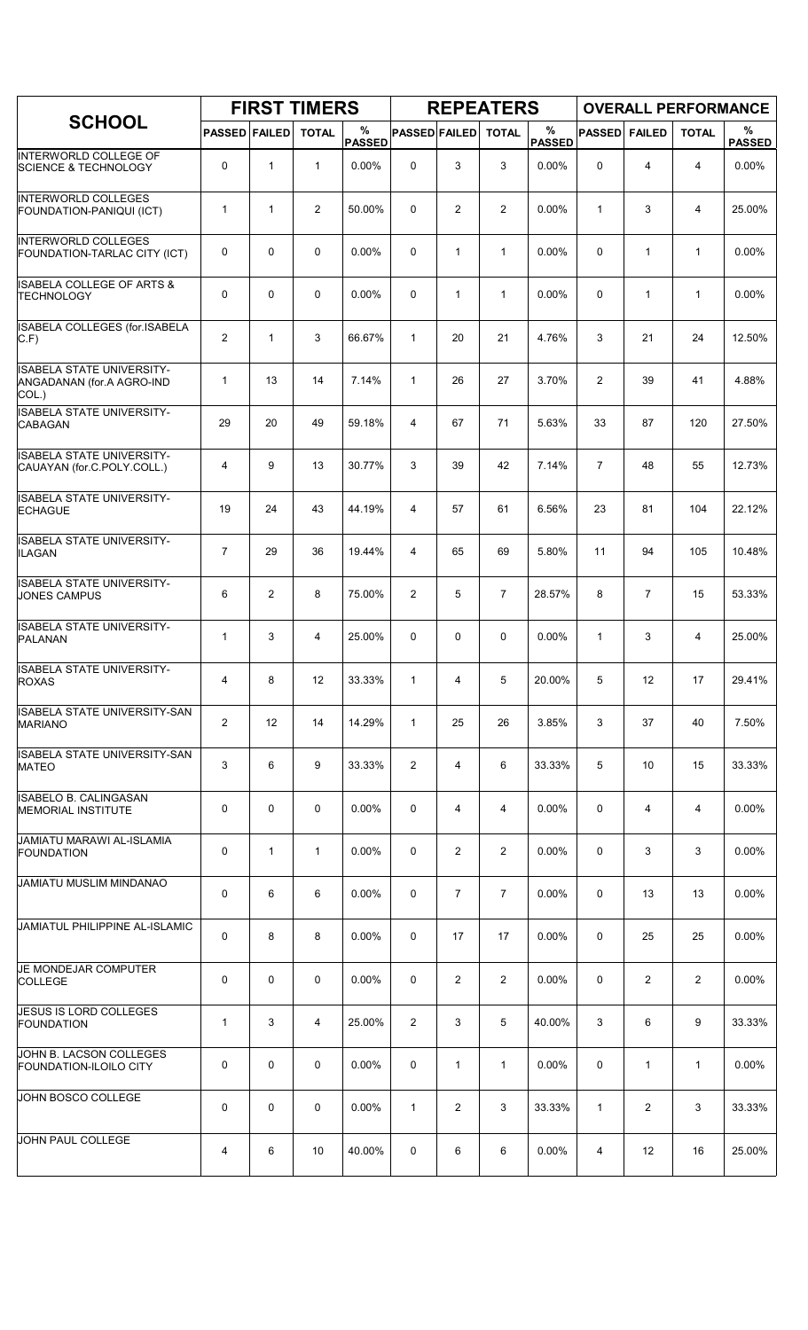|                                                                        |                      |              | <b>FIRST TIMERS</b> |                    |                      |                | <b>REPEATERS</b> |                       |                |                | <b>OVERALL PERFORMANCE</b> |                    |
|------------------------------------------------------------------------|----------------------|--------------|---------------------|--------------------|----------------------|----------------|------------------|-----------------------|----------------|----------------|----------------------------|--------------------|
| <b>SCHOOL</b>                                                          | <b>PASSED FAILED</b> |              | <b>TOTAL</b>        | %<br><b>PASSED</b> | <b>PASSED FAILED</b> |                | <b>TOTAL</b>     | $\%$<br><b>PASSED</b> | <b>PASSED</b>  | <b>FAILED</b>  | <b>TOTAL</b>               | %<br><b>PASSED</b> |
| INTERWORLD COLLEGE OF<br><b>SCIENCE &amp; TECHNOLOGY</b>               | 0                    | $\mathbf{1}$ | $\mathbf{1}$        | 0.00%              | 0                    | 3              | 3                | 0.00%                 | 0              | 4              | 4                          | 0.00%              |
| <b>INTERWORLD COLLEGES</b><br>FOUNDATION-PANIQUI (ICT)                 | 1                    | $\mathbf{1}$ | $\overline{2}$      | 50.00%             | 0                    | $\overline{c}$ | $\overline{2}$   | 0.00%                 | 1              | 3              | 4                          | 25.00%             |
| <b>INTERWORLD COLLEGES</b><br>FOUNDATION-TARLAC CITY (ICT)             | 0                    | $\mathbf 0$  | 0                   | 0.00%              | 0                    | $\mathbf{1}$   | $\mathbf{1}$     | 0.00%                 | $\Omega$       | $\mathbf{1}$   | $\mathbf{1}$               | 0.00%              |
| <b>ISABELA COLLEGE OF ARTS &amp;</b><br><b>TECHNOLOGY</b>              | 0                    | $\mathbf 0$  | $\mathbf 0$         | 0.00%              | 0                    | $\mathbf{1}$   | $\mathbf{1}$     | 0.00%                 | $\mathbf 0$    | $\mathbf{1}$   | $\mathbf{1}$               | 0.00%              |
| ISABELA COLLEGES (for.ISABELA<br>$C.F$ )                               | $\overline{2}$       | $\mathbf{1}$ | 3                   | 66.67%             | $\mathbf{1}$         | 20             | 21               | 4.76%                 | 3              | 21             | 24                         | 12.50%             |
| <b>ISABELA STATE UNIVERSITY-</b><br>ANGADANAN (for.A AGRO-IND<br>COL.) | 1                    | 13           | 14                  | 7.14%              | $\mathbf{1}$         | 26             | 27               | 3.70%                 | $\overline{c}$ | 39             | 41                         | 4.88%              |
| <b>ISABELA STATE UNIVERSITY-</b><br><b>CABAGAN</b>                     | 29                   | 20           | 49                  | 59.18%             | 4                    | 67             | 71               | 5.63%                 | 33             | 87             | 120                        | 27.50%             |
| <b>ISABELA STATE UNIVERSITY-</b><br>CAUAYAN (for.C.POLY.COLL.)         | 4                    | 9            | 13                  | 30.77%             | 3                    | 39             | 42               | 7.14%                 | $\overline{7}$ | 48             | 55                         | 12.73%             |
| <b>ISABELA STATE UNIVERSITY-</b><br><b>ECHAGUE</b>                     | 19                   | 24           | 43                  | 44.19%             | 4                    | 57             | 61               | 6.56%                 | 23             | 81             | 104                        | 22.12%             |
| <b>ISABELA STATE UNIVERSITY-</b><br><b>ILAGAN</b>                      | $\overline{7}$       | 29           | 36                  | 19.44%             | 4                    | 65             | 69               | 5.80%                 | 11             | 94             | 105                        | 10.48%             |
| <b>ISABELA STATE UNIVERSITY-</b><br><b>JONES CAMPUS</b>                | 6                    | 2            | 8                   | 75.00%             | $\overline{2}$       | 5              | $\overline{7}$   | 28.57%                | 8              | $\overline{7}$ | 15                         | 53.33%             |
| ISABELA STATE UNIVERSITY-<br>PALANAN                                   | $\mathbf{1}$         | 3            | $\overline{4}$      | 25.00%             | 0                    | 0              | 0                | 0.00%                 | $\mathbf{1}$   | 3              | 4                          | 25.00%             |
| ISABELA STATE UNIVERSITY-<br><b>ROXAS</b>                              | $\overline{4}$       | 8            | 12                  | 33.33%             | $\mathbf{1}$         | 4              | 5                | 20.00%                | 5              | 12             | 17                         | 29.41%             |
| <b>ISABELA STATE UNIVERSITY-SAN</b><br><b>MARIANO</b>                  | 2                    | 12           | 14                  | 14.29%             | $\mathbf{1}$         | 25             | 26               | 3.85%                 | 3              | 37             | 40                         | 7.50%              |
| ISABELA STATE UNIVERSITY-SAN<br><b>MATEO</b>                           | 3                    | 6            | 9                   | 33.33%             | 2                    | 4              | 6                | 33.33%                | 5              | 10             | 15                         | 33.33%             |
| ISABELO B. CALINGASAN<br><b>MEMORIAL INSTITUTE</b>                     | 0                    | 0            | $\mathbf 0$         | 0.00%              | 0                    | 4              | 4                | $0.00\%$              | 0              | 4              | 4                          | 0.00%              |
| JAMIATU MARAWI AL-ISLAMIA<br><b>FOUNDATION</b>                         | 0                    | 1            | 1                   | $0.00\%$           | 0                    | $\overline{2}$ | 2                | $0.00\%$              | 0              | 3              | 3                          | 0.00%              |
| <b>JAMIATU MUSLIM MINDANAO</b>                                         | 0                    | 6            | 6                   | 0.00%              | 0                    | $\overline{7}$ | $\overline{7}$   | 0.00%                 | 0              | 13             | 13                         | 0.00%              |
| JAMIATUL PHILIPPINE AL-ISLAMIC                                         | 0                    | 8            | 8                   | 0.00%              | 0                    | 17             | 17               | 0.00%                 | 0              | 25             | 25                         | 0.00%              |
| JE MONDEJAR COMPUTER<br><b>COLLEGE</b>                                 | 0                    | 0            | 0                   | $0.00\%$           | 0                    | $\overline{2}$ | $\overline{2}$   | $0.00\%$              | 0              | 2              | 2                          | $0.00\%$           |
| JESUS IS LORD COLLEGES<br><b>FOUNDATION</b>                            | 1                    | 3            | 4                   | 25.00%             | 2                    | 3              | 5                | 40.00%                | 3              | 6              | 9                          | 33.33%             |
| JOHN B. LACSON COLLEGES<br><b>FOUNDATION-ILOILO CITY</b>               | 0                    | 0            | 0                   | 0.00%              | 0                    | 1              | 1                | $0.00\%$              | 0              | 1              | 1                          | $0.00\%$           |
| JOHN BOSCO COLLEGE                                                     | 0                    | 0            | 0                   | $0.00\%$           | $\mathbf{1}$         | $\overline{2}$ | 3                | 33.33%                | $\mathbf{1}$   | $\overline{2}$ | 3                          | 33.33%             |
| JOHN PAUL COLLEGE                                                      | 4                    | 6            | 10                  | 40.00%             | 0                    | 6              | 6                | 0.00%                 | 4              | 12             | 16                         | 25.00%             |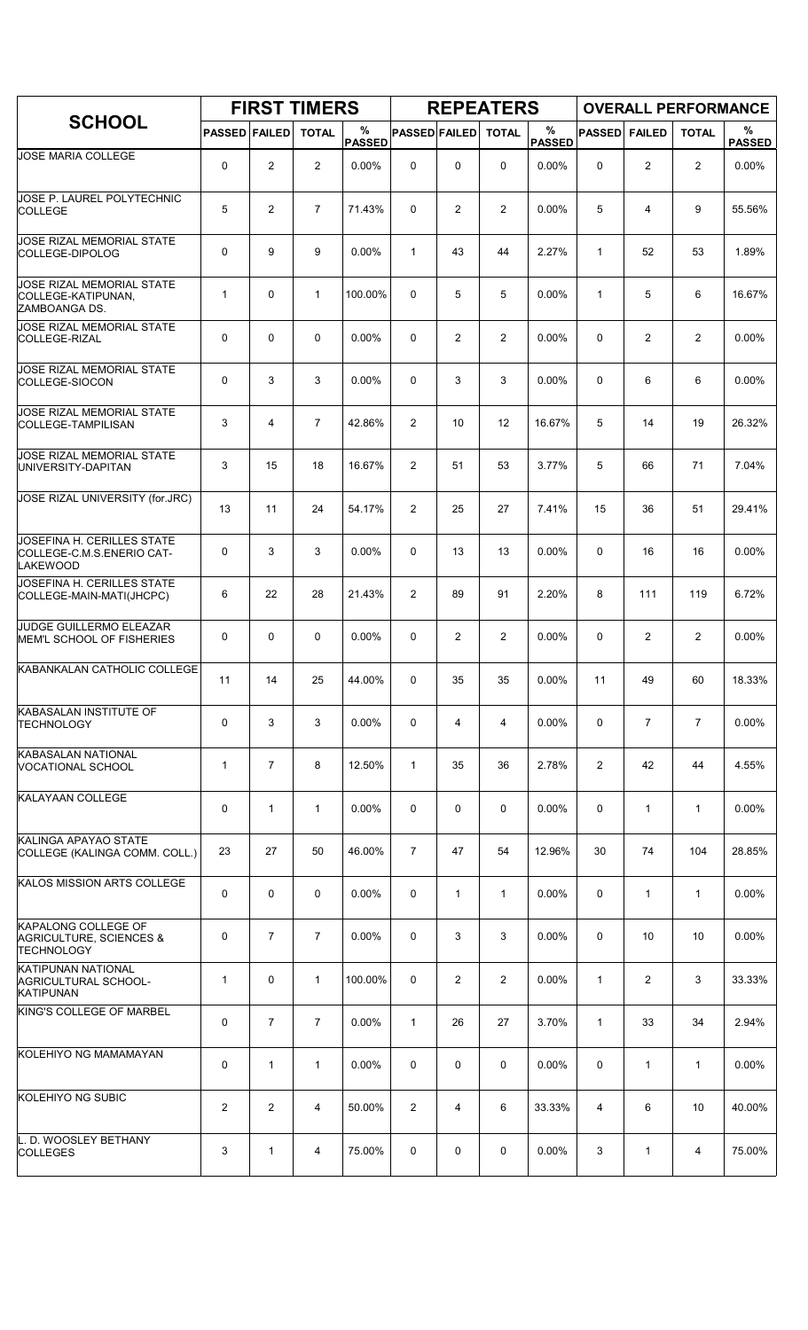|                                                                                       |                      |                | <b>FIRST TIMERS</b> |                    |                      |                | <b>REPEATERS</b> |                    |               |                | <b>OVERALL PERFORMANCE</b> |                    |
|---------------------------------------------------------------------------------------|----------------------|----------------|---------------------|--------------------|----------------------|----------------|------------------|--------------------|---------------|----------------|----------------------------|--------------------|
| <b>SCHOOL</b>                                                                         | <b>PASSED FAILED</b> |                | <b>TOTAL</b>        | %<br><b>PASSED</b> | <b>PASSED FAILED</b> |                | <b>TOTAL</b>     | %<br><b>PASSED</b> | <b>PASSED</b> | <b>FAILED</b>  | <b>TOTAL</b>               | %<br><b>PASSED</b> |
| JOSE MARIA COLLEGE                                                                    | 0                    | 2              | $\overline{2}$      | $0.00\%$           | 0                    | 0              | $\Omega$         | $0.00\%$           | $\Omega$      | $\overline{2}$ | $\overline{2}$             | 0.00%              |
| JOSE P. LAUREL POLYTECHNIC<br><b>COLLEGE</b>                                          | 5                    | $\overline{2}$ | $\overline{7}$      | 71.43%             | $\Omega$             | $\overline{2}$ | 2                | 0.00%              | 5             | 4              | 9                          | 55.56%             |
| <b>JOSE RIZAL MEMORIAL STATE</b><br>COLLEGE-DIPOLOG                                   | 0                    | 9              | 9                   | 0.00%              | $\mathbf{1}$         | 43             | 44               | 2.27%              | $\mathbf{1}$  | 52             | 53                         | 1.89%              |
| <b>JOSE RIZAL MEMORIAL STATE</b><br>COLLEGE-KATIPUNAN,<br>ZAMBOANGA DS.               | 1                    | $\mathbf 0$    | $\mathbf{1}$        | 100.00%            | 0                    | 5              | 5                | 0.00%              | $\mathbf{1}$  | 5              | 6                          | 16.67%             |
| JOSE RIZAL MEMORIAL STATE<br>COLLEGE-RIZAL                                            | $\mathbf 0$          | $\mathbf 0$    | 0                   | $0.00\%$           | 0                    | $\overline{c}$ | $\overline{2}$   | 0.00%              | $\mathbf 0$   | 2              | $\overline{2}$             | 0.00%              |
| JOSE RIZAL MEMORIAL STATE<br>COLLEGE-SIOCON                                           | 0                    | 3              | 3                   | 0.00%              | 0                    | 3              | 3                | 0.00%              | $\mathbf 0$   | 6              | 6                          | 0.00%              |
| JOSE RIZAL MEMORIAL STATE<br><b>COLLEGE-TAMPILISAN</b>                                | 3                    | $\overline{4}$ | $\overline{7}$      | 42.86%             | 2                    | 10             | 12               | 16.67%             | 5             | 14             | 19                         | 26.32%             |
| <b>JOSE RIZAL MEMORIAL STATE</b><br>UNIVERSITY-DAPITAN                                | 3                    | 15             | 18                  | 16.67%             | $\overline{2}$       | 51             | 53               | 3.77%              | 5             | 66             | 71                         | 7.04%              |
| JOSE RIZAL UNIVERSITY (for.JRC)                                                       | 13                   | 11             | 24                  | 54.17%             | 2                    | 25             | 27               | 7.41%              | 15            | 36             | 51                         | 29.41%             |
| JOSEFINA H. CERILLES STATE<br>COLLEGE-C.M.S.ENERIO CAT-<br><b>LAKEWOOD</b>            | 0                    | 3              | 3                   | $0.00\%$           | 0                    | 13             | 13               | 0.00%              | 0             | 16             | 16                         | 0.00%              |
| JOSEFINA H. CERILLES STATE<br>COLLEGE-MAIN-MATI(JHCPC)                                | 6                    | 22             | 28                  | 21.43%             | $\overline{2}$       | 89             | 91               | 2.20%              | 8             | 111            | 119                        | 6.72%              |
| JUDGE GUILLERMO ELEAZAR<br>MEM'L SCHOOL OF FISHERIES                                  | 0                    | $\mathbf 0$    | 0                   | $0.00\%$           | $\Omega$             | 2              | $\overline{2}$   | 0.00%              | 0             | 2              | 2                          | 0.00%              |
| KABANKALAN CATHOLIC COLLEGE                                                           | 11                   | 14             | 25                  | 44.00%             | 0                    | 35             | 35               | 0.00%              | 11            | 49             | 60                         | 18.33%             |
| KABASALAN INSTITUTE OF<br><b>TECHNOLOGY</b>                                           | 0                    | 3              | 3                   | 0.00%              | 0                    | 4              | 4                | 0.00%              | 0             | $\overline{7}$ | $\overline{7}$             | 0.00%              |
| KABASALAN NATIONAL<br>VOCATIONAL SCHOOL                                               | 1                    | $\overline{7}$ | 8                   | 12.50%             | $\mathbf{1}$         | 35             | 36               | 2.78%              | 2             | 42             | 44                         | 4.55%              |
| KALAYAAN COLLEGE                                                                      | 0                    | $\mathbf{1}$   | $\mathbf{1}$        | $0.00\%$           | 0                    | 0              | 0                | $0.00\%$           | 0             | $\mathbf{1}$   | $\mathbf{1}$               | $0.00\%$           |
| KALINGA APAYAO STATE<br>COLLEGE (KALINGA COMM. COLL.)                                 | 23                   | 27             | 50                  | 46.00%             | $\overline{7}$       | 47             | 54               | 12.96%             | 30            | 74             | 104                        | 28.85%             |
| KALOS MISSION ARTS COLLEGE                                                            | 0                    | $\mathbf 0$    | $\mathbf 0$         | 0.00%              | 0                    | $\mathbf{1}$   | $\mathbf{1}$     | $0.00\%$           | 0             | $\mathbf{1}$   | $\mathbf{1}$               | 0.00%              |
| <b>KAPALONG COLLEGE OF</b><br><b>AGRICULTURE, SCIENCES &amp;</b><br><b>TECHNOLOGY</b> | 0                    | $\overline{7}$ | $\overline{7}$      | 0.00%              | 0                    | 3              | 3                | $0.00\%$           | 0             | 10             | 10                         | 0.00%              |
| <b>KATIPUNAN NATIONAL</b><br>AGRICULTURAL SCHOOL-<br><b>KATIPUNAN</b>                 | 1                    | 0              | $\mathbf{1}$        | 100.00%            | 0                    | $\overline{2}$ | $\overline{2}$   | 0.00%              | $\mathbf{1}$  | 2              | 3                          | 33.33%             |
| KING'S COLLEGE OF MARBEL                                                              | 0                    | $\overline{7}$ | $\overline{7}$      | 0.00%              | $\mathbf{1}$         | 26             | 27               | 3.70%              | $\mathbf{1}$  | 33             | 34                         | 2.94%              |
| KOLEHIYO NG MAMAMAYAN                                                                 | 0                    | $\mathbf{1}$   | $\mathbf 1$         | 0.00%              | 0                    | 0              | 0                | 0.00%              | 0             | $\mathbf{1}$   | $\mathbf{1}$               | 0.00%              |
| KOLEHIYO NG SUBIC                                                                     | $\overline{2}$       | $\overline{2}$ | 4                   | 50.00%             | 2                    | 4              | 6                | 33.33%             | 4             | 6              | 10                         | 40.00%             |
| L. D. WOOSLEY BETHANY<br><b>COLLEGES</b>                                              | 3                    | $\mathbf{1}$   | 4                   | 75.00%             | 0                    | 0              | 0                | $0.00\%$           | 3             | $\mathbf{1}$   | 4                          | 75.00%             |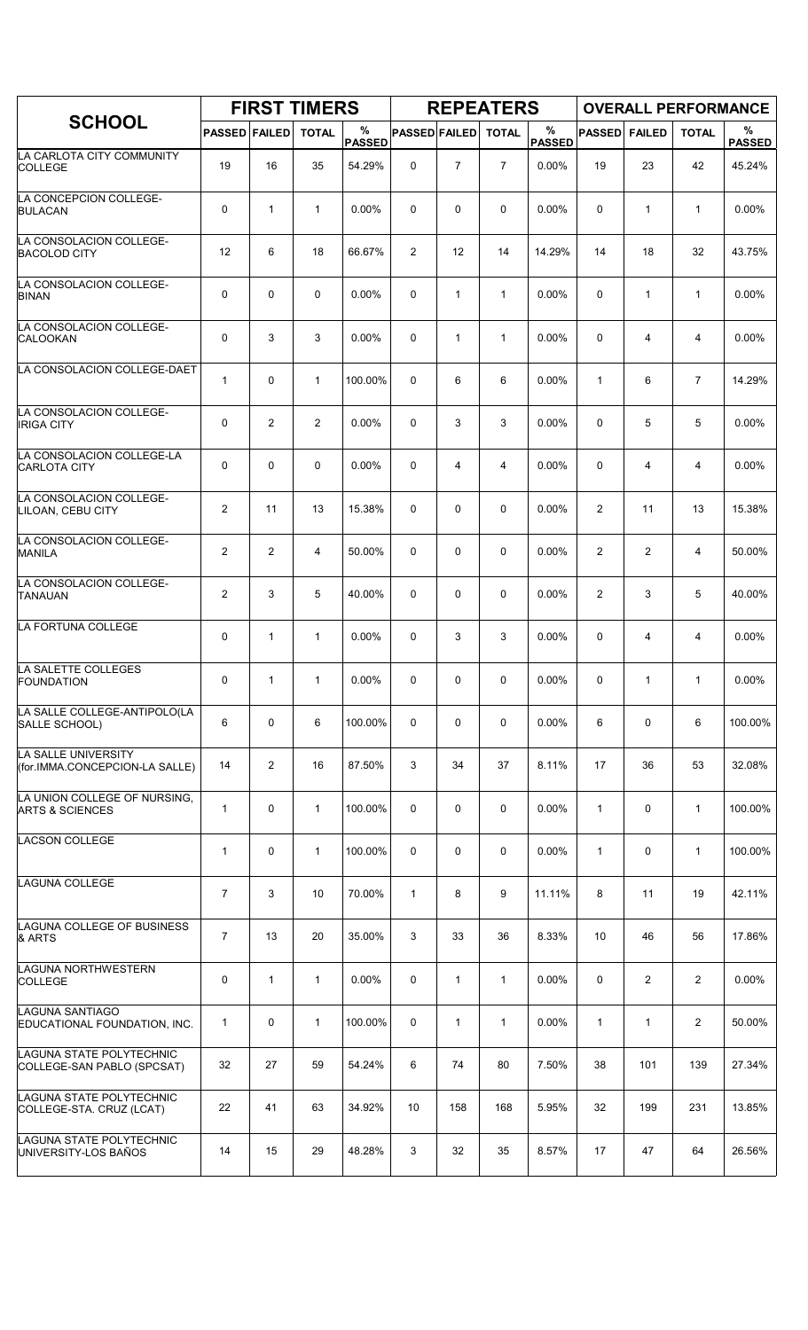|                                                            |                      |                | <b>FIRST TIMERS</b> |                    |                      |                | <b>REPEATERS</b> |                       |                |                | <b>OVERALL PERFORMANCE</b> |                    |
|------------------------------------------------------------|----------------------|----------------|---------------------|--------------------|----------------------|----------------|------------------|-----------------------|----------------|----------------|----------------------------|--------------------|
| <b>SCHOOL</b>                                              | <b>PASSED FAILED</b> |                | <b>TOTAL</b>        | %<br><b>PASSED</b> | <b>PASSED FAILED</b> |                | <b>TOTAL</b>     | $\%$<br><b>PASSED</b> | <b>PASSED</b>  | <b>FAILED</b>  | <b>TOTAL</b>               | %<br><b>PASSED</b> |
| LA CARLOTA CITY COMMUNITY<br><b>COLLEGE</b>                | 19                   | 16             | 35                  | 54.29%             | $\mathbf 0$          | $\overline{7}$ | $\overline{7}$   | $0.00\%$              | 19             | 23             | 42                         | 45.24%             |
| LA CONCEPCION COLLEGE-<br><b>BULACAN</b>                   | 0                    | $\mathbf{1}$   | $\mathbf{1}$        | 0.00%              | $\mathbf 0$          | 0              | 0                | 0.00%                 | 0              | $\mathbf{1}$   | $\mathbf{1}$               | 0.00%              |
| LA CONSOLACION COLLEGE-<br><b>BACOLOD CITY</b>             | 12                   | 6              | 18                  | 66.67%             | $\overline{2}$       | 12             | 14               | 14.29%                | 14             | 18             | 32                         | 43.75%             |
| LA CONSOLACION COLLEGE-<br><b>BINAN</b>                    | 0                    | 0              | $\mathbf 0$         | 0.00%              | 0                    | $\mathbf{1}$   | $\mathbf{1}$     | $0.00\%$              | 0              | 1              | $\mathbf{1}$               | 0.00%              |
| LA CONSOLACION COLLEGE-<br><b>CALOOKAN</b>                 | 0                    | 3              | 3                   | 0.00%              | $\mathbf 0$          | $\mathbf{1}$   | $\mathbf{1}$     | 0.00%                 | 0              | 4              | 4                          | 0.00%              |
| LA CONSOLACION COLLEGE-DAET                                | $\mathbf{1}$         | 0              | $\mathbf{1}$        | 100.00%            | $\mathbf 0$          | 6              | 6                | 0.00%                 | $\mathbf{1}$   | 6              | $\overline{7}$             | 14.29%             |
| LA CONSOLACION COLLEGE-<br><b>IRIGA CITY</b>               | 0                    | $\overline{c}$ | $\overline{2}$      | 0.00%              | 0                    | 3              | 3                | 0.00%                 | 0              | 5              | 5                          | 0.00%              |
| LA CONSOLACION COLLEGE-LA<br><b>CARLOTA CITY</b>           | 0                    | 0              | $\mathbf 0$         | $0.00\%$           | $\mathbf 0$          | 4              | 4                | 0.00%                 | 0              | 4              | 4                          | $0.00\%$           |
| LA CONSOLACION COLLEGE-<br>LILOAN, CEBU CITY               | 2                    | 11             | 13                  | 15.38%             | $\mathbf 0$          | 0              | $\mathbf 0$      | 0.00%                 | $\overline{c}$ | 11             | 13                         | 15.38%             |
| LA CONSOLACION COLLEGE-<br><b>MANILA</b>                   | $\overline{2}$       | $\overline{c}$ | $\overline{4}$      | 50.00%             | $\mathbf 0$          | 0              | $\mathbf 0$      | 0.00%                 | $\overline{c}$ | $\overline{2}$ | 4                          | 50.00%             |
| LA CONSOLACION COLLEGE-<br><b>TANAUAN</b>                  | $\overline{2}$       | 3              | 5                   | 40.00%             | 0                    | $\mathbf 0$    | $\mathbf 0$      | 0.00%                 | $\overline{2}$ | 3              | 5                          | 40.00%             |
| LA FORTUNA COLLEGE                                         | 0                    | $\mathbf{1}$   | $\mathbf{1}$        | 0.00%              | $\mathbf 0$          | 3              | 3                | 0.00%                 | 0              | 4              | 4                          | 0.00%              |
| LA SALETTE COLLEGES<br><b>FOUNDATION</b>                   | 0                    | $\mathbf{1}$   | $\mathbf{1}$        | 0.00%              | 0                    | 0              | 0                | 0.00%                 | 0              | 1              | $\mathbf{1}$               | 0.00%              |
| LA SALLE COLLEGE-ANTIPOLO(LA<br>SALLE SCHOOL)              | 6                    | 0              | 6                   | 100.00%            | 0                    | 0              | 0                | 0.00%                 | 6              | 0              | 6                          | 100.00%            |
| LA SALLE UNIVERSITY<br>(for.IMMA.CONCEPCION-LA SALLE)      | 14                   | $\overline{2}$ | 16                  | 87.50%             | 3                    | 34             | 37               | 8.11%                 | 17             | 36             | 53                         | 32.08%             |
| LA UNION COLLEGE OF NURSING,<br><b>ARTS &amp; SCIENCES</b> | $\mathbf{1}$         | 0              | $\mathbf{1}$        | 100.00%            | 0                    | $\mathbf 0$    | $\mathbf 0$      | 0.00%                 | $\mathbf{1}$   | 0              | $\mathbf{1}$               | 100.00%            |
| <b>LACSON COLLEGE</b>                                      | $\mathbf{1}$         | 0              | $\mathbf{1}$        | 100.00%            | 0                    | 0              | 0                | 0.00%                 | $\mathbf{1}$   | 0              | $\mathbf{1}$               | 100.00%            |
| <b>LAGUNA COLLEGE</b>                                      | $\overline{7}$       | 3              | 10                  | 70.00%             | $\mathbf{1}$         | 8              | 9                | 11.11%                | 8              | 11             | 19                         | 42.11%             |
| LAGUNA COLLEGE OF BUSINESS<br>& ARTS                       | $\overline{7}$       | 13             | 20                  | 35.00%             | 3                    | 33             | 36               | 8.33%                 | 10             | 46             | 56                         | 17.86%             |
| LAGUNA NORTHWESTERN<br><b>COLLEGE</b>                      | 0                    | 1              | $\mathbf{1}$        | $0.00\%$           | 0                    | 1              | $\mathbf{1}$     | $0.00\%$              | 0              | $\overline{2}$ | $\overline{2}$             | 0.00%              |
| LAGUNA SANTIAGO<br>EDUCATIONAL FOUNDATION, INC.            | 1                    | 0              | $\mathbf{1}$        | 100.00%            | 0                    | $\mathbf{1}$   | $\mathbf{1}$     | 0.00%                 | $\mathbf{1}$   | 1              | 2                          | 50.00%             |
| LAGUNA STATE POLYTECHNIC<br>COLLEGE-SAN PABLO (SPCSAT)     | 32                   | 27             | 59                  | 54.24%             | 6                    | 74             | 80               | 7.50%                 | 38             | 101            | 139                        | 27.34%             |
| LAGUNA STATE POLYTECHNIC<br>COLLEGE-STA. CRUZ (LCAT)       | 22                   | 41             | 63                  | 34.92%             | 10                   | 158            | 168              | 5.95%                 | 32             | 199            | 231                        | 13.85%             |
| LAGUNA STATE POLYTECHNIC<br>UNIVERSITY-LOS BAÑOS           | 14                   | 15             | 29                  | 48.28%             | 3                    | 32             | 35               | 8.57%                 | 17             | 47             | 64                         | 26.56%             |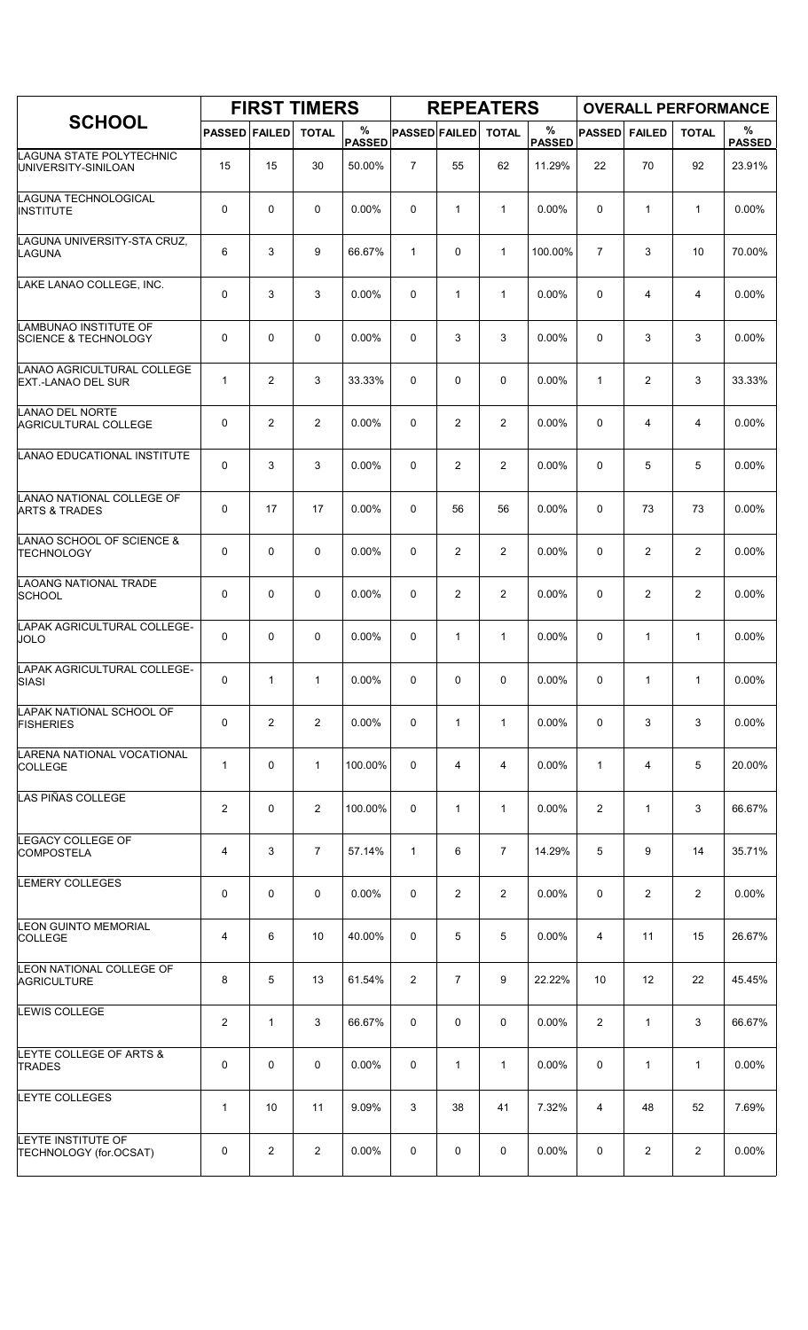|                                                          |                      |                | <b>FIRST TIMERS</b> |                    |                      |                | <b>REPEATERS</b> |                       |                |                | <b>OVERALL PERFORMANCE</b> |                    |
|----------------------------------------------------------|----------------------|----------------|---------------------|--------------------|----------------------|----------------|------------------|-----------------------|----------------|----------------|----------------------------|--------------------|
| <b>SCHOOL</b>                                            | <b>PASSED FAILED</b> |                | <b>TOTAL</b>        | %<br><b>PASSED</b> | <b>PASSED FAILED</b> |                | <b>TOTAL</b>     | $\%$<br><b>PASSED</b> | <b>PASSED</b>  | <b>FAILED</b>  | <b>TOTAL</b>               | %<br><b>PASSED</b> |
| LAGUNA STATE POLYTECHNIC<br>UNIVERSITY-SINILOAN          | 15                   | 15             | 30                  | 50.00%             | $\overline{7}$       | 55             | 62               | 11.29%                | 22             | 70             | 92                         | 23.91%             |
| LAGUNA TECHNOLOGICAL<br><b>INSTITUTE</b>                 | 0                    | $\mathbf 0$    | $\mathbf 0$         | $0.00\%$           | 0                    | $\mathbf{1}$   | $\mathbf{1}$     | 0.00%                 | 0              | $\mathbf{1}$   | $\mathbf{1}$               | 0.00%              |
| LAGUNA UNIVERSITY-STA CRUZ,<br>LAGUNA                    | 6                    | 3              | 9                   | 66.67%             | $\mathbf{1}$         | 0              | $\mathbf{1}$     | 100.00%               | $\overline{7}$ | 3              | 10                         | 70.00%             |
| LAKE LANAO COLLEGE, INC.                                 | 0                    | 3              | 3                   | 0.00%              | 0                    | $\mathbf{1}$   | $\mathbf{1}$     | 0.00%                 | 0              | 4              | 4                          | 0.00%              |
| LAMBUNAO INSTITUTE OF<br><b>SCIENCE &amp; TECHNOLOGY</b> | 0                    | $\mathbf 0$    | $\mathbf 0$         | $0.00\%$           | 0                    | 3              | 3                | 0.00%                 | $\mathbf 0$    | 3              | 3                          | 0.00%              |
| LANAO AGRICULTURAL COLLEGE<br><b>EXT.-LANAO DEL SUR</b>  | $\mathbf{1}$         | 2              | 3                   | 33.33%             | 0                    | 0              | 0                | 0.00%                 | $\mathbf{1}$   | 2              | 3                          | 33.33%             |
| LANAO DEL NORTE<br><b>AGRICULTURAL COLLEGE</b>           | 0                    | $\overline{2}$ | $\overline{2}$      | 0.00%              | 0                    | 2              | $\overline{2}$   | 0.00%                 | 0              | 4              | 4                          | 0.00%              |
| LANAO EDUCATIONAL INSTITUTE                              | 0                    | 3              | 3                   | $0.00\%$           | 0                    | 2              | $\overline{2}$   | 0.00%                 | 0              | 5              | 5                          | 0.00%              |
| LANAO NATIONAL COLLEGE OF<br><b>ARTS &amp; TRADES</b>    | 0                    | 17             | 17                  | 0.00%              | 0                    | 56             | 56               | 0.00%                 | $\mathbf 0$    | 73             | 73                         | 0.00%              |
| LANAO SCHOOL OF SCIENCE &<br><b>TECHNOLOGY</b>           | 0                    | $\mathbf 0$    | $\mathbf 0$         | 0.00%              | 0                    | $\overline{2}$ | $\overline{2}$   | 0.00%                 | $\mathbf 0$    | $\overline{c}$ | 2                          | 0.00%              |
| LAOANG NATIONAL TRADE<br><b>SCHOOL</b>                   | 0                    | $\mathbf 0$    | 0                   | 0.00%              | 0                    | $\overline{c}$ | $\overline{2}$   | 0.00%                 | 0              | 2              | $\overline{2}$             | 0.00%              |
| LAPAK AGRICULTURAL COLLEGE-<br><b>JOLO</b>               | 0                    | $\mathbf 0$    | $\mathbf 0$         | 0.00%              | 0                    | 1              | $\mathbf{1}$     | 0.00%                 | 0              | 1              | $\mathbf{1}$               | 0.00%              |
| LAPAK AGRICULTURAL COLLEGE-<br><b>SIASI</b>              | 0                    | $\mathbf{1}$   | $\mathbf{1}$        | 0.00%              | 0                    | 0              | 0                | 0.00%                 | 0              | 1              | $\mathbf{1}$               | 0.00%              |
| LAPAK NATIONAL SCHOOL OF<br><b>FISHERIES</b>             | 0                    | $\overline{2}$ | $\overline{2}$      | 0.00%              | 0                    | $\mathbf{1}$   | $\mathbf{1}$     | 0.00%                 | 0              | 3              | 3                          | 0.00%              |
| LARENA NATIONAL VOCATIONAL<br><b>COLLEGE</b>             | 1                    | $\mathbf 0$    | $\mathbf{1}$        | 100.00%            | 0                    | 4              | 4                | 0.00%                 | $\mathbf{1}$   | 4              | 5                          | 20.00%             |
| LAS PIÑAS COLLEGE                                        | $\overline{c}$       | $\mathbf 0$    | $\overline{2}$      | 100.00%            | 0                    | $\mathbf{1}$   | $\mathbf{1}$     | $0.00\%$              | 2              | $\mathbf{1}$   | 3                          | 66.67%             |
| LEGACY COLLEGE OF<br><b>COMPOSTELA</b>                   | 4                    | 3              | $\overline{7}$      | 57.14%             | $\mathbf{1}$         | 6              | $\overline{7}$   | 14.29%                | 5              | 9              | 14                         | 35.71%             |
| LEMERY COLLEGES                                          | 0                    | 0              | $\mathbf 0$         | 0.00%              | 0                    | $\overline{2}$ | $\overline{2}$   | 0.00%                 | 0              | $\overline{2}$ | 2                          | 0.00%              |
| LEON GUINTO MEMORIAL<br>COLLEGE                          | 4                    | 6              | 10                  | 40.00%             | 0                    | 5              | 5                | 0.00%                 | 4              | 11             | 15                         | 26.67%             |
| LEON NATIONAL COLLEGE OF<br><b>AGRICULTURE</b>           | 8                    | 5              | 13                  | 61.54%             | 2                    | $\overline{7}$ | 9                | 22.22%                | 10             | 12             | 22                         | 45.45%             |
| LEWIS COLLEGE                                            | $\overline{c}$       | $\mathbf{1}$   | 3                   | 66.67%             | 0                    | 0              | 0                | 0.00%                 | 2              | $\mathbf{1}$   | 3                          | 66.67%             |
| LEYTE COLLEGE OF ARTS &<br><b>TRADES</b>                 | 0                    | $\mathbf 0$    | 0                   | 0.00%              | 0                    | 1              | 1                | 0.00%                 | 0              | 1              | $\mathbf{1}$               | 0.00%              |
| LEYTE COLLEGES                                           | 1                    | 10             | 11                  | 9.09%              | 3                    | 38             | 41               | 7.32%                 | 4              | 48             | 52                         | 7.69%              |
| LEYTE INSTITUTE OF<br>TECHNOLOGY (for.OCSAT)             | 0                    | 2              | $\overline{2}$      | 0.00%              | 0                    | 0              | 0                | 0.00%                 | 0              | 2              | 2                          | 0.00%              |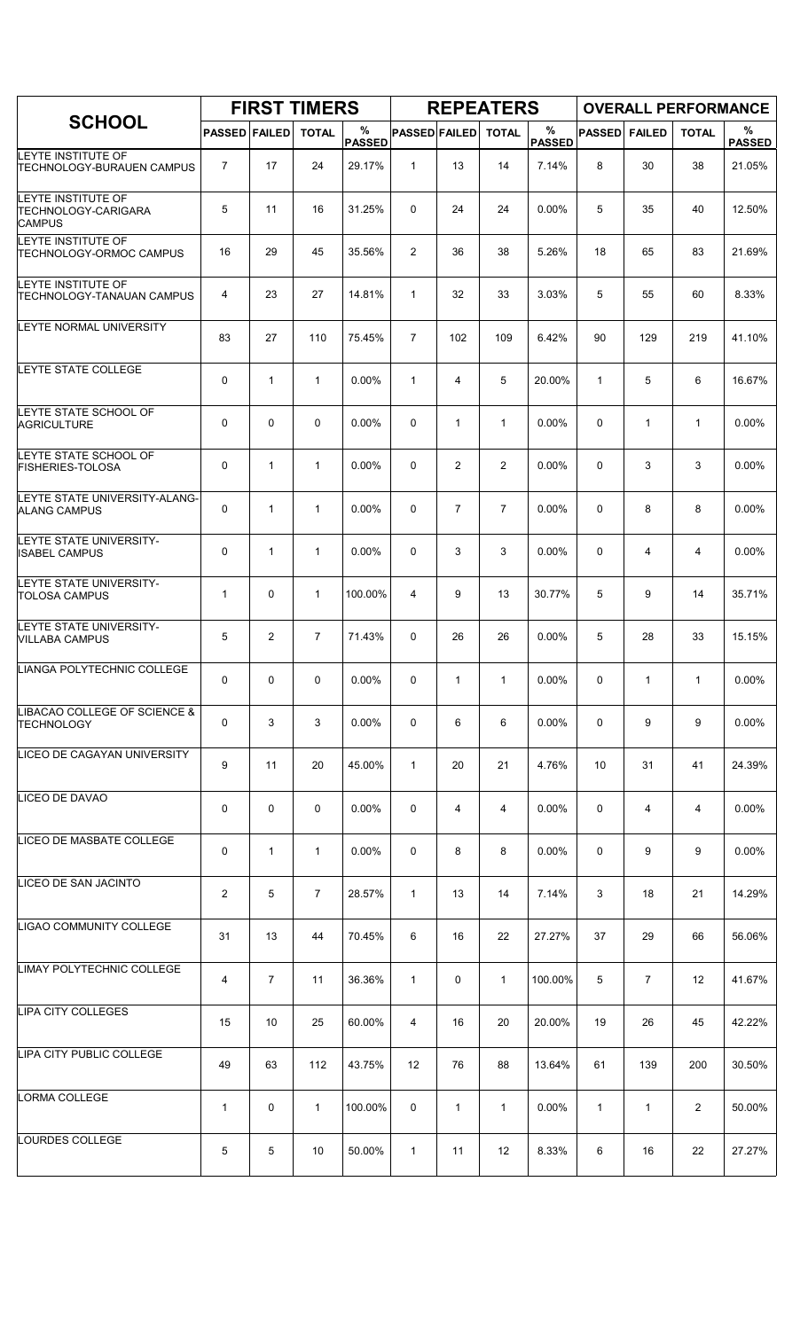|                                                            |                      |                | <b>FIRST TIMERS</b> |                    |                      |                | <b>REPEATERS</b> |                       |               |                | <b>OVERALL PERFORMANCE</b> |                       |
|------------------------------------------------------------|----------------------|----------------|---------------------|--------------------|----------------------|----------------|------------------|-----------------------|---------------|----------------|----------------------------|-----------------------|
| <b>SCHOOL</b>                                              | <b>PASSED FAILED</b> |                | <b>TOTAL</b>        | %<br><b>PASSED</b> | <b>PASSED FAILED</b> |                | <b>TOTAL</b>     | $\%$<br><b>PASSED</b> | <b>PASSED</b> | <b>FAILED</b>  | <b>TOTAL</b>               | $\%$<br><b>PASSED</b> |
| LEYTE INSTITUTE OF<br><b>TECHNOLOGY-BURAUEN CAMPUS</b>     | $\overline{7}$       | 17             | 24                  | 29.17%             | $\mathbf{1}$         | 13             | 14               | 7.14%                 | 8             | 30             | 38                         | 21.05%                |
| LEYTE INSTITUTE OF<br>TECHNOLOGY-CARIGARA<br><b>CAMPUS</b> | 5                    | 11             | 16                  | 31.25%             | $\Omega$             | 24             | 24               | 0.00%                 | 5             | 35             | 40                         | 12.50%                |
| LEYTE INSTITUTE OF<br><b>TECHNOLOGY-ORMOC CAMPUS</b>       | 16                   | 29             | 45                  | 35.56%             | $\overline{2}$       | 36             | 38               | 5.26%                 | 18            | 65             | 83                         | 21.69%                |
| LEYTE INSTITUTE OF<br><b>TECHNOLOGY-TANAUAN CAMPUS</b>     | 4                    | 23             | 27                  | 14.81%             | $\mathbf{1}$         | 32             | 33               | 3.03%                 | 5             | 55             | 60                         | 8.33%                 |
| LEYTE NORMAL UNIVERSITY                                    | 83                   | 27             | 110                 | 75.45%             | $\overline{7}$       | 102            | 109              | 6.42%                 | 90            | 129            | 219                        | 41.10%                |
| LEYTE STATE COLLEGE                                        | 0                    | $\mathbf{1}$   | $\mathbf{1}$        | 0.00%              | $\mathbf{1}$         | $\overline{4}$ | 5                | 20.00%                | $\mathbf{1}$  | 5              | 6                          | 16.67%                |
| LEYTE STATE SCHOOL OF<br><b>AGRICULTURE</b>                | 0                    | 0              | $\mathbf 0$         | 0.00%              | $\mathbf 0$          | $\mathbf{1}$   | $\mathbf{1}$     | 0.00%                 | $\mathbf 0$   | $\mathbf{1}$   | $\mathbf{1}$               | 0.00%                 |
| LEYTE STATE SCHOOL OF<br><b>FISHERIES-TOLOSA</b>           | 0                    | $\mathbf{1}$   | $\mathbf{1}$        | $0.00\%$           | $\Omega$             | $\overline{2}$ | 2                | $0.00\%$              | 0             | 3              | 3                          | $0.00\%$              |
| LEYTE STATE UNIVERSITY-ALANG-<br><b>ALANG CAMPUS</b>       | 0                    | $\mathbf{1}$   | $\mathbf{1}$        | 0.00%              | 0                    | $\overline{7}$ | $\overline{7}$   | 0.00%                 | 0             | 8              | 8                          | 0.00%                 |
| LEYTE STATE UNIVERSITY-<br><b>ISABEL CAMPUS</b>            | 0                    | 1              | $\mathbf{1}$        | 0.00%              | 0                    | 3              | 3                | 0.00%                 | $\mathbf 0$   | 4              | 4                          | 0.00%                 |
| LEYTE STATE UNIVERSITY-<br><b>TOLOSA CAMPUS</b>            | $\mathbf{1}$         | 0              | $\mathbf{1}$        | 100.00%            | $\overline{4}$       | 9              | 13               | 30.77%                | 5             | 9              | 14                         | 35.71%                |
| LEYTE STATE UNIVERSITY-<br><b>VILLABA CAMPUS</b>           | 5                    | $\overline{2}$ | $\overline{7}$      | 71.43%             | 0                    | 26             | 26               | 0.00%                 | 5             | 28             | 33                         | 15.15%                |
| LIANGA POLYTECHNIC COLLEGE                                 | 0                    | 0              | $\mathbf 0$         | 0.00%              | 0                    | $\mathbf{1}$   | $\mathbf{1}$     | 0.00%                 | 0             | 1              | $\mathbf{1}$               | 0.00%                 |
| LIBACAO COLLEGE OF SCIENCE &<br><b>TECHNOLOGY</b>          | 0                    | 3              | 3                   | 0.00%              | 0                    | 6              | 6                | 0.00%                 | 0             | 9              | 9                          | 0.00%                 |
| LICEO DE CAGAYAN UNIVERSITY                                | 9                    | 11             | 20                  | 45.00%             | $\mathbf{1}$         | 20             | 21               | 4.76%                 | 10            | 31             | 41                         | 24.39%                |
| LICEO DE DAVAO                                             | 0                    | 0              | $\mathbf 0$         | 0.00%              | 0                    | 4              | 4                | 0.00%                 | 0             | 4              | 4                          | 0.00%                 |
| LICEO DE MASBATE COLLEGE                                   | 0                    | $\mathbf{1}$   | $\mathbf{1}$        | $0.00\%$           | 0                    | 8              | 8                | 0.00%                 | 0             | 9              | 9                          | 0.00%                 |
| LICEO DE SAN JACINTO                                       | $\overline{2}$       | 5              | $\overline{7}$      | 28.57%             | $\mathbf{1}$         | 13             | 14               | 7.14%                 | 3             | 18             | 21                         | 14.29%                |
| LIGAO COMMUNITY COLLEGE                                    | 31                   | 13             | 44                  | 70.45%             | 6                    | 16             | 22               | 27.27%                | 37            | 29             | 66                         | 56.06%                |
| LIMAY POLYTECHNIC COLLEGE                                  | 4                    | $\overline{7}$ | 11                  | 36.36%             | $\mathbf{1}$         | 0              | $\mathbf{1}$     | 100.00%               | 5             | $\overline{7}$ | 12                         | 41.67%                |
| <b>LIPA CITY COLLEGES</b>                                  | 15                   | 10             | 25                  | 60.00%             | 4                    | 16             | 20               | 20.00%                | 19            | 26             | 45                         | 42.22%                |
| LIPA CITY PUBLIC COLLEGE                                   | 49                   | 63             | 112                 | 43.75%             | 12                   | 76             | 88               | 13.64%                | 61            | 139            | 200                        | 30.50%                |
| <b>LORMA COLLEGE</b>                                       | $\mathbf{1}$         | 0              | $\mathbf{1}$        | 100.00%            | 0                    | $\mathbf{1}$   | $\mathbf{1}$     | $0.00\%$              | $\mathbf{1}$  | $\mathbf{1}$   | $\overline{2}$             | 50.00%                |
| LOURDES COLLEGE                                            | 5                    | 5              | 10                  | 50.00%             | $\mathbf{1}$         | 11             | 12               | 8.33%                 | 6             | 16             | 22                         | 27.27%                |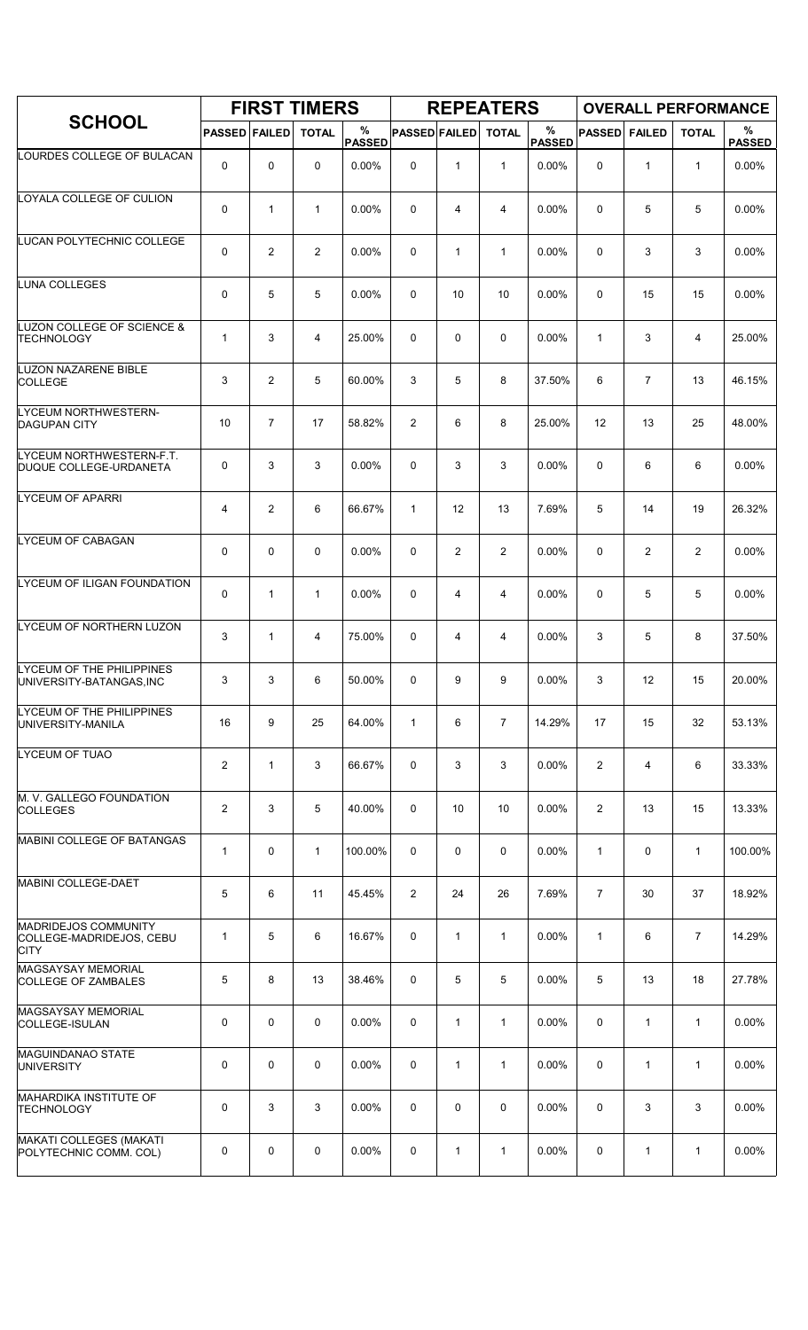|                                                                        |                      |                | <b>FIRST TIMERS</b> |                    |                      |                | <b>REPEATERS</b> |                       |                |                | <b>OVERALL PERFORMANCE</b> |                    |
|------------------------------------------------------------------------|----------------------|----------------|---------------------|--------------------|----------------------|----------------|------------------|-----------------------|----------------|----------------|----------------------------|--------------------|
| <b>SCHOOL</b>                                                          | <b>PASSED FAILED</b> |                | <b>TOTAL</b>        | %<br><b>PASSED</b> | <b>PASSED FAILED</b> |                | <b>TOTAL</b>     | $\%$<br><b>PASSED</b> | <b>PASSED</b>  | <b>FAILED</b>  | <b>TOTAL</b>               | %<br><b>PASSED</b> |
| LOURDES COLLEGE OF BULACAN                                             | $\mathbf 0$          | $\mathbf 0$    | 0                   | 0.00%              | 0                    | $\mathbf{1}$   | $\mathbf{1}$     | $0.00\%$              | 0              | $\mathbf{1}$   | $\mathbf{1}$               | 0.00%              |
| LOYALA COLLEGE OF CULION                                               | 0                    | $\mathbf{1}$   | $\mathbf{1}$        | 0.00%              | 0                    | 4              | 4                | 0.00%                 | 0              | 5              | 5                          | 0.00%              |
| LUCAN POLYTECHNIC COLLEGE                                              | 0                    | $\overline{2}$ | $\overline{2}$      | 0.00%              | 0                    | $\mathbf{1}$   | $\mathbf{1}$     | 0.00%                 | $\Omega$       | 3              | 3                          | 0.00%              |
| LUNA COLLEGES                                                          | 0                    | 5              | 5                   | 0.00%              | 0                    | 10             | 10               | $0.00\%$              | 0              | 15             | 15                         | 0.00%              |
| <b>LUZON COLLEGE OF SCIENCE &amp;</b><br><b>TECHNOLOGY</b>             | 1                    | 3              | $\overline{4}$      | 25.00%             | 0                    | 0              | 0                | 0.00%                 | $\mathbf{1}$   | 3              | 4                          | 25.00%             |
| LUZON NAZARENE BIBLE<br><b>COLLEGE</b>                                 | 3                    | $\overline{2}$ | 5                   | 60.00%             | 3                    | 5              | 8                | 37.50%                | 6              | $\overline{7}$ | 13                         | 46.15%             |
| LYCEUM NORTHWESTERN-<br><b>DAGUPAN CITY</b>                            | 10                   | $\overline{7}$ | 17                  | 58.82%             | 2                    | 6              | 8                | 25.00%                | 12             | 13             | 25                         | 48.00%             |
| LYCEUM NORTHWESTERN-F.T.<br>DUQUE COLLEGE-URDANETA                     | 0                    | 3              | 3                   | $0.00\%$           | 0                    | 3              | 3                | 0.00%                 | 0              | 6              | 6                          | $0.00\%$           |
| LYCEUM OF APARRI                                                       | 4                    | $\overline{2}$ | 6                   | 66.67%             | $\mathbf{1}$         | 12             | 13               | 7.69%                 | 5              | 14             | 19                         | 26.32%             |
| LYCEUM OF CABAGAN                                                      | 0                    | $\mathbf 0$    | $\mathbf 0$         | 0.00%              | 0                    | $\overline{2}$ | $\overline{2}$   | 0.00%                 | $\mathbf 0$    | $\overline{c}$ | $\overline{c}$             | 0.00%              |
| <b>LYCEUM OF ILIGAN FOUNDATION</b>                                     | 0                    | $\mathbf{1}$   | $\mathbf{1}$        | 0.00%              | 0                    | 4              | 4                | 0.00%                 | 0              | 5              | 5                          | 0.00%              |
| LYCEUM OF NORTHERN LUZON                                               | 3                    | $\mathbf{1}$   | 4                   | 75.00%             | 0                    | 4              | 4                | 0.00%                 | 3              | 5              | 8                          | 37.50%             |
| LYCEUM OF THE PHILIPPINES<br>UNIVERSITY-BATANGAS, INC                  | 3                    | 3              | 6                   | 50.00%             | 0                    | 9              | 9                | 0.00%                 | 3              | 12             | 15                         | 20.00%             |
| LYCEUM OF THE PHILIPPINES<br>UNIVERSITY-MANILA                         | 16                   | 9              | 25                  | 64.00%             | $\mathbf{1}$         | 6              | $\overline{7}$   | 14.29%                | 17             | 15             | 32                         | 53.13%             |
| LYCEUM OF TUAO                                                         | $\overline{c}$       | $\mathbf{1}$   | 3                   | 66.67%             | 0                    | 3              | 3                | 0.00%                 | $\overline{2}$ | 4              | 6                          | 33.33%             |
| M. V. GALLEGO FOUNDATION<br><b>COLLEGES</b>                            | $\overline{2}$       | 3              | 5                   | 40.00%             | 0                    | 10             | 10               | 0.00%                 | 2              | 13             | 15                         | 13.33%             |
| MABINI COLLEGE OF BATANGAS                                             | $\mathbf{1}$         | $\mathbf 0$    | $\mathbf{1}$        | 100.00%            | 0                    | 0              | 0                | $0.00\%$              | 1              | 0              | $\mathbf{1}$               | 100.00%            |
| MABINI COLLEGE-DAET                                                    | 5                    | 6              | 11                  | 45.45%             | $\overline{2}$       | 24             | 26               | 7.69%                 | $\overline{7}$ | 30             | 37                         | 18.92%             |
| <b>MADRIDEJOS COMMUNITY</b><br>COLLEGE-MADRIDEJOS, CEBU<br><b>CITY</b> | 1                    | 5              | 6                   | 16.67%             | 0                    | 1              | $\mathbf{1}$     | 0.00%                 | $\mathbf{1}$   | 6              | $\overline{7}$             | 14.29%             |
| MAGSAYSAY MEMORIAL<br><b>COLLEGE OF ZAMBALES</b>                       | 5                    | 8              | 13                  | 38.46%             | 0                    | 5              | 5                | $0.00\%$              | 5              | 13             | 18                         | 27.78%             |
| MAGSAYSAY MEMORIAL<br>COLLEGE-ISULAN                                   | 0                    | $\mathbf 0$    | 0                   | 0.00%              | 0                    | $\mathbf{1}$   | $\mathbf{1}$     | 0.00%                 | 0              | $\mathbf{1}$   | $\mathbf{1}$               | 0.00%              |
| <b>MAGUINDANAO STATE</b><br><b>UNIVERSITY</b>                          | 0                    | $\mathbf 0$    | 0                   | 0.00%              | 0                    | 1              | $\mathbf{1}$     | 0.00%                 | 0              | 1              | $\mathbf{1}$               | 0.00%              |
| <b>MAHARDIKA INSTITUTE OF</b><br><b>TECHNOLOGY</b>                     | 0                    | 3              | 3                   | 0.00%              | 0                    | 0              | 0                | $0.00\%$              | 0              | 3              | 3                          | 0.00%              |
| <b>MAKATI COLLEGES (MAKATI</b><br>POLYTECHNIC COMM. COL)               | 0                    | 0              | 0                   | 0.00%              | 0                    | 1              | 1                | 0.00%                 | 0              | 1              | $\mathbf{1}$               | 0.00%              |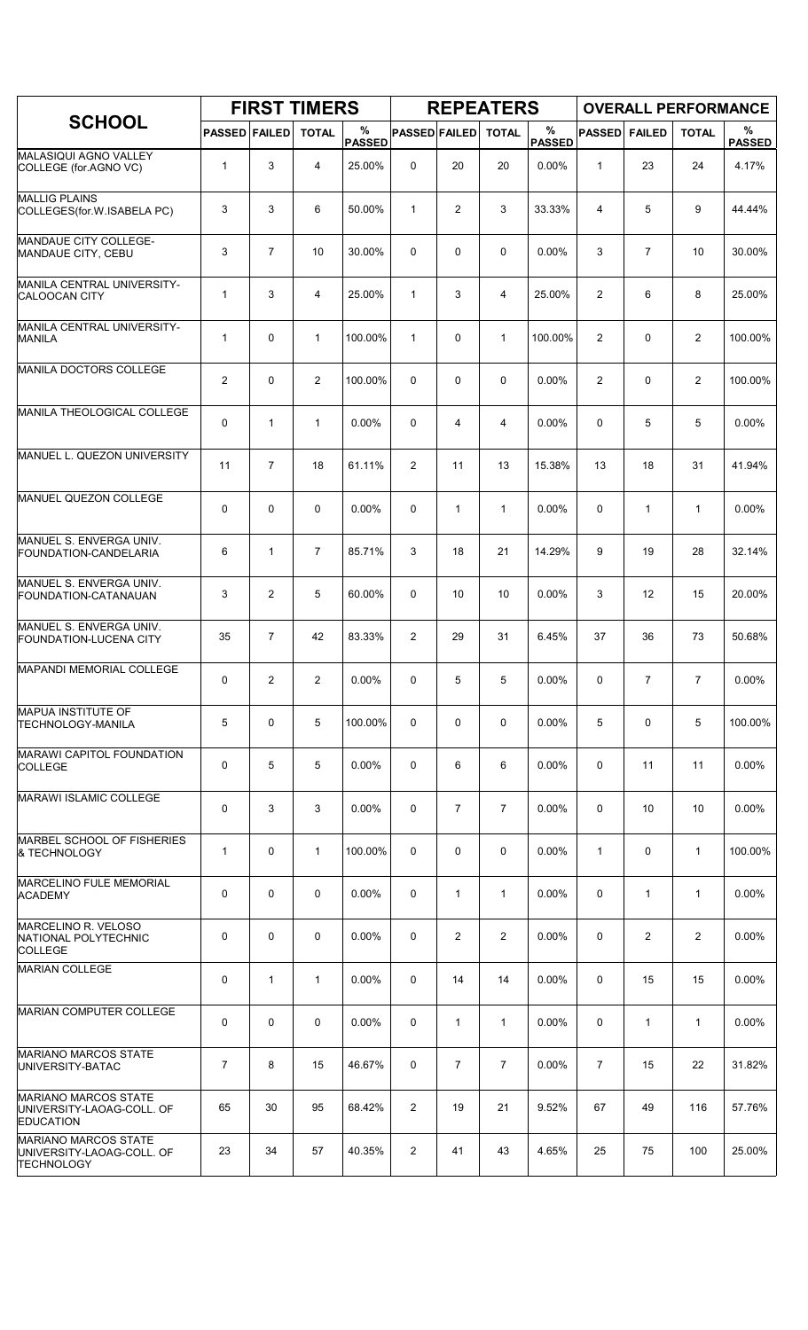|                                                                               |                      |                | <b>FIRST TIMERS</b> |                    |                      |                | <b>REPEATERS</b> |                    |                |                |                | <b>OVERALL PERFORMANCE</b> |
|-------------------------------------------------------------------------------|----------------------|----------------|---------------------|--------------------|----------------------|----------------|------------------|--------------------|----------------|----------------|----------------|----------------------------|
| <b>SCHOOL</b>                                                                 | <b>PASSED FAILED</b> |                | <b>TOTAL</b>        | %<br><b>PASSED</b> | <b>PASSED FAILED</b> |                | <b>TOTAL</b>     | %<br><b>PASSED</b> | <b>PASSED</b>  | <b>FAILED</b>  | <b>TOTAL</b>   | %<br><b>PASSED</b>         |
| MALASIQUI AGNO VALLEY<br>COLLEGE (for AGNO VC)                                | $\mathbf{1}$         | 3              | $\overline{4}$      | 25.00%             | $\mathbf 0$          | 20             | 20               | 0.00%              | 1              | 23             | 24             | 4.17%                      |
| <b>MALLIG PLAINS</b><br>COLLEGES (for.W.ISABELA PC)                           | 3                    | 3              | 6                   | 50.00%             | $\mathbf{1}$         | 2              | 3                | 33.33%             | $\overline{4}$ | 5              | 9              | 44.44%                     |
| MANDAUE CITY COLLEGE-<br>MANDAUE CITY, CEBU                                   | 3                    | $\overline{7}$ | 10                  | 30.00%             | 0                    | 0              | $\mathbf 0$      | 0.00%              | 3              | $\overline{7}$ | 10             | 30.00%                     |
| MANILA CENTRAL UNIVERSITY-<br>CALOOCAN CITY                                   | $\mathbf{1}$         | 3              | $\overline{4}$      | 25.00%             | $\mathbf{1}$         | 3              | $\overline{4}$   | 25.00%             | $\overline{2}$ | 6              | 8              | 25.00%                     |
| MANILA CENTRAL UNIVERSITY-<br><b>MANILA</b>                                   | $\mathbf{1}$         | 0              | $\mathbf{1}$        | 100.00%            | $\mathbf{1}$         | 0              | $\mathbf{1}$     | 100.00%            | $\overline{2}$ | 0              | $\overline{2}$ | 100.00%                    |
| MANILA DOCTORS COLLEGE                                                        | $\overline{2}$       | 0              | $\overline{2}$      | 100.00%            | $\mathbf 0$          | $\mathbf 0$    | $\mathbf 0$      | 0.00%              | $\overline{2}$ | 0              | $\overline{2}$ | 100.00%                    |
| MANILA THEOLOGICAL COLLEGE                                                    | 0                    | $\mathbf{1}$   | $\mathbf{1}$        | 0.00%              | $\mathbf 0$          | 4              | 4                | 0.00%              | $\mathbf 0$    | 5              | 5              | 0.00%                      |
| MANUEL L. QUEZON UNIVERSITY                                                   | 11                   | $\overline{7}$ | 18                  | 61.11%             | 2                    | 11             | 13               | 15.38%             | 13             | 18             | 31             | 41.94%                     |
| MANUEL QUEZON COLLEGE                                                         | 0                    | 0              | $\mathbf 0$         | 0.00%              | $\mathbf 0$          | $\mathbf{1}$   | $\mathbf{1}$     | 0.00%              | $\mathbf 0$    | $\mathbf{1}$   | $\mathbf{1}$   | 0.00%                      |
| MANUEL S. ENVERGA UNIV.<br>FOUNDATION-CANDELARIA                              | 6                    | $\mathbf{1}$   | $\overline{7}$      | 85.71%             | 3                    | 18             | 21               | 14.29%             | 9              | 19             | 28             | 32.14%                     |
| MANUEL S. ENVERGA UNIV.<br>FOUNDATION-CATANAUAN                               | 3                    | $\overline{2}$ | 5                   | 60.00%             | $\mathbf 0$          | 10             | 10               | 0.00%              | 3              | 12             | 15             | 20.00%                     |
| MANUEL S. ENVERGA UNIV.<br>FOUNDATION-LUCENA CITY                             | 35                   | $\overline{7}$ | 42                  | 83.33%             | $\overline{2}$       | 29             | 31               | 6.45%              | 37             | 36             | 73             | 50.68%                     |
| <b>MAPANDI MEMORIAL COLLEGE</b>                                               | 0                    | 2              | 2                   | 0.00%              | 0                    | 5              | 5                | 0.00%              | 0              | $\overline{7}$ | $\overline{7}$ | 0.00%                      |
| <b>MAPUA INSTITUTE OF</b><br><b>TECHNOLOGY-MANILA</b>                         | 5                    | 0              | 5                   | 100.00%            | 0                    | 0              | 0                | $0.00\%$           | 5              | 0              | 5              | 100.00%                    |
| MARAWI CAPITOL FOUNDATION<br><b>COLLEGE</b>                                   | 0                    | 5              | 5                   | 0.00%              | 0                    | 6              | 6                | 0.00%              | 0              | 11             | 11             | 0.00%                      |
| <b>MARAWI ISLAMIC COLLEGE</b>                                                 | 0                    | 3              | 3                   | $0.00\%$           | 0                    | $\overline{7}$ | $\overline{7}$   | $0.00\%$           | 0              | 10             | 10             | $0.00\%$                   |
| MARBEL SCHOOL OF FISHERIES<br>& TECHNOLOGY                                    | $\mathbf{1}$         | 0              | $\mathbf{1}$        | 100.00%            | 0                    | 0              | 0                | 0.00%              | $\mathbf{1}$   | 0              | $\mathbf{1}$   | 100.00%                    |
| <b>MARCELINO FULE MEMORIAL</b><br><b>ACADEMY</b>                              | 0                    | 0              | $\mathbf 0$         | 0.00%              | 0                    | $\mathbf{1}$   | $\mathbf{1}$     | 0.00%              | 0              | $\mathbf{1}$   | $\mathbf{1}$   | 0.00%                      |
| <b>MARCELINO R. VELOSO</b><br>NATIONAL POLYTECHNIC<br><b>COLLEGE</b>          | 0                    | 0              | 0                   | $0.00\%$           | 0                    | 2              | $\overline{2}$   | $0.00\%$           | 0              | $\overline{2}$ | $\overline{2}$ | $0.00\%$                   |
| <b>MARIAN COLLEGE</b>                                                         | 0                    | 1              | 1                   | $0.00\%$           | 0                    | 14             | 14               | $0.00\%$           | $\mathbf 0$    | 15             | 15             | 0.00%                      |
| MARIAN COMPUTER COLLEGE                                                       | 0                    | 0              | $\mathbf 0$         | $0.00\%$           | 0                    | $\mathbf{1}$   | $\mathbf{1}$     | $0.00\%$           | 0              | $\mathbf{1}$   | $\mathbf{1}$   | 0.00%                      |
| <b>MARIANO MARCOS STATE</b><br>UNIVERSITY-BATAC                               | 7                    | 8              | 15                  | 46.67%             | 0                    | $\overline{7}$ | $\overline{7}$   | 0.00%              | $\overline{7}$ | 15             | 22             | 31.82%                     |
| <b>MARIANO MARCOS STATE</b><br>UNIVERSITY-LAOAG-COLL. OF<br><b>EDUCATION</b>  | 65                   | 30             | 95                  | 68.42%             | $\overline{2}$       | 19             | 21               | 9.52%              | 67             | 49             | 116            | 57.76%                     |
| <b>MARIANO MARCOS STATE</b><br>UNIVERSITY-LAOAG-COLL. OF<br><b>TECHNOLOGY</b> | 23                   | 34             | 57                  | 40.35%             | $\overline{2}$       | 41             | 43               | 4.65%              | 25             | 75             | 100            | 25.00%                     |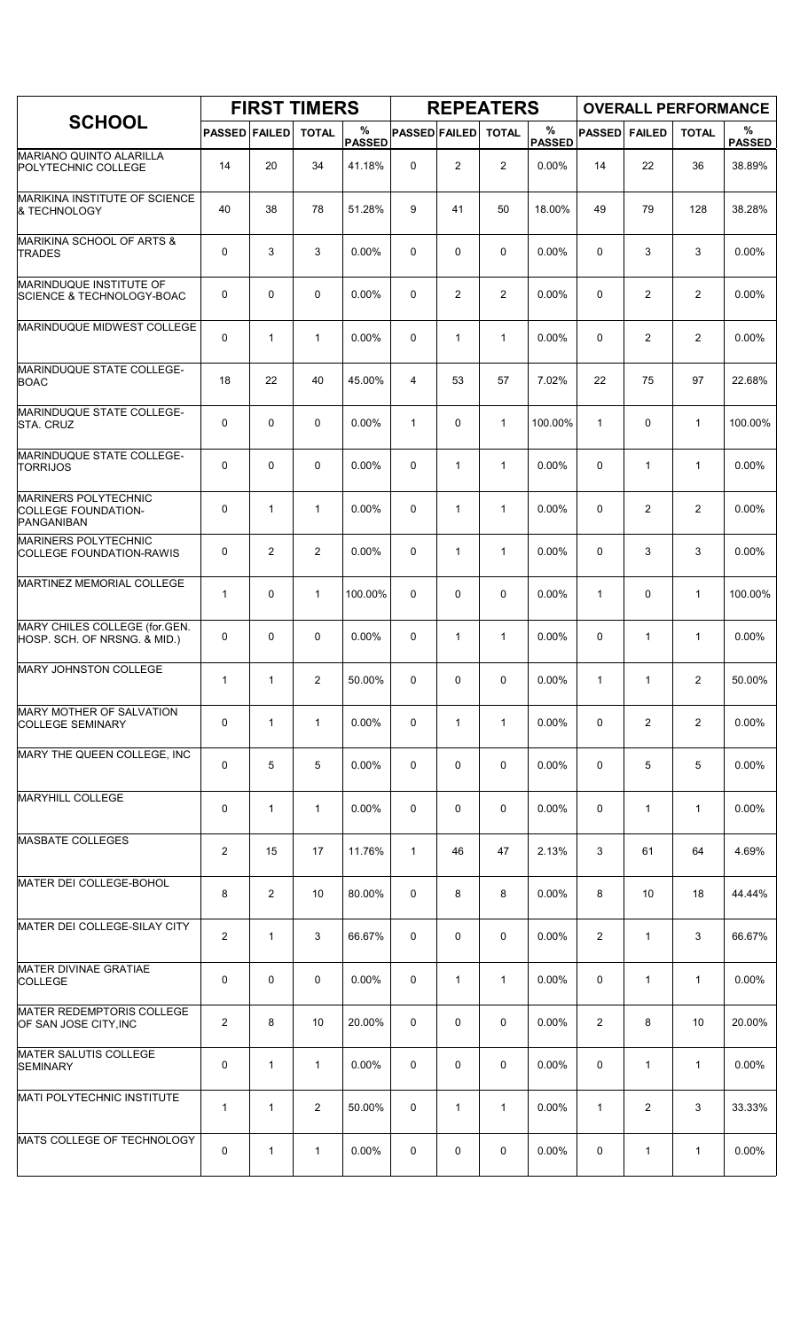|                                                                         |                      |                | <b>FIRST TIMERS</b> |                    |                      |                | <b>REPEATERS</b> |                    |                |                | <b>OVERALL PERFORMANCE</b> |                    |
|-------------------------------------------------------------------------|----------------------|----------------|---------------------|--------------------|----------------------|----------------|------------------|--------------------|----------------|----------------|----------------------------|--------------------|
| <b>SCHOOL</b>                                                           | <b>PASSED FAILED</b> |                | <b>TOTAL</b>        | %<br><b>PASSED</b> | <b>PASSED FAILED</b> |                | <b>TOTAL</b>     | %<br><b>PASSED</b> | <b>PASSED</b>  | <b>FAILED</b>  | <b>TOTAL</b>               | %<br><b>PASSED</b> |
| MARIANO QUINTO ALARILLA<br>POLYTECHNIC COLLEGE                          | 14                   | 20             | 34                  | 41.18%             | 0                    | $\overline{2}$ | $\overline{2}$   | 0.00%              | 14             | 22             | 36                         | 38.89%             |
| MARIKINA INSTITUTE OF SCIENCE<br>& TECHNOLOGY                           | 40                   | 38             | 78                  | 51.28%             | 9                    | 41             | 50               | 18.00%             | 49             | 79             | 128                        | 38.28%             |
| MARIKINA SCHOOL OF ARTS &<br><b>TRADES</b>                              | 0                    | 3              | 3                   | 0.00%              | $\mathbf 0$          | 0              | 0                | 0.00%              | $\Omega$       | 3              | 3                          | 0.00%              |
| MARINDUQUE INSTITUTE OF<br><b>SCIENCE &amp; TECHNOLOGY-BOAC</b>         | 0                    | $\mathbf 0$    | $\mathbf 0$         | 0.00%              | 0                    | $\overline{2}$ | $\overline{2}$   | 0.00%              | $\mathbf 0$    | $\overline{c}$ | $\overline{2}$             | 0.00%              |
| MARINDUQUE MIDWEST COLLEGE                                              | 0                    | 1              | $\mathbf{1}$        | 0.00%              | 0                    | $\mathbf{1}$   | $\mathbf{1}$     | 0.00%              | $\mathbf 0$    | $\overline{2}$ | $\overline{2}$             | 0.00%              |
| MARINDUQUE STATE COLLEGE-<br><b>BOAC</b>                                | 18                   | 22             | 40                  | 45.00%             | 4                    | 53             | 57               | 7.02%              | 22             | 75             | 97                         | 22.68%             |
| MARINDUQUE STATE COLLEGE-<br>STA. CRUZ                                  | 0                    | 0              | $\mathbf 0$         | 0.00%              | $\mathbf{1}$         | $\mathbf 0$    | $\mathbf{1}$     | 100.00%            | $\mathbf{1}$   | 0              | $\mathbf{1}$               | 100.00%            |
| MARINDUQUE STATE COLLEGE-<br><b>TORRIJOS</b>                            | 0                    | $\Omega$       | $\mathbf 0$         | 0.00%              | $\Omega$             | $\mathbf{1}$   | $\mathbf{1}$     | 0.00%              | $\Omega$       | $\mathbf{1}$   | $\mathbf{1}$               | 0.00%              |
| <b>MARINERS POLYTECHNIC</b><br><b>COLLEGE FOUNDATION-</b><br>PANGANIBAN | 0                    | $\mathbf{1}$   | $\mathbf{1}$        | 0.00%              | 0                    | $\mathbf{1}$   | $\mathbf{1}$     | 0.00%              | 0              | 2              | $\overline{2}$             | 0.00%              |
| MARINERS POLYTECHNIC<br><b>COLLEGE FOUNDATION-RAWIS</b>                 | 0                    | 2              | $\overline{2}$      | 0.00%              | 0                    | $\mathbf{1}$   | $\mathbf{1}$     | 0.00%              | 0              | 3              | 3                          | $0.00\%$           |
| MARTINEZ MEMORIAL COLLEGE                                               | $\mathbf{1}$         | $\mathbf 0$    | $\mathbf{1}$        | 100.00%            | $\Omega$             | 0              | $\mathbf 0$      | 0.00%              | $\mathbf{1}$   | 0              | $\mathbf{1}$               | 100.00%            |
| MARY CHILES COLLEGE (for.GEN.<br>HOSP. SCH. OF NRSNG. & MID.)           | 0                    | 0              | $\mathbf 0$         | 0.00%              | 0                    | $\mathbf{1}$   | $\mathbf{1}$     | 0.00%              | 0              | $\mathbf{1}$   | $\mathbf{1}$               | 0.00%              |
| <b>MARY JOHNSTON COLLEGE</b>                                            | $\mathbf{1}$         | 1              | $\overline{2}$      | 50.00%             | 0                    | 0              | 0                | 0.00%              | $\mathbf{1}$   | $\mathbf{1}$   | $\overline{2}$             | 50.00%             |
| <b>MARY MOTHER OF SALVATION</b><br><b>COLLEGE SEMINARY</b>              | 0                    | $\mathbf{1}$   | $\mathbf{1}$        | 0.00%              | 0                    | $\mathbf{1}$   | $\mathbf{1}$     | 0.00%              | 0              | 2              | $\overline{2}$             | 0.00%              |
| MARY THE QUEEN COLLEGE, INC                                             | 0                    | 5              | 5                   | $0.00\%$           | 0                    | 0              | 0                | $0.00\%$           | 0              | 5              | 5                          | $0.00\%$           |
| <b>MARYHILL COLLEGE</b>                                                 | 0                    | $\mathbf{1}$   | $\mathbf{1}$        | $0.00\%$           | 0                    | 0              | 0                | $0.00\%$           | 0              | $\mathbf{1}$   | $\mathbf{1}$               | 0.00%              |
| <b>MASBATE COLLEGES</b>                                                 | $\overline{c}$       | 15             | 17                  | 11.76%             | $\mathbf{1}$         | 46             | 47               | 2.13%              | 3              | 61             | 64                         | 4.69%              |
| MATER DEI COLLEGE-BOHOL                                                 | 8                    | $\overline{2}$ | 10                  | 80.00%             | 0                    | 8              | 8                | 0.00%              | 8              | 10             | 18                         | 44.44%             |
| MATER DEI COLLEGE-SILAY CITY                                            | $\overline{2}$       | $\mathbf{1}$   | 3                   | 66.67%             | 0                    | 0              | 0                | 0.00%              | $\overline{2}$ | $\mathbf{1}$   | 3                          | 66.67%             |
| <b>MATER DIVINAE GRATIAE</b><br><b>COLLEGE</b>                          | 0                    | $\mathbf 0$    | $\mathbf 0$         | $0.00\%$           | 0                    | $\mathbf{1}$   | $\mathbf{1}$     | $0.00\%$           | 0              | $\mathbf{1}$   | $\mathbf{1}$               | $0.00\%$           |
| <b>MATER REDEMPTORIS COLLEGE</b><br>OF SAN JOSE CITY, INC               | $\overline{c}$       | 8              | 10                  | 20.00%             | 0                    | 0              | 0                | $0.00\%$           | $\overline{2}$ | 8              | 10                         | 20.00%             |
| <b>MATER SALUTIS COLLEGE</b><br><b>SEMINARY</b>                         | 0                    | $\mathbf{1}$   | $\mathbf{1}$        | 0.00%              | 0                    | 0              | 0                | 0.00%              | 0              | 1              | $\mathbf 1$                | 0.00%              |
| MATI POLYTECHNIC INSTITUTE                                              | $\mathbf{1}$         | $\mathbf{1}$   | $\overline{2}$      | 50.00%             | 0                    | $\mathbf{1}$   | $\mathbf{1}$     | $0.00\%$           | $\mathbf{1}$   | $\overline{2}$ | 3                          | 33.33%             |
| MATS COLLEGE OF TECHNOLOGY                                              | 0                    | 1              | 1                   | 0.00%              | 0                    | 0              | 0                | 0.00%              | 0              | $\mathbf{1}$   | $\mathbf{1}$               | 0.00%              |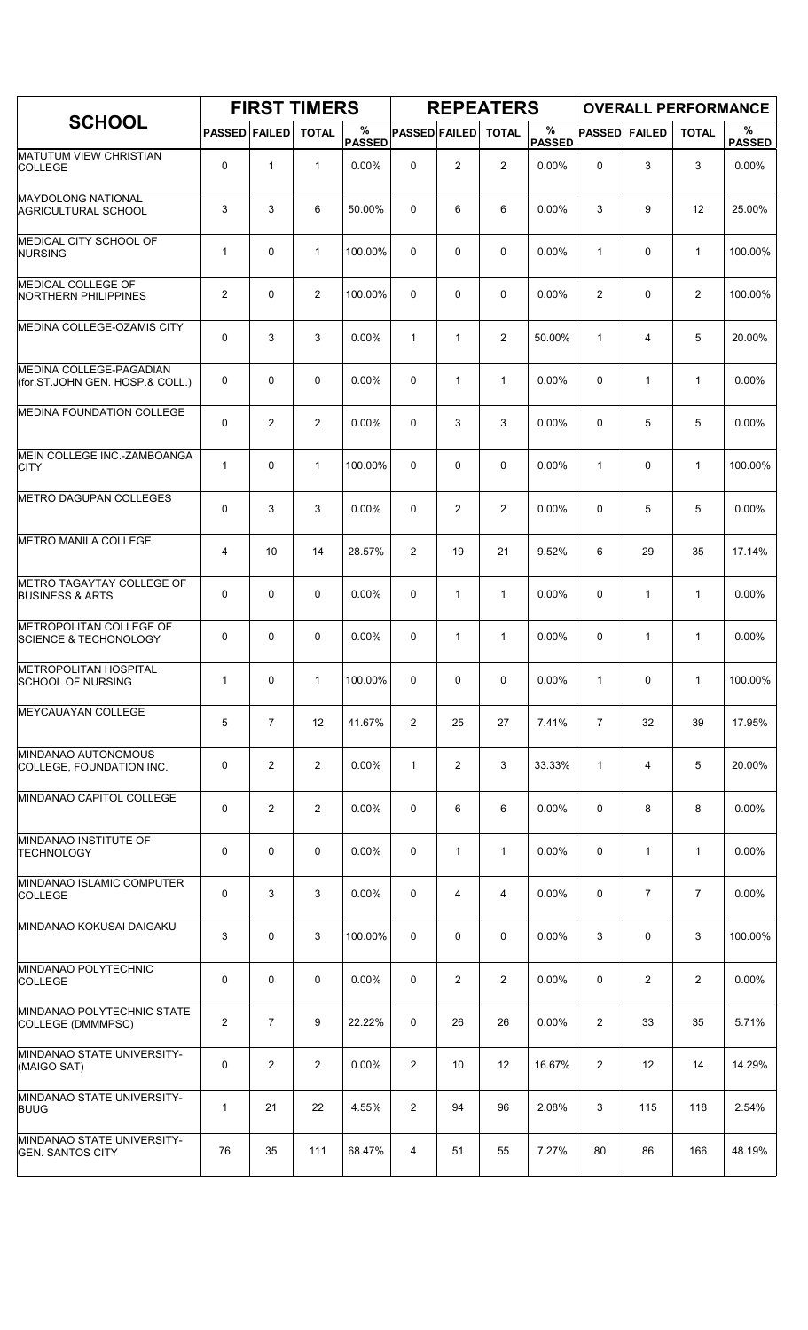|                                                             |                         |                | <b>FIRST TIMERS</b> |                    |                      |                | <b>REPEATERS</b> |                    |                |                | <b>OVERALL PERFORMANCE</b> |                    |
|-------------------------------------------------------------|-------------------------|----------------|---------------------|--------------------|----------------------|----------------|------------------|--------------------|----------------|----------------|----------------------------|--------------------|
| <b>SCHOOL</b>                                               | <b>PASSED FAILED</b>    |                | <b>TOTAL</b>        | %<br><b>PASSED</b> | <b>PASSED FAILED</b> |                | <b>TOTAL</b>     | %<br><b>PASSED</b> | <b>PASSED</b>  | <b>FAILED</b>  | <b>TOTAL</b>               | %<br><b>PASSED</b> |
| <b>MATUTUM VIEW CHRISTIAN</b><br><b>COLLEGE</b>             | 0                       | 1              | $\mathbf{1}$        | 0.00%              | $\mathbf 0$          | $\overline{c}$ | $\overline{2}$   | 0.00%              | 0              | 3              | 3                          | 0.00%              |
| <b>MAYDOLONG NATIONAL</b><br><b>AGRICULTURAL SCHOOL</b>     | 3                       | 3              | 6                   | 50.00%             | 0                    | 6              | 6                | 0.00%              | 3              | 9              | 12                         | 25.00%             |
| MEDICAL CITY SCHOOL OF<br><b>NURSING</b>                    | $\mathbf{1}$            | $\mathbf 0$    | $\mathbf{1}$        | 100.00%            | 0                    | 0              | $\mathbf 0$      | 0.00%              | $\mathbf{1}$   | $\pmb{0}$      | $\mathbf{1}$               | 100.00%            |
| MEDICAL COLLEGE OF<br><b>NORTHERN PHILIPPINES</b>           | $\overline{\mathbf{c}}$ | 0              | $\overline{2}$      | 100.00%            | $\Omega$             | 0              | $\mathbf 0$      | 0.00%              | $\overline{c}$ | 0              | $\overline{2}$             | 100.00%            |
| MEDINA COLLEGE-OZAMIS CITY                                  | 0                       | 3              | 3                   | 0.00%              | $\mathbf{1}$         | $\mathbf{1}$   | $\overline{2}$   | 50.00%             | 1              | 4              | 5                          | 20.00%             |
| MEDINA COLLEGE-PAGADIAN<br>(for.ST.JOHN GEN. HOSP.& COLL.)  | 0                       | $\mathbf 0$    | $\mathbf 0$         | 0.00%              | 0                    | $\mathbf{1}$   | $\mathbf{1}$     | 0.00%              | 0              | 1              | $\mathbf{1}$               | 0.00%              |
| <b>MEDINA FOUNDATION COLLEGE</b>                            | 0                       | 2              | 2                   | 0.00%              | 0                    | 3              | 3                | 0.00%              | 0              | 5              | 5                          | 0.00%              |
| MEIN COLLEGE INC.-ZAMBOANGA<br><b>CITY</b>                  | $\mathbf{1}$            | $\mathbf 0$    | $\mathbf{1}$        | 100.00%            | $\mathbf 0$          | 0              | 0                | 0.00%              | $\mathbf{1}$   | $\mathbf 0$    | $\mathbf{1}$               | 100.00%            |
| <b>METRO DAGUPAN COLLEGES</b>                               | 0                       | 3              | 3                   | 0.00%              | 0                    | $\overline{2}$ | $\overline{2}$   | 0.00%              | 0              | 5              | 5                          | 0.00%              |
| <b>METRO MANILA COLLEGE</b>                                 | 4                       | 10             | 14                  | 28.57%             | 2                    | 19             | 21               | 9.52%              | 6              | 29             | 35                         | 17.14%             |
| METRO TAGAYTAY COLLEGE OF<br><b>BUSINESS &amp; ARTS</b>     | 0                       | $\mathbf 0$    | $\mathbf 0$         | 0.00%              | $\mathbf 0$          | $\mathbf{1}$   | $\mathbf{1}$     | 0.00%              | 0              | $\mathbf{1}$   | $\mathbf{1}$               | 0.00%              |
| METROPOLITAN COLLEGE OF<br><b>SCIENCE &amp; TECHONOLOGY</b> | 0                       | $\mathbf 0$    | $\mathbf 0$         | 0.00%              | 0                    | $\mathbf{1}$   | 1                | 0.00%              | 0              | $\mathbf{1}$   | $\mathbf{1}$               | 0.00%              |
| <b>METROPOLITAN HOSPITAL</b><br><b>SCHOOL OF NURSING</b>    | $\mathbf{1}$            | 0              | $\mathbf{1}$        | 100.00%            | 0                    | 0              | 0                | 0.00%              | $\mathbf{1}$   | 0              | $\mathbf{1}$               | 100.00%            |
| <b>MEYCAUAYAN COLLEGE</b>                                   | 5                       | $\overline{7}$ | 12                  | 41.67%             | $\overline{2}$       | 25             | 27               | 7.41%              | $\overline{7}$ | 32             | 39                         | 17.95%             |
| MINDANAO AUTONOMOUS<br>COLLEGE, FOUNDATION INC.             | 0                       | 2              | $\overline{2}$      | $0.00\%$           | $\mathbf{1}$         | $\overline{2}$ | 3                | 33.33%             | $\mathbf{1}$   | 4              | 5                          | 20.00%             |
| MINDANAO CAPITOL COLLEGE                                    | 0                       | $\overline{2}$ | $\overline{2}$      | $0.00\%$           | 0                    | 6              | 6                | 0.00%              | 0              | 8              | 8                          | $0.00\%$           |
| MINDANAO INSTITUTE OF<br><b>TECHNOLOGY</b>                  | 0                       | 0              | 0                   | 0.00%              | 0                    | 1              | 1                | 0.00%              | 0              | 1              | $\mathbf{1}$               | 0.00%              |
| MINDANAO ISLAMIC COMPUTER<br><b>COLLEGE</b>                 | 0                       | 3              | 3                   | 0.00%              | 0                    | 4              | 4                | $0.00\%$           | 0              | $\overline{7}$ | $\overline{7}$             | 0.00%              |
| MINDANAO KOKUSAI DAIGAKU                                    | 3                       | 0              | 3                   | 100.00%            | 0                    | 0              | 0                | 0.00%              | 3              | $\mathbf 0$    | 3                          | 100.00%            |
| MINDANAO POLYTECHNIC<br><b>COLLEGE</b>                      | 0                       | 0              | $\mathbf 0$         | 0.00%              | 0                    | 2              | $\overline{2}$   | 0.00%              | 0              | 2              | $\overline{2}$             | 0.00%              |
| MINDANAO POLYTECHNIC STATE<br>COLLEGE (DMMMPSC)             | $\overline{2}$          | $\overline{7}$ | 9                   | 22.22%             | 0                    | 26             | 26               | 0.00%              | $\overline{2}$ | 33             | 35                         | 5.71%              |
| MINDANAO STATE UNIVERSITY-<br>(MAIGO SAT)                   | 0                       | $\overline{2}$ | $\overline{2}$      | 0.00%              | $\overline{2}$       | 10             | 12               | 16.67%             | 2              | 12             | 14                         | 14.29%             |
| MINDANAO STATE UNIVERSITY-<br><b>BUUG</b>                   | $\mathbf{1}$            | 21             | 22                  | 4.55%              | $\overline{2}$       | 94             | 96               | 2.08%              | 3              | 115            | 118                        | 2.54%              |
| MINDANAO STATE UNIVERSITY-<br><b>GEN. SANTOS CITY</b>       | 76                      | 35             | 111                 | 68.47%             | 4                    | 51             | 55               | 7.27%              | 80             | 86             | 166                        | 48.19%             |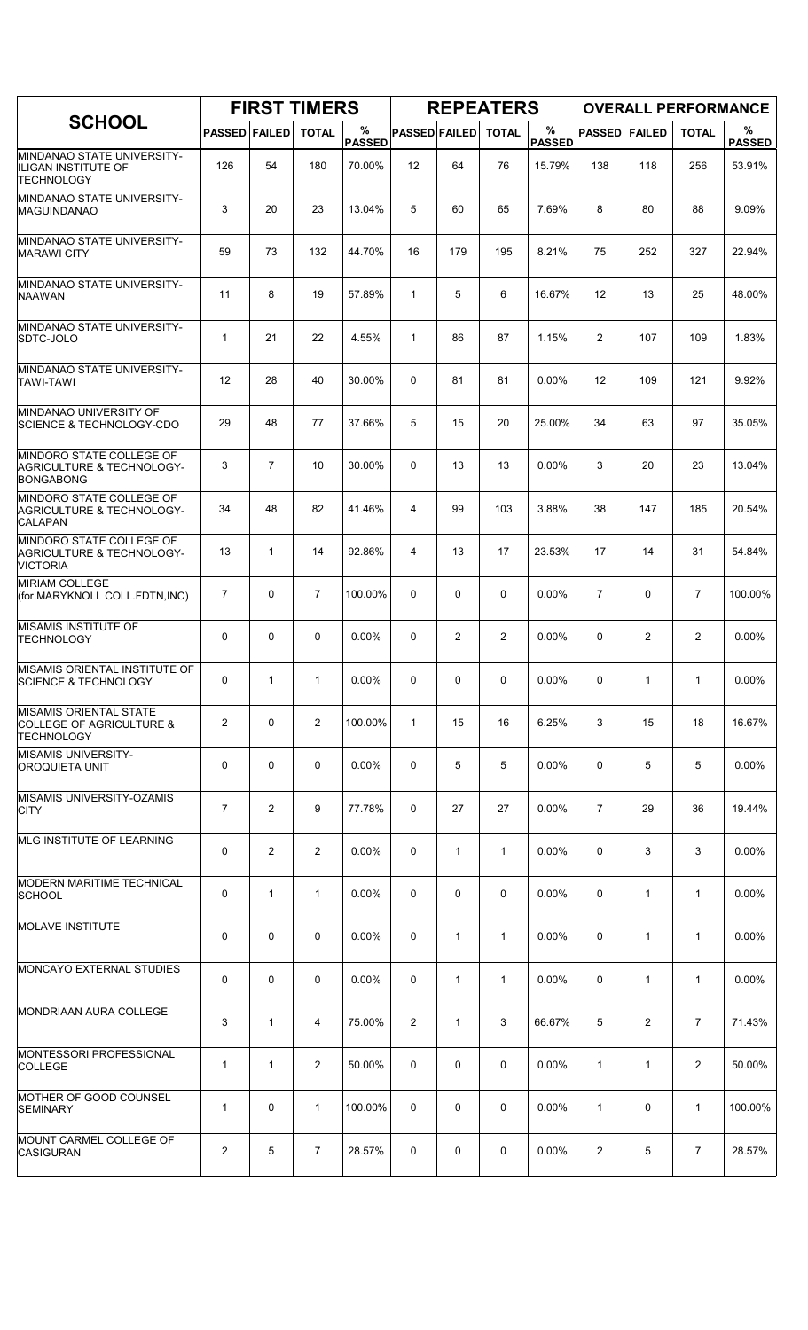|                                                                                      |                      |                | <b>FIRST TIMERS</b> |                    |                      |                | <b>REPEATERS</b> |                       |                |                | <b>OVERALL PERFORMANCE</b> |                    |
|--------------------------------------------------------------------------------------|----------------------|----------------|---------------------|--------------------|----------------------|----------------|------------------|-----------------------|----------------|----------------|----------------------------|--------------------|
| <b>SCHOOL</b>                                                                        | <b>PASSED FAILED</b> |                | <b>TOTAL</b>        | %<br><b>PASSED</b> | <b>PASSED FAILED</b> |                | <b>TOTAL</b>     | $\%$<br><b>PASSED</b> | <b>PASSED</b>  | <b>FAILED</b>  | <b>TOTAL</b>               | %<br><b>PASSED</b> |
| MINDANAO STATE UNIVERSITY-<br>IILIGAN INSTITUTE OF<br><b>TECHNOLOGY</b>              | 126                  | 54             | 180                 | 70.00%             | 12                   | 64             | 76               | 15.79%                | 138            | 118            | 256                        | 53.91%             |
| MINDANAO STATE UNIVERSITY-<br><b>MAGUINDANAO</b>                                     | 3                    | 20             | 23                  | 13.04%             | 5                    | 60             | 65               | 7.69%                 | 8              | 80             | 88                         | 9.09%              |
| <b>MINDANAO STATE UNIVERSITY-</b><br><b>MARAWI CITY</b>                              | 59                   | 73             | 132                 | 44.70%             | 16                   | 179            | 195              | 8.21%                 | 75             | 252            | 327                        | 22.94%             |
| MINDANAO STATE UNIVERSITY-<br><b>NAAWAN</b>                                          | 11                   | 8              | 19                  | 57.89%             | $\mathbf{1}$         | 5              | 6                | 16.67%                | 12             | 13             | 25                         | 48.00%             |
| MINDANAO STATE UNIVERSITY-<br>SDTC-JOLO                                              | $\mathbf{1}$         | 21             | 22                  | 4.55%              | $\mathbf{1}$         | 86             | 87               | 1.15%                 | $\overline{2}$ | 107            | 109                        | 1.83%              |
| MINDANAO STATE UNIVERSITY-<br><b>TAWI-TAWI</b>                                       | 12                   | 28             | 40                  | 30.00%             | $\Omega$             | 81             | 81               | 0.00%                 | 12             | 109            | 121                        | 9.92%              |
| MINDANAO UNIVERSITY OF<br><b>SCIENCE &amp; TECHNOLOGY-CDO</b>                        | 29                   | 48             | 77                  | 37.66%             | 5                    | 15             | 20               | 25.00%                | 34             | 63             | 97                         | 35.05%             |
| MINDORO STATE COLLEGE OF<br><b>AGRICULTURE &amp; TECHNOLOGY-</b><br><b>BONGABONG</b> | 3                    | $\overline{7}$ | 10                  | 30.00%             | $\Omega$             | 13             | 13               | $0.00\%$              | 3              | 20             | 23                         | 13.04%             |
| MINDORO STATE COLLEGE OF<br><b>AGRICULTURE &amp; TECHNOLOGY-</b><br><b>CALAPAN</b>   | 34                   | 48             | 82                  | 41.46%             | 4                    | 99             | 103              | 3.88%                 | 38             | 147            | 185                        | 20.54%             |
| MINDORO STATE COLLEGE OF<br><b>AGRICULTURE &amp; TECHNOLOGY-</b><br><b>VICTORIA</b>  | 13                   | 1              | 14                  | 92.86%             | 4                    | 13             | 17               | 23.53%                | 17             | 14             | 31                         | 54.84%             |
| <b>MIRIAM COLLEGE</b><br>(for.MARYKNOLL COLL.FDTN,INC)                               | $\overline{7}$       | 0              | $\overline{7}$      | 100.00%            | $\Omega$             | 0              | 0                | 0.00%                 | $\overline{7}$ | $\mathbf 0$    | $\overline{7}$             | 100.00%            |
| MISAMIS INSTITUTE OF<br>TECHNOLOGY                                                   | 0                    | 0              | 0                   | 0.00%              | 0                    | $\overline{2}$ | $\overline{c}$   | 0.00%                 | 0              | $\overline{2}$ | $\overline{2}$             | 0.00%              |
| MISAMIS ORIENTAL INSTITUTE OF<br><b>SCIENCE &amp; TECHNOLOGY</b>                     | 0                    | 1              | 1                   | 0.00%              | 0                    | 0              | 0                | 0.00%                 | 0              | 1              | $\mathbf{1}$               | 0.00%              |
| <b>MISAMIS ORIENTAL STATE</b><br>COLLEGE OF AGRICULTURE &<br><b>TECHNOLOGY</b>       | 2                    | 0              | $\overline{2}$      | 100.00%            | $\mathbf{1}$         | 15             | 16               | 6.25%                 | 3              | 15             | 18                         | 16.67%             |
| <b>MISAMIS UNIVERSITY-</b><br>OROQUIETA UNIT                                         | 0                    | 0              | 0                   | 0.00%              | 0                    | 5              | 5                | 0.00%                 | 0              | 5              | 5                          | 0.00%              |
| MISAMIS UNIVERSITY-OZAMIS<br><b>CITY</b>                                             | 7                    | 2              | 9                   | 77.78%             | $\mathbf{0}$         | 27             | 27               | 0.00%                 | $\overline{7}$ | 29             | 36                         | 19.44%             |
| <b>IMLG INSTITUTE OF LEARNING</b>                                                    | 0                    | 2              | 2                   | $0.00\%$           | 0                    | $\mathbf{1}$   | $\mathbf{1}$     | $0.00\%$              | 0              | 3              | 3                          | $0.00\%$           |
| <b>MODERN MARITIME TECHNICAL</b><br><b>SCHOOL</b>                                    | 0                    | $\mathbf{1}$   | $\mathbf{1}$        | 0.00%              | 0                    | 0              | 0                | 0.00%                 | 0              | $\mathbf{1}$   | $\mathbf{1}$               | 0.00%              |
| <b>MOLAVE INSTITUTE</b>                                                              | 0                    | 0              | 0                   | 0.00%              | 0                    | $\mathbf{1}$   | 1                | 0.00%                 | 0              | $\mathbf{1}$   | $\mathbf{1}$               | 0.00%              |
| <b>MONCAYO EXTERNAL STUDIES</b>                                                      | 0                    | 0              | 0                   | $0.00\%$           | 0                    | $\mathbf{1}$   | 1                | $0.00\%$              | 0              | 1              | $\mathbf{1}$               | $0.00\%$           |
| MONDRIAAN AURA COLLEGE                                                               | 3                    | $\mathbf{1}$   | 4                   | 75.00%             | 2                    | $\mathbf{1}$   | 3                | 66.67%                | 5              | 2              | $\overline{7}$             | 71.43%             |
| MONTESSORI PROFESSIONAL<br><b>COLLEGE</b>                                            | $\mathbf{1}$         | $\mathbf{1}$   | $\overline{2}$      | 50.00%             | 0                    | 0              | 0                | $0.00\%$              | $\mathbf{1}$   | 1              | $\overline{2}$             | 50.00%             |
| MOTHER OF GOOD COUNSEL<br><b>SEMINARY</b>                                            | $\mathbf{1}$         | 0              | $\mathbf{1}$        | 100.00%            | 0                    | 0              | 0                | 0.00%                 | $\mathbf{1}$   | $\mathbf 0$    | $\mathbf{1}$               | 100.00%            |
| MOUNT CARMEL COLLEGE OF<br><b>CASIGURAN</b>                                          | 2                    | 5              | 7                   | 28.57%             | 0                    | 0              | 0                | $0.00\%$              | 2              | 5              | 7                          | 28.57%             |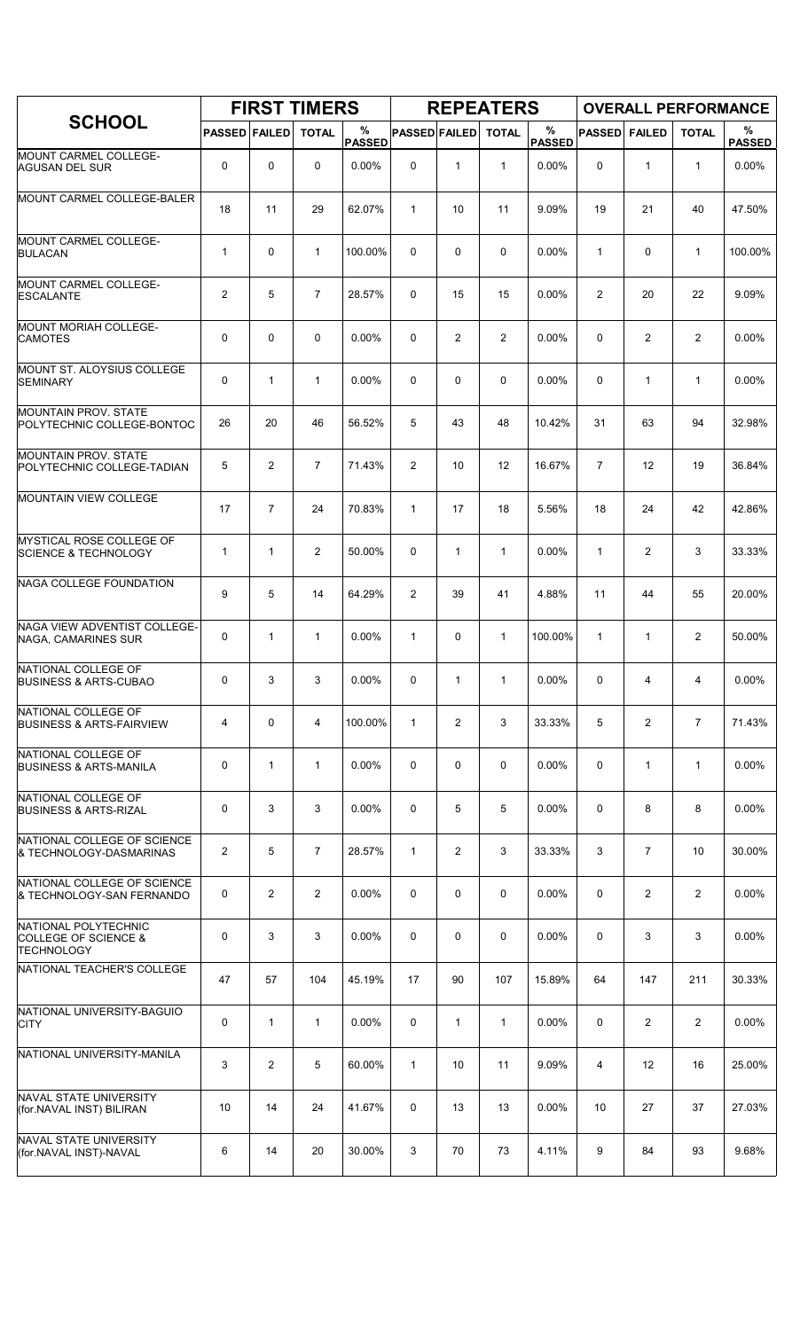|                                                                                     |                      |                | <b>FIRST TIMERS</b> |                    |                      |                | <b>REPEATERS</b> |                       |                |                   | <b>OVERALL PERFORMANCE</b> |                    |
|-------------------------------------------------------------------------------------|----------------------|----------------|---------------------|--------------------|----------------------|----------------|------------------|-----------------------|----------------|-------------------|----------------------------|--------------------|
| <b>SCHOOL</b>                                                                       | <b>PASSED FAILED</b> |                | <b>TOTAL</b>        | %<br><b>PASSED</b> | <b>PASSED FAILED</b> |                | <b>TOTAL</b>     | $\%$<br><b>PASSED</b> | <b>PASSED</b>  | <b>FAILED</b>     | <b>TOTAL</b>               | %<br><b>PASSED</b> |
| MOUNT CARMEL COLLEGE-<br><b>AGUSAN DEL SUR</b>                                      | 0                    | 0              | $\mathbf 0$         | $0.00\%$           | 0                    | $\mathbf{1}$   | $\mathbf{1}$     | 0.00%                 | $\mathbf 0$    | $\mathbf{1}$      | $\mathbf{1}$               | $0.00\%$           |
| MOUNT CARMEL COLLEGE-BALER                                                          | 18                   | 11             | 29                  | 62.07%             | $\mathbf{1}$         | 10             | 11               | 9.09%                 | 19             | 21                | 40                         | 47.50%             |
| MOUNT CARMEL COLLEGE-<br><b>BULACAN</b>                                             | $\mathbf{1}$         | $\mathbf 0$    | $\mathbf{1}$        | 100.00%            | $\Omega$             | 0              | 0                | 0.00%                 | $\mathbf{1}$   | 0                 | $\mathbf{1}$               | 100.00%            |
| <b>MOUNT CARMEL COLLEGE-</b><br><b>ESCALANTE</b>                                    | 2                    | 5              | $\overline{7}$      | 28.57%             | 0                    | 15             | 15               | 0.00%                 | $\overline{2}$ | 20                | 22                         | 9.09%              |
| MOUNT MORIAH COLLEGE-<br><b>CAMOTES</b>                                             | 0                    | 0              | $\mathbf 0$         | 0.00%              | $\Omega$             | $\overline{2}$ | $\overline{2}$   | 0.00%                 | 0              | $\overline{2}$    | $\overline{2}$             | 0.00%              |
| MOUNT ST. ALOYSIUS COLLEGE<br><b>SEMINARY</b>                                       | 0                    | 1              | $\mathbf{1}$        | 0.00%              | 0                    | 0              | $\mathbf 0$      | 0.00%                 | 0              | $\mathbf{1}$      | $\mathbf{1}$               | 0.00%              |
| <b>MOUNTAIN PROV. STATE</b><br>POLYTECHNIC COLLEGE-BONTOC                           | 26                   | 20             | 46                  | 56.52%             | 5                    | 43             | 48               | 10.42%                | 31             | 63                | 94                         | 32.98%             |
| <b>MOUNTAIN PROV. STATE</b><br>POLYTECHNIC COLLEGE-TADIAN                           | 5                    | $\overline{2}$ | $\overline{7}$      | 71.43%             | $\overline{2}$       | 10             | 12               | 16.67%                | $\overline{7}$ | $12 \overline{ }$ | 19                         | 36.84%             |
| <b>MOUNTAIN VIEW COLLEGE</b>                                                        | 17                   | $\overline{7}$ | 24                  | 70.83%             | $\mathbf{1}$         | 17             | 18               | 5.56%                 | 18             | 24                | 42                         | 42.86%             |
| MYSTICAL ROSE COLLEGE OF<br><b>SCIENCE &amp; TECHNOLOGY</b>                         | $\mathbf{1}$         | 1              | $\overline{2}$      | 50.00%             | 0                    | $\mathbf{1}$   | $\mathbf{1}$     | 0.00%                 | $\mathbf{1}$   | $\overline{2}$    | 3                          | 33.33%             |
| NAGA COLLEGE FOUNDATION                                                             | 9                    | 5              | 14                  | 64.29%             | $\overline{2}$       | 39             | 41               | 4.88%                 | 11             | 44                | 55                         | 20.00%             |
| NAGA VIEW ADVENTIST COLLEGE-<br>NAGA, CAMARINES SUR                                 | 0                    | 1              | $\mathbf{1}$        | 0.00%              | $\mathbf{1}$         | 0              | $\mathbf{1}$     | 100.00%               | $\mathbf{1}$   | $\mathbf{1}$      | 2                          | 50.00%             |
| NATIONAL COLLEGE OF<br><b>BUSINESS &amp; ARTS-CUBAO</b>                             | 0                    | 3              | 3                   | 0.00%              | 0                    | $\mathbf{1}$   | $\mathbf{1}$     | 0.00%                 | $\Omega$       | 4                 | $\overline{4}$             | $0.00\%$           |
| NATIONAL COLLEGE OF<br><b>BUSINESS &amp; ARTS-FAIRVIEW</b>                          | 4                    | 0              | 4                   | 100.00%            | $\mathbf{1}$         | $\overline{2}$ | 3                | 33.33%                | 5              | $\overline{2}$    | $\overline{7}$             | 71.43%             |
| NATIONAL COLLEGE OF<br><b>BUSINESS &amp; ARTS-MANILA</b>                            | 0                    | $\mathbf{1}$   | $\mathbf 1$         | 0.00%              | 0                    | 0              | 0                | 0.00%                 | $\mathbf 0$    | $\mathbf{1}$      | $\mathbf{1}$               | 0.00%              |
| NATIONAL COLLEGE OF<br><b>BUSINESS &amp; ARTS-RIZAL</b>                             | 0                    | 3              | 3                   | 0.00%              | 0                    | 5              | 5                | 0.00%                 | $\mathbf 0$    | 8                 | 8                          | 0.00%              |
| NATIONAL COLLEGE OF SCIENCE<br>& TECHNOLOGY-DASMARINAS                              | $\overline{2}$       | 5              | $\overline{7}$      | 28.57%             | $\mathbf{1}$         | $\overline{2}$ | 3                | 33.33%                | 3              | $\overline{7}$    | 10                         | 30.00%             |
| NATIONAL COLLEGE OF SCIENCE<br>& TECHNOLOGY-SAN FERNANDO                            | 0                    | $\overline{2}$ | $\overline{2}$      | 0.00%              | 0                    | $\mathbf 0$    | $\mathbf 0$      | 0.00%                 | $\mathbf 0$    | $\overline{2}$    | $\overline{2}$             | 0.00%              |
| <b>NATIONAL POLYTECHNIC</b><br><b>COLLEGE OF SCIENCE &amp;</b><br><b>TECHNOLOGY</b> | 0                    | 3              | 3                   | 0.00%              | 0                    | 0              | 0                | $0.00\%$              | $\mathbf 0$    | 3                 | 3                          | 0.00%              |
| NATIONAL TEACHER'S COLLEGE                                                          | 47                   | 57             | 104                 | 45.19%             | 17                   | 90             | 107              | 15.89%                | 64             | 147               | 211                        | 30.33%             |
| NATIONAL UNIVERSITY-BAGUIO<br><b>CITY</b>                                           | 0                    | $\mathbf{1}$   | $\mathbf{1}$        | 0.00%              | 0                    | $\mathbf{1}$   | $\mathbf{1}$     | 0.00%                 | 0              | 2                 | $\overline{2}$             | 0.00%              |
| NATIONAL UNIVERSITY-MANILA                                                          | 3                    | $\overline{2}$ | 5                   | 60.00%             | $\mathbf{1}$         | 10             | 11               | 9.09%                 | 4              | 12                | 16                         | 25.00%             |
| NAVAL STATE UNIVERSITY<br>(for.NAVAL INST) BILIRAN                                  | 10                   | 14             | 24                  | 41.67%             | 0                    | 13             | 13               | 0.00%                 | 10             | 27                | 37                         | 27.03%             |
| NAVAL STATE UNIVERSITY<br>(for.NAVAL INST)-NAVAL                                    | 6                    | 14             | 20                  | 30.00%             | 3                    | 70             | 73               | 4.11%                 | 9              | 84                | 93                         | 9.68%              |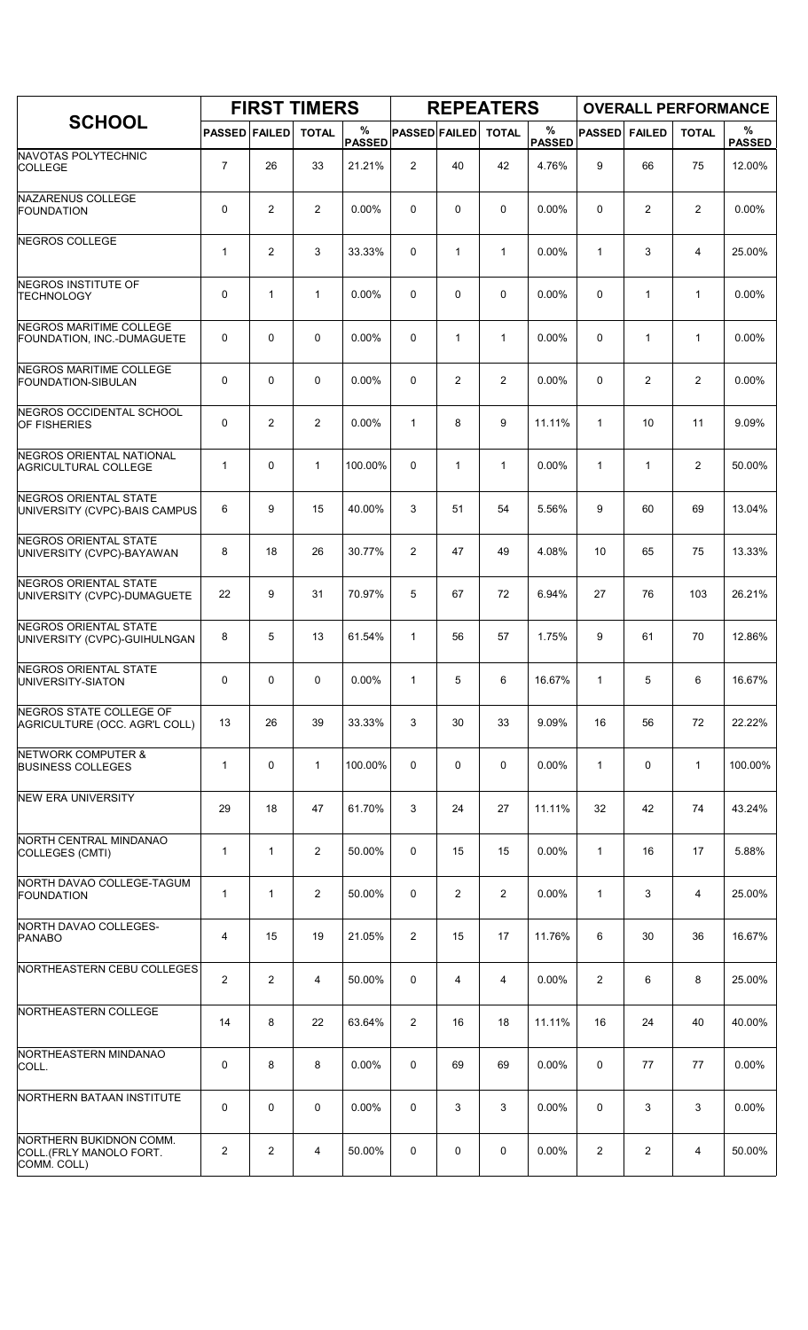|                                                                   |                      |                | <b>FIRST TIMERS</b> |                    |                      |              | <b>REPEATERS</b> |                    |               |                         | <b>OVERALL PERFORMANCE</b> |                    |
|-------------------------------------------------------------------|----------------------|----------------|---------------------|--------------------|----------------------|--------------|------------------|--------------------|---------------|-------------------------|----------------------------|--------------------|
| <b>SCHOOL</b>                                                     | <b>PASSED FAILED</b> |                | <b>TOTAL</b>        | %<br><b>PASSED</b> | <b>PASSED FAILED</b> |              | <b>TOTAL</b>     | %<br><b>PASSED</b> | <b>PASSED</b> | <b>FAILED</b>           | <b>TOTAL</b>               | %<br><b>PASSED</b> |
| NAVOTAS POLYTECHNIC<br><b>COLLEGE</b>                             | $\overline{7}$       | 26             | 33                  | 21.21%             | $\overline{2}$       | 40           | 42               | 4.76%              | 9             | 66                      | 75                         | 12.00%             |
| <b>NAZARENUS COLLEGE</b><br>FOUNDATION                            | 0                    | 2              | 2                   | $0.00\%$           | 0                    | 0            | $\mathbf 0$      | 0.00%              | $\mathbf 0$   | 2                       | $\overline{c}$             | 0.00%              |
| NEGROS COLLEGE                                                    | 1                    | $\overline{2}$ | 3                   | 33.33%             | 0                    | $\mathbf{1}$ | $\mathbf{1}$     | 0.00%              | $\mathbf{1}$  | 3                       | 4                          | 25.00%             |
| <b>NEGROS INSTITUTE OF</b><br><b>TECHNOLOGY</b>                   | 0                    | $\mathbf{1}$   | $\mathbf{1}$        | 0.00%              | 0                    | 0            | $\mathbf 0$      | 0.00%              | $\mathbf 0$   | $\mathbf{1}$            | $\mathbf{1}$               | 0.00%              |
| <b>NEGROS MARITIME COLLEGE</b><br>FOUNDATION, INC.-DUMAGUETE      | 0                    | $\mathbf 0$    | 0                   | $0.00\%$           | 0                    | $\mathbf{1}$ | $\mathbf{1}$     | 0.00%              | $\mathbf 0$   | $\mathbf{1}$            | $\mathbf{1}$               | 0.00%              |
| NEGROS MARITIME COLLEGE<br>FOUNDATION-SIBULAN                     | 0                    | 0              | 0                   | 0.00%              | 0                    | 2            | $\overline{2}$   | 0.00%              | $\mathbf 0$   | $\overline{2}$          | $\overline{c}$             | 0.00%              |
| <b>NEGROS OCCIDENTAL SCHOOL</b><br><b>OF FISHERIES</b>            | 0                    | 2              | $\overline{2}$      | 0.00%              | $\mathbf{1}$         | 8            | 9                | 11.11%             | $\mathbf{1}$  | 10                      | 11                         | 9.09%              |
| NEGROS ORIENTAL NATIONAL<br><b>AGRICULTURAL COLLEGE</b>           | 1                    | $\mathbf 0$    | $\mathbf{1}$        | 100.00%            | 0                    | $\mathbf{1}$ | $\mathbf{1}$     | 0.00%              | $\mathbf{1}$  | $\mathbf{1}$            | $\overline{2}$             | 50.00%             |
| <b>NEGROS ORIENTAL STATE</b><br>UNIVERSITY (CVPC)-BAIS CAMPUS     | 6                    | 9              | 15                  | 40.00%             | 3                    | 51           | 54               | 5.56%              | 9             | 60                      | 69                         | 13.04%             |
| NEGROS ORIENTAL STATE<br>UNIVERSITY (CVPC)-BAYAWAN                | 8                    | 18             | 26                  | 30.77%             | $\overline{2}$       | 47           | 49               | 4.08%              | 10            | 65                      | 75                         | 13.33%             |
| <b>NEGROS ORIENTAL STATE</b><br>UNIVERSITY (CVPC)-DUMAGUETE       | 22                   | 9              | 31                  | 70.97%             | 5                    | 67           | 72               | 6.94%              | 27            | 76                      | 103                        | 26.21%             |
| <b>NEGROS ORIENTAL STATE</b><br>UNIVERSITY (CVPC)-GUIHULNGAN      | 8                    | 5              | 13                  | 61.54%             | $\mathbf{1}$         | 56           | 57               | 1.75%              | 9             | 61                      | 70                         | 12.86%             |
| <b>NEGROS ORIENTAL STATE</b><br>UNIVERSITY-SIATON                 | 0                    | 0              | 0                   | 0.00%              | 1                    | 5            | 6                | 16.67%             | $\mathbf{1}$  | 5                       | 6                          | 16.67%             |
| <b>NEGROS STATE COLLEGE OF</b><br>AGRICULTURE (OCC. AGR'L COLL)   | 13                   | 26             | 39                  | 33.33%             | 3                    | 30           | 33               | 9.09%              | 16            | 56                      | 72                         | 22.22%             |
| NETWORK COMPUTER &<br><b>BUSINESS COLLEGES</b>                    | 1                    | $\mathbf 0$    | $\mathbf{1}$        | 100.00%            | 0                    | 0            | 0                | 0.00%              | $\mathbf{1}$  | 0                       | $\mathbf{1}$               | 100.00%            |
| <b>NEW ERA UNIVERSITY</b>                                         | 29                   | 18             | 47                  | 61.70%             | 3                    | 24           | 27               | 11.11%             | 32            | 42                      | 74                         | 43.24%             |
| NORTH CENTRAL MINDANAO<br>COLLEGES (CMTI)                         | 1                    | $\mathbf{1}$   | $\overline{2}$      | 50.00%             | 0                    | 15           | 15               | 0.00%              | 1             | 16                      | 17                         | 5.88%              |
| NORTH DAVAO COLLEGE-TAGUM<br><b>FOUNDATION</b>                    | 1                    | $\mathbf{1}$   | 2                   | 50.00%             | 0                    | 2            | $\overline{2}$   | 0.00%              | 1             | 3                       | 4                          | 25.00%             |
| NORTH DAVAO COLLEGES-<br>PANABO                                   | 4                    | 15             | 19                  | 21.05%             | $\overline{2}$       | 15           | 17               | 11.76%             | 6             | 30                      | 36                         | 16.67%             |
| NORTHEASTERN CEBU COLLEGES                                        | $\overline{c}$       | $\overline{2}$ | 4                   | 50.00%             | 0                    | 4            | 4                | 0.00%              | 2             | 6                       | 8                          | 25.00%             |
| NORTHEASTERN COLLEGE                                              | 14                   | 8              | 22                  | 63.64%             | 2                    | 16           | 18               | 11.11%             | 16            | 24                      | 40                         | 40.00%             |
| NORTHEASTERN MINDANAO<br>COLL.                                    | 0                    | 8              | 8                   | 0.00%              | 0                    | 69           | 69               | 0.00%              | 0             | 77                      | 77                         | 0.00%              |
| NORTHERN BATAAN INSTITUTE                                         | 0                    | 0              | $\mathbf 0$         | $0.00\%$           | 0                    | 3            | 3                | 0.00%              | 0             | 3                       | 3                          | 0.00%              |
| NORTHERN BUKIDNON COMM.<br>COLL.(FRLY MANOLO FORT.<br>COMM. COLL) | 2                    | $\overline{c}$ | 4                   | 50.00%             | 0                    | 0            | 0                | $0.00\%$           | 2             | $\overline{\mathbf{c}}$ | 4                          | 50.00%             |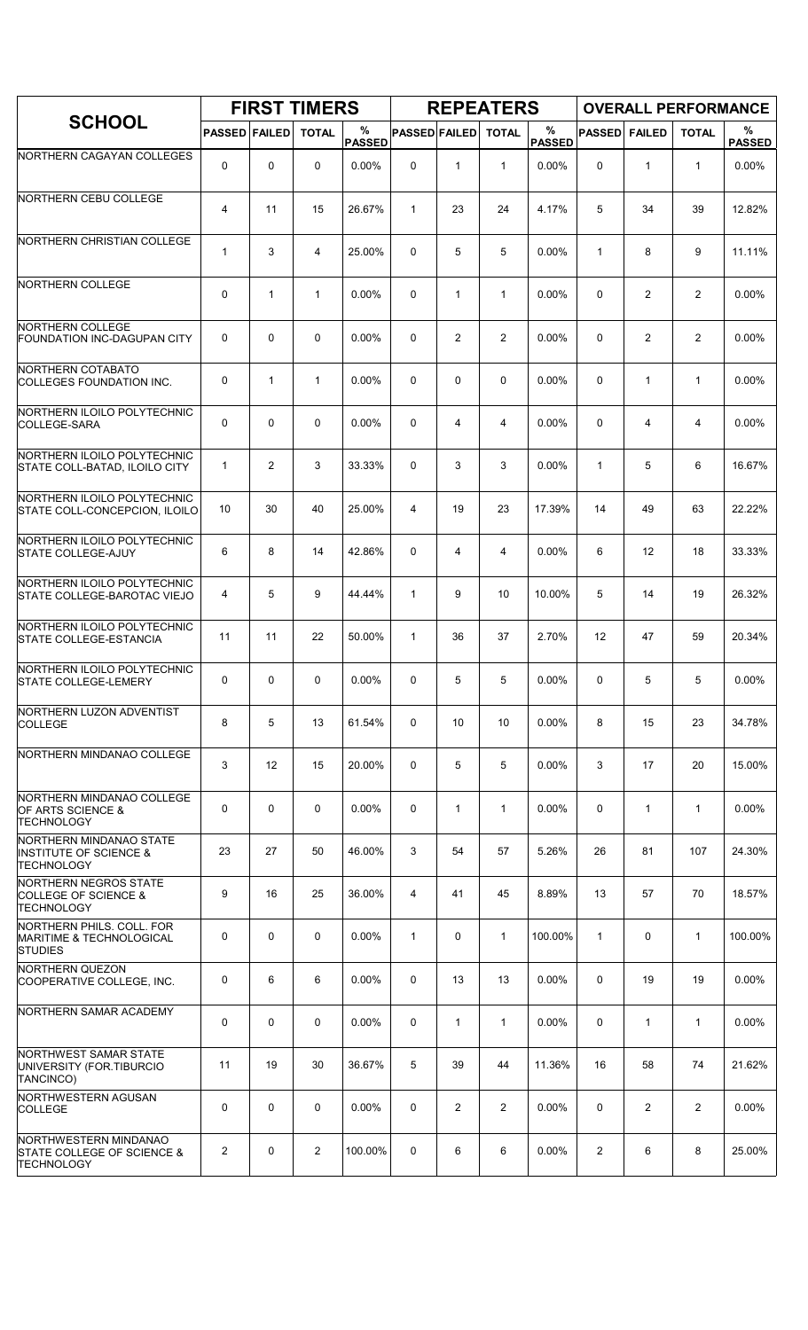|                                                                                     |                      |              | <b>FIRST TIMERS</b> |                    |                      |                | <b>REPEATERS</b> |                    |               |                | <b>OVERALL PERFORMANCE</b> |                    |
|-------------------------------------------------------------------------------------|----------------------|--------------|---------------------|--------------------|----------------------|----------------|------------------|--------------------|---------------|----------------|----------------------------|--------------------|
| <b>SCHOOL</b>                                                                       | <b>PASSED FAILED</b> |              | <b>TOTAL</b>        | %<br><b>PASSED</b> | <b>PASSED FAILED</b> |                | <b>TOTAL</b>     | %<br><b>PASSED</b> | <b>PASSED</b> | <b>FAILED</b>  | <b>TOTAL</b>               | %<br><b>PASSED</b> |
| NORTHERN CAGAYAN COLLEGES                                                           | 0                    | 0            | $\mathbf 0$         | 0.00%              | 0                    | $\mathbf{1}$   | $\mathbf{1}$     | 0.00%              | $\mathbf 0$   | $\mathbf{1}$   | $\mathbf{1}$               | 0.00%              |
| NORTHERN CEBU COLLEGE                                                               | 4                    | 11           | 15                  | 26.67%             | $\mathbf{1}$         | 23             | 24               | 4.17%              | 5             | 34             | 39                         | 12.82%             |
| NORTHERN CHRISTIAN COLLEGE                                                          | 1                    | 3            | 4                   | 25.00%             | 0                    | 5              | 5                | 0.00%              | $\mathbf{1}$  | 8              | 9                          | 11.11%             |
| NORTHERN COLLEGE                                                                    | 0                    | $\mathbf{1}$ | $\mathbf{1}$        | 0.00%              | 0                    | $\mathbf{1}$   | $\mathbf{1}$     | 0.00%              | $\mathbf 0$   | $\overline{2}$ | $\overline{c}$             | 0.00%              |
| NORTHERN COLLEGE<br><b>FOUNDATION INC-DAGUPAN CITY</b>                              | 0                    | $\mathbf 0$  | 0                   | $0.00\%$           | 0                    | $\overline{2}$ | $\overline{2}$   | 0.00%              | $\mathbf 0$   | 2              | 2                          | $0.00\%$           |
| NORTHERN COTABATO<br><b>COLLEGES FOUNDATION INC.</b>                                | 0                    | $\mathbf{1}$ | $\mathbf{1}$        | 0.00%              | 0                    | 0              | $\mathbf 0$      | 0.00%              | $\Omega$      | $\mathbf{1}$   | $\mathbf{1}$               | 0.00%              |
| NORTHERN ILOILO POLYTECHNIC<br>COLLEGE-SARA                                         | 0                    | $\mathbf 0$  | 0                   | 0.00%              | 0                    | 4              | $\overline{4}$   | 0.00%              | $\Omega$      | 4              | 4                          | 0.00%              |
| NORTHERN ILOILO POLYTECHNIC<br>STATE COLL-BATAD, ILOILO CITY                        | $\mathbf{1}$         | 2            | 3                   | 33.33%             | $\Omega$             | 3              | 3                | 0.00%              | $\mathbf{1}$  | 5              | 6                          | 16.67%             |
| NORTHERN ILOILO POLYTECHNIC<br>STATE COLL-CONCEPCION, ILOILO                        | 10                   | 30           | 40                  | 25.00%             | 4                    | 19             | 23               | 17.39%             | 14            | 49             | 63                         | 22.22%             |
| NORTHERN ILOILO POLYTECHNIC<br><b>STATE COLLEGE-AJUY</b>                            | 6                    | 8            | 14                  | 42.86%             | 0                    | 4              | $\overline{4}$   | 0.00%              | 6             | 12             | 18                         | 33.33%             |
| NORTHERN ILOILO POLYTECHNIC<br>STATE COLLEGE-BAROTAC VIEJO                          | 4                    | 5            | 9                   | 44.44%             | $\mathbf{1}$         | 9              | 10               | 10.00%             | 5             | 14             | 19                         | 26.32%             |
| NORTHERN ILOILO POLYTECHNIC<br><b>STATE COLLEGE-ESTANCIA</b>                        | 11                   | 11           | 22                  | 50.00%             | $\mathbf{1}$         | 36             | 37               | 2.70%              | 12            | 47             | 59                         | 20.34%             |
| NORTHERN ILOILO POLYTECHNIC<br>STATE COLLEGE-LEMERY                                 | 0                    | 0            | 0                   | 0.00%              | 0                    | 5              | 5                | 0.00%              | 0             | 5              | 5                          | $0.00\%$           |
| NORTHERN LUZON ADVENTIST<br><b>COLLEGE</b>                                          | 8                    | 5            | 13                  | 61.54%             | 0                    | 10             | 10               | 0.00%              | 8             | 15             | 23                         | 34.78%             |
| NORTHERN MINDANAO COLLEGE                                                           | 3                    | 12           | 15                  | 20.00%             | 0                    | 5              | 5                | 0.00%              | 3             | 17             | 20                         | 15.00%             |
| NORTHERN MINDANAO COLLEGE<br><b>OF ARTS SCIENCE &amp;</b><br><b>TECHNOLOGY</b>      | 0                    | $\mathbf 0$  | 0                   | $0.00\%$           | 0                    | 1              | $\mathbf{1}$     | $0.00\%$           | $\mathbf 0$   | 1              | $\mathbf{1}$               | $0.00\%$           |
| NORTHERN MINDANAO STATE<br><b>INSTITUTE OF SCIENCE &amp;</b><br><b>TECHNOLOGY</b>   | 23                   | 27           | 50                  | 46.00%             | 3                    | 54             | 57               | 5.26%              | 26            | 81             | 107                        | 24.30%             |
| NORTHERN NEGROS STATE<br>COLLEGE OF SCIENCE &<br><b>TECHNOLOGY</b>                  | 9                    | 16           | 25                  | 36.00%             | 4                    | 41             | 45               | 8.89%              | 13            | 57             | 70                         | 18.57%             |
| NORTHERN PHILS. COLL. FOR<br>MARITIME & TECHNOLOGICAL<br><b>STUDIES</b>             | 0                    | 0            | $\mathbf 0$         | $0.00\%$           | $\mathbf{1}$         | 0              | $\mathbf{1}$     | 100.00%            | $\mathbf{1}$  | 0              | $\mathbf{1}$               | 100.00%            |
| <b>NORTHERN QUEZON</b><br>COOPERATIVE COLLEGE, INC.                                 | 0                    | 6            | 6                   | 0.00%              | 0                    | 13             | 13               | $0.00\%$           | 0             | 19             | 19                         | 0.00%              |
| NORTHERN SAMAR ACADEMY                                                              | 0                    | $\mathbf 0$  | 0                   | $0.00\%$           | 0                    | $\mathbf{1}$   | $\mathbf{1}$     | 0.00%              | $\mathbf 0$   | $\mathbf{1}$   | $\mathbf{1}$               | 0.00%              |
| NORTHWEST SAMAR STATE<br>UNIVERSITY (FOR.TIBURCIO<br>TANCINCO)                      | 11                   | 19           | 30                  | 36.67%             | 5                    | 39             | 44               | 11.36%             | 16            | 58             | 74                         | 21.62%             |
| NORTHWESTERN AGUSAN<br><b>COLLEGE</b>                                               | 0                    | $\Omega$     | 0                   | 0.00%              | 0                    | $\overline{2}$ | $\overline{2}$   | 0.00%              | $\Omega$      | $\overline{2}$ | 2                          | 0.00%              |
| NORTHWESTERN MINDANAO<br><b>STATE COLLEGE OF SCIENCE &amp;</b><br><b>TECHNOLOGY</b> | 2                    | 0            | $\overline{2}$      | 100.00%            | 0                    | 6              | 6                | $0.00\%$           | 2             | 6              | 8                          | 25.00%             |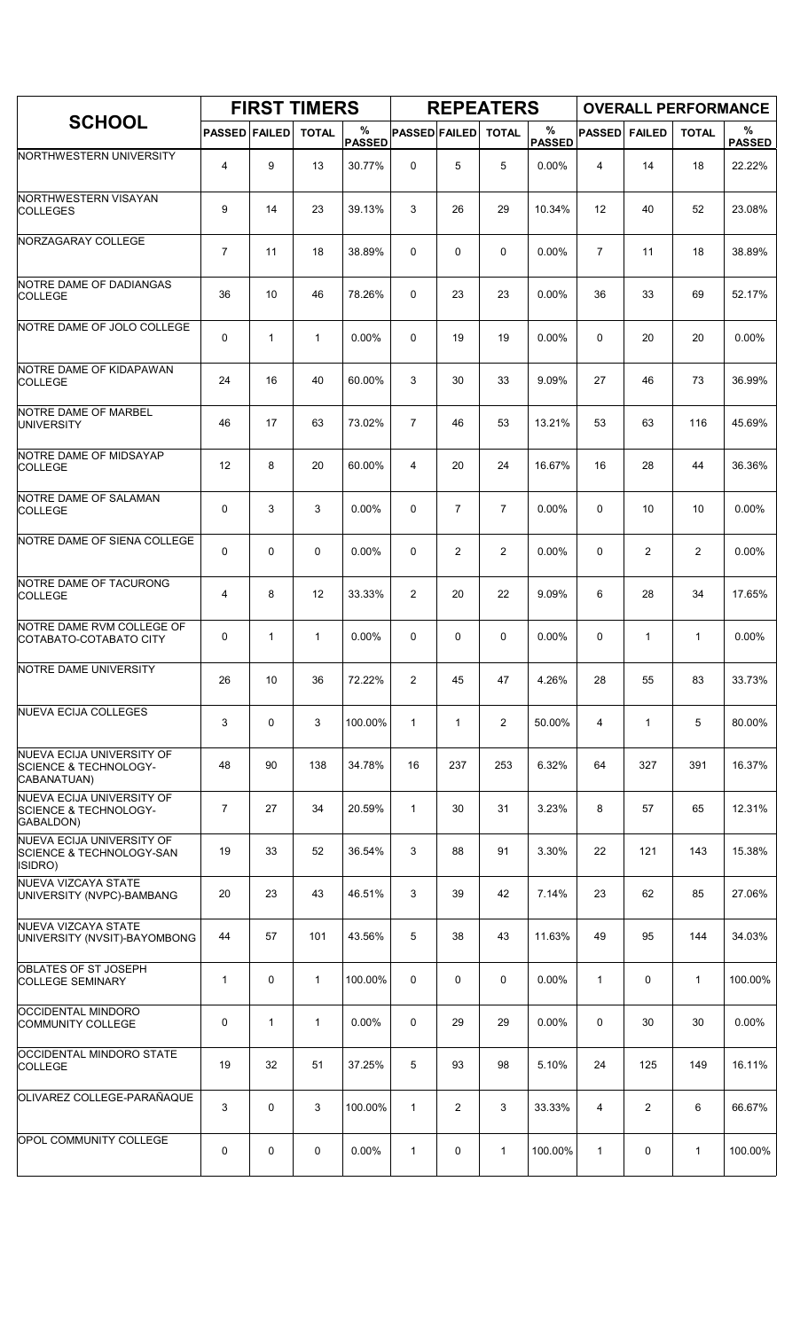|                                                                                   |                      | <b>FIRST TIMERS</b> |              |                    |                      |                | <b>REPEATERS</b> |                    |                |                | <b>OVERALL PERFORMANCE</b> |                    |
|-----------------------------------------------------------------------------------|----------------------|---------------------|--------------|--------------------|----------------------|----------------|------------------|--------------------|----------------|----------------|----------------------------|--------------------|
| <b>SCHOOL</b>                                                                     | <b>PASSED FAILED</b> |                     | <b>TOTAL</b> | %<br><b>PASSED</b> | <b>PASSED FAILED</b> |                | <b>TOTAL</b>     | %<br><b>PASSED</b> | <b>PASSED</b>  | <b>FAILED</b>  | <b>TOTAL</b>               | %<br><b>PASSED</b> |
| NORTHWESTERN UNIVERSITY                                                           | 4                    | 9                   | 13           | 30.77%             | 0                    | 5              | 5                | 0.00%              | 4              | 14             | 18                         | 22.22%             |
| NORTHWESTERN VISAYAN<br><b>COLLEGES</b>                                           | 9                    | 14                  | 23           | 39.13%             | 3                    | 26             | 29               | 10.34%             | 12             | 40             | 52                         | 23.08%             |
| NORZAGARAY COLLEGE                                                                | $\overline{7}$       | 11                  | 18           | 38.89%             | 0                    | 0              | 0                | 0.00%              | $\overline{7}$ | 11             | 18                         | 38.89%             |
| NOTRE DAME OF DADIANGAS<br><b>COLLEGE</b>                                         | 36                   | 10                  | 46           | 78.26%             | 0                    | 23             | 23               | 0.00%              | 36             | 33             | 69                         | 52.17%             |
| NOTRE DAME OF JOLO COLLEGE                                                        | 0                    | $\mathbf{1}$        | $\mathbf{1}$ | 0.00%              | $\Omega$             | 19             | 19               | 0.00%              | 0              | 20             | 20                         | 0.00%              |
| NOTRE DAME OF KIDAPAWAN<br><b>COLLEGE</b>                                         | 24                   | 16                  | 40           | 60.00%             | 3                    | 30             | 33               | 9.09%              | 27             | 46             | 73                         | 36.99%             |
| NOTRE DAME OF MARBEL<br><b>UNIVERSITY</b>                                         | 46                   | 17                  | 63           | 73.02%             | $\overline{7}$       | 46             | 53               | 13.21%             | 53             | 63             | 116                        | 45.69%             |
| NOTRE DAME OF MIDSAYAP<br><b>COLLEGE</b>                                          | 12                   | 8                   | 20           | 60.00%             | 4                    | 20             | 24               | 16.67%             | 16             | 28             | 44                         | 36.36%             |
| NOTRE DAME OF SALAMAN<br><b>COLLEGE</b>                                           | 0                    | 3                   | 3            | $0.00\%$           | 0                    | $\overline{7}$ | 7                | 0.00%              | 0              | 10             | 10                         | 0.00%              |
| NOTRE DAME OF SIENA COLLEGE                                                       | 0                    | 0                   | $\mathbf 0$  | 0.00%              | 0                    | 2              | $\overline{2}$   | 0.00%              | 0              | 2              | 2                          | 0.00%              |
| NOTRE DAME OF TACURONG<br><b>COLLEGE</b>                                          | 4                    | 8                   | 12           | 33.33%             | 2                    | 20             | 22               | 9.09%              | 6              | 28             | 34                         | 17.65%             |
| NOTRE DAME RVM COLLEGE OF<br>COTABATO-COTABATO CITY                               | 0                    | 1                   | $\mathbf 1$  | 0.00%              | 0                    | 0              | 0                | 0.00%              | 0              | 1              | 1                          | 0.00%              |
| NOTRE DAME UNIVERSITY                                                             | 26                   | 10                  | 36           | 72.22%             | 2                    | 45             | 47               | 4.26%              | 28             | 55             | 83                         | 33.73%             |
| NUEVA ECIJA COLLEGES                                                              | 3                    | 0                   | 3            | 100.00%            | $\mathbf{1}$         | $\mathbf{1}$   | $\overline{2}$   | 50.00%             | 4              | $\mathbf{1}$   | 5                          | 80.00%             |
| NUEVA ECIJA UNIVERSITY OF<br><b>SCIENCE &amp; TECHNOLOGY-</b><br>CABANATUAN)      | 48                   | 90                  | 138          | 34.78%             | 16                   | 237            | 253              | 6.32%              | 64             | 327            | 391                        | 16.37%             |
| <b>NUEVA ECIJA UNIVERSITY OF</b><br><b>SCIENCE &amp; TECHNOLOGY-</b><br>GABALDON) | $\overline{7}$       | 27                  | 34           | 20.59%             | $\mathbf{1}$         | 30             | 31               | 3.23%              | 8              | 57             | 65                         | 12.31%             |
| NUEVA ECIJA UNIVERSITY OF<br><b>SCIENCE &amp; TECHNOLOGY-SAN</b><br>ISIDRO)       | 19                   | 33                  | 52           | 36.54%             | 3                    | 88             | 91               | 3.30%              | 22             | 121            | 143                        | 15.38%             |
| <b>NUEVA VIZCAYA STATE</b><br>UNIVERSITY (NVPC)-BAMBANG                           | 20                   | 23                  | 43           | 46.51%             | 3                    | 39             | 42               | 7.14%              | 23             | 62             | 85                         | 27.06%             |
| <b>NUEVA VIZCAYA STATE</b><br>UNIVERSITY (NVSIT)-BAYOMBONG                        | 44                   | 57                  | 101          | 43.56%             | 5                    | 38             | 43               | 11.63%             | 49             | 95             | 144                        | 34.03%             |
| OBLATES OF ST JOSEPH<br><b>COLLEGE SEMINARY</b>                                   | $\mathbf{1}$         | 0                   | $\mathbf{1}$ | 100.00%            | 0                    | 0              | 0                | $0.00\%$           | $\mathbf{1}$   | 0              | $\mathbf{1}$               | 100.00%            |
| OCCIDENTAL MINDORO<br><b>COMMUNITY COLLEGE</b>                                    | 0                    | $\mathbf{1}$        | $\mathbf{1}$ | 0.00%              | 0                    | 29             | 29               | 0.00%              | 0              | 30             | 30                         | 0.00%              |
| OCCIDENTAL MINDORO STATE<br><b>COLLEGE</b>                                        | 19                   | 32                  | 51           | 37.25%             | 5                    | 93             | 98               | 5.10%              | 24             | 125            | 149                        | 16.11%             |
| OLIVAREZ COLLEGE-PARAÑAQUE                                                        | 3                    | 0                   | 3            | 100.00%            | $\mathbf{1}$         | $\overline{c}$ | 3                | 33.33%             | 4              | $\overline{2}$ | 6                          | 66.67%             |
| OPOL COMMUNITY COLLEGE                                                            | 0                    | 0                   | 0            | 0.00%              | $\mathbf{1}$         | 0              | $\mathbf{1}$     | 100.00%            | $\mathbf{1}$   | 0              | $\mathbf{1}$               | 100.00%            |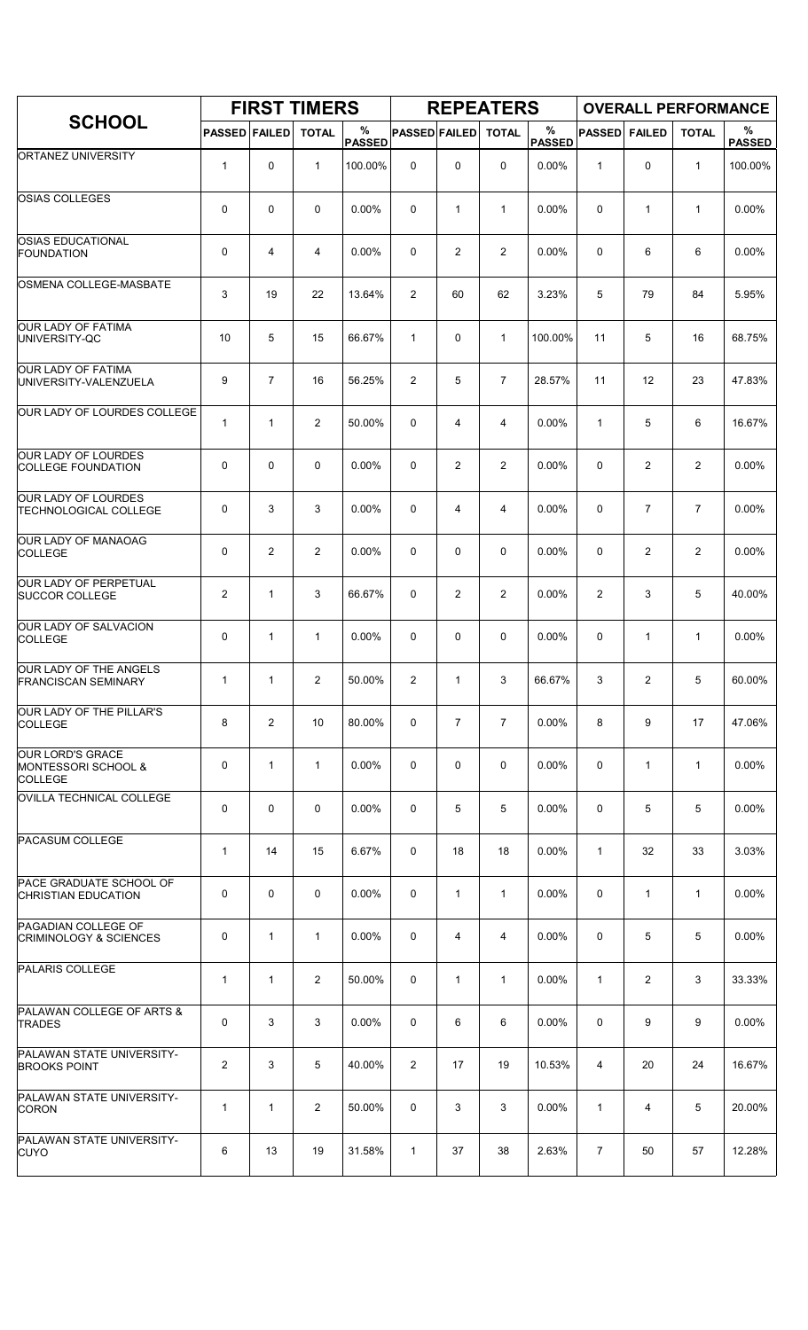|                                                           |                      |                | <b>FIRST TIMERS</b> |                    |                      |                | <b>REPEATERS</b> |                    |                |                |                | <b>OVERALL PERFORMANCE</b> |
|-----------------------------------------------------------|----------------------|----------------|---------------------|--------------------|----------------------|----------------|------------------|--------------------|----------------|----------------|----------------|----------------------------|
| <b>SCHOOL</b>                                             | <b>PASSED FAILED</b> |                | <b>TOTAL</b>        | %<br><b>PASSED</b> | <b>PASSED FAILED</b> |                | <b>TOTAL</b>     | %<br><b>PASSED</b> | <b>PASSED</b>  | <b>FAILED</b>  | <b>TOTAL</b>   | $\%$<br><b>PASSED</b>      |
| ORTANEZ UNIVERSITY                                        | $\mathbf{1}$         | 0              | $\mathbf{1}$        | 100.00%            | $\mathbf 0$          | 0              | $\mathbf 0$      | 0.00%              | $\mathbf{1}$   | 0              | $\mathbf{1}$   | 100.00%                    |
| <b>OSIAS COLLEGES</b>                                     | 0                    | 0              | $\mathbf 0$         | $0.00\%$           | 0                    | $\mathbf{1}$   | $\mathbf{1}$     | 0.00%              | 0              | $\mathbf{1}$   | $\mathbf{1}$   | 0.00%                      |
| <b>OSIAS EDUCATIONAL</b><br><b>FOUNDATION</b>             | 0                    | 4              | 4                   | 0.00%              | 0                    | $\overline{2}$ | $\overline{2}$   | 0.00%              | 0              | 6              | 6              | 0.00%                      |
| OSMENA COLLEGE-MASBATE                                    | 3                    | 19             | 22                  | 13.64%             | 2                    | 60             | 62               | 3.23%              | 5              | 79             | 84             | 5.95%                      |
| <b>OUR LADY OF FATIMA</b><br>UNIVERSITY-QC                | 10                   | 5              | 15                  | 66.67%             | $\mathbf{1}$         | 0              | $\mathbf{1}$     | 100.00%            | 11             | 5              | 16             | 68.75%                     |
| OUR LADY OF FATIMA<br>UNIVERSITY-VALENZUELA               | 9                    | $\overline{7}$ | 16                  | 56.25%             | $\overline{2}$       | 5              | $\overline{7}$   | 28.57%             | 11             | 12             | 23             | 47.83%                     |
| OUR LADY OF LOURDES COLLEGE                               | $\mathbf{1}$         | $\mathbf{1}$   | $\overline{2}$      | 50.00%             | 0                    | 4              | 4                | 0.00%              | 1              | 5              | 6              | 16.67%                     |
| <b>OUR LADY OF LOURDES</b><br><b>COLLEGE FOUNDATION</b>   | 0                    | 0              | $\mathbf 0$         | $0.00\%$           | 0                    | $\overline{2}$ | 2                | 0.00%              | 0              | $\overline{2}$ | $\overline{2}$ | 0.00%                      |
| OUR LADY OF LOURDES<br><b>TECHNOLOGICAL COLLEGE</b>       | 0                    | 3              | 3                   | 0.00%              | 0                    | 4              | 4                | 0.00%              | $\mathbf 0$    | $\overline{7}$ | $\overline{7}$ | 0.00%                      |
| OUR LADY OF MANAOAG<br><b>COLLEGE</b>                     | 0                    | $\overline{c}$ | $\overline{2}$      | 0.00%              | 0                    | 0              | 0                | 0.00%              | $\mathbf 0$    | $\overline{2}$ | $\overline{2}$ | 0.00%                      |
| OUR LADY OF PERPETUAL<br><b>SUCCOR COLLEGE</b>            | $\overline{2}$       | $\mathbf{1}$   | 3                   | 66.67%             | 0                    | $\overline{2}$ | $\overline{2}$   | 0.00%              | 2              | 3              | 5              | 40.00%                     |
| OUR LADY OF SALVACION<br><b>COLLEGE</b>                   | 0                    | $\mathbf{1}$   | $\mathbf{1}$        | 0.00%              | 0                    | 0              | 0                | 0.00%              | 0              | $\mathbf{1}$   | $\mathbf{1}$   | 0.00%                      |
| OUR LADY OF THE ANGELS<br><b>FRANCISCAN SEMINARY</b>      | $\mathbf{1}$         | $\mathbf{1}$   | 2                   | 50.00%             | 2                    | $\mathbf{1}$   | 3                | 66.67%             | 3              | 2              | 5              | 60.00%                     |
| <b>OUR LADY OF THE PILLAR'S</b><br><b>COLLEGE</b>         | 8                    | 2              | 10                  | 80.00%             | 0                    | $\overline{7}$ | $\overline{7}$   | $0.00\%$           | 8              | 9              | 17             | 47.06%                     |
| OUR LORD'S GRACE<br>MONTESSORI SCHOOL &<br><b>COLLEGE</b> | 0                    | $\mathbf{1}$   | $\mathbf{1}$        | 0.00%              | 0                    | 0              | 0                | 0.00%              | 0              | $\mathbf{1}$   | $\mathbf{1}$   | 0.00%                      |
| OVILLA TECHNICAL COLLEGE                                  | 0                    | 0              | $\mathbf 0$         | 0.00%              | 0                    | 5              | 5                | 0.00%              | 0              | 5              | 5              | $0.00\%$                   |
| <b>PACASUM COLLEGE</b>                                    | $\mathbf{1}$         | 14             | 15                  | 6.67%              | 0                    | 18             | 18               | 0.00%              | $\mathbf{1}$   | 32             | 33             | 3.03%                      |
| PACE GRADUATE SCHOOL OF<br><b>CHRISTIAN EDUCATION</b>     | 0                    | 0              | $\mathbf 0$         | 0.00%              | 0                    | $\mathbf{1}$   | $\mathbf{1}$     | 0.00%              | 0              | $\mathbf{1}$   | $\mathbf{1}$   | 0.00%                      |
| PAGADIAN COLLEGE OF<br><b>CRIMINOLOGY &amp; SCIENCES</b>  | 0                    | $\mathbf{1}$   | $\mathbf{1}$        | $0.00\%$           | 0                    | 4              | 4                | $0.00\%$           | 0              | 5              | 5              | $0.00\%$                   |
| PALARIS COLLEGE                                           | $\mathbf 1$          | $\mathbf{1}$   | $\overline{2}$      | 50.00%             | 0                    | 1              | $\mathbf{1}$     | $0.00\%$           | $\mathbf{1}$   | $\overline{2}$ | 3              | 33.33%                     |
| PALAWAN COLLEGE OF ARTS &<br><b>TRADES</b>                | 0                    | 3              | 3                   | 0.00%              | 0                    | 6              | 6                | 0.00%              | 0              | 9              | 9              | 0.00%                      |
| PALAWAN STATE UNIVERSITY-<br><b>BROOKS POINT</b>          | $\overline{2}$       | 3              | 5                   | 40.00%             | $\overline{2}$       | 17             | 19               | 10.53%             | $\overline{4}$ | 20             | 24             | 16.67%                     |
| PALAWAN STATE UNIVERSITY-<br><b>CORON</b>                 | $\mathbf{1}$         | $\mathbf{1}$   | $\overline{2}$      | 50.00%             | 0                    | 3              | 3                | 0.00%              | 1              | 4              | 5              | 20.00%                     |
| PALAWAN STATE UNIVERSITY-<br><b>CUYO</b>                  | 6                    | 13             | 19                  | 31.58%             | $\mathbf{1}$         | 37             | 38               | 2.63%              | $\overline{7}$ | 50             | 57             | 12.28%                     |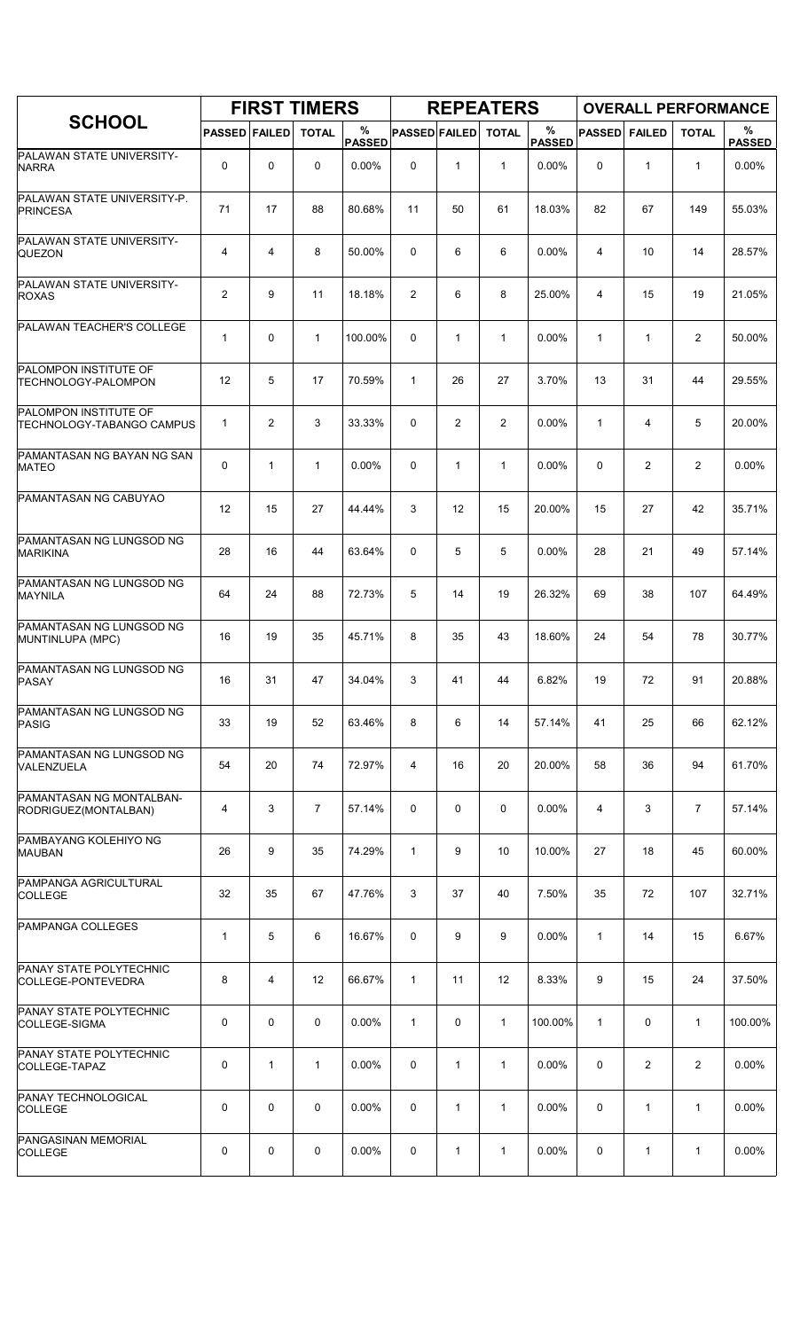|                                                           |                      |                | <b>FIRST TIMERS</b> |                    |                      |              | <b>REPEATERS</b> |                    |               |                | <b>OVERALL PERFORMANCE</b> |                    |
|-----------------------------------------------------------|----------------------|----------------|---------------------|--------------------|----------------------|--------------|------------------|--------------------|---------------|----------------|----------------------------|--------------------|
| <b>SCHOOL</b>                                             | <b>PASSED FAILED</b> |                | <b>TOTAL</b>        | %<br><b>PASSED</b> | <b>PASSED FAILED</b> |              | <b>TOTAL</b>     | %<br><b>PASSED</b> | <b>PASSED</b> | <b>FAILED</b>  | <b>TOTAL</b>               | %<br><b>PASSED</b> |
| PALAWAN STATE UNIVERSITY-<br><b>NARRA</b>                 | 0                    | $\mathbf 0$    | 0                   | 0.00%              | 0                    | $\mathbf{1}$ | $\mathbf{1}$     | 0.00%              | $\Omega$      | 1              | $\mathbf{1}$               | 0.00%              |
| PALAWAN STATE UNIVERSITY-P.<br>PRINCESA                   | 71                   | 17             | 88                  | 80.68%             | 11                   | 50           | 61               | 18.03%             | 82            | 67             | 149                        | 55.03%             |
| PALAWAN STATE UNIVERSITY-<br><b>QUEZON</b>                | 4                    | 4              | 8                   | 50.00%             | 0                    | 6            | 6                | 0.00%              | 4             | 10             | 14                         | 28.57%             |
| PALAWAN STATE UNIVERSITY-<br><b>ROXAS</b>                 | $\overline{c}$       | 9              | 11                  | 18.18%             | 2                    | 6            | 8                | 25.00%             | 4             | 15             | 19                         | 21.05%             |
| PALAWAN TEACHER'S COLLEGE                                 | 1                    | $\mathbf 0$    | $\mathbf{1}$        | 100.00%            | 0                    | 1            | $\mathbf{1}$     | 0.00%              | 1             | 1              | 2                          | 50.00%             |
| PALOMPON INSTITUTE OF<br><b>TECHNOLOGY-PALOMPON</b>       | 12                   | 5              | 17                  | 70.59%             | $\mathbf{1}$         | 26           | 27               | 3.70%              | 13            | 31             | 44                         | 29.55%             |
| PALOMPON INSTITUTE OF<br><b>TECHNOLOGY-TABANGO CAMPUS</b> | 1                    | $\overline{2}$ | 3                   | 33.33%             | 0                    | 2            | $\overline{2}$   | 0.00%              | $\mathbf{1}$  | 4              | 5                          | 20.00%             |
| PAMANTASAN NG BAYAN NG SAN<br><b>MATEO</b>                | 0                    | $\mathbf{1}$   | $\mathbf{1}$        | 0.00%              | 0                    | $\mathbf{1}$ | $\mathbf{1}$     | 0.00%              | 0             | $\overline{2}$ | $\overline{c}$             | 0.00%              |
| PAMANTASAN NG CABUYAO                                     | 12                   | 15             | 27                  | 44.44%             | 3                    | 12           | 15               | 20.00%             | 15            | 27             | 42                         | 35.71%             |
| PAMANTASAN NG LUNGSOD NG<br><b>MARIKINA</b>               | 28                   | 16             | 44                  | 63.64%             | 0                    | 5            | 5                | 0.00%              | 28            | 21             | 49                         | 57.14%             |
| PAMANTASAN NG LUNGSOD NG<br><b>MAYNILA</b>                | 64                   | 24             | 88                  | 72.73%             | 5                    | 14           | 19               | 26.32%             | 69            | 38             | 107                        | 64.49%             |
| PAMANTASAN NG LUNGSOD NG<br>MUNTINLUPA (MPC)              | 16                   | 19             | 35                  | 45.71%             | 8                    | 35           | 43               | 18.60%             | 24            | 54             | 78                         | 30.77%             |
| PAMANTASAN NG LUNGSOD NG<br><b>PASAY</b>                  | 16                   | 31             | 47                  | 34.04%             | 3                    | 41           | 44               | 6.82%              | 19            | 72             | 91                         | 20.88%             |
| PAMANTASAN NG LUNGSOD NG<br><b>PASIG</b>                  | 33                   | 19             | 52                  | 63.46%             | 8                    | 6            | 14               | 57.14%             | 41            | 25             | 66                         | 62.12%             |
| PAMANTASAN NG LUNGSOD NG<br>VALENZUELA                    | 54                   | 20             | 74                  | 72.97%             | 4                    | 16           | 20               | 20.00%             | 58            | 36             | 94                         | 61.70%             |
| PAMANTASAN NG MONTALBAN-<br>RODRIGUEZ(MONTALBAN)          | 4                    | 3              | $\overline{7}$      | 57.14%             | 0                    | 0            | 0                | $0.00\%$           | 4             | 3              | $\overline{7}$             | 57.14%             |
| PAMBAYANG KOLEHIYO NG<br><b>MAUBAN</b>                    | 26                   | 9              | 35                  | 74.29%             | $\mathbf{1}$         | 9            | 10               | 10.00%             | 27            | 18             | 45                         | 60.00%             |
| PAMPANGA AGRICULTURAL<br><b>COLLEGE</b>                   | 32                   | 35             | 67                  | 47.76%             | 3                    | 37           | 40               | 7.50%              | 35            | 72             | 107                        | 32.71%             |
| PAMPANGA COLLEGES                                         | 1                    | 5              | 6                   | 16.67%             | 0                    | 9            | 9                | $0.00\%$           | $\mathbf{1}$  | 14             | 15                         | 6.67%              |
| PANAY STATE POLYTECHNIC<br>COLLEGE-PONTEVEDRA             | 8                    | 4              | 12                  | 66.67%             | $\mathbf{1}$         | 11           | 12               | 8.33%              | 9             | 15             | 24                         | 37.50%             |
| PANAY STATE POLYTECHNIC<br>COLLEGE-SIGMA                  | 0                    | $\mathbf 0$    | 0                   | 0.00%              | $\mathbf{1}$         | 0            | $\mathbf{1}$     | 100.00%            | $\mathbf{1}$  | 0              | $\mathbf{1}$               | 100.00%            |
| PANAY STATE POLYTECHNIC<br>COLLEGE-TAPAZ                  | 0                    | $\mathbf{1}$   | $\mathbf 1$         | 0.00%              | 0                    | 1            | $\mathbf{1}$     | 0.00%              | 0             | 2              | 2                          | 0.00%              |
| PANAY TECHNOLOGICAL<br><b>COLLEGE</b>                     | 0                    | 0              | $\mathbf 0$         | $0.00\%$           | 0                    | 1            | $\mathbf{1}$     | $0.00\%$           | 0             | 1              | $\mathbf{1}$               | 0.00%              |
| PANGASINAN MEMORIAL<br><b>COLLEGE</b>                     | 0                    | 0              | 0                   | $0.00\%$           | 0                    | 1            | 1                | $0.00\%$           | 0             | 1              | 1                          | 0.00%              |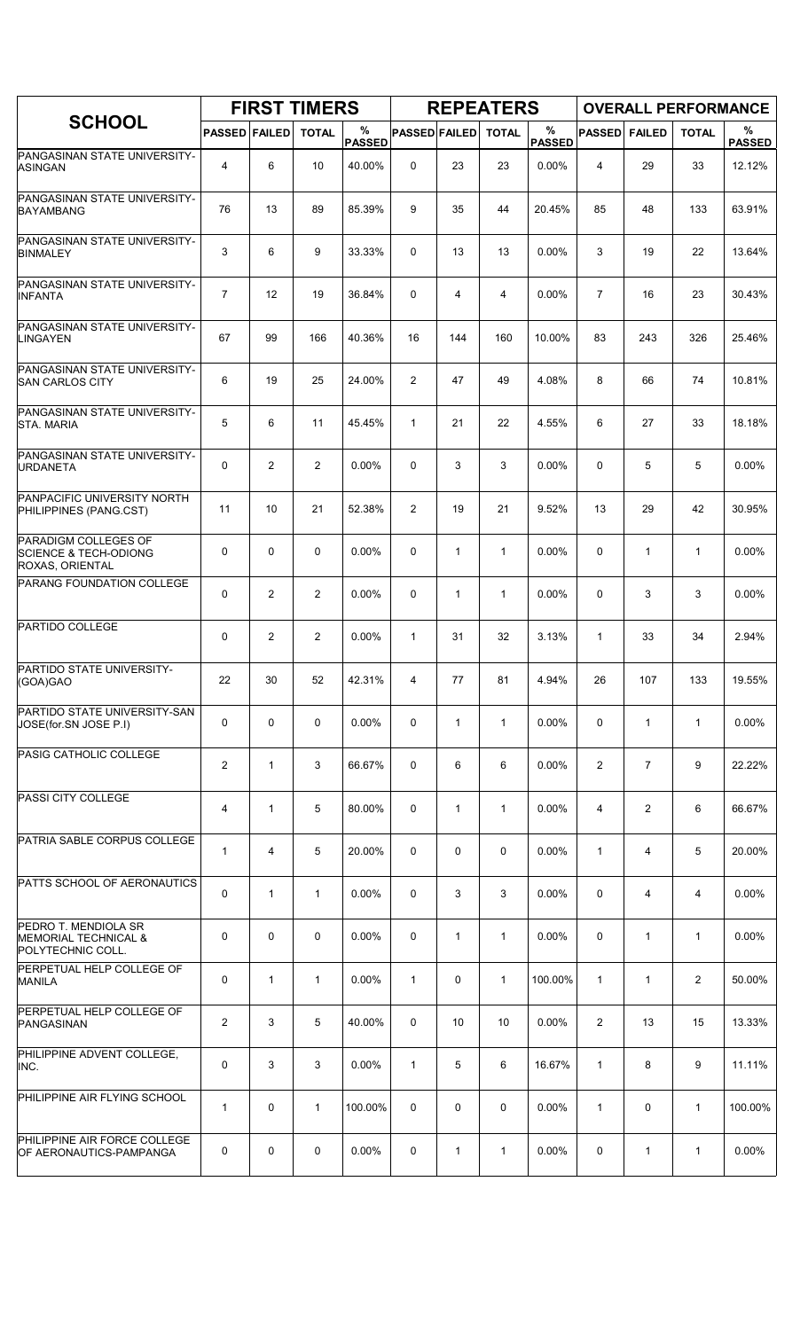|                                                                                    |                      |                | <b>FIRST TIMERS</b> |                    |                      |              | <b>REPEATERS</b> |                    |                |                | <b>OVERALL PERFORMANCE</b> |                    |
|------------------------------------------------------------------------------------|----------------------|----------------|---------------------|--------------------|----------------------|--------------|------------------|--------------------|----------------|----------------|----------------------------|--------------------|
| <b>SCHOOL</b>                                                                      | <b>PASSED FAILED</b> |                | <b>TOTAL</b>        | %<br><b>PASSED</b> | <b>PASSED FAILED</b> |              | <b>TOTAL</b>     | %<br><b>PASSED</b> | <b>PASSED</b>  | <b>FAILED</b>  | <b>TOTAL</b>               | %<br><b>PASSED</b> |
| PANGASINAN STATE UNIVERSITY-<br><b>ASINGAN</b>                                     | 4                    | 6              | 10                  | 40.00%             | 0                    | 23           | 23               | 0.00%              | 4              | 29             | 33                         | 12.12%             |
| PANGASINAN STATE UNIVERSITY-<br><b>BAYAMBANG</b>                                   | 76                   | 13             | 89                  | 85.39%             | 9                    | 35           | 44               | 20.45%             | 85             | 48             | 133                        | 63.91%             |
| PANGASINAN STATE UNIVERSITY-<br><b>BINMALEY</b>                                    | 3                    | 6              | 9                   | 33.33%             | 0                    | 13           | 13               | 0.00%              | 3              | 19             | 22                         | 13.64%             |
| PANGASINAN STATE UNIVERSITY-<br><b>INFANTA</b>                                     | $\overline{7}$       | 12             | 19                  | 36.84%             | 0                    | 4            | 4                | 0.00%              | $\overline{7}$ | 16             | 23                         | 30.43%             |
| PANGASINAN STATE UNIVERSITY-<br><b>LINGAYEN</b>                                    | 67                   | 99             | 166                 | 40.36%             | 16                   | 144          | 160              | 10.00%             | 83             | 243            | 326                        | 25.46%             |
| PANGASINAN STATE UNIVERSITY-<br>SAN CARLOS CITY                                    | 6                    | 19             | 25                  | 24.00%             | 2                    | 47           | 49               | 4.08%              | 8              | 66             | 74                         | 10.81%             |
| PANGASINAN STATE UNIVERSITY-<br><b>STA. MARIA</b>                                  | 5                    | 6              | 11                  | 45.45%             | $\mathbf{1}$         | 21           | 22               | 4.55%              | 6              | 27             | 33                         | 18.18%             |
| PANGASINAN STATE UNIVERSITY-<br><b>URDANETA</b>                                    | 0                    | 2              | 2                   | $0.00\%$           | 0                    | 3            | 3                | 0.00%              | 0              | 5              | 5                          | $0.00\%$           |
| PANPACIFIC UNIVERSITY NORTH<br>PHILIPPINES (PANG.CST)                              | 11                   | 10             | 21                  | 52.38%             | 2                    | 19           | 21               | 9.52%              | 13             | 29             | 42                         | 30.95%             |
| <b>PARADIGM COLLEGES OF</b><br><b>SCIENCE &amp; TECH-ODIONG</b><br>ROXAS, ORIENTAL | 0                    | $\mathbf 0$    | $\mathbf 0$         | 0.00%              | 0                    | $\mathbf{1}$ | $\mathbf{1}$     | 0.00%              | 0              | $\mathbf{1}$   | $\mathbf{1}$               | 0.00%              |
| PARANG FOUNDATION COLLEGE                                                          | 0                    | 2              | 2                   | 0.00%              | 0                    | $\mathbf{1}$ | $\mathbf{1}$     | 0.00%              | 0              | 3              | 3                          | 0.00%              |
| PARTIDO COLLEGE                                                                    | 0                    | $\overline{2}$ | $\overline{2}$      | 0.00%              | $\mathbf{1}$         | 31           | 32               | 3.13%              | $\mathbf{1}$   | 33             | 34                         | 2.94%              |
| PARTIDO STATE UNIVERSITY-<br>(GOA)GAO                                              | 22                   | 30             | 52                  | 42.31%             | 4                    | 77           | 81               | 4.94%              | 26             | 107            | 133                        | 19.55%             |
| PARTIDO STATE UNIVERSITY-SAN<br>JOSE(for.SN JOSE P.I)                              | 0                    | 0              | 0                   | $0.00\%$           | 0                    | $\mathbf{1}$ | $\mathbf{1}$     | 0.00%              | 0              | $\mathbf{1}$   | $\mathbf{1}$               | 0.00%              |
| PASIG CATHOLIC COLLEGE                                                             | $\overline{c}$       | $\mathbf{1}$   | 3                   | 66.67%             | 0                    | 6            | 6                | 0.00%              | 2              | $\overline{7}$ | 9                          | 22.22%             |
| PASSI CITY COLLEGE                                                                 | 4                    | $\mathbf{1}$   | 5                   | 80.00%             | 0                    | 1            | $\mathbf{1}$     | $0.00\%$           | 4              | 2              | 6                          | 66.67%             |
| PATRIA SABLE CORPUS COLLEGE                                                        | 1                    | 4              | 5                   | 20.00%             | 0                    | 0            | 0                | 0.00%              | 1              | 4              | 5                          | 20.00%             |
| PATTS SCHOOL OF AERONAUTICS                                                        | 0                    | $\mathbf{1}$   | $\mathbf{1}$        | 0.00%              | 0                    | 3            | 3                | 0.00%              | 0              | 4              | 4                          | 0.00%              |
| PEDRO T. MENDIOLA SR<br>MEMORIAL TECHNICAL &<br>POLYTECHNIC COLL.                  | 0                    | 0              | 0                   | $0.00\%$           | 0                    | $\mathbf{1}$ | $\mathbf{1}$     | $0.00\%$           | 0              | 1              | $\mathbf{1}$               | $0.00\%$           |
| PERPETUAL HELP COLLEGE OF<br><b>MANILA</b>                                         | 0                    | $\mathbf{1}$   | $\mathbf 1$         | $0.00\%$           | $\mathbf{1}$         | 0            | $\mathbf{1}$     | 100.00%            | $\mathbf{1}$   | 1              | 2                          | 50.00%             |
| PERPETUAL HELP COLLEGE OF<br>PANGASINAN                                            | $\overline{c}$       | 3              | 5                   | 40.00%             | 0                    | 10           | 10               | 0.00%              | 2              | 13             | 15                         | 13.33%             |
| PHILIPPINE ADVENT COLLEGE,<br>INC.                                                 | 0                    | 3              | 3                   | 0.00%              | $\mathbf{1}$         | 5            | 6                | 16.67%             | $\mathbf{1}$   | 8              | 9                          | 11.11%             |
| PHILIPPINE AIR FLYING SCHOOL                                                       | 1                    | 0              | $\mathbf{1}$        | 100.00%            | 0                    | 0            | 0                | $0.00\%$           | 1              | 0              | $\mathbf{1}$               | 100.00%            |
| PHILIPPINE AIR FORCE COLLEGE<br>OF AERONAUTICS-PAMPANGA                            | 0                    | 0              | 0                   | $0.00\%$           | 0                    | 1            | $\mathbf{1}$     | 0.00%              | 0              | $\mathbf{1}$   | $\mathbf{1}$               | 0.00%              |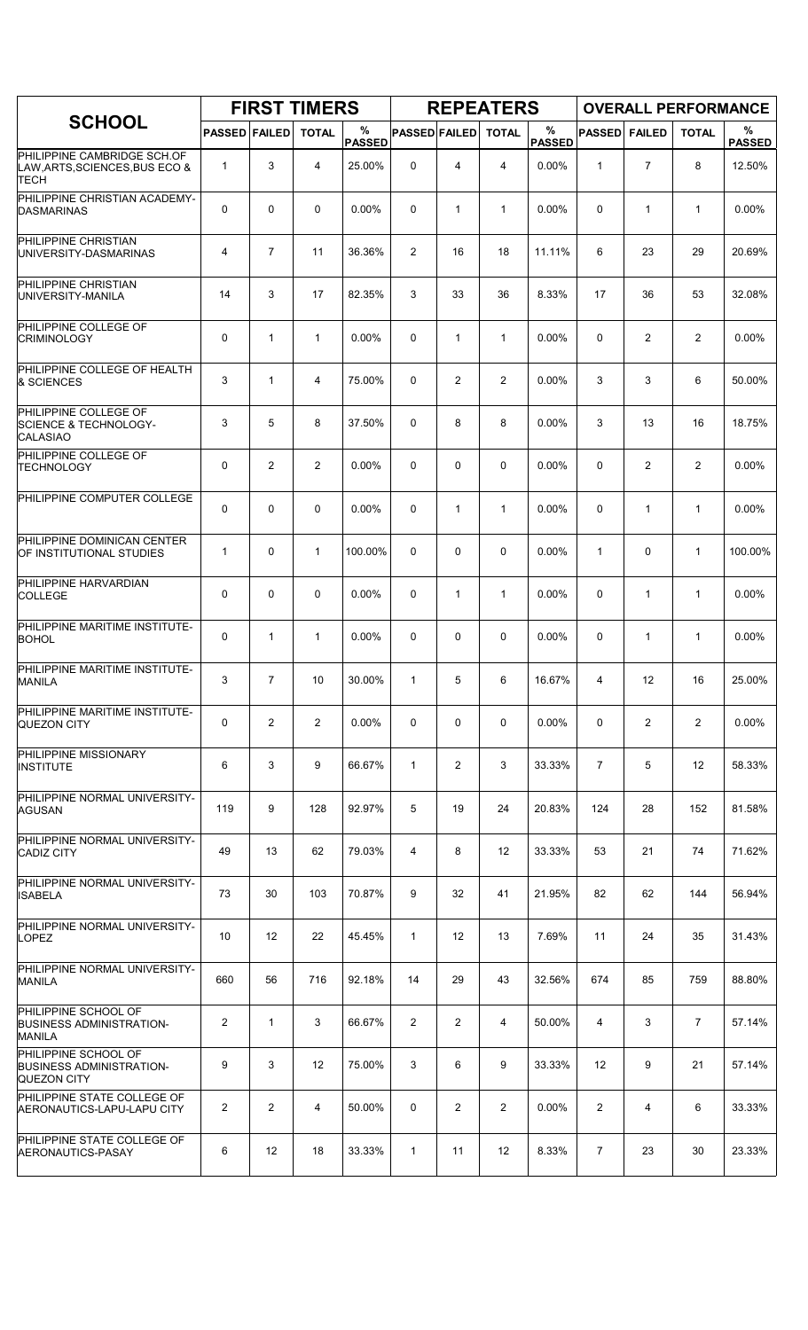|                                                                               |                      |                | <b>FIRST TIMERS</b> |                    |                      |                | <b>REPEATERS</b> |                       |                |                | <b>OVERALL PERFORMANCE</b> |                    |
|-------------------------------------------------------------------------------|----------------------|----------------|---------------------|--------------------|----------------------|----------------|------------------|-----------------------|----------------|----------------|----------------------------|--------------------|
| <b>SCHOOL</b>                                                                 | <b>PASSED FAILED</b> |                | <b>TOTAL</b>        | %<br><b>PASSED</b> | <b>PASSED FAILED</b> |                | <b>TOTAL</b>     | $\%$<br><b>PASSED</b> | <b>PASSED</b>  | <b>FAILED</b>  | <b>TOTAL</b>               | %<br><b>PASSED</b> |
| PHILIPPINE CAMBRIDGE SCH.OF<br>LAW, ARTS, SCIENCES, BUS ECO &<br>TECH         | 1                    | 3              | $\overline{4}$      | 25.00%             | 0                    | 4              | $\overline{4}$   | $0.00\%$              | $\mathbf{1}$   | $\overline{7}$ | 8                          | 12.50%             |
| PHILIPPINE CHRISTIAN ACADEMY-<br><b>DASMARINAS</b>                            | 0                    | $\mathbf 0$    | $\mathbf 0$         | 0.00%              | 0                    | $\mathbf{1}$   | 1                | 0.00%                 | 0              | 1              | $\mathbf{1}$               | 0.00%              |
| PHILIPPINE CHRISTIAN<br>UNIVERSITY-DASMARINAS                                 | 4                    | $\overline{7}$ | 11                  | 36.36%             | 2                    | 16             | 18               | 11.11%                | 6              | 23             | 29                         | 20.69%             |
| PHILIPPINE CHRISTIAN<br>UNIVERSITY-MANILA                                     | 14                   | 3              | 17                  | 82.35%             | 3                    | 33             | 36               | 8.33%                 | 17             | 36             | 53                         | 32.08%             |
| PHILIPPINE COLLEGE OF<br><b>CRIMINOLOGY</b>                                   | 0                    | $\mathbf 1$    | $\mathbf{1}$        | 0.00%              | 0                    | $\mathbf{1}$   | $\mathbf{1}$     | 0.00%                 | $\mathbf 0$    | 2              | 2                          | 0.00%              |
| PHILIPPINE COLLEGE OF HEALTH<br>& SCIENCES                                    | 3                    | $\mathbf{1}$   | 4                   | 75.00%             | 0                    | $\overline{c}$ | $\overline{2}$   | 0.00%                 | 3              | 3              | 6                          | 50.00%             |
| PHILIPPINE COLLEGE OF<br><b>SCIENCE &amp; TECHNOLOGY-</b><br><b>CALASIAO</b>  | 3                    | 5              | 8                   | 37.50%             | 0                    | 8              | 8                | 0.00%                 | 3              | 13             | 16                         | 18.75%             |
| PHILIPPINE COLLEGE OF<br><b>TECHNOLOGY</b>                                    | 0                    | $\overline{2}$ | $\overline{2}$      | $0.00\%$           | 0                    | 0              | 0                | 0.00%                 | $\Omega$       | $\overline{2}$ | $\overline{c}$             | $0.00\%$           |
| PHILIPPINE COMPUTER COLLEGE                                                   | 0                    | 0              | $\mathbf 0$         | $0.00\%$           | 0                    | $\mathbf{1}$   | 1                | 0.00%                 | $\mathbf 0$    | 1              | $\mathbf{1}$               | 0.00%              |
| PHILIPPINE DOMINICAN CENTER<br>OF INSTITUTIONAL STUDIES                       | 1                    | $\mathbf 0$    | $\mathbf{1}$        | 100.00%            | 0                    | 0              | $\mathbf 0$      | 0.00%                 | $\mathbf{1}$   | $\mathbf 0$    | $\mathbf{1}$               | 100.00%            |
| PHILIPPINE HARVARDIAN<br><b>COLLEGE</b>                                       | 0                    | $\mathbf 0$    | 0                   | 0.00%              | 0                    | $\mathbf{1}$   | $\mathbf{1}$     | 0.00%                 | $\Omega$       | $\mathbf{1}$   | $\mathbf{1}$               | 0.00%              |
| PHILIPPINE MARITIME INSTITUTE-<br><b>BOHOL</b>                                | 0                    | $\mathbf{1}$   | $\mathbf{1}$        | $0.00\%$           | 0                    | 0              | $\mathbf 0$      | 0.00%                 | $\mathbf 0$    | $\mathbf{1}$   | $\mathbf 1$                | 0.00%              |
| PHILIPPINE MARITIME INSTITUTE-<br><b>MANILA</b>                               | 3                    | $\overline{7}$ | 10                  | 30.00%             | $\mathbf{1}$         | 5              | 6                | 16.67%                | 4              | 12             | 16                         | 25.00%             |
| PHILIPPINE MARITIME INSTITUTE-<br><b>QUEZON CITY</b>                          | 0                    | 2              | 2                   | $0.00\%$           | 0                    | 0              | 0                | $0.00\%$              | 0              | 2              | 2                          | $0.00\%$           |
| PHILIPPINE MISSIONARY<br><b>INSTITUTE</b>                                     | 6                    | 3              | 9                   | 66.67%             | 1                    | 2              | 3                | 33.33%                | $\overline{7}$ | 5              | 12                         | 58.33%             |
| PHILIPPINE NORMAL UNIVERSITY-<br>AGUSAN                                       | 119                  | 9              | 128                 | 92.97%             | 5                    | 19             | 24               | 20.83%                | 124            | 28             | 152                        | 81.58%             |
| PHILIPPINE NORMAL UNIVERSITY-<br><b>CADIZ CITY</b>                            | 49                   | 13             | 62                  | 79.03%             | 4                    | 8              | 12               | 33.33%                | 53             | 21             | 74                         | 71.62%             |
| PHILIPPINE NORMAL UNIVERSITY-<br><b>ISABELA</b>                               | 73                   | 30             | 103                 | 70.87%             | 9                    | 32             | 41               | 21.95%                | 82             | 62             | 144                        | 56.94%             |
| PHILIPPINE NORMAL UNIVERSITY-<br><b>LOPEZ</b>                                 | 10                   | 12             | 22                  | 45.45%             | $\mathbf{1}$         | 12             | 13               | 7.69%                 | 11             | 24             | 35                         | 31.43%             |
| PHILIPPINE NORMAL UNIVERSITY-<br><b>MANILA</b>                                | 660                  | 56             | 716                 | 92.18%             | 14                   | 29             | 43               | 32.56%                | 674            | 85             | 759                        | 88.80%             |
| PHILIPPINE SCHOOL OF<br><b>BUSINESS ADMINISTRATION-</b><br><b>MANILA</b>      | 2                    | $\mathbf{1}$   | 3                   | 66.67%             | 2                    | 2              | 4                | 50.00%                | 4              | 3              | 7                          | 57.14%             |
| PHILIPPINE SCHOOL OF<br><b>BUSINESS ADMINISTRATION-</b><br><b>QUEZON CITY</b> | 9                    | 3              | 12                  | 75.00%             | 3                    | 6              | 9                | 33.33%                | 12             | 9              | 21                         | 57.14%             |
| PHILIPPINE STATE COLLEGE OF<br> AERONAUTICS-LAPU-LAPU CITY                    | $\overline{2}$       | $\overline{2}$ | 4                   | 50.00%             | 0                    | 2              | $\overline{2}$   | 0.00%                 | $\overline{2}$ | 4              | 6                          | 33.33%             |
| PHILIPPINE STATE COLLEGE OF<br>AERONAUTICS-PASAY                              | 6                    | 12             | 18                  | 33.33%             | $\mathbf{1}$         | 11             | 12               | 8.33%                 | 7              | 23             | 30                         | 23.33%             |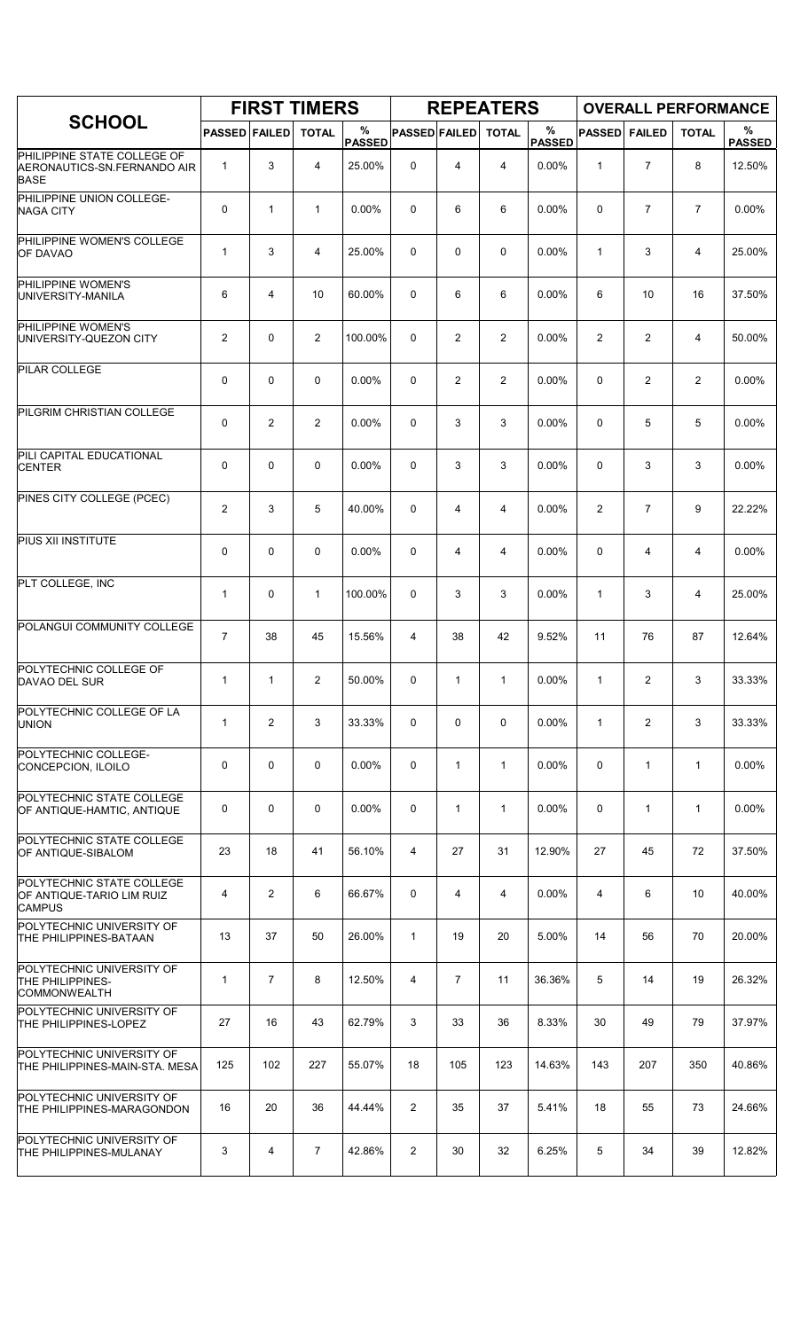|                                                                           |                      |                | <b>FIRST TIMERS</b> |                    |                      |                | <b>REPEATERS</b> |                    |               |                | <b>OVERALL PERFORMANCE</b> |                    |
|---------------------------------------------------------------------------|----------------------|----------------|---------------------|--------------------|----------------------|----------------|------------------|--------------------|---------------|----------------|----------------------------|--------------------|
| <b>SCHOOL</b>                                                             | <b>PASSED FAILED</b> |                | <b>TOTAL</b>        | %<br><b>PASSED</b> | <b>PASSED FAILED</b> |                | <b>TOTAL</b>     | %<br><b>PASSED</b> | <b>PASSED</b> | <b>FAILED</b>  | <b>TOTAL</b>               | %<br><b>PASSED</b> |
| PHILIPPINE STATE COLLEGE OF<br>AERONAUTICS-SN.FERNANDO AIR<br><b>BASE</b> | $\mathbf{1}$         | 3              | 4                   | 25.00%             | 0                    | 4              | 4                | 0.00%              | $\mathbf{1}$  | $\overline{7}$ | 8                          | 12.50%             |
| PHILIPPINE UNION COLLEGE-<br><b>NAGA CITY</b>                             | 0                    | $\mathbf{1}$   | $\mathbf{1}$        | 0.00%              | 0                    | 6              | 6                | 0.00%              | 0             | $\overline{7}$ | $\overline{7}$             | 0.00%              |
| PHILIPPINE WOMEN'S COLLEGE<br><b>OF DAVAO</b>                             | $\mathbf{1}$         | 3              | 4                   | 25.00%             | 0                    | 0              | 0                | 0.00%              | 1             | 3              | 4                          | 25.00%             |
| PHILIPPINE WOMEN'S<br>UNIVERSITY-MANILA                                   | 6                    | 4              | 10                  | 60.00%             | 0                    | 6              | 6                | 0.00%              | 6             | 10             | 16                         | 37.50%             |
| PHILIPPINE WOMEN'S<br>UNIVERSITY-QUEZON CITY                              | 2                    | 0              | 2                   | 100.00%            | 0                    | $\overline{c}$ | 2                | 0.00%              | 2             | 2              | 4                          | 50.00%             |
| PILAR COLLEGE                                                             | 0                    | 0              | $\mathbf 0$         | 0.00%              | 0                    | $\overline{c}$ | $\overline{c}$   | 0.00%              | 0             | 2              | $\overline{c}$             | 0.00%              |
| PILGRIM CHRISTIAN COLLEGE                                                 | 0                    | $\overline{2}$ | 2                   | 0.00%              | 0                    | 3              | 3                | 0.00%              | 0             | 5              | 5                          | 0.00%              |
| PILI CAPITAL EDUCATIONAL<br><b>CENTER</b>                                 | 0                    | 0              | $\mathbf 0$         | 0.00%              | 0                    | 3              | 3                | 0.00%              | 0             | 3              | 3                          | 0.00%              |
| PINES CITY COLLEGE (PCEC)                                                 | 2                    | 3              | 5                   | 40.00%             | 0                    | 4              | 4                | 0.00%              | 2             | $\overline{7}$ | 9                          | 22.22%             |
| PIUS XII INSTITUTE                                                        | 0                    | 0              | $\mathbf 0$         | 0.00%              | 0                    | 4              | 4                | 0.00%              | $\mathbf 0$   | 4              | 4                          | 0.00%              |
| PLT COLLEGE, INC                                                          | $\mathbf{1}$         | 0              | $\mathbf{1}$        | 100.00%            | 0                    | 3              | 3                | 0.00%              | 1             | 3              | 4                          | 25.00%             |
| POLANGUI COMMUNITY COLLEGE                                                | $\overline{7}$       | 38             | 45                  | 15.56%             | 4                    | 38             | 42               | 9.52%              | 11            | 76             | 87                         | 12.64%             |
| POLYTECHNIC COLLEGE OF<br>DAVAO DEL SUR                                   | $\mathbf{1}$         | 1              | 2                   | 50.00%             | 0                    | 1              | $\mathbf{1}$     | $0.00\%$           | 1             | 2              | 3                          | 33.33%             |
| POLYTECHNIC COLLEGE OF LA<br><b>UNION</b>                                 | $\mathbf{1}$         | 2              | 3                   | 33.33%             | 0                    | 0              | $\mathbf 0$      | 0.00%              | $\mathbf{1}$  | $\overline{2}$ | 3                          | 33.33%             |
| POLYTECHNIC COLLEGE-<br>CONCEPCION, ILOILO                                | 0                    | 0              | $\mathbf 0$         | $0.00\%$           | 0                    | $\mathbf{1}$   | $\mathbf{1}$     | $0.00\%$           | 0             | $\mathbf{1}$   | $\mathbf{1}$               | 0.00%              |
| POLYTECHNIC STATE COLLEGE<br>OF ANTIQUE-HAMTIC, ANTIQUE                   | 0                    | 0              | $\mathbf 0$         | $0.00\%$           | 0                    | $\mathbf{1}$   | $\mathbf{1}$     | $0.00\%$           | 0             | $\mathbf{1}$   | $\mathbf{1}$               | $0.00\%$           |
| POLYTECHNIC STATE COLLEGE<br>OF ANTIQUE-SIBALOM                           | 23                   | 18             | 41                  | 56.10%             | 4                    | 27             | 31               | 12.90%             | 27            | 45             | 72                         | 37.50%             |
| POLYTECHNIC STATE COLLEGE<br>OF ANTIQUE-TARIO LIM RUIZ<br><b>CAMPUS</b>   | 4                    | $\overline{2}$ | 6                   | 66.67%             | 0                    | 4              | 4                | 0.00%              | 4             | 6              | 10                         | 40.00%             |
| POLYTECHNIC UNIVERSITY OF<br>THE PHILIPPINES-BATAAN                       | 13                   | 37             | 50                  | 26.00%             | $\mathbf{1}$         | 19             | 20               | 5.00%              | 14            | 56             | 70                         | 20.00%             |
| POLYTECHNIC UNIVERSITY OF<br>THE PHILIPPINES-<br><b>COMMONWEALTH</b>      | $\mathbf{1}$         | $\overline{7}$ | 8                   | 12.50%             | $\overline{4}$       | $\overline{7}$ | 11               | 36.36%             | 5             | 14             | 19                         | 26.32%             |
| POLYTECHNIC UNIVERSITY OF<br>THE PHILIPPINES-LOPEZ                        | 27                   | 16             | 43                  | 62.79%             | 3                    | 33             | 36               | 8.33%              | 30            | 49             | 79                         | 37.97%             |
| POLYTECHNIC UNIVERSITY OF<br>THE PHILIPPINES-MAIN-STA. MESA               | 125                  | 102            | 227                 | 55.07%             | 18                   | 105            | 123              | 14.63%             | 143           | 207            | 350                        | 40.86%             |
| POLYTECHNIC UNIVERSITY OF<br>THE PHILIPPINES-MARAGONDON                   | 16                   | 20             | 36                  | 44.44%             | $\overline{2}$       | 35             | 37               | 5.41%              | 18            | 55             | 73                         | 24.66%             |
| POLYTECHNIC UNIVERSITY OF<br>THE PHILIPPINES-MULANAY                      | 3                    | 4              | $\overline{7}$      | 42.86%             | $\overline{2}$       | 30             | 32               | 6.25%              | 5             | 34             | 39                         | 12.82%             |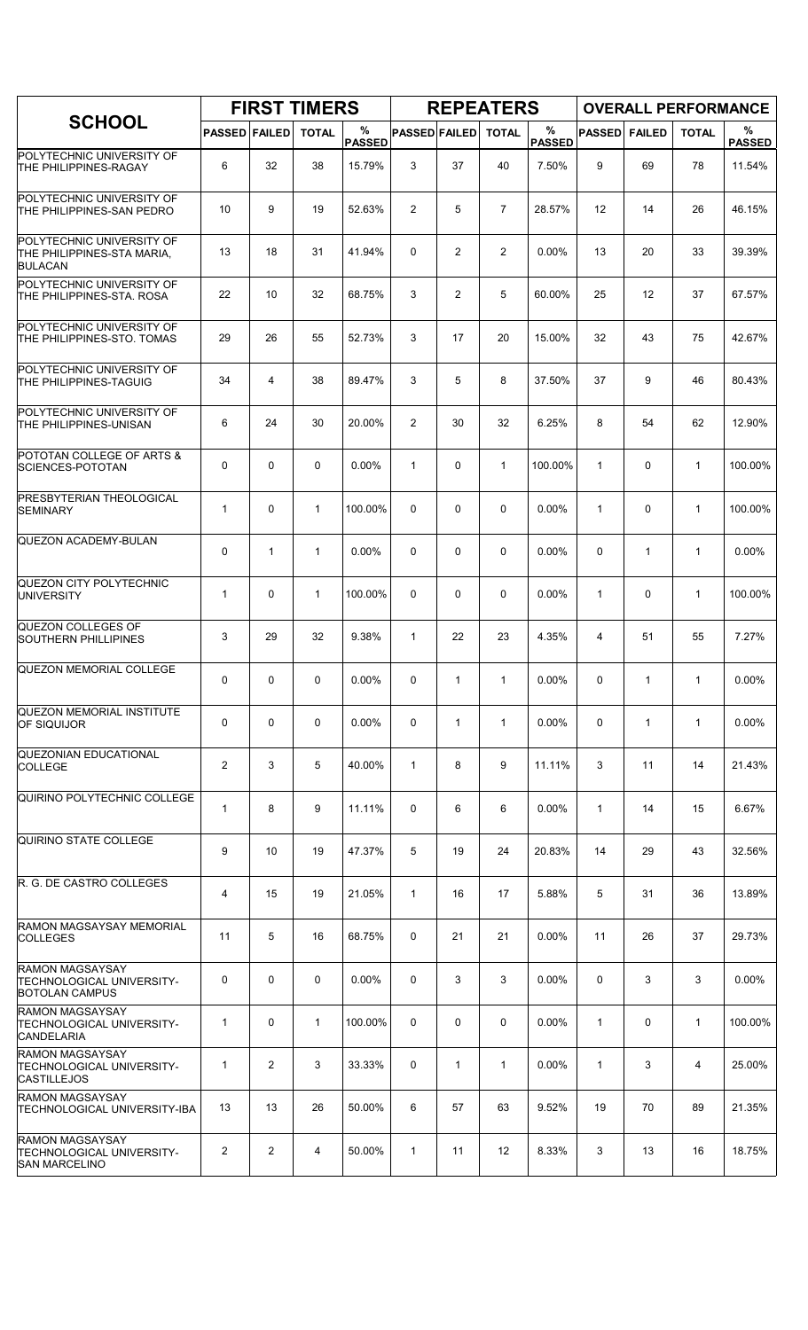|                                                                                    |                      |                | <b>FIRST TIMERS</b> |                    |                      |                | <b>REPEATERS</b>  |                    |               |               |              | <b>OVERALL PERFORMANCE</b> |
|------------------------------------------------------------------------------------|----------------------|----------------|---------------------|--------------------|----------------------|----------------|-------------------|--------------------|---------------|---------------|--------------|----------------------------|
| <b>SCHOOL</b>                                                                      | <b>PASSED FAILED</b> |                | <b>TOTAL</b>        | %<br><b>PASSED</b> | <b>PASSED FAILED</b> |                | <b>TOTAL</b>      | %<br><b>PASSED</b> | <b>PASSED</b> | <b>FAILED</b> | <b>TOTAL</b> | %<br><b>PASSED</b>         |
| POLYTECHNIC UNIVERSITY OF<br><b>THE PHILIPPINES-RAGAY</b>                          | 6                    | 32             | 38                  | 15.79%             | 3                    | 37             | 40                | 7.50%              | 9             | 69            | 78           | 11.54%                     |
| POLYTECHNIC UNIVERSITY OF<br>THE PHILIPPINES-SAN PEDRO                             | 10                   | 9              | 19                  | 52.63%             | $\overline{2}$       | 5              | $\overline{7}$    | 28.57%             | 12            | 14            | 26           | 46.15%                     |
| POLYTECHNIC UNIVERSITY OF<br>THE PHILIPPINES-STA MARIA,<br><b>BULACAN</b>          | 13                   | 18             | 31                  | 41.94%             | $\Omega$             | $\overline{2}$ | $\overline{2}$    | 0.00%              | 13            | 20            | 33           | 39.39%                     |
| POLYTECHNIC UNIVERSITY OF<br>THE PHILIPPINES-STA. ROSA                             | 22                   | 10             | 32                  | 68.75%             | 3                    | $\overline{2}$ | 5                 | 60.00%             | 25            | 12            | 37           | 67.57%                     |
| POLYTECHNIC UNIVERSITY OF<br>THE PHILIPPINES-STO. TOMAS                            | 29                   | 26             | 55                  | 52.73%             | 3                    | 17             | 20                | 15.00%             | 32            | 43            | 75           | 42.67%                     |
| POLYTECHNIC UNIVERSITY OF<br><b>THE PHILIPPINES-TAGUIG</b>                         | 34                   | 4              | 38                  | 89.47%             | 3                    | 5              | 8                 | 37.50%             | 37            | 9             | 46           | 80.43%                     |
| POLYTECHNIC UNIVERSITY OF<br>THE PHILIPPINES-UNISAN                                | 6                    | 24             | 30                  | 20.00%             | $\overline{2}$       | 30             | 32                | 6.25%              | 8             | 54            | 62           | 12.90%                     |
| POTOTAN COLLEGE OF ARTS &<br><b>SCIENCES-POTOTAN</b>                               | 0                    | 0              | $\mathbf 0$         | $0.00\%$           | $\mathbf{1}$         | 0              | $\mathbf{1}$      | 100.00%            | $\mathbf{1}$  | 0             | $\mathbf{1}$ | 100.00%                    |
| PRESBYTERIAN THEOLOGICAL<br><b>SEMINARY</b>                                        | $\mathbf{1}$         | 0              | $\mathbf{1}$        | 100.00%            | 0                    | 0              | 0                 | 0.00%              | $\mathbf{1}$  | 0             | $\mathbf{1}$ | 100.00%                    |
| QUEZON ACADEMY-BULAN                                                               | 0                    | $\mathbf{1}$   | $\mathbf{1}$        | 0.00%              | 0                    | 0              | 0                 | 0.00%              | 0             | $\mathbf{1}$  | $\mathbf{1}$ | 0.00%                      |
| QUEZON CITY POLYTECHNIC<br><b>UNIVERSITY</b>                                       | $\mathbf{1}$         | 0              | $\mathbf{1}$        | 100.00%            | $\Omega$             | 0              | 0                 | 0.00%              | $\mathbf{1}$  | 0             | $\mathbf{1}$ | 100.00%                    |
| QUEZON COLLEGES OF<br><b>SOUTHERN PHILLIPINES</b>                                  | 3                    | 29             | 32                  | 9.38%              | $\mathbf{1}$         | 22             | 23                | 4.35%              | 4             | 51            | 55           | 7.27%                      |
| <b>QUEZON MEMORIAL COLLEGE</b>                                                     | 0                    | 0              | 0                   | 0.00%              | 0                    | $\mathbf{1}$   | $\mathbf{1}$      | 0.00%              | $\Omega$      | $\mathbf{1}$  | $\mathbf{1}$ | $0.00\%$                   |
| QUEZON MEMORIAL INSTITUTE<br><b>OF SIQUIJOR</b>                                    | 0                    | 0              | $\mathbf 0$         | 0.00%              | 0                    | $\mathbf{1}$   | $\mathbf{1}$      | $0.00\%$           | 0             | $\mathbf{1}$  | $\mathbf{1}$ | 0.00%                      |
| <b>QUEZONIAN EDUCATIONAL</b><br><b>COLLEGE</b>                                     | 2                    | 3              | 5                   | 40.00%             | $\mathbf{1}$         | 8              | 9                 | 11.11%             | 3             | 11            | 14           | 21.43%                     |
| QUIRINO POLYTECHNIC COLLEGE                                                        | $\mathbf{1}$         | 8              | 9                   | 11.11%             | 0                    | 6              | 6                 | 0.00%              | $\mathbf{1}$  | 14            | 15           | 6.67%                      |
| QUIRINO STATE COLLEGE                                                              | 9                    | 10             | 19                  | 47.37%             | 5                    | 19             | 24                | 20.83%             | 14            | 29            | 43           | 32.56%                     |
| R. G. DE CASTRO COLLEGES                                                           | 4                    | 15             | 19                  | 21.05%             | $\mathbf{1}$         | 16             | 17                | 5.88%              | 5             | 31            | 36           | 13.89%                     |
| RAMON MAGSAYSAY MEMORIAL<br><b>COLLEGES</b>                                        | 11                   | 5              | 16                  | 68.75%             | 0                    | 21             | 21                | $0.00\%$           | 11            | 26            | 37           | 29.73%                     |
| <b>RAMON MAGSAYSAY</b><br>TECHNOLOGICAL UNIVERSITY-<br><b>BOTOLAN CAMPUS</b>       | 0                    | 0              | $\mathbf 0$         | $0.00\%$           | 0                    | 3              | 3                 | $0.00\%$           | $\mathbf 0$   | 3             | 3            | 0.00%                      |
| RAMON MAGSAYSAY<br>TECHNOLOGICAL UNIVERSITY-<br><b>CANDELARIA</b>                  | $\mathbf{1}$         | 0              | $\mathbf{1}$        | 100.00%            | 0                    | 0              | 0                 | 0.00%              | $\mathbf{1}$  | 0             | $\mathbf{1}$ | 100.00%                    |
| <b>RAMON MAGSAYSAY</b><br>TECHNOLOGICAL UNIVERSITY-<br><b>CASTILLEJOS</b>          | $\mathbf{1}$         | $\overline{2}$ | 3                   | 33.33%             | 0                    | $\mathbf{1}$   | $\mathbf{1}$      | 0.00%              | $\mathbf{1}$  | 3             | 4            | 25.00%                     |
| <b>RAMON MAGSAYSAY</b><br>TECHNOLOGICAL UNIVERSITY-IBA                             | 13                   | 13             | 26                  | 50.00%             | 6                    | 57             | 63                | 9.52%              | 19            | 70            | 89           | 21.35%                     |
| <b>RAMON MAGSAYSAY</b><br><b>TECHNOLOGICAL UNIVERSITY-</b><br><b>SAN MARCELINO</b> | 2                    | 2              | 4                   | 50.00%             | $\mathbf{1}$         | 11             | $12 \overline{ }$ | 8.33%              | 3             | 13            | 16           | 18.75%                     |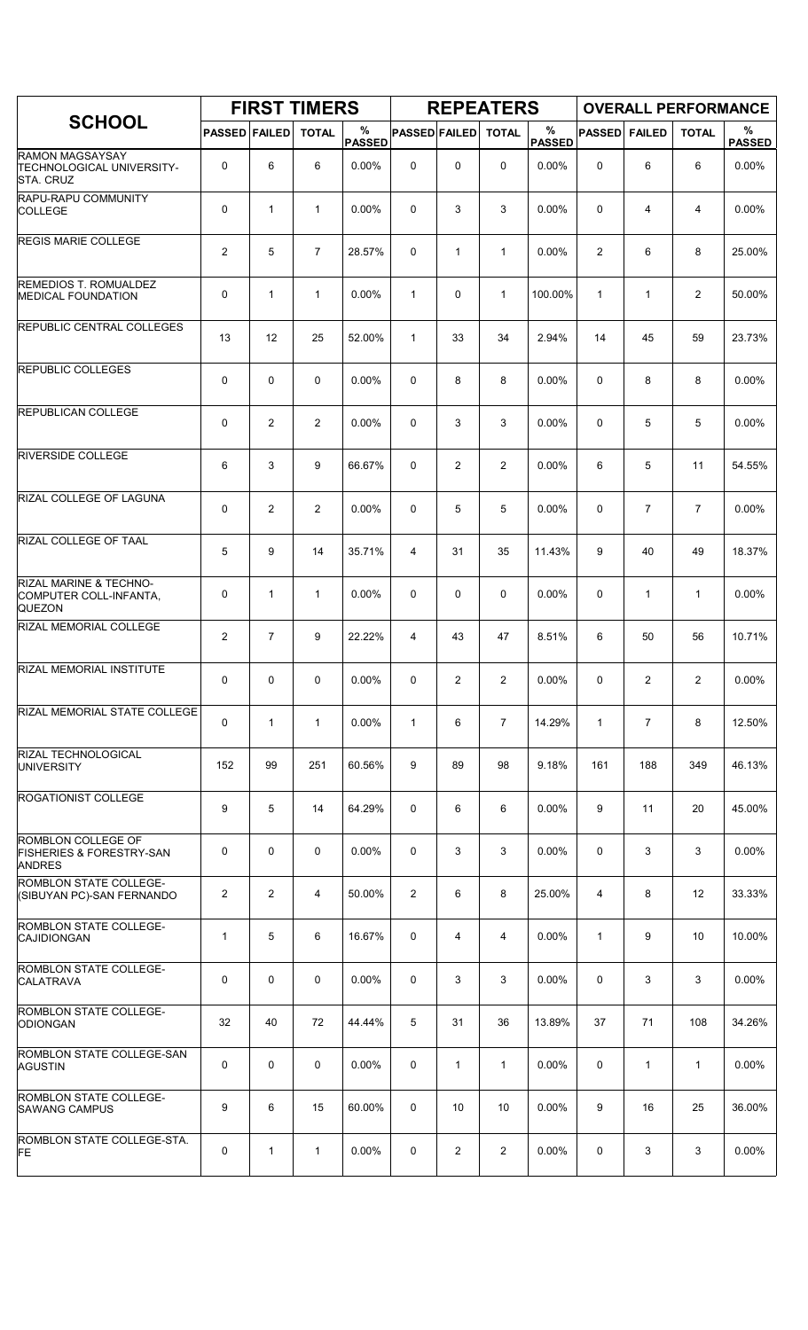|                                                                            |                      |                | <b>FIRST TIMERS</b> |                    |                      |              | <b>REPEATERS</b> |                       |               |                | <b>OVERALL PERFORMANCE</b> |                    |
|----------------------------------------------------------------------------|----------------------|----------------|---------------------|--------------------|----------------------|--------------|------------------|-----------------------|---------------|----------------|----------------------------|--------------------|
| <b>SCHOOL</b>                                                              | <b>PASSED FAILED</b> |                | <b>TOTAL</b>        | %<br><b>PASSED</b> | <b>PASSED FAILED</b> |              | <b>TOTAL</b>     | $\%$<br><b>PASSED</b> | <b>PASSED</b> | <b>FAILED</b>  | <b>TOTAL</b>               | %<br><b>PASSED</b> |
| <b>RAMON MAGSAYSAY</b><br>TECHNOLOGICAL UNIVERSITY-<br><b>STA. CRUZ</b>    | 0                    | 6              | 6                   | $0.00\%$           | 0                    | 0            | 0                | $0.00\%$              | 0             | 6              | 6                          | 0.00%              |
| RAPU-RAPU COMMUNITY<br><b>COLLEGE</b>                                      | 0                    | $\mathbf{1}$   | $\mathbf{1}$        | 0.00%              | 0                    | 3            | 3                | 0.00%                 | $\mathbf 0$   | 4              | 4                          | 0.00%              |
| <b>REGIS MARIE COLLEGE</b>                                                 | $\overline{2}$       | 5              | $\overline{7}$      | 28.57%             | 0                    | $\mathbf{1}$ | $\mathbf{1}$     | 0.00%                 | 2             | 6              | 8                          | 25.00%             |
| REMEDIOS T. ROMUALDEZ<br><b>MEDICAL FOUNDATION</b>                         | 0                    | $\mathbf{1}$   | $\mathbf{1}$        | $0.00\%$           | $\mathbf{1}$         | 0            | $\mathbf{1}$     | 100.00%               | $\mathbf{1}$  | 1              | 2                          | 50.00%             |
| REPUBLIC CENTRAL COLLEGES                                                  | 13                   | 12             | 25                  | 52.00%             | $\mathbf{1}$         | 33           | 34               | 2.94%                 | 14            | 45             | 59                         | 23.73%             |
| REPUBLIC COLLEGES                                                          | 0                    | $\mathbf 0$    | $\mathbf 0$         | $0.00\%$           | 0                    | 8            | 8                | 0.00%                 | $\Omega$      | 8              | 8                          | 0.00%              |
| <b>REPUBLICAN COLLEGE</b>                                                  | 0                    | $\overline{c}$ | $\overline{c}$      | 0.00%              | 0                    | 3            | 3                | 0.00%                 | $\mathbf 0$   | 5              | 5                          | 0.00%              |
| <b>RIVERSIDE COLLEGE</b>                                                   | 6                    | 3              | 9                   | 66.67%             | 0                    | 2            | $\overline{2}$   | 0.00%                 | 6             | 5              | 11                         | 54.55%             |
| RIZAL COLLEGE OF LAGUNA                                                    | 0                    | 2              | 2                   | $0.00\%$           | 0                    | 5            | 5                | 0.00%                 | 0             | $\overline{7}$ | $\overline{7}$             | 0.00%              |
| RIZAL COLLEGE OF TAAL                                                      | 5                    | 9              | 14                  | 35.71%             | 4                    | 31           | 35               | 11.43%                | 9             | 40             | 49                         | 18.37%             |
| RIZAL MARINE & TECHNO-<br>COMPUTER COLL-INFANTA,<br><b>QUEZON</b>          | 0                    | $\mathbf{1}$   | $\mathbf{1}$        | 0.00%              | 0                    | 0            | 0                | 0.00%                 | 0             | $\mathbf{1}$   | $\mathbf{1}$               | 0.00%              |
| RIZAL MEMORIAL COLLEGE                                                     | $\overline{2}$       | $\overline{7}$ | 9                   | 22.22%             | 4                    | 43           | 47               | 8.51%                 | 6             | 50             | 56                         | 10.71%             |
| RIZAL MEMORIAL INSTITUTE                                                   | 0                    | $\mathbf 0$    | 0                   | 0.00%              | 0                    | 2            | 2                | 0.00%                 | 0             | 2              | 2                          | 0.00%              |
| RIZAL MEMORIAL STATE COLLEGE                                               | 0                    | $\mathbf{1}$   | $\mathbf{1}$        | $0.00\%$           | $\mathbf{1}$         | 6            | 7                | 14.29%                | 1             | 7              | 8                          | 12.50%             |
| RIZAL TECHNOLOGICAL<br><b>UNIVERSITY</b>                                   | 152                  | 99             | 251                 | 60.56%             | 9                    | 89           | 98               | 9.18%                 | 161           | 188            | 349                        | 46.13%             |
| ROGATIONIST COLLEGE                                                        | 9                    | 5              | 14                  | 64.29%             | 0                    | 6            | 6                | 0.00%                 | 9             | 11             | 20                         | 45.00%             |
| ROMBLON COLLEGE OF<br><b>FISHERIES &amp; FORESTRY-SAN</b><br><b>ANDRES</b> | 0                    | 0              | 0                   | $0.00\%$           | 0                    | 3            | 3                | $0.00\%$              | 0             | 3              | 3                          | 0.00%              |
| ROMBLON STATE COLLEGE-<br>(SIBUYAN PC)-SAN FERNANDO                        | $\overline{c}$       | $\overline{2}$ | 4                   | 50.00%             | 2                    | 6            | 8                | 25.00%                | 4             | 8              | 12                         | 33.33%             |
| ROMBLON STATE COLLEGE-<br>CAJIDIONGAN                                      | 1                    | 5              | 6                   | 16.67%             | 0                    | 4            | 4                | 0.00%                 | $\mathbf{1}$  | 9              | 10                         | 10.00%             |
| ROMBLON STATE COLLEGE-<br><b>CALATRAVA</b>                                 | 0                    | 0              | $\mathbf 0$         | $0.00\%$           | 0                    | 3            | 3                | $0.00\%$              | 0             | 3              | 3                          | 0.00%              |
| ROMBLON STATE COLLEGE-<br><b>ODIONGAN</b>                                  | 32                   | 40             | 72                  | 44.44%             | 5                    | 31           | 36               | 13.89%                | 37            | 71             | 108                        | 34.26%             |
| ROMBLON STATE COLLEGE-SAN<br>AGUSTIN                                       | 0                    | $\mathbf 0$    | 0                   | 0.00%              | 0                    | 1            | $\mathbf{1}$     | 0.00%                 | 0             | 1              | 1                          | 0.00%              |
| ROMBLON STATE COLLEGE-<br><b>SAWANG CAMPUS</b>                             | 9                    | 6              | 15                  | 60.00%             | 0                    | 10           | 10               | $0.00\%$              | 9             | 16             | 25                         | 36.00%             |
| ROMBLON STATE COLLEGE-STA.<br><b>FE</b>                                    | 0                    | $\mathbf{1}$   | $\mathbf{1}$        | 0.00%              | 0                    | 2            | $\overline{2}$   | 0.00%                 | 0             | 3              | 3                          | 0.00%              |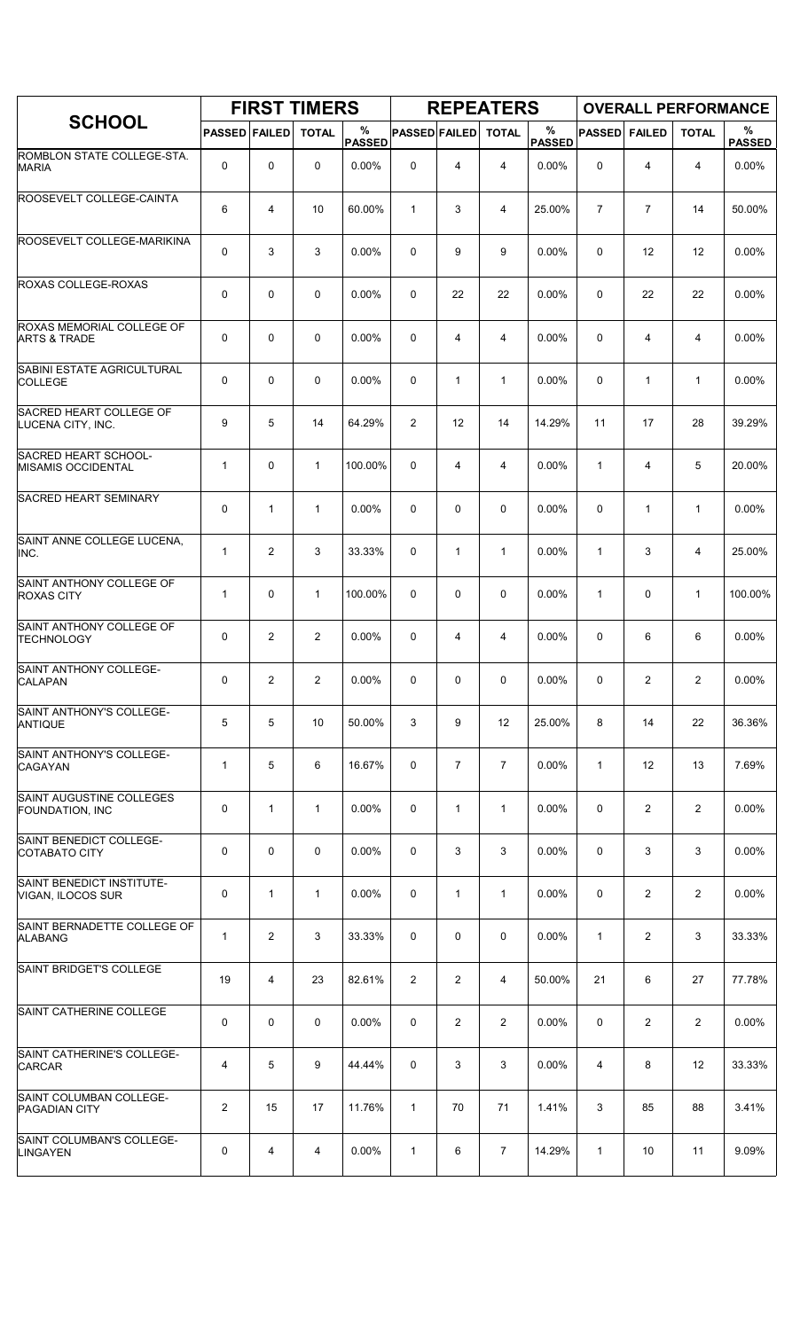|                                                      |                      |                | <b>FIRST TIMERS</b> |                    |                      |                | <b>REPEATERS</b> |                    |                |                |                | <b>OVERALL PERFORMANCE</b> |
|------------------------------------------------------|----------------------|----------------|---------------------|--------------------|----------------------|----------------|------------------|--------------------|----------------|----------------|----------------|----------------------------|
| <b>SCHOOL</b>                                        | <b>PASSED FAILED</b> |                | <b>TOTAL</b>        | %<br><b>PASSED</b> | <b>PASSED FAILED</b> |                | <b>TOTAL</b>     | %<br><b>PASSED</b> | <b>PASSED</b>  | <b>FAILED</b>  | <b>TOTAL</b>   | %<br><b>PASSED</b>         |
| ROMBLON STATE COLLEGE-STA.<br><b>MARIA</b>           | 0                    | 0              | 0                   | 0.00%              | $\mathbf 0$          | 4              | $\overline{4}$   | 0.00%              | 0              | 4              | $\overline{4}$ | 0.00%                      |
| ROOSEVELT COLLEGE-CAINTA                             | 6                    | 4              | 10                  | 60.00%             | $\mathbf{1}$         | 3              | 4                | 25.00%             | $\overline{7}$ | $\overline{7}$ | 14             | 50.00%                     |
| ROOSEVELT COLLEGE-MARIKINA                           | 0                    | 3              | 3                   | 0.00%              | 0                    | 9              | 9                | 0.00%              | 0              | 12             | 12             | 0.00%                      |
| ROXAS COLLEGE-ROXAS                                  | 0                    | 0              | $\mathbf 0$         | 0.00%              | 0                    | 22             | 22               | 0.00%              | 0              | 22             | 22             | 0.00%                      |
| ROXAS MEMORIAL COLLEGE OF<br><b>ARTS &amp; TRADE</b> | 0                    | 0              | $\mathbf 0$         | 0.00%              | 0                    | 4              | $\overline{4}$   | 0.00%              | $\mathbf 0$    | 4              | 4              | 0.00%                      |
| SABINI ESTATE AGRICULTURAL<br><b>COLLEGE</b>         | 0                    | 0              | $\mathbf 0$         | 0.00%              | 0                    | 1              | $\mathbf{1}$     | 0.00%              | 0              | $\mathbf{1}$   | $\mathbf{1}$   | 0.00%                      |
| SACRED HEART COLLEGE OF<br>LUCENA CITY, INC.         | 9                    | 5              | 14                  | 64.29%             | $\overline{2}$       | 12             | 14               | 14.29%             | 11             | 17             | 28             | 39.29%                     |
| SACRED HEART SCHOOL-<br><b>MISAMIS OCCIDENTAL</b>    | $\mathbf{1}$         | 0              | $\mathbf{1}$        | 100.00%            | 0                    | 4              | 4                | 0.00%              | $\mathbf{1}$   | 4              | 5              | 20.00%                     |
| <b>SACRED HEART SEMINARY</b>                         | 0                    | $\mathbf{1}$   | $\mathbf{1}$        | 0.00%              | 0                    | 0              | $\mathbf 0$      | 0.00%              | $\mathbf 0$    | $\mathbf{1}$   | $\mathbf{1}$   | 0.00%                      |
| SAINT ANNE COLLEGE LUCENA,<br>INC.                   | $\mathbf{1}$         | $\overline{c}$ | 3                   | 33.33%             | 0                    | $\mathbf{1}$   | $\mathbf{1}$     | 0.00%              | $\mathbf{1}$   | 3              | 4              | 25.00%                     |
| SAINT ANTHONY COLLEGE OF<br><b>ROXAS CITY</b>        | $\mathbf{1}$         | 0              | $\mathbf{1}$        | 100.00%            | 0                    | 0              | 0                | 0.00%              | $\mathbf{1}$   | 0              | $\mathbf{1}$   | 100.00%                    |
| SAINT ANTHONY COLLEGE OF<br><b>TECHNOLOGY</b>        | 0                    | $\overline{2}$ | $\overline{2}$      | 0.00%              | 0                    | 4              | 4                | 0.00%              | 0              | 6              | 6              | 0.00%                      |
| SAINT ANTHONY COLLEGE-<br><b>CALAPAN</b>             | 0                    | 2              | 2                   | 0.00%              | 0                    | 0              | 0                | 0.00%              | 0              | 2              | $\overline{2}$ | 0.00%                      |
| SAINT ANTHONY'S COLLEGE-<br><b>ANTIQUE</b>           | 5                    | 5              | 10                  | 50.00%             | 3                    | 9              | 12               | 25.00%             | 8              | 14             | 22             | 36.36%                     |
| SAINT ANTHONY'S COLLEGE-<br><b>CAGAYAN</b>           | $\mathbf{1}$         | 5              | 6                   | 16.67%             | 0                    | $\overline{7}$ | $\overline{7}$   | 0.00%              | $\mathbf{1}$   | 12             | 13             | 7.69%                      |
| SAINT AUGUSTINE COLLEGES<br><b>FOUNDATION, INC</b>   | 0                    | 1              | $\mathbf{1}$        | 0.00%              | 0                    | $\mathbf{1}$   | $\mathbf{1}$     | 0.00%              | 0              | 2              | $\overline{2}$ | 0.00%                      |
| SAINT BENEDICT COLLEGE-<br><b>COTABATO CITY</b>      | 0                    | 0              | 0                   | 0.00%              | 0                    | 3              | 3                | 0.00%              | $\mathbf 0$    | 3              | 3              | 0.00%                      |
| SAINT BENEDICT INSTITUTE-<br>VIGAN, ILOCOS SUR       | 0                    | $\mathbf{1}$   | $\mathbf{1}$        | 0.00%              | 0                    | $\mathbf{1}$   | $\mathbf{1}$     | 0.00%              | 0              | 2              | $\overline{2}$ | 0.00%                      |
| SAINT BERNADETTE COLLEGE OF<br><b>ALABANG</b>        | $\mathbf{1}$         | $\overline{c}$ | 3                   | 33.33%             | 0                    | 0              | 0                | 0.00%              | $\mathbf{1}$   | $\overline{2}$ | 3              | 33.33%                     |
| SAINT BRIDGET'S COLLEGE                              | 19                   | 4              | 23                  | 82.61%             | $\overline{2}$       | $\overline{c}$ | 4                | 50.00%             | 21             | 6              | 27             | 77.78%                     |
| SAINT CATHERINE COLLEGE                              | 0                    | 0              | 0                   | 0.00%              | 0                    | $\overline{2}$ | $\overline{2}$   | 0.00%              | 0              | $\overline{2}$ | $\overline{2}$ | 0.00%                      |
| SAINT CATHERINE'S COLLEGE-<br><b>CARCAR</b>          | 4                    | 5              | 9                   | 44.44%             | 0                    | 3              | 3                | 0.00%              | $\overline{4}$ | 8              | 12             | 33.33%                     |
| SAINT COLUMBAN COLLEGE-<br><b>PAGADIAN CITY</b>      | 2                    | 15             | 17                  | 11.76%             | $\mathbf{1}$         | 70             | 71               | 1.41%              | 3              | 85             | 88             | 3.41%                      |
| SAINT COLUMBAN'S COLLEGE-<br><b>LINGAYEN</b>         | 0                    | 4              | 4                   | $0.00\%$           | $\mathbf{1}$         | 6              | 7                | 14.29%             | 1              | 10             | 11             | 9.09%                      |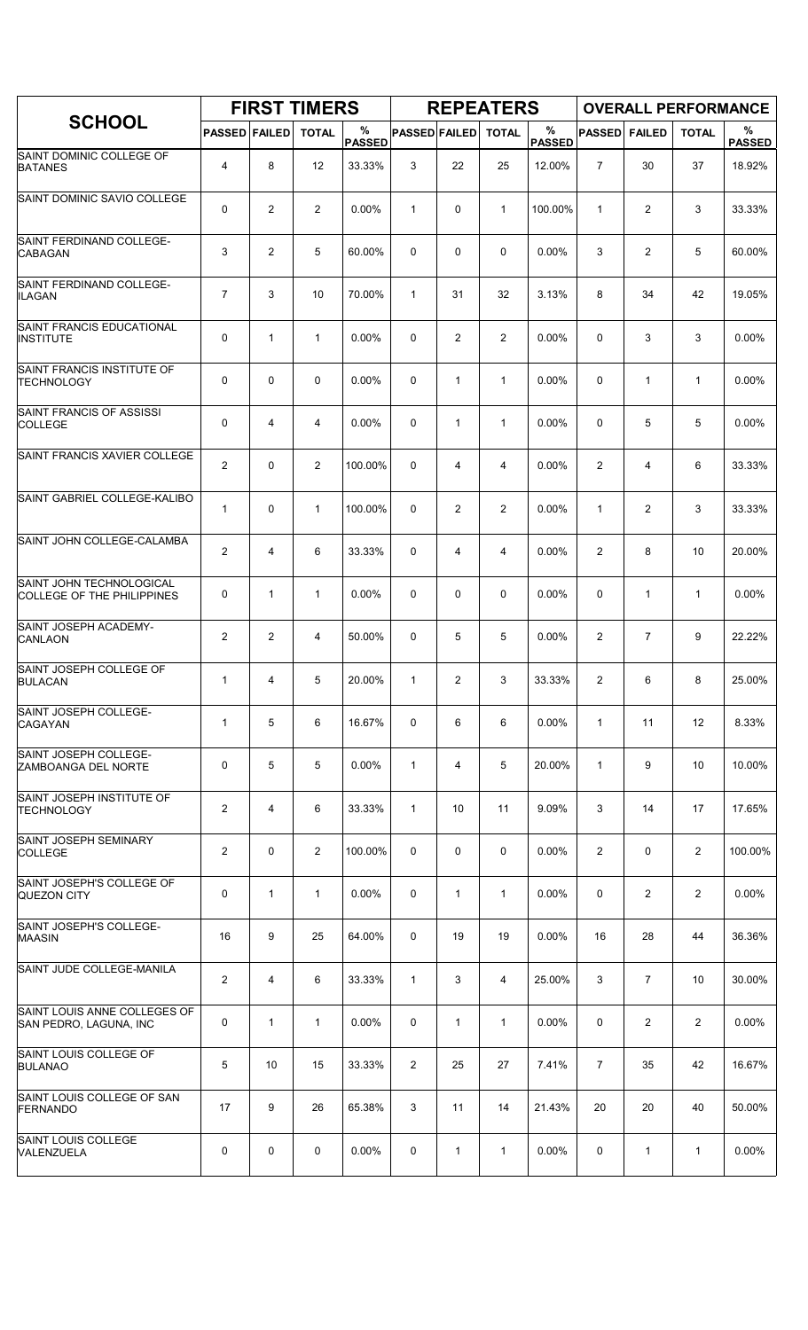|                                                               |                      |                | <b>FIRST TIMERS</b> |                    |                      |              | <b>REPEATERS</b> |                       |                |                | <b>OVERALL PERFORMANCE</b> |                    |
|---------------------------------------------------------------|----------------------|----------------|---------------------|--------------------|----------------------|--------------|------------------|-----------------------|----------------|----------------|----------------------------|--------------------|
| <b>SCHOOL</b>                                                 | <b>PASSED FAILED</b> |                | <b>TOTAL</b>        | %<br><b>PASSED</b> | <b>PASSED FAILED</b> |              | <b>TOTAL</b>     | $\%$<br><b>PASSED</b> | <b>PASSED</b>  | <b>FAILED</b>  | <b>TOTAL</b>               | %<br><b>PASSED</b> |
| SAINT DOMINIC COLLEGE OF<br><b>BATANES</b>                    | 4                    | 8              | 12                  | 33.33%             | 3                    | 22           | 25               | 12.00%                | $\overline{7}$ | 30             | 37                         | 18.92%             |
| SAINT DOMINIC SAVIO COLLEGE                                   | 0                    | 2              | 2                   | 0.00%              | $\mathbf{1}$         | 0            | $\mathbf{1}$     | 100.00%               | $\mathbf{1}$   | 2              | 3                          | 33.33%             |
| SAINT FERDINAND COLLEGE-<br><b>CABAGAN</b>                    | 3                    | $\overline{2}$ | 5                   | 60.00%             | 0                    | 0            | $\mathbf 0$      | 0.00%                 | 3              | $\overline{c}$ | 5                          | 60.00%             |
| SAINT FERDINAND COLLEGE-<br><b>ILAGAN</b>                     | $\overline{7}$       | 3              | 10                  | 70.00%             | $\mathbf{1}$         | 31           | 32               | 3.13%                 | 8              | 34             | 42                         | 19.05%             |
| SAINT FRANCIS EDUCATIONAL<br><b>INSTITUTE</b>                 | 0                    | $\mathbf{1}$   | $\mathbf{1}$        | $0.00\%$           | 0                    | 2            | $\overline{2}$   | 0.00%                 | $\mathbf 0$    | 3              | 3                          | 0.00%              |
| SAINT FRANCIS INSTITUTE OF<br><b>TECHNOLOGY</b>               | 0                    | $\mathbf 0$    | 0                   | 0.00%              | 0                    | $\mathbf{1}$ | $\mathbf{1}$     | 0.00%                 | 0              | $\mathbf{1}$   | $\mathbf{1}$               | 0.00%              |
| SAINT FRANCIS OF ASSISSI<br>COLLEGE                           | 0                    | 4              | 4                   | 0.00%              | 0                    | $\mathbf{1}$ | $\mathbf{1}$     | 0.00%                 | 0              | 5              | 5                          | 0.00%              |
| SAINT FRANCIS XAVIER COLLEGE                                  | $\overline{2}$       | 0              | $\mathbf{2}$        | 100.00%            | 0                    | 4            | 4                | 0.00%                 | 2              | 4              | 6                          | 33.33%             |
| SAINT GABRIEL COLLEGE-KALIBO                                  | 1                    | $\mathbf 0$    | $\mathbf{1}$        | 100.00%            | 0                    | 2            | 2                | 0.00%                 | $\mathbf{1}$   | $\overline{2}$ | 3                          | 33.33%             |
| SAINT JOHN COLLEGE-CALAMBA                                    | $\overline{c}$       | 4              | 6                   | 33.33%             | 0                    | 4            | 4                | 0.00%                 | $\overline{2}$ | 8              | 10                         | 20.00%             |
| SAINT JOHN TECHNOLOGICAL<br><b>COLLEGE OF THE PHILIPPINES</b> | 0                    | $\mathbf{1}$   | $\mathbf{1}$        | 0.00%              | 0                    | 0            | 0                | 0.00%                 | 0              | $\mathbf{1}$   | $\mathbf{1}$               | 0.00%              |
| SAINT JOSEPH ACADEMY-<br><b>CANLAON</b>                       | $\overline{2}$       | $\overline{2}$ | 4                   | 50.00%             | 0                    | 5            | 5                | 0.00%                 | 2              | $\overline{7}$ | 9                          | 22.22%             |
| SAINT JOSEPH COLLEGE OF<br><b>BULACAN</b>                     | 1                    | 4              | 5                   | 20.00%             | $\mathbf{1}$         | 2            | 3                | 33.33%                | $\overline{c}$ | 6              | 8                          | 25.00%             |
| SAINT JOSEPH COLLEGE-<br><b>CAGAYAN</b>                       | 1                    | 5              | 6                   | 16.67%             | 0                    | 6            | 6                | 0.00%                 | $\mathbf{1}$   | 11             | 12                         | 8.33%              |
| SAINT JOSEPH COLLEGE-<br>ZAMBOANGA DEL NORTE                  | 0                    | 5              | 5                   | 0.00%              | $\mathbf{1}$         | 4            | 5                | 20.00%                | $\mathbf{1}$   | 9              | 10                         | 10.00%             |
| SAINT JOSEPH INSTITUTE OF<br><b>TECHNOLOGY</b>                | $\overline{2}$       | 4              | 6                   | 33.33%             | $\mathbf{1}$         | 10           | 11               | 9.09%                 | 3              | 14             | 17                         | 17.65%             |
| SAINT JOSEPH SEMINARY<br><b>COLLEGE</b>                       | $\overline{c}$       | $\mathbf 0$    | $\overline{2}$      | 100.00%            | 0                    | 0            | 0                | 0.00%                 | 2              | 0              | 2                          | 100.00%            |
| SAINT JOSEPH'S COLLEGE OF<br>QUEZON CITY                      | 0                    | $\mathbf{1}$   | $\mathbf{1}$        | 0.00%              | 0                    | 1            | $\mathbf{1}$     | $0.00\%$              | 0              | $\overline{2}$ | 2                          | 0.00%              |
| SAINT JOSEPH'S COLLEGE-<br><b>MAASIN</b>                      | 16                   | 9              | 25                  | 64.00%             | 0                    | 19           | 19               | $0.00\%$              | 16             | 28             | 44                         | 36.36%             |
| SAINT JUDE COLLEGE-MANILA                                     | $\overline{c}$       | 4              | 6                   | 33.33%             | $\mathbf{1}$         | 3            | 4                | 25.00%                | 3              | $\overline{7}$ | 10                         | 30.00%             |
| SAINT LOUIS ANNE COLLEGES OF<br>SAN PEDRO, LAGUNA, INC        | 0                    | $\mathbf{1}$   | $\mathbf{1}$        | 0.00%              | 0                    | $\mathbf{1}$ | $\mathbf{1}$     | 0.00%                 | 0              | 2              | 2                          | 0.00%              |
| SAINT LOUIS COLLEGE OF<br><b>BULANAO</b>                      | 5                    | 10             | 15                  | 33.33%             | 2                    | 25           | 27               | 7.41%                 | $\overline{7}$ | 35             | 42                         | 16.67%             |
| SAINT LOUIS COLLEGE OF SAN<br>FERNANDO                        | 17                   | 9              | 26                  | 65.38%             | 3                    | 11           | 14               | 21.43%                | 20             | 20             | 40                         | 50.00%             |
| SAINT LOUIS COLLEGE<br>VALENZUELA                             | 0                    | 0              | 0                   | $0.00\%$           | 0                    | 1            | 1                | 0.00%                 | 0              | 1              | $\mathbf{1}$               | 0.00%              |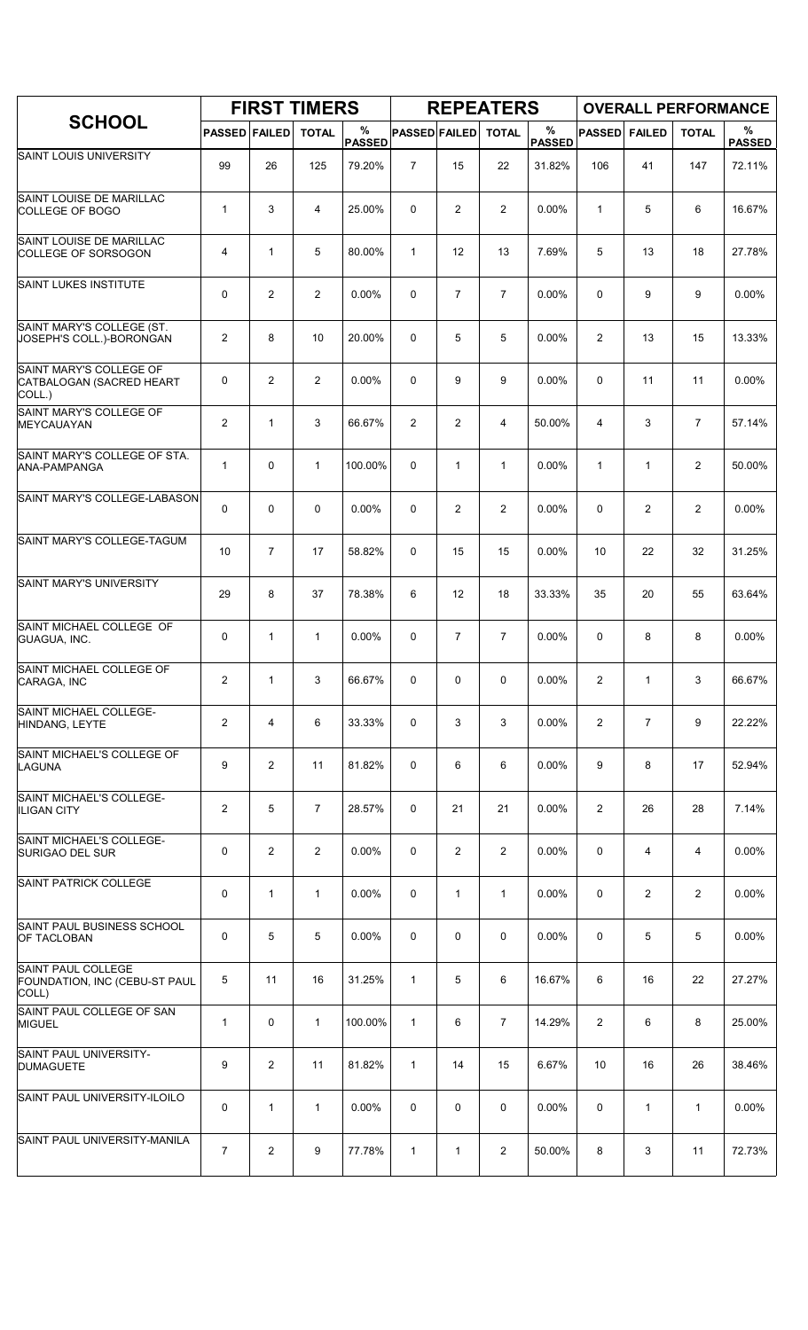|                                                               |                         |                | <b>FIRST TIMERS</b> |                    |                      |                | <b>REPEATERS</b> |                    |                |                |                | <b>OVERALL PERFORMANCE</b> |
|---------------------------------------------------------------|-------------------------|----------------|---------------------|--------------------|----------------------|----------------|------------------|--------------------|----------------|----------------|----------------|----------------------------|
| <b>SCHOOL</b>                                                 | <b>PASSED FAILED</b>    |                | <b>TOTAL</b>        | %<br><b>PASSED</b> | <b>PASSED FAILED</b> |                | <b>TOTAL</b>     | %<br><b>PASSED</b> | <b>PASSED</b>  | <b>FAILED</b>  | <b>TOTAL</b>   | %<br><b>PASSED</b>         |
| SAINT LOUIS UNIVERSITY                                        | 99                      | 26             | 125                 | 79.20%             | $\overline{7}$       | 15             | 22               | 31.82%             | 106            | 41             | 147            | 72.11%                     |
| SAINT LOUISE DE MARILLAC<br>COLLEGE OF BOGO                   | $\mathbf{1}$            | 3              | 4                   | 25.00%             | 0                    | 2              | $\overline{2}$   | 0.00%              | $\mathbf{1}$   | 5              | 6              | 16.67%                     |
| SAINT LOUISE DE MARILLAC<br><b>COLLEGE OF SORSOGON</b>        | 4                       | $\mathbf{1}$   | 5                   | 80.00%             | $\mathbf{1}$         | 12             | 13               | 7.69%              | 5              | 13             | 18             | 27.78%                     |
| <b>SAINT LUKES INSTITUTE</b>                                  | 0                       | $\overline{2}$ | $\overline{2}$      | 0.00%              | $\mathbf 0$          | $\overline{7}$ | $\overline{7}$   | 0.00%              | $\mathbf 0$    | 9              | 9              | 0.00%                      |
| SAINT MARY'S COLLEGE (ST.<br>JOSEPH'S COLL.)-BORONGAN         | 2                       | 8              | 10                  | 20.00%             | 0                    | 5              | 5                | 0.00%              | $\overline{2}$ | 13             | 15             | 13.33%                     |
| SAINT MARY'S COLLEGE OF<br>CATBALOGAN (SACRED HEART<br>COLL.) | 0                       | $\overline{c}$ | $\overline{2}$      | 0.00%              | 0                    | 9              | 9                | 0.00%              | 0              | 11             | 11             | 0.00%                      |
| SAINT MARY'S COLLEGE OF<br>MEYCAUAYAN                         | $\overline{\mathbf{c}}$ | $\mathbf{1}$   | 3                   | 66.67%             | $\overline{2}$       | $\overline{c}$ | 4                | 50.00%             | $\overline{4}$ | 3              | $\overline{7}$ | 57.14%                     |
| SAINT MARY'S COLLEGE OF STA.<br>ANA-PAMPANGA                  | $\mathbf{1}$            | 0              | $\mathbf{1}$        | 100.00%            | 0                    | $\mathbf{1}$   | $\mathbf{1}$     | 0.00%              | $\mathbf{1}$   | $\mathbf{1}$   | $\overline{2}$ | 50.00%                     |
| SAINT MARY'S COLLEGE-LABASON                                  | 0                       | 0              | $\mathbf 0$         | 0.00%              | 0                    | $\overline{2}$ | $\overline{2}$   | 0.00%              | $\mathbf 0$    | $\overline{2}$ | 2              | 0.00%                      |
| SAINT MARY'S COLLEGE-TAGUM                                    | 10                      | $\overline{7}$ | 17                  | 58.82%             | 0                    | 15             | 15               | 0.00%              | 10             | 22             | 32             | 31.25%                     |
| SAINT MARY'S UNIVERSITY                                       | 29                      | 8              | 37                  | 78.38%             | 6                    | 12             | 18               | 33.33%             | 35             | 20             | 55             | 63.64%                     |
| SAINT MICHAEL COLLEGE OF<br>GUAGUA, INC.                      | 0                       | 1              | $\mathbf{1}$        | 0.00%              | $\mathbf 0$          | $\overline{7}$ | $\overline{7}$   | 0.00%              | $\Omega$       | 8              | 8              | 0.00%                      |
| SAINT MICHAEL COLLEGE OF<br>CARAGA, INC                       | $\overline{2}$          | $\mathbf{1}$   | 3                   | 66.67%             | 0                    | 0              | 0                | 0.00%              | 2              | $\mathbf{1}$   | 3              | 66.67%                     |
| <b>SAINT MICHAEL COLLEGE-</b><br>HINDANG, LEYTE               | $\overline{2}$          | 4              | 6                   | 33.33%             | 0                    | 3              | 3                | 0.00%              | $\overline{2}$ | $\overline{7}$ | 9              | 22.22%                     |
| SAINT MICHAEL'S COLLEGE OF<br>LAGUNA                          | 9                       | $\overline{c}$ | 11                  | 81.82%             | 0                    | 6              | 6                | 0.00%              | 9              | 8              | 17             | 52.94%                     |
| SAINT MICHAEL'S COLLEGE-<br><b>ILIGAN CITY</b>                | 2                       | 5              | $\overline{7}$      | 28.57%             | 0                    | 21             | 21               | 0.00%              | $\overline{2}$ | 26             | 28             | 7.14%                      |
| SAINT MICHAEL'S COLLEGE-<br><b>SURIGAO DEL SUR</b>            | 0                       | $\overline{2}$ | $\overline{2}$      | 0.00%              | 0                    | 2              | $\overline{2}$   | 0.00%              | 0              | 4              | 4              | 0.00%                      |
| <b>SAINT PATRICK COLLEGE</b>                                  | 0                       | $\mathbf{1}$   | $\mathbf 1$         | 0.00%              | 0                    | $\mathbf{1}$   | $\mathbf{1}$     | $0.00\%$           | 0              | $\overline{2}$ | $\overline{2}$ | 0.00%                      |
| SAINT PAUL BUSINESS SCHOOL<br><b>OF TACLOBAN</b>              | 0                       | 5              | 5                   | 0.00%              | 0                    | 0              | 0                | 0.00%              | 0              | 5              | 5              | 0.00%                      |
| SAINT PAUL COLLEGE<br>FOUNDATION, INC (CEBU-ST PAUL<br>COLL)  | 5                       | 11             | 16                  | 31.25%             | $\mathbf{1}$         | 5              | 6                | 16.67%             | 6              | 16             | 22             | 27.27%                     |
| SAINT PAUL COLLEGE OF SAN<br><b>MIGUEL</b>                    | $\mathbf{1}$            | 0              | $\mathbf{1}$        | 100.00%            | $\mathbf{1}$         | 6              | $\overline{7}$   | 14.29%             | $\overline{2}$ | 6              | 8              | 25.00%                     |
| SAINT PAUL UNIVERSITY-<br><b>DUMAGUETE</b>                    | 9                       | $\overline{2}$ | 11                  | 81.82%             | $\mathbf{1}$         | 14             | 15               | 6.67%              | 10             | 16             | 26             | 38.46%                     |
| SAINT PAUL UNIVERSITY-ILOILO                                  | 0                       | $\mathbf{1}$   | $\mathbf{1}$        | 0.00%              | 0                    | 0              | 0                | 0.00%              | 0              | $\mathbf{1}$   | $\mathbf{1}$   | 0.00%                      |
| SAINT PAUL UNIVERSITY-MANILA                                  | 7                       | 2              | 9                   | 77.78%             | $\mathbf{1}$         | 1              | $\overline{2}$   | 50.00%             | 8              | 3              | 11             | 72.73%                     |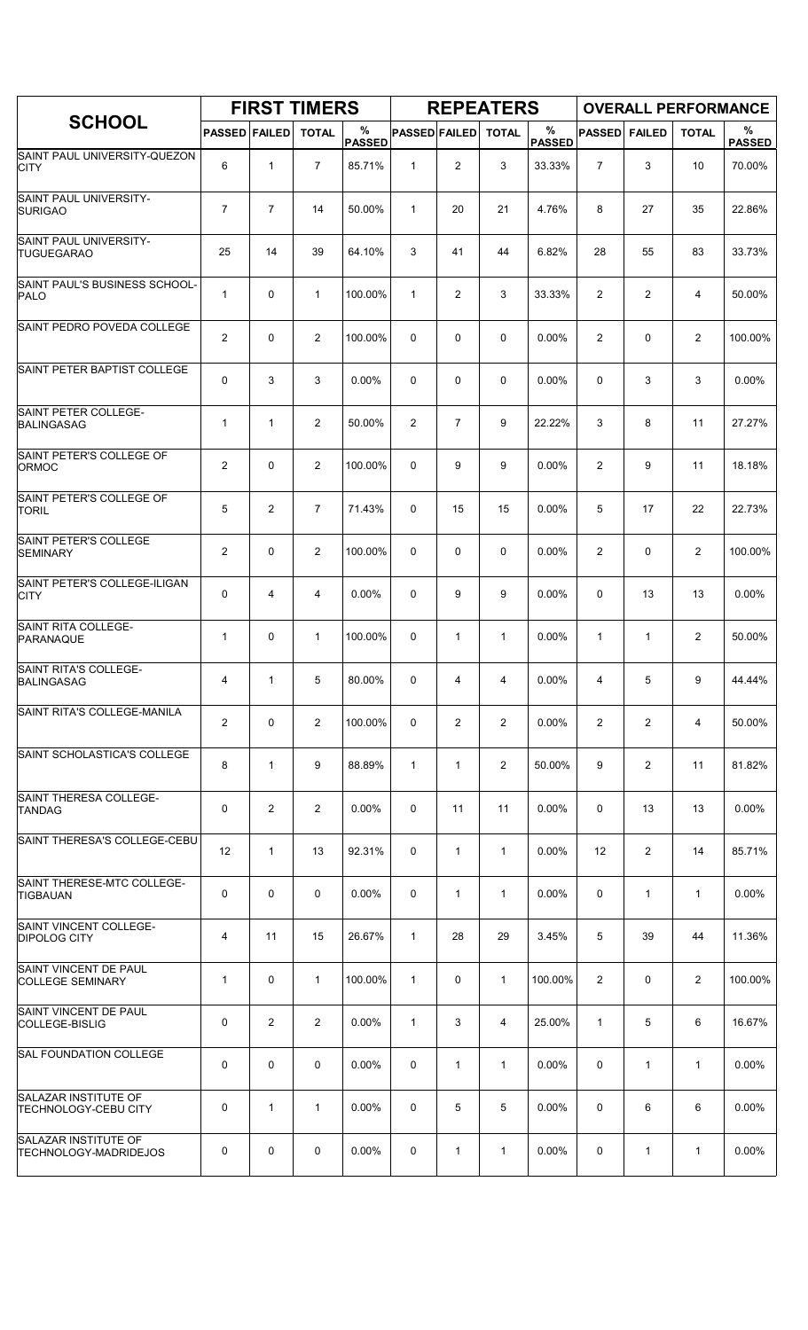|                                                      |                      |                | <b>FIRST TIMERS</b> |                    |                      |                | <b>REPEATERS</b> |                       |                |                | <b>OVERALL PERFORMANCE</b> |                    |
|------------------------------------------------------|----------------------|----------------|---------------------|--------------------|----------------------|----------------|------------------|-----------------------|----------------|----------------|----------------------------|--------------------|
| <b>SCHOOL</b>                                        | <b>PASSED FAILED</b> |                | <b>TOTAL</b>        | %<br><b>PASSED</b> | <b>PASSED FAILED</b> |                | <b>TOTAL</b>     | $\%$<br><b>PASSED</b> | <b>PASSED</b>  | <b>FAILED</b>  | <b>TOTAL</b>               | %<br><b>PASSED</b> |
| SAINT PAUL UNIVERSITY-QUEZON<br><b>CITY</b>          | 6                    | $\mathbf{1}$   | $\overline{7}$      | 85.71%             | $\mathbf{1}$         | 2              | 3                | 33.33%                | $\overline{7}$ | 3              | 10                         | 70.00%             |
| SAINT PAUL UNIVERSITY-<br><b>SURIGAO</b>             | $\overline{7}$       | $\overline{7}$ | 14                  | 50.00%             | $\mathbf{1}$         | 20             | 21               | 4.76%                 | 8              | 27             | 35                         | 22.86%             |
| SAINT PAUL UNIVERSITY-<br><b>TUGUEGARAO</b>          | 25                   | 14             | 39                  | 64.10%             | 3                    | 41             | 44               | 6.82%                 | 28             | 55             | 83                         | 33.73%             |
| SAINT PAUL'S BUSINESS SCHOOL-<br><b>PALO</b>         | $\mathbf{1}$         | 0              | $\mathbf{1}$        | 100.00%            | $\mathbf{1}$         | 2              | 3                | 33.33%                | 2              | $\overline{c}$ | 4                          | 50.00%             |
| SAINT PEDRO POVEDA COLLEGE                           | $\overline{c}$       | 0              | 2                   | 100.00%            | 0                    | 0              | 0                | 0.00%                 | 2              | 0              | $\overline{2}$             | 100.00%            |
| SAINT PETER BAPTIST COLLEGE                          | 0                    | 3              | 3                   | 0.00%              | 0                    | 0              | $\mathbf 0$      | 0.00%                 | $\mathbf 0$    | 3              | 3                          | 0.00%              |
| SAINT PETER COLLEGE-<br>BALINGASAG                   | 1                    | $\mathbf{1}$   | $\overline{2}$      | 50.00%             | 2                    | $\overline{7}$ | 9                | 22.22%                | 3              | 8              | 11                         | 27.27%             |
| SAINT PETER'S COLLEGE OF<br>ORMOC                    | 2                    | 0              | $\overline{2}$      | 100.00%            | 0                    | 9              | 9                | 0.00%                 | 2              | 9              | 11                         | 18.18%             |
| SAINT PETER'S COLLEGE OF<br><b>TORIL</b>             | 5                    | $\overline{2}$ | $\overline{7}$      | 71.43%             | 0                    | 15             | 15               | 0.00%                 | 5              | 17             | 22                         | 22.73%             |
| SAINT PETER'S COLLEGE<br><b>SEMINARY</b>             | $\overline{2}$       | $\mathbf 0$    | $\overline{2}$      | 100.00%            | 0                    | 0              | 0                | 0.00%                 | $\overline{2}$ | 0              | 2                          | 100.00%            |
| SAINT PETER'S COLLEGE-ILIGAN<br><b>CITY</b>          | 0                    | 4              | 4                   | 0.00%              | 0                    | 9              | 9                | 0.00%                 | 0              | 13             | 13                         | 0.00%              |
| <b>SAINT RITA COLLEGE-</b><br>PARANAQUE              | 1                    | $\mathbf 0$    | 1                   | 100.00%            | 0                    | 1              | 1                | 0.00%                 | 1              | 1              | 2                          | 50.00%             |
| SAINT RITA'S COLLEGE-<br><b>BALINGASAG</b>           | 4                    | $\mathbf{1}$   | 5                   | 80.00%             | 0                    | 4              | 4                | 0.00%                 | 4              | 5              | 9                          | 44.44%             |
| SAINT RITA'S COLLEGE-MANILA                          | $\overline{2}$       | $\mathbf 0$    | $\overline{2}$      | 100.00%            | 0                    | 2              | $\overline{2}$   | $0.00\%$              | $\overline{2}$ | $\overline{2}$ | 4                          | 50.00%             |
| SAINT SCHOLASTICA'S COLLEGE                          | 8                    | $\mathbf{1}$   | 9                   | 88.89%             | $\mathbf{1}$         | $\mathbf{1}$   | $\overline{2}$   | 50.00%                | 9              | 2              | 11                         | 81.82%             |
| SAINT THERESA COLLEGE-<br><b>TANDAG</b>              | 0                    | $\overline{2}$ | $\overline{2}$      | $0.00\%$           | 0                    | 11             | 11               | 0.00%                 | 0              | 13             | 13                         | 0.00%              |
| SAINT THERESA'S COLLEGE-CEBU                         | 12                   | $\mathbf{1}$   | 13                  | 92.31%             | 0                    | $\mathbf{1}$   | 1                | 0.00%                 | 12             | $\overline{2}$ | 14                         | 85.71%             |
| SAINT THERESE-MTC COLLEGE-<br>TIGBAUAN               | 0                    | $\mathbf 0$    | $\mathbf 0$         | 0.00%              | 0                    | $\mathbf{1}$   | $\mathbf{1}$     | 0.00%                 | $\mathbf 0$    | $\mathbf{1}$   | $\mathbf{1}$               | 0.00%              |
| SAINT VINCENT COLLEGE-<br><b>DIPOLOG CITY</b>        | 4                    | 11             | 15                  | 26.67%             | $\mathbf{1}$         | 28             | 29               | 3.45%                 | 5              | 39             | 44                         | 11.36%             |
| SAINT VINCENT DE PAUL<br><b>COLLEGE SEMINARY</b>     | 1                    | 0              | $\mathbf{1}$        | 100.00%            | $\mathbf{1}$         | 0              | $\mathbf{1}$     | 100.00%               | $\overline{2}$ | 0              | 2                          | 100.00%            |
| SAINT VINCENT DE PAUL<br> COLLEGE-BISLIG             | 0                    | $\overline{2}$ | 2                   | 0.00%              | $\mathbf{1}$         | 3              | 4                | 25.00%                | $\mathbf{1}$   | 5              | 6                          | 16.67%             |
| <b>SAL FOUNDATION COLLEGE</b>                        | 0                    | $\mathbf 0$    | 0                   | 0.00%              | 0                    | 1              | 1                | 0.00%                 | 0              | 1              | 1                          | 0.00%              |
| SALAZAR INSTITUTE OF<br>TECHNOLOGY-CEBU CITY         | 0                    | $\mathbf{1}$   | $\mathbf{1}$        | $0.00\%$           | 0                    | 5              | 5                | $0.00\%$              | 0              | 6              | 6                          | 0.00%              |
| SALAZAR INSTITUTE OF<br><b>TECHNOLOGY-MADRIDEJOS</b> | 0                    | 0              | 0                   | $0.00\%$           | 0                    | 1              | $\mathbf{1}$     | 0.00%                 | 0              | 1              | $\mathbf{1}$               | 0.00%              |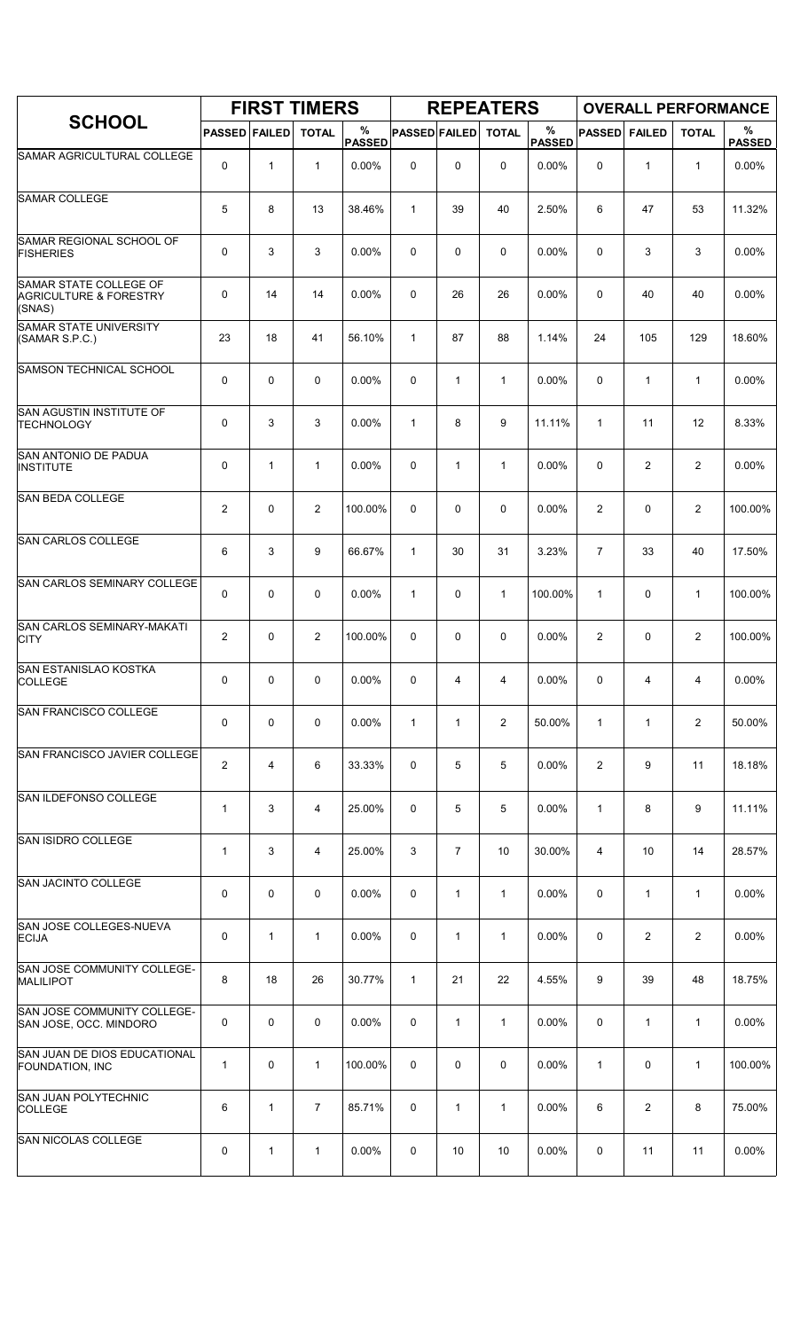|                                                                       |                         |              | <b>FIRST TIMERS</b> |                    |                      |                | <b>REPEATERS</b> |                    |                |                |                | <b>OVERALL PERFORMANCE</b> |
|-----------------------------------------------------------------------|-------------------------|--------------|---------------------|--------------------|----------------------|----------------|------------------|--------------------|----------------|----------------|----------------|----------------------------|
| <b>SCHOOL</b>                                                         | <b>PASSED FAILED</b>    |              | <b>TOTAL</b>        | %<br><b>PASSED</b> | <b>PASSED FAILED</b> |                | <b>TOTAL</b>     | %<br><b>PASSED</b> | <b>PASSED</b>  | <b>FAILED</b>  | <b>TOTAL</b>   | %<br><b>PASSED</b>         |
| SAMAR AGRICULTURAL COLLEGE                                            | 0                       | $\mathbf{1}$ | $\mathbf{1}$        | 0.00%              | $\mathbf 0$          | 0              | $\mathbf 0$      | 0.00%              | 0              | $\mathbf{1}$   | $\mathbf{1}$   | 0.00%                      |
| <b>SAMAR COLLEGE</b>                                                  | 5                       | 8            | 13                  | 38.46%             | $\mathbf{1}$         | 39             | 40               | 2.50%              | 6              | 47             | 53             | 11.32%                     |
| SAMAR REGIONAL SCHOOL OF<br><b>FISHERIES</b>                          | 0                       | 3            | 3                   | 0.00%              | 0                    | 0              | 0                | 0.00%              | 0              | 3              | 3              | 0.00%                      |
| SAMAR STATE COLLEGE OF<br><b>AGRICULTURE &amp; FORESTRY</b><br>(SNAS) | 0                       | 14           | 14                  | 0.00%              | 0                    | 26             | 26               | 0.00%              | 0              | 40             | 40             | 0.00%                      |
| <b>SAMAR STATE UNIVERSITY</b><br>(SAMAR S.P.C.)                       | 23                      | 18           | 41                  | 56.10%             | $\mathbf{1}$         | 87             | 88               | 1.14%              | 24             | 105            | 129            | 18.60%                     |
| <b>SAMSON TECHNICAL SCHOOL</b>                                        | 0                       | 0            | $\mathbf 0$         | 0.00%              | 0                    | 1              | $\mathbf{1}$     | 0.00%              | 0              | $\mathbf{1}$   | $\mathbf{1}$   | 0.00%                      |
| <b>SAN AGUSTIN INSTITUTE OF</b><br><b>TECHNOLOGY</b>                  | 0                       | 3            | 3                   | 0.00%              | $\mathbf{1}$         | 8              | 9                | 11.11%             | 1              | 11             | 12             | 8.33%                      |
| SAN ANTONIO DE PADUA<br><b>INSTITUTE</b>                              | 0                       | 1            | $\mathbf{1}$        | $0.00\%$           | 0                    | $\mathbf{1}$   | $\mathbf{1}$     | 0.00%              | 0              | 2              | $\overline{2}$ | 0.00%                      |
| <b>SAN BEDA COLLEGE</b>                                               | $\overline{2}$          | 0            | $\overline{2}$      | 100.00%            | 0                    | 0              | 0                | 0.00%              | 2              | 0              | $\overline{2}$ | 100.00%                    |
| <b>SAN CARLOS COLLEGE</b>                                             | 6                       | 3            | 9                   | 66.67%             | $\mathbf{1}$         | 30             | 31               | 3.23%              | $\overline{7}$ | 33             | 40             | 17.50%                     |
| <b>SAN CARLOS SEMINARY COLLEGE</b>                                    | 0                       | 0            | $\mathbf 0$         | 0.00%              | $\mathbf{1}$         | 0              | $\mathbf{1}$     | 100.00%            | $\mathbf{1}$   | 0              | $\mathbf{1}$   | 100.00%                    |
| SAN CARLOS SEMINARY-MAKATI<br><b>CITY</b>                             | 2                       | 0            | $\overline{2}$      | 100.00%            | 0                    | 0              | 0                | 0.00%              | $\overline{2}$ | 0              | $\overline{2}$ | 100.00%                    |
| SAN ESTANISLAO KOSTKA<br><b>COLLEGE</b>                               | 0                       | 0            | $\mathbf 0$         | 0.00%              | 0                    | 4              | 4                | 0.00%              | 0              | 4              | 4              | 0.00%                      |
| SAN FRANCISCO COLLEGE                                                 | 0                       | 0            | 0                   | 0.00%              | $\mathbf{1}$         | $\mathbf{1}$   | $\overline{2}$   | 50.00%             | $\mathbf{1}$   | $\mathbf{1}$   | $\overline{2}$ | 50.00%                     |
| <b>SAN FRANCISCO JAVIER COLLEGE</b>                                   | $\overline{\mathbf{c}}$ | 4            | 6                   | 33.33%             | 0                    | 5              | 5                | 0.00%              | $\overline{2}$ | 9              | 11             | 18.18%                     |
| <b>SAN ILDEFONSO COLLEGE</b>                                          | $\mathbf{1}$            | 3            | 4                   | 25.00%             | 0                    | 5              | 5                | 0.00%              | $\mathbf{1}$   | 8              | 9              | 11.11%                     |
| SAN ISIDRO COLLEGE                                                    | $\mathbf 1$             | 3            | 4                   | 25.00%             | 3                    | $\overline{7}$ | 10               | 30.00%             | 4              | 10             | 14             | 28.57%                     |
| SAN JACINTO COLLEGE                                                   | 0                       | 0            | 0                   | 0.00%              | 0                    | $\mathbf{1}$   | $\mathbf{1}$     | 0.00%              | 0              | $\mathbf{1}$   | $\mathbf{1}$   | 0.00%                      |
| SAN JOSE COLLEGES-NUEVA<br><b>ECIJA</b>                               | 0                       | $\mathbf{1}$ | 1                   | 0.00%              | 0                    | 1              | $\mathbf{1}$     | 0.00%              | 0              | $\overline{2}$ | $\overline{2}$ | 0.00%                      |
| SAN JOSE COMMUNITY COLLEGE-<br><b>MALILIPOT</b>                       | 8                       | 18           | 26                  | 30.77%             | $\mathbf{1}$         | 21             | 22               | 4.55%              | 9              | 39             | 48             | 18.75%                     |
| SAN JOSE COMMUNITY COLLEGE-<br>SAN JOSE, OCC. MINDORO                 | 0                       | 0            | 0                   | 0.00%              | 0                    | $\mathbf{1}$   | $\mathbf{1}$     | 0.00%              | 0              | $\mathbf{1}$   | $\mathbf{1}$   | 0.00%                      |
| SAN JUAN DE DIOS EDUCATIONAL<br><b>FOUNDATION, INC</b>                | $\mathbf{1}$            | 0            | $\mathbf{1}$        | 100.00%            | 0                    | 0              | 0                | 0.00%              | $\mathbf{1}$   | 0              | $\mathbf{1}$   | 100.00%                    |
| SAN JUAN POLYTECHNIC<br><b>COLLEGE</b>                                | 6                       | $\mathbf{1}$ | $\overline{7}$      | 85.71%             | 0                    | 1              | 1                | 0.00%              | 6              | $\overline{2}$ | 8              | 75.00%                     |
| <b>SAN NICOLAS COLLEGE</b>                                            | 0                       | $\mathbf{1}$ | 1                   | $0.00\%$           | 0                    | 10             | 10               | 0.00%              | 0              | 11             | 11             | 0.00%                      |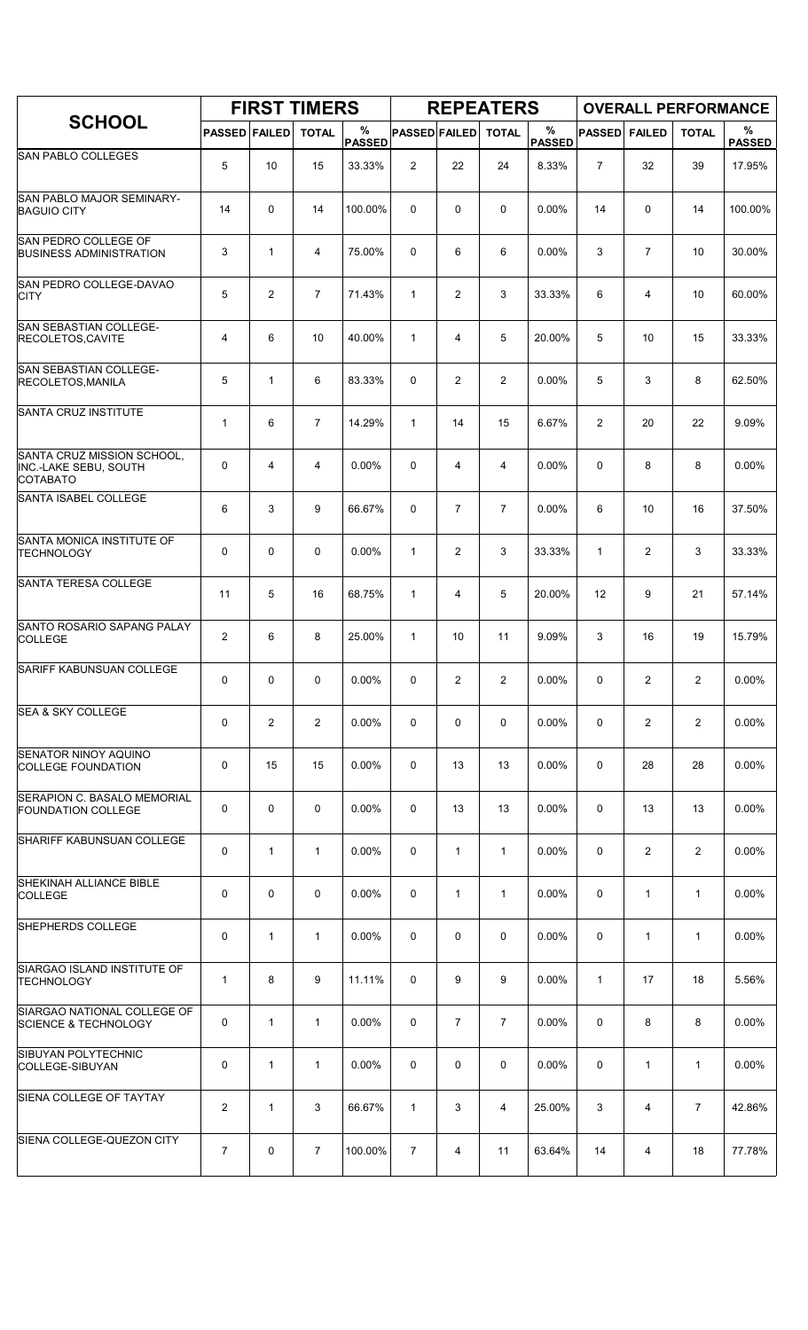|                                                                        |                |                | <b>FIRST TIMERS</b> |                    |                      |                | <b>REPEATERS</b> |                    |                |                | <b>OVERALL PERFORMANCE</b> |                    |
|------------------------------------------------------------------------|----------------|----------------|---------------------|--------------------|----------------------|----------------|------------------|--------------------|----------------|----------------|----------------------------|--------------------|
| <b>SCHOOL</b>                                                          | <b>PASSED</b>  | <b>FAILED</b>  | <b>TOTAL</b>        | %<br><b>PASSED</b> | <b>PASSED FAILED</b> |                | <b>TOTAL</b>     | %<br><b>PASSED</b> | <b>PASSED</b>  | <b>FAILED</b>  | <b>TOTAL</b>               | %<br><b>PASSED</b> |
| <b>SAN PABLO COLLEGES</b>                                              | 5              | 10             | 15                  | 33.33%             | $\overline{2}$       | 22             | 24               | 8.33%              | $\overline{7}$ | 32             | 39                         | 17.95%             |
| <b>SAN PABLO MAJOR SEMINARY-</b><br><b>BAGUIO CITY</b>                 | 14             | 0              | 14                  | 100.00%            | $\Omega$             | 0              | 0                | 0.00%              | 14             | 0              | 14                         | 100.00%            |
| SAN PEDRO COLLEGE OF<br><b>BUSINESS ADMINISTRATION</b>                 | 3              | 1              | 4                   | 75.00%             | 0                    | 6              | 6                | 0.00%              | 3              | $\overline{7}$ | 10                         | 30.00%             |
| SAN PEDRO COLLEGE-DAVAO<br><b>CITY</b>                                 | 5              | 2              | $\overline{7}$      | 71.43%             | $\mathbf{1}$         | 2              | 3                | 33.33%             | 6              | 4              | 10                         | 60.00%             |
| <b>SAN SEBASTIAN COLLEGE-</b><br>RECOLETOS, CAVITE                     | $\overline{4}$ | 6              | 10                  | 40.00%             | $\mathbf{1}$         | 4              | 5                | 20.00%             | 5              | 10             | 15                         | 33.33%             |
| SAN SEBASTIAN COLLEGE-<br><b>RECOLETOS, MANILA</b>                     | 5              | $\mathbf{1}$   | 6                   | 83.33%             | 0                    | 2              | 2                | 0.00%              | 5              | 3              | 8                          | 62.50%             |
| SANTA CRUZ INSTITUTE                                                   | $\mathbf 1$    | 6              | $\overline{7}$      | 14.29%             | $\mathbf{1}$         | 14             | 15               | 6.67%              | $\overline{2}$ | 20             | 22                         | 9.09%              |
| SANTA CRUZ MISSION SCHOOL,<br>INC.-LAKE SEBU, SOUTH<br><b>COTABATO</b> | 0              | 4              | 4                   | 0.00%              | $\Omega$             | 4              | 4                | 0.00%              | 0              | 8              | 8                          | $0.00\%$           |
| SANTA ISABEL COLLEGE                                                   | 6              | 3              | 9                   | 66.67%             | $\mathbf 0$          | $\overline{7}$ | $\overline{7}$   | 0.00%              | 6              | 10             | 16                         | 37.50%             |
| SANTA MONICA INSTITUTE OF<br><b>TECHNOLOGY</b>                         | 0              | 0              | 0                   | 0.00%              | $\mathbf{1}$         | $\overline{2}$ | 3                | 33.33%             | $\mathbf{1}$   | $\overline{c}$ | 3                          | 33.33%             |
| SANTA TERESA COLLEGE                                                   | 11             | 5              | 16                  | 68.75%             | $\mathbf{1}$         | 4              | 5                | 20.00%             | 12             | 9              | 21                         | 57.14%             |
| SANTO ROSARIO SAPANG PALAY<br><b>COLLEGE</b>                           | $\overline{2}$ | 6              | 8                   | 25.00%             | $\mathbf{1}$         | 10             | 11               | 9.09%              | 3              | 16             | 19                         | 15.79%             |
| <b>SARIFF KABUNSUAN COLLEGE</b>                                        | 0              | 0              | 0                   | 0.00%              | 0                    | $\overline{2}$ | $\overline{c}$   | 0.00%              | 0              | 2              | $\overline{2}$             | 0.00%              |
| <b>SEA &amp; SKY COLLEGE</b>                                           | 0              | $\overline{2}$ | $\overline{2}$      | 0.00%              | 0                    | 0              | 0                | $0.00\%$           | 0              | $\mathbf{2}$   | $\overline{2}$             | 0.00%              |
| <b>SENATOR NINOY AQUINO</b><br><b>COLLEGE FOUNDATION</b>               | 0              | 15             | 15                  | 0.00%              | 0                    | 13             | 13               | 0.00%              | 0              | 28             | 28                         | 0.00%              |
| SERAPION C. BASALO MEMORIAL<br><b>FOUNDATION COLLEGE</b>               | 0              | 0              | $\mathbf 0$         | $0.00\%$           | 0                    | 13             | 13               | 0.00%              | 0              | 13             | 13                         | 0.00%              |
| SHARIFF KABUNSUAN COLLEGE                                              | 0              | $\mathbf{1}$   | $\mathbf{1}$        | 0.00%              | 0                    | $\mathbf{1}$   | $\mathbf{1}$     | 0.00%              | 0              | $\overline{2}$ | $\overline{2}$             | 0.00%              |
| <b>SHEKINAH ALLIANCE BIBLE</b><br><b>COLLEGE</b>                       | 0              | 0              | $\mathbf 0$         | 0.00%              | 0                    | $\mathbf{1}$   | $\mathbf{1}$     | 0.00%              | 0              | $\mathbf{1}$   | $\mathbf{1}$               | 0.00%              |
| SHEPHERDS COLLEGE                                                      | 0              | $\mathbf{1}$   | $\mathbf{1}$        | 0.00%              | 0                    | 0              | 0                | 0.00%              | 0              | $\mathbf{1}$   | $\mathbf{1}$               | $0.00\%$           |
| SIARGAO ISLAND INSTITUTE OF<br><b>TECHNOLOGY</b>                       | $\mathbf{1}$   | 8              | 9                   | 11.11%             | 0                    | 9              | 9                | $0.00\%$           | $\mathbf{1}$   | 17             | 18                         | 5.56%              |
| SIARGAO NATIONAL COLLEGE OF<br><b>SCIENCE &amp; TECHNOLOGY</b>         | 0              | $\mathbf{1}$   | $\mathbf{1}$        | 0.00%              | 0                    | $\overline{7}$ | $\overline{7}$   | 0.00%              | 0              | 8              | 8                          | 0.00%              |
| SIBUYAN POLYTECHNIC<br>COLLEGE-SIBUYAN                                 | 0              | $\mathbf{1}$   | $\mathbf 1$         | 0.00%              | 0                    | 0              | 0                | 0.00%              | 0              | $\mathbf{1}$   | $\mathbf{1}$               | 0.00%              |
| SIENA COLLEGE OF TAYTAY                                                | $\overline{2}$ | $\mathbf{1}$   | 3                   | 66.67%             | $\mathbf{1}$         | 3              | 4                | 25.00%             | 3              | 4              | $\overline{7}$             | 42.86%             |
| SIENA COLLEGE-QUEZON CITY                                              | $\overline{7}$ | 0              | $\overline{7}$      | 100.00%            | $\overline{7}$       | 4              | 11               | 63.64%             | 14             | 4              | 18                         | 77.78%             |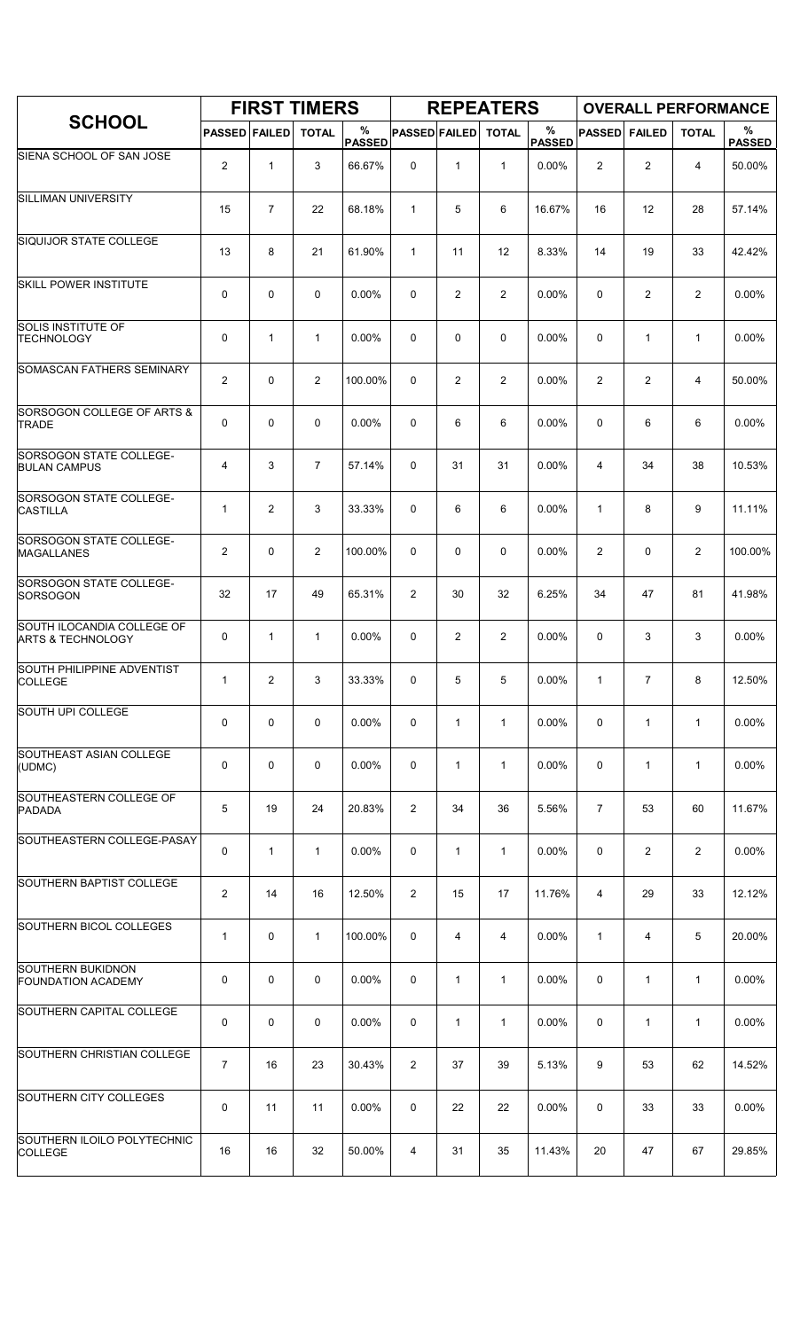|                                                            |                      |                | <b>FIRST TIMERS</b> |                    |                      |                | <b>REPEATERS</b> |                       |                |                |                | <b>OVERALL PERFORMANCE</b> |
|------------------------------------------------------------|----------------------|----------------|---------------------|--------------------|----------------------|----------------|------------------|-----------------------|----------------|----------------|----------------|----------------------------|
| <b>SCHOOL</b>                                              | <b>PASSED FAILED</b> |                | <b>TOTAL</b>        | %<br><b>PASSED</b> | <b>PASSED FAILED</b> |                | <b>TOTAL</b>     | $\%$<br><b>PASSED</b> | <b>PASSED</b>  | <b>FAILED</b>  | <b>TOTAL</b>   | %<br><b>PASSED</b>         |
| SIENA SCHOOL OF SAN JOSE                                   | $\overline{2}$       | $\mathbf{1}$   | 3                   | 66.67%             | 0                    | 1              | $\mathbf{1}$     | 0.00%                 | $\overline{2}$ | $\overline{c}$ | 4              | 50.00%                     |
| <b>SILLIMAN UNIVERSITY</b>                                 | 15                   | $\overline{7}$ | 22                  | 68.18%             | $\mathbf{1}$         | 5              | 6                | 16.67%                | 16             | 12             | 28             | 57.14%                     |
| SIQUIJOR STATE COLLEGE                                     | 13                   | 8              | 21                  | 61.90%             | $\mathbf{1}$         | 11             | 12               | 8.33%                 | 14             | 19             | 33             | 42.42%                     |
| <b>SKILL POWER INSTITUTE</b>                               | 0                    | 0              | $\mathbf 0$         | 0.00%              | 0                    | 2              | $\overline{2}$   | 0.00%                 | 0              | $\overline{2}$ | $\overline{2}$ | 0.00%                      |
| <b>SOLIS INSTITUTE OF</b><br><b>TECHNOLOGY</b>             | 0                    | 1              | $\mathbf{1}$        | 0.00%              | 0                    | 0              | 0                | 0.00%                 | $\mathbf 0$    | $\mathbf{1}$   | $\mathbf{1}$   | 0.00%                      |
| <b>SOMASCAN FATHERS SEMINARY</b>                           | 2                    | 0              | 2                   | 100.00%            | 0                    | $\overline{c}$ | 2                | 0.00%                 | $\overline{c}$ | 2              | 4              | 50.00%                     |
| SORSOGON COLLEGE OF ARTS &<br>TRADE                        | 0                    | 0              | $\mathbf 0$         | 0.00%              | $\mathbf 0$          | 6              | 6                | 0.00%                 | $\mathbf 0$    | 6              | 6              | 0.00%                      |
| SORSOGON STATE COLLEGE-<br><b>BULAN CAMPUS</b>             | 4                    | 3              | $\overline{7}$      | 57.14%             | 0                    | 31             | 31               | 0.00%                 | 4              | 34             | 38             | 10.53%                     |
| SORSOGON STATE COLLEGE-<br><b>CASTILLA</b>                 | $\mathbf{1}$         | $\overline{2}$ | 3                   | 33.33%             | 0                    | 6              | 6                | 0.00%                 | 1              | 8              | 9              | 11.11%                     |
| SORSOGON STATE COLLEGE-<br><b>MAGALLANES</b>               | $\overline{2}$       | 0              | $\overline{2}$      | 100.00%            | 0                    | 0              | 0                | 0.00%                 | $\overline{2}$ | 0              | $\overline{2}$ | 100.00%                    |
| SORSOGON STATE COLLEGE-<br>SORSOGON                        | 32                   | 17             | 49                  | 65.31%             | $\overline{2}$       | 30             | 32               | 6.25%                 | 34             | 47             | 81             | 41.98%                     |
| SOUTH ILOCANDIA COLLEGE OF<br><b>ARTS &amp; TECHNOLOGY</b> | 0                    | 1              | 1                   | 0.00%              | 0                    | $\overline{2}$ | $\overline{2}$   | 0.00%                 | 0              | 3              | 3              | 0.00%                      |
| SOUTH PHILIPPINE ADVENTIST<br><b>COLLEGE</b>               | $\mathbf{1}$         | 2              | 3                   | 33.33%             | 0                    | 5              | 5                | 0.00%                 | 1              | 7              | 8              | 12.50%                     |
| SOUTH UPI COLLEGE                                          | 0                    | 0              | $\mathbf 0$         | 0.00%              | 0                    | $\mathbf{1}$   | $\mathbf{1}$     | 0.00%                 | 0              | $\mathbf{1}$   | $\mathbf{1}$   | 0.00%                      |
| SOUTHEAST ASIAN COLLEGE<br>(UDMC)                          | 0                    | 0              | 0                   | 0.00%              | 0                    | $\mathbf{1}$   | $\mathbf{1}$     | 0.00%                 | 0              | $\mathbf{1}$   | $\mathbf{1}$   | 0.00%                      |
| SOUTHEASTERN COLLEGE OF<br><b>PADADA</b>                   | 5                    | 19             | 24                  | 20.83%             | $\overline{2}$       | 34             | 36               | 5.56%                 | $\overline{7}$ | 53             | 60             | 11.67%                     |
| SOUTHEASTERN COLLEGE-PASAY                                 | 0                    | $\mathbf{1}$   | 1                   | $0.00\%$           | 0                    | 1              | $\mathbf{1}$     | 0.00%                 | $\mathbf 0$    | 2              | $\overline{2}$ | 0.00%                      |
| SOUTHERN BAPTIST COLLEGE                                   | 2                    | 14             | 16                  | 12.50%             | $\overline{2}$       | 15             | 17               | 11.76%                | 4              | 29             | 33             | 12.12%                     |
| <b>SOUTHERN BICOL COLLEGES</b>                             | $\mathbf{1}$         | 0              | $\mathbf{1}$        | 100.00%            | 0                    | 4              | 4                | 0.00%                 | $\mathbf{1}$   | 4              | 5              | 20.00%                     |
| <b>SOUTHERN BUKIDNON</b><br><b>FOUNDATION ACADEMY</b>      | 0                    | 0              | $\mathbf 0$         | $0.00\%$           | 0                    | $\mathbf{1}$   | $\mathbf{1}$     | $0.00\%$              | $\mathbf 0$    | $\mathbf{1}$   | $\mathbf{1}$   | 0.00%                      |
| <b>SOUTHERN CAPITAL COLLEGE</b>                            | 0                    | 0              | $\mathbf 0$         | 0.00%              | 0                    | $\mathbf{1}$   | $\mathbf{1}$     | $0.00\%$              | 0              | $\mathbf{1}$   | $\mathbf{1}$   | 0.00%                      |
| SOUTHERN CHRISTIAN COLLEGE                                 | $\overline{7}$       | 16             | 23                  | 30.43%             | $\overline{2}$       | 37             | 39               | 5.13%                 | 9              | 53             | 62             | 14.52%                     |
| <b>SOUTHERN CITY COLLEGES</b>                              | 0                    | 11             | 11                  | $0.00\%$           | 0                    | 22             | 22               | 0.00%                 | 0              | 33             | 33             | $0.00\%$                   |
| SOUTHERN ILOILO POLYTECHNIC<br><b>COLLEGE</b>              | 16                   | 16             | 32                  | 50.00%             | 4                    | 31             | 35               | 11.43%                | 20             | 47             | 67             | 29.85%                     |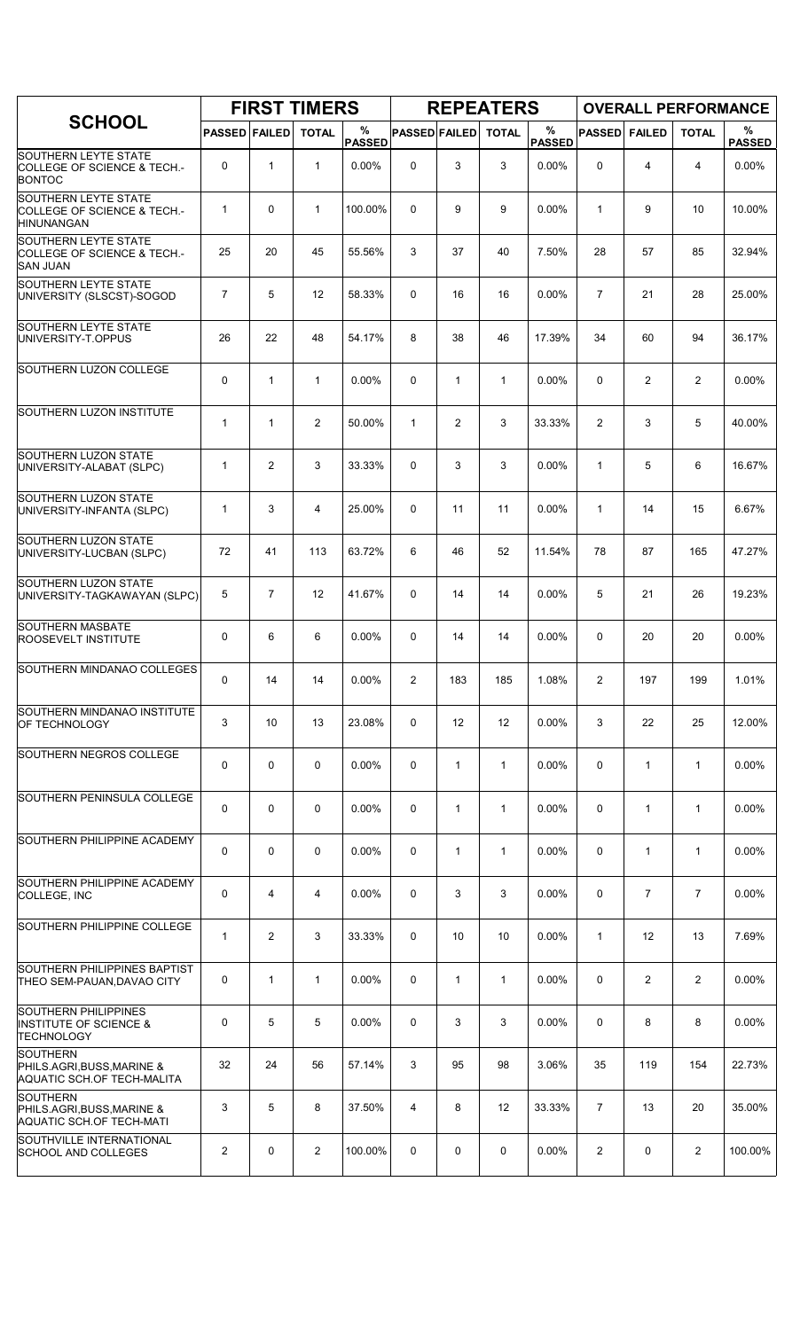|                                                                                       |                      |                | <b>FIRST TIMERS</b> |                    |                      |              | <b>REPEATERS</b> |                    |                |                |                | <b>OVERALL PERFORMANCE</b> |
|---------------------------------------------------------------------------------------|----------------------|----------------|---------------------|--------------------|----------------------|--------------|------------------|--------------------|----------------|----------------|----------------|----------------------------|
| <b>SCHOOL</b>                                                                         | <b>PASSED FAILED</b> |                | <b>TOTAL</b>        | %<br><b>PASSED</b> | <b>PASSED FAILED</b> |              | <b>TOTAL</b>     | %<br><b>PASSED</b> | <b>PASSED</b>  | <b>FAILED</b>  | <b>TOTAL</b>   | %<br><b>PASSED</b>         |
| <b>SOUTHERN LEYTE STATE</b><br>COLLEGE OF SCIENCE & TECH.-<br><b>BONTOC</b>           | 0                    | $\mathbf{1}$   | $\mathbf{1}$        | 0.00%              | $\mathbf 0$          | 3            | 3                | 0.00%              | 0              | 4              | $\overline{4}$ | 0.00%                      |
| <b>SOUTHERN LEYTE STATE</b><br>COLLEGE OF SCIENCE & TECH.-<br><b>HINUNANGAN</b>       | $\mathbf{1}$         | 0              | $\mathbf{1}$        | 100.00%            | $\Omega$             | 9            | 9                | 0.00%              | $\mathbf{1}$   | 9              | 10             | 10.00%                     |
| <b>SOUTHERN LEYTE STATE</b><br>COLLEGE OF SCIENCE & TECH.-<br><b>SAN JUAN</b>         | 25                   | 20             | 45                  | 55.56%             | 3                    | 37           | 40               | 7.50%              | 28             | 57             | 85             | 32.94%                     |
| <b>SOUTHERN LEYTE STATE</b><br>UNIVERSITY (SLSCST)-SOGOD                              | 7                    | 5              | 12                  | 58.33%             | 0                    | 16           | 16               | 0.00%              | $\overline{7}$ | 21             | 28             | 25.00%                     |
| <b>SOUTHERN LEYTE STATE</b><br>UNIVERSITY-T.OPPUS                                     | 26                   | 22             | 48                  | 54.17%             | 8                    | 38           | 46               | 17.39%             | 34             | 60             | 94             | 36.17%                     |
| SOUTHERN LUZON COLLEGE                                                                | 0                    | $\mathbf{1}$   | $\mathbf{1}$        | $0.00\%$           | 0                    | $\mathbf{1}$ | $\mathbf{1}$     | 0.00%              | 0              | $\overline{2}$ | 2              | 0.00%                      |
| SOUTHERN LUZON INSTITUTE                                                              | $\mathbf{1}$         | 1              | $\overline{2}$      | 50.00%             | $\mathbf{1}$         | 2            | 3                | 33.33%             | 2              | 3              | 5              | 40.00%                     |
| <b>SOUTHERN LUZON STATE</b><br>UNIVERSITY-ALABAT (SLPC)                               | $\mathbf{1}$         | $\overline{2}$ | 3                   | 33.33%             | $\Omega$             | 3            | 3                | 0.00%              | $\mathbf{1}$   | 5              | 6              | 16.67%                     |
| SOUTHERN LUZON STATE<br>UNIVERSITY-INFANTA (SLPC)                                     | $\mathbf{1}$         | 3              | 4                   | 25.00%             | 0                    | 11           | 11               | 0.00%              | $\mathbf{1}$   | 14             | 15             | 6.67%                      |
| <b>SOUTHERN LUZON STATE</b><br>UNIVERSITY-LUCBAN (SLPC)                               | 72                   | 41             | 113                 | 63.72%             | 6                    | 46           | 52               | 11.54%             | 78             | 87             | 165            | 47.27%                     |
| <b>SOUTHERN LUZON STATE</b><br>UNIVERSITY-TAGKAWAYAN (SLPC)                           | 5                    | $\overline{7}$ | 12                  | 41.67%             | $\Omega$             | 14           | 14               | 0.00%              | 5              | 21             | 26             | 19.23%                     |
| <b>SOUTHERN MASBATE</b><br><b>ROOSEVELT INSTITUTE</b>                                 | 0                    | 6              | 6                   | 0.00%              | 0                    | 14           | 14               | 0.00%              | $\Omega$       | 20             | 20             | 0.00%                      |
| SOUTHERN MINDANAO COLLEGES                                                            | 0                    | 14             | 14                  | 0.00%              | $\overline{2}$       | 183          | 185              | 1.08%              | $\overline{2}$ | 197            | 199            | 1.01%                      |
| SOUTHERN MINDANAO INSTITUTE<br>OF TECHNOLOGY                                          | 3                    | 10             | 13                  | 23.08%             | 0                    | 12           | 12               | $0.00\%$           | 3              | 22             | 25             | 12.00%                     |
| SOUTHERN NEGROS COLLEGE                                                               | 0                    | 0              | $\mathbf 0$         | 0.00%              | 0                    | $\mathbf{1}$ | $\mathbf{1}$     | $0.00\%$           | 0              | $\mathbf{1}$   | $\mathbf{1}$   | 0.00%                      |
| SOUTHERN PENINSULA COLLEGE                                                            | 0                    | $\Omega$       | $\mathbf 0$         | $0.00\%$           | 0                    | 1            | $\mathbf{1}$     | 0.00%              | 0              | $\mathbf{1}$   | $\mathbf{1}$   | $0.00\%$                   |
| SOUTHERN PHILIPPINE ACADEMY                                                           | 0                    | 0              | $\mathbf 0$         | 0.00%              | 0                    | $\mathbf{1}$ | 1                | 0.00%              | $\mathbf 0$    | $\mathbf{1}$   | $\mathbf{1}$   | 0.00%                      |
| SOUTHERN PHILIPPINE ACADEMY<br>COLLEGE, INC                                           | 0                    | 4              | 4                   | 0.00%              | 0                    | 3            | 3                | $0.00\%$           | 0              | $\overline{7}$ | $\overline{7}$ | $0.00\%$                   |
| SOUTHERN PHILIPPINE COLLEGE                                                           | $\mathbf{1}$         | 2              | 3                   | 33.33%             | 0                    | 10           | 10               | $0.00\%$           | $\mathbf{1}$   | 12             | 13             | 7.69%                      |
| SOUTHERN PHILIPPINES BAPTIST<br>THEO SEM-PAUAN DAVAO CITY                             | 0                    | 1              | 1                   | $0.00\%$           | 0                    | $\mathbf{1}$ | $\mathbf{1}$     | $0.00\%$           | $\mathbf 0$    | $\overline{2}$ | $\overline{2}$ | 0.00%                      |
| <b>SOUTHERN PHILIPPINES</b><br><b>INSTITUTE OF SCIENCE &amp;</b><br><b>TECHNOLOGY</b> | 0                    | 5              | 5                   | $0.00\%$           | 0                    | 3            | 3                | 0.00%              | 0              | 8              | 8              | 0.00%                      |
| <b>SOUTHERN</b><br>PHILS.AGRI, BUSS, MARINE &<br>AQUATIC SCH.OF TECH-MALITA           | 32                   | 24             | 56                  | 57.14%             | 3                    | 95           | 98               | 3.06%              | 35             | 119            | 154            | 22.73%                     |
| <b>SOUTHERN</b><br>PHILS.AGRI, BUSS, MARINE &<br><b>AQUATIC SCH.OF TECH-MATI</b>      | 3                    | 5              | 8                   | 37.50%             | 4                    | 8            | 12               | 33.33%             | $\overline{7}$ | 13             | 20             | 35.00%                     |
| SOUTHVILLE INTERNATIONAL<br><b>SCHOOL AND COLLEGES</b>                                | 2                    | 0              | $\overline{2}$      | 100.00%            | 0                    | 0            | 0                | $0.00\%$           | $\overline{2}$ | 0              | $\overline{2}$ | 100.00%                    |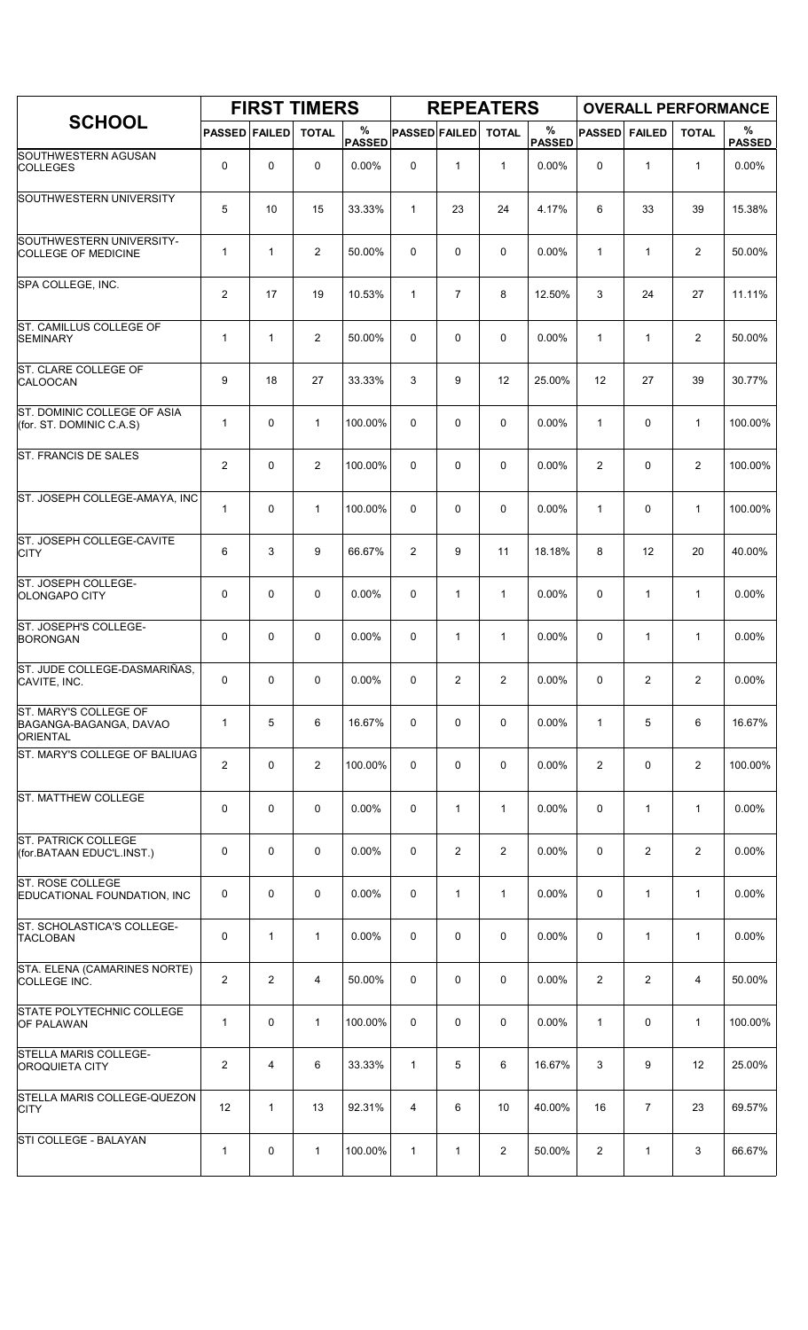|                                                                    |                      |                | <b>FIRST TIMERS</b> |                    |                      |                | <b>REPEATERS</b> |                       |                |                | <b>OVERALL PERFORMANCE</b> |                    |
|--------------------------------------------------------------------|----------------------|----------------|---------------------|--------------------|----------------------|----------------|------------------|-----------------------|----------------|----------------|----------------------------|--------------------|
| <b>SCHOOL</b>                                                      | <b>PASSED FAILED</b> |                | <b>TOTAL</b>        | %<br><b>PASSED</b> | <b>PASSED FAILED</b> |                | <b>TOTAL</b>     | $\%$<br><b>PASSED</b> | <b>PASSED</b>  | <b>FAILED</b>  | <b>TOTAL</b>               | %<br><b>PASSED</b> |
| SOUTHWESTERN AGUSAN<br><b>COLLEGES</b>                             | 0                    | $\mathbf 0$    | 0                   | 0.00%              | 0                    | $\mathbf{1}$   | $\mathbf{1}$     | 0.00%                 | 0              | $\mathbf{1}$   | $\mathbf{1}$               | 0.00%              |
| SOUTHWESTERN UNIVERSITY                                            | 5                    | 10             | 15                  | 33.33%             | $\mathbf{1}$         | 23             | 24               | 4.17%                 | 6              | 33             | 39                         | 15.38%             |
| SOUTHWESTERN UNIVERSITY-<br><b>COLLEGE OF MEDICINE</b>             | 1                    | $\mathbf{1}$   | $\overline{2}$      | 50.00%             | 0                    | 0              | 0                | 0.00%                 | $\mathbf{1}$   | $\mathbf{1}$   | 2                          | 50.00%             |
| SPA COLLEGE, INC.                                                  | $\overline{c}$       | 17             | 19                  | 10.53%             | $\mathbf{1}$         | $\overline{7}$ | 8                | 12.50%                | 3              | 24             | 27                         | 11.11%             |
| ST. CAMILLUS COLLEGE OF<br><b>SEMINARY</b>                         | $\mathbf 1$          | $\mathbf{1}$   | 2                   | 50.00%             | 0                    | 0              | 0                | 0.00%                 | 1              | $\mathbf{1}$   | 2                          | 50.00%             |
| ST. CLARE COLLEGE OF<br><b>CALOOCAN</b>                            | 9                    | 18             | 27                  | 33.33%             | 3                    | 9              | 12               | 25.00%                | 12             | 27             | 39                         | 30.77%             |
| ST. DOMINIC COLLEGE OF ASIA<br>(for. ST. DOMINIC C.A.S)            | 1                    | $\mathbf 0$    | $\mathbf{1}$        | 100.00%            | 0                    | 0              | 0                | 0.00%                 | $\mathbf{1}$   | $\mathbf 0$    | $\mathbf{1}$               | 100.00%            |
| <b>ST. FRANCIS DE SALES</b>                                        | $\overline{2}$       | $\mathbf 0$    | $\mathbf{2}$        | 100.00%            | 0                    | 0              | 0                | 0.00%                 | $\overline{2}$ | 0              | $\overline{2}$             | 100.00%            |
| ST. JOSEPH COLLEGE-AMAYA, INC                                      | 1                    | $\mathbf 0$    | $\mathbf{1}$        | 100.00%            | 0                    | 0              | 0                | 0.00%                 | $\mathbf{1}$   | $\mathbf 0$    | $\mathbf{1}$               | 100.00%            |
| ST. JOSEPH COLLEGE-CAVITE<br><b>CITY</b>                           | 6                    | 3              | 9                   | 66.67%             | 2                    | 9              | 11               | 18.18%                | 8              | 12             | 20                         | 40.00%             |
| ST. JOSEPH COLLEGE-<br>OLONGAPO CITY                               | 0                    | $\mathbf 0$    | 0                   | 0.00%              | 0                    | $\mathbf{1}$   | $\mathbf{1}$     | 0.00%                 | 0              | $\mathbf{1}$   | $\mathbf{1}$               | 0.00%              |
| ST. JOSEPH'S COLLEGE-<br><b>BORONGAN</b>                           | 0                    | $\mathbf 0$    | $\mathbf 0$         | 0.00%              | 0                    | 1              | 1                | 0.00%                 | 0              | 1              | $\mathbf{1}$               | 0.00%              |
| ST. JUDE COLLEGE-DASMARIÑAS,<br>CAVITE, INC.                       | 0                    | 0              | 0                   | 0.00%              | 0                    | 2              | $\overline{2}$   | $0.00\%$              | 0              | 2              | 2                          | 0.00%              |
| ST. MARY'S COLLEGE OF<br>BAGANGA-BAGANGA, DAVAO<br><b>ORIENTAL</b> | 1                    | 5              | 6                   | 16.67%             | 0                    | 0              | 0                | 0.00%                 | $\mathbf{1}$   | 5              | 6                          | 16.67%             |
| ST. MARY'S COLLEGE OF BALIUAG                                      | $\overline{c}$       | $\mathbf 0$    | $\overline{2}$      | 100.00%            | 0                    | 0              | 0                | 0.00%                 | 2              | 0              | $\overline{2}$             | 100.00%            |
| ST. MATTHEW COLLEGE                                                | 0                    | 0              | 0                   | 0.00%              | 0                    | $\mathbf{1}$   | $\mathbf{1}$     | $0.00\%$              | 0              | $\mathbf{1}$   | $\mathbf{1}$               | $0.00\%$           |
| <b>ST. PATRICK COLLEGE</b><br>(for.BATAAN EDUC'L.INST.)            | 0                    | $\mathbf 0$    | 0                   | 0.00%              | 0                    | 2              | $\overline{2}$   | 0.00%                 | 0              | 2              | 2                          | 0.00%              |
| ST. ROSE COLLEGE<br>EDUCATIONAL FOUNDATION, INC                    | 0                    | 0              | $\mathbf 0$         | 0.00%              | 0                    | 1              | $\mathbf{1}$     | $0.00\%$              | 0              | $\mathbf{1}$   | $\mathbf{1}$               | 0.00%              |
| ST. SCHOLASTICA'S COLLEGE-<br><b>TACLOBAN</b>                      | 0                    | $\mathbf{1}$   | $\mathbf 1$         | $0.00\%$           | 0                    | 0              | 0                | $0.00\%$              | 0              | $\mathbf{1}$   | $\mathbf{1}$               | 0.00%              |
| STA. ELENA (CAMARINES NORTE)<br>COLLEGE INC.                       | $\overline{c}$       | $\overline{2}$ | 4                   | 50.00%             | 0                    | 0              | 0                | 0.00%                 | 2              | $\overline{2}$ | 4                          | 50.00%             |
| STATE POLYTECHNIC COLLEGE<br><b>OF PALAWAN</b>                     | $\mathbf{1}$         | 0              | $\mathbf{1}$        | 100.00%            | 0                    | 0              | 0                | 0.00%                 | $\mathbf{1}$   | 0              | $\mathbf{1}$               | 100.00%            |
| STELLA MARIS COLLEGE-<br><b>OROQUIETA CITY</b>                     | $\overline{c}$       | 4              | 6                   | 33.33%             | $\mathbf{1}$         | 5              | 6                | 16.67%                | 3              | 9              | 12                         | 25.00%             |
| STELLA MARIS COLLEGE-QUEZON<br><b>CITY</b>                         | 12                   | $\mathbf{1}$   | 13                  | 92.31%             | 4                    | 6              | 10               | 40.00%                | 16             | $\overline{7}$ | 23                         | 69.57%             |
| STI COLLEGE - BALAYAN                                              | 1                    | 0              | $\mathbf{1}$        | 100.00%            | $\mathbf{1}$         | 1              | $\overline{2}$   | 50.00%                | $\overline{2}$ | $\mathbf{1}$   | 3                          | 66.67%             |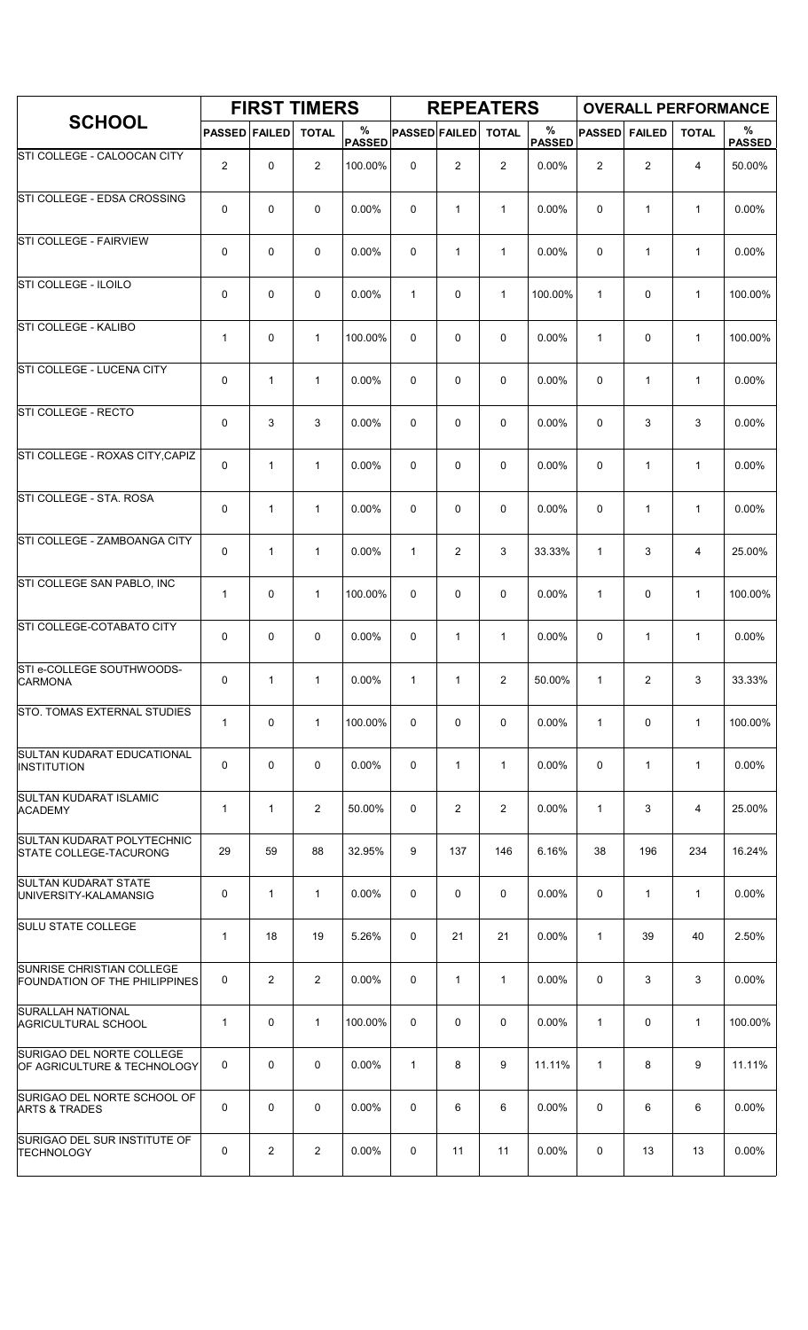|                                                             |                      |                | <b>FIRST TIMERS</b> |                    |                      |                | <b>REPEATERS</b> |                       |               |                | <b>OVERALL PERFORMANCE</b> |                    |
|-------------------------------------------------------------|----------------------|----------------|---------------------|--------------------|----------------------|----------------|------------------|-----------------------|---------------|----------------|----------------------------|--------------------|
| <b>SCHOOL</b>                                               | <b>PASSED FAILED</b> |                | <b>TOTAL</b>        | %<br><b>PASSED</b> | <b>PASSED FAILED</b> |                | <b>TOTAL</b>     | $\%$<br><b>PASSED</b> | <b>PASSED</b> | <b>FAILED</b>  | <b>TOTAL</b>               | %<br><b>PASSED</b> |
| STI COLLEGE - CALOOCAN CITY                                 | $\overline{2}$       | 0              | $\overline{2}$      | 100.00%            | 0                    | 2              | 2                | 0.00%                 | 2             | $\overline{c}$ | $\overline{4}$             | 50.00%             |
| STI COLLEGE - EDSA CROSSING                                 | 0                    | 0              | $\mathbf 0$         | 0.00%              | $\mathbf 0$          | $\mathbf{1}$   | $\mathbf{1}$     | 0.00%                 | $\mathbf 0$   | $\mathbf{1}$   | $\mathbf{1}$               | 0.00%              |
| <b>STI COLLEGE - FAIRVIEW</b>                               | 0                    | $\mathbf 0$    | 0                   | 0.00%              | 0                    | $\mathbf{1}$   | $\mathbf{1}$     | 0.00%                 | 0             | $\mathbf{1}$   | $\mathbf{1}$               | 0.00%              |
| STI COLLEGE - ILOILO                                        | 0                    | 0              | $\mathbf 0$         | 0.00%              | $\mathbf{1}$         | 0              | $\mathbf{1}$     | 100.00%               | $\mathbf{1}$  | 0              | $\mathbf{1}$               | 100.00%            |
| STI COLLEGE - KALIBO                                        | $\mathbf 1$          | 0              | $\mathbf{1}$        | 100.00%            | $\Omega$             | $\mathbf 0$    | $\mathbf 0$      | 0.00%                 | $\mathbf{1}$  | 0              | $\mathbf{1}$               | 100.00%            |
| STI COLLEGE - LUCENA CITY                                   | 0                    | 1              | $\mathbf{1}$        | 0.00%              | 0                    | 0              | $\mathbf 0$      | 0.00%                 | $\mathbf 0$   | $\mathbf{1}$   | $\mathbf{1}$               | 0.00%              |
| STI COLLEGE - RECTO                                         | 0                    | 3              | 3                   | 0.00%              | 0                    | 0              | 0                | 0.00%                 | 0             | 3              | 3                          | 0.00%              |
| STI COLLEGE - ROXAS CITY, CAPIZ                             | 0                    | $\mathbf{1}$   | $\mathbf{1}$        | 0.00%              | $\Omega$             | 0              | 0                | 0.00%                 | $\mathbf 0$   | $\mathbf{1}$   | $\mathbf{1}$               | 0.00%              |
| STI COLLEGE - STA. ROSA                                     | 0                    | 1              | $\mathbf{1}$        | 0.00%              | $\mathbf 0$          | 0              | 0                | 0.00%                 | 0             | $\mathbf{1}$   | $\mathbf{1}$               | 0.00%              |
| STI COLLEGE - ZAMBOANGA CITY                                | 0                    | 1              | $\mathbf 1$         | 0.00%              | $\mathbf{1}$         | $\overline{2}$ | 3                | 33.33%                | $\mathbf{1}$  | 3              | 4                          | 25.00%             |
| STI COLLEGE SAN PABLO, INC                                  | $\mathbf{1}$         | $\mathbf 0$    | $\mathbf{1}$        | 100.00%            | 0                    | 0              | $\mathbf 0$      | 0.00%                 | $\mathbf{1}$  | 0              | $\mathbf{1}$               | 100.00%            |
| STI COLLEGE-COTABATO CITY                                   | 0                    | 0              | $\mathbf 0$         | 0.00%              | $\mathbf 0$          | $\mathbf{1}$   | $\mathbf{1}$     | 0.00%                 | 0             | $\mathbf{1}$   | $\mathbf{1}$               | 0.00%              |
| STI e-COLLEGE SOUTHWOODS-<br><b>CARMONA</b>                 | 0                    | 1              | $\mathbf{1}$        | 0.00%              | $\mathbf{1}$         | 1              | 2                | 50.00%                | 1             | 2              | 3                          | 33.33%             |
| <b>STO. TOMAS EXTERNAL STUDIES</b>                          | $\mathbf{1}$         | $\mathbf 0$    | $\mathbf{1}$        | 100.00%            | 0                    | 0              | 0                | 0.00%                 | $\mathbf{1}$  | 0              | $\mathbf{1}$               | 100.00%            |
| <b>SULTAN KUDARAT EDUCATIONAL</b><br><b>INSTITUTION</b>     | 0                    | $\mathbf 0$    | $\mathbf 0$         | 0.00%              | 0                    | $\mathbf{1}$   | $\mathbf{1}$     | 0.00%                 | $\mathbf 0$   | $\mathbf{1}$   | $\mathbf{1}$               | 0.00%              |
| SULTAN KUDARAT ISLAMIC<br><b>ACADEMY</b>                    | $\mathbf{1}$         | $\mathbf{1}$   | $\overline{2}$      | 50.00%             | 0                    | $\overline{2}$ | $\overline{2}$   | 0.00%                 | $\mathbf{1}$  | 3              | $\overline{4}$             | 25.00%             |
| SULTAN KUDARAT POLYTECHNIC<br><b>STATE COLLEGE-TACURONG</b> | 29                   | 59             | 88                  | 32.95%             | 9                    | 137            | 146              | 6.16%                 | 38            | 196            | 234                        | 16.24%             |
| <b>SULTAN KUDARAT STATE</b><br>UNIVERSITY-KALAMANSIG        | 0                    | $\mathbf{1}$   | $\mathbf{1}$        | 0.00%              | 0                    | $\mathbf 0$    | $\mathbf 0$      | 0.00%                 | $\mathbf 0$   | $\mathbf{1}$   | $\mathbf{1}$               | 0.00%              |
| <b>SULU STATE COLLEGE</b>                                   | $\mathbf{1}$         | 18             | 19                  | 5.26%              | 0                    | 21             | 21               | 0.00%                 | $\mathbf{1}$  | 39             | 40                         | 2.50%              |
| SUNRISE CHRISTIAN COLLEGE<br>FOUNDATION OF THE PHILIPPINES  | 0                    | $\overline{2}$ | $\overline{2}$      | $0.00\%$           | 0                    | $\mathbf{1}$   | $\mathbf{1}$     | $0.00\%$              | 0             | 3              | 3                          | $0.00\%$           |
| <b>SURALLAH NATIONAL</b><br><b>AGRICULTURAL SCHOOL</b>      | $\mathbf{1}$         | $\mathbf 0$    | $\mathbf{1}$        | 100.00%            | 0                    | 0              | $\mathbf 0$      | 0.00%                 | $\mathbf{1}$  | 0              | $\mathbf{1}$               | 100.00%            |
| SURIGAO DEL NORTE COLLEGE<br>OF AGRICULTURE & TECHNOLOGY    | 0                    | 0              | $\mathbf 0$         | 0.00%              | $\mathbf{1}$         | 8              | 9                | 11.11%                | $\mathbf{1}$  | 8              | 9                          | 11.11%             |
| SURIGAO DEL NORTE SCHOOL OF<br><b>ARTS &amp; TRADES</b>     | 0                    | $\mathbf 0$    | $\mathbf 0$         | 0.00%              | 0                    | 6              | 6                | 0.00%                 | 0             | 6              | 6                          | $0.00\%$           |
| SURIGAO DEL SUR INSTITUTE OF<br><b>TECHNOLOGY</b>           | 0                    | $\overline{2}$ | $\overline{2}$      | 0.00%              | 0                    | 11             | 11               | 0.00%                 | 0             | 13             | 13                         | 0.00%              |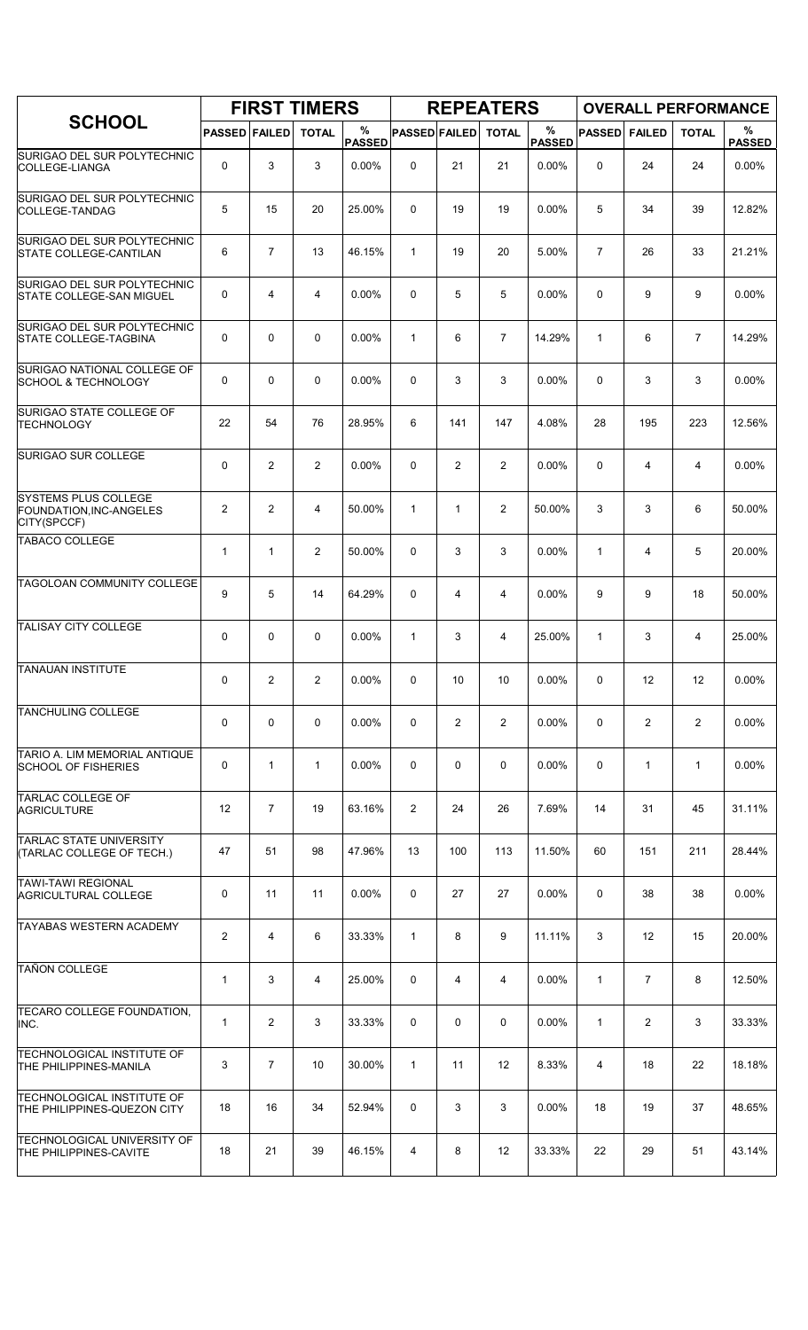|                                                                       |                         |                | <b>FIRST TIMERS</b> |                    |                      |                | <b>REPEATERS</b> |                    |                |                   |                | <b>OVERALL PERFORMANCE</b> |
|-----------------------------------------------------------------------|-------------------------|----------------|---------------------|--------------------|----------------------|----------------|------------------|--------------------|----------------|-------------------|----------------|----------------------------|
| <b>SCHOOL</b>                                                         | <b>PASSED FAILED</b>    |                | <b>TOTAL</b>        | %<br><b>PASSED</b> | <b>PASSED FAILED</b> |                | <b>TOTAL</b>     | %<br><b>PASSED</b> | <b>PASSED</b>  | <b>FAILED</b>     | <b>TOTAL</b>   | $\%$<br><b>PASSED</b>      |
| SURIGAO DEL SUR POLYTECHNIC<br>COLLEGE-LIANGA                         | 0                       | 3              | 3                   | 0.00%              | $\mathbf 0$          | 21             | 21               | 0.00%              | $\Omega$       | 24                | 24             | 0.00%                      |
| SURIGAO DEL SUR POLYTECHNIC<br>COLLEGE-TANDAG                         | 5                       | 15             | 20                  | 25.00%             | $\Omega$             | 19             | 19               | 0.00%              | 5              | 34                | 39             | 12.82%                     |
| SURIGAO DEL SUR POLYTECHNIC<br><b>STATE COLLEGE-CANTILAN</b>          | 6                       | $\overline{7}$ | 13                  | 46.15%             | $\mathbf{1}$         | 19             | 20               | 5.00%              | $\overline{7}$ | 26                | 33             | 21.21%                     |
| SURIGAO DEL SUR POLYTECHNIC<br>STATE COLLEGE-SAN MIGUEL               | 0                       | 4              | 4                   | 0.00%              | 0                    | 5              | 5                | 0.00%              | $\Omega$       | 9                 | 9              | 0.00%                      |
| SURIGAO DEL SUR POLYTECHNIC<br><b>STATE COLLEGE-TAGBINA</b>           | 0                       | 0              | $\mathbf 0$         | 0.00%              | $\mathbf{1}$         | 6              | $\overline{7}$   | 14.29%             | 1              | 6                 | $\overline{7}$ | 14.29%                     |
| SURIGAO NATIONAL COLLEGE OF<br><b>SCHOOL &amp; TECHNOLOGY</b>         | 0                       | 0              | $\mathbf 0$         | 0.00%              | 0                    | 3              | 3                | 0.00%              | $\mathbf 0$    | 3                 | 3              | 0.00%                      |
| SURIGAO STATE COLLEGE OF<br><b>TECHNOLOGY</b>                         | 22                      | 54             | 76                  | 28.95%             | 6                    | 141            | 147              | 4.08%              | 28             | 195               | 223            | 12.56%                     |
| SURIGAO SUR COLLEGE                                                   | 0                       | 2              | $\overline{2}$      | 0.00%              | 0                    | 2              | $\overline{2}$   | 0.00%              | $\mathbf 0$    | 4                 | 4              | 0.00%                      |
| <b>SYSTEMS PLUS COLLEGE</b><br>FOUNDATION, INC-ANGELES<br>CITY(SPCCF) | 2                       | $\overline{2}$ | 4                   | 50.00%             | $\mathbf{1}$         | $\mathbf{1}$   | $\overline{2}$   | 50.00%             | 3              | 3                 | 6              | 50.00%                     |
| <b>TABACO COLLEGE</b>                                                 | $\mathbf{1}$            | $\mathbf{1}$   | $\overline{2}$      | 50.00%             | 0                    | 3              | 3                | 0.00%              | $\mathbf{1}$   | 4                 | 5              | 20.00%                     |
| TAGOLOAN COMMUNITY COLLEGE                                            | 9                       | 5              | 14                  | 64.29%             | 0                    | 4              | $\overline{4}$   | 0.00%              | 9              | 9                 | 18             | 50.00%                     |
| <b>TALISAY CITY COLLEGE</b>                                           | 0                       | 0              | $\mathbf 0$         | 0.00%              | $\mathbf{1}$         | 3              | 4                | 25.00%             | $\mathbf{1}$   | 3                 | 4              | 25.00%                     |
| <b>TANAUAN INSTITUTE</b>                                              | 0                       | 2              | 2                   | 0.00%              | 0                    | 10             | 10               | 0.00%              | $\Omega$       | $12 \overline{ }$ | 12             | $0.00\%$                   |
| <b>TANCHULING COLLEGE</b>                                             | 0                       | 0              | $\mathbf 0$         | 0.00%              | 0                    | $\overline{2}$ | $\overline{2}$   | 0.00%              | 0              | $\overline{2}$    | $\overline{2}$ | 0.00%                      |
| TARIO A. LIM MEMORIAL ANTIQUE<br>SCHOOL OF FISHERIES                  | 0                       | $\mathbf{1}$   | $\mathbf{1}$        | $0.00\%$           | 0                    | 0              | 0                | $0.00\%$           | 0              | $\mathbf{1}$      | $\mathbf{1}$   | 0.00%                      |
| <b>TARLAC COLLEGE OF</b><br><b>AGRICULTURE</b>                        | 12                      | $\overline{7}$ | 19                  | 63.16%             | $\overline{2}$       | 24             | 26               | 7.69%              | 14             | 31                | 45             | 31.11%                     |
| TARLAC STATE UNIVERSITY<br>(TARLAC COLLEGE OF TECH.)                  | 47                      | 51             | 98                  | 47.96%             | 13                   | 100            | 113              | 11.50%             | 60             | 151               | 211            | 28.44%                     |
| <b>TAWI-TAWI REGIONAL</b><br>AGRICULTURAL COLLEGE                     | 0                       | 11             | 11                  | $0.00\%$           | 0                    | 27             | 27               | 0.00%              | 0              | 38                | 38             | $0.00\%$                   |
| <b>TAYABAS WESTERN ACADEMY</b>                                        | $\overline{\mathbf{c}}$ | 4              | 6                   | 33.33%             | $\mathbf{1}$         | 8              | 9                | 11.11%             | 3              | 12                | 15             | 20.00%                     |
| <b>TAÑON COLLEGE</b>                                                  | $\mathbf{1}$            | 3              | 4                   | 25.00%             | 0                    | 4              | 4                | $0.00\%$           | $\mathbf{1}$   | $\overline{7}$    | 8              | 12.50%                     |
| TECARO COLLEGE FOUNDATION,<br>INC.                                    | $\mathbf{1}$            | $\overline{2}$ | 3                   | 33.33%             | 0                    | 0              | 0                | 0.00%              | $\mathbf{1}$   | $\overline{2}$    | 3              | 33.33%                     |
| <b>TECHNOLOGICAL INSTITUTE OF</b><br>THE PHILIPPINES-MANILA           | 3                       | $\overline{7}$ | 10                  | 30.00%             | $\mathbf{1}$         | 11             | 12               | 8.33%              | $\overline{4}$ | 18                | 22             | 18.18%                     |
| TECHNOLOGICAL INSTITUTE OF<br>THE PHILIPPINES-QUEZON CITY             | 18                      | 16             | 34                  | 52.94%             | 0                    | 3              | 3                | $0.00\%$           | 18             | 19                | 37             | 48.65%                     |
| TECHNOLOGICAL UNIVERSITY OF<br>THE PHILIPPINES-CAVITE                 | 18                      | 21             | 39                  | 46.15%             | 4                    | 8              | 12               | 33.33%             | 22             | 29                | 51             | 43.14%                     |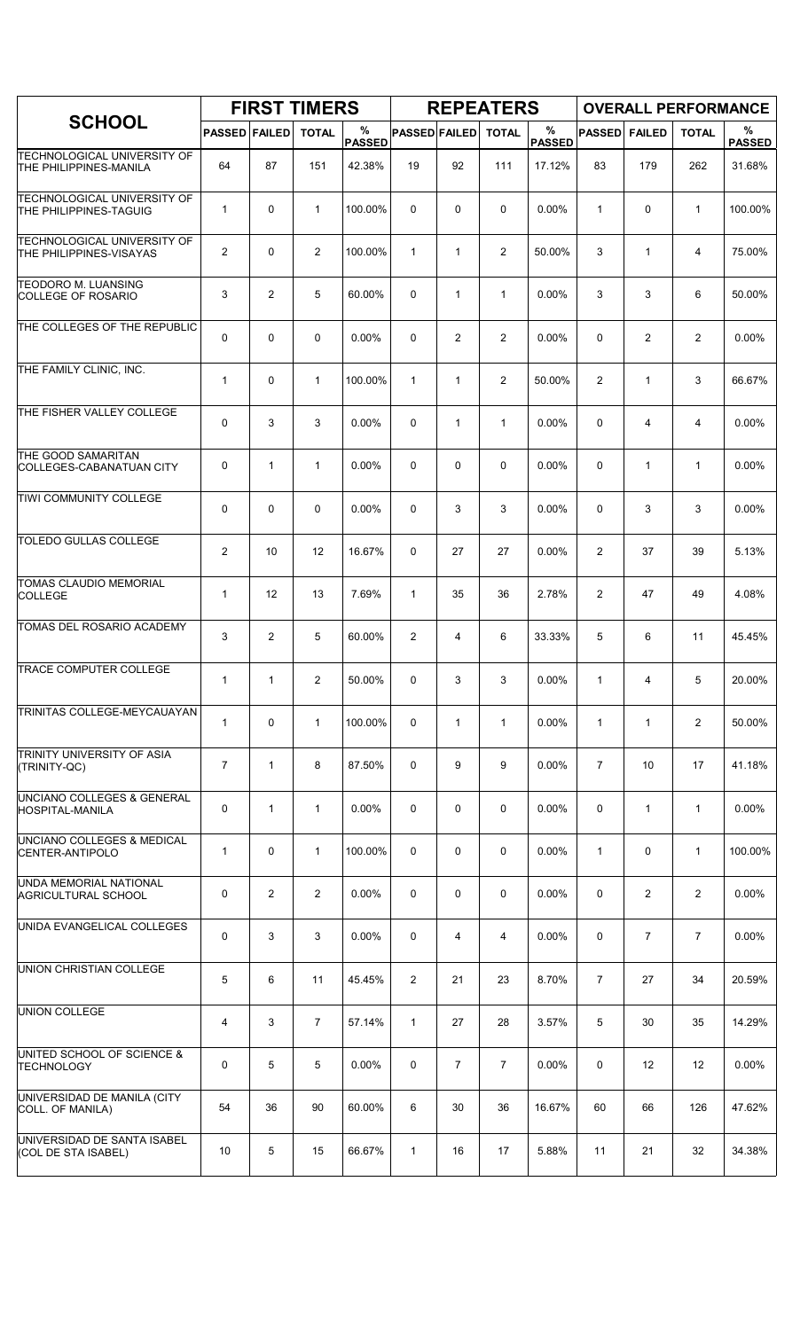|                                                                      |                      |                   | <b>FIRST TIMERS</b> |                    |                      |                | <b>REPEATERS</b> |                    |                |                | <b>OVERALL PERFORMANCE</b> |                    |
|----------------------------------------------------------------------|----------------------|-------------------|---------------------|--------------------|----------------------|----------------|------------------|--------------------|----------------|----------------|----------------------------|--------------------|
| <b>SCHOOL</b>                                                        | <b>PASSED FAILED</b> |                   | <b>TOTAL</b>        | %<br><b>PASSED</b> | <b>PASSED FAILED</b> |                | <b>TOTAL</b>     | %<br><b>PASSED</b> | <b>PASSED</b>  | <b>FAILED</b>  | <b>TOTAL</b>               | %<br><b>PASSED</b> |
| <b>TECHNOLOGICAL UNIVERSITY OF</b><br>THE PHILIPPINES-MANILA         | 64                   | 87                | 151                 | 42.38%             | 19                   | 92             | 111              | 17.12%             | 83             | 179            | 262                        | 31.68%             |
| <b>TECHNOLOGICAL UNIVERSITY OF</b><br>THE PHILIPPINES-TAGUIG         | $\mathbf{1}$         | $\mathbf 0$       | $\mathbf{1}$        | 100.00%            | $\Omega$             | 0              | 0                | 0.00%              | $\mathbf{1}$   | 0              | $\mathbf{1}$               | 100.00%            |
| <b>TECHNOLOGICAL UNIVERSITY OF</b><br><b>THE PHILIPPINES-VISAYAS</b> | $\overline{2}$       | 0                 | $\overline{2}$      | 100.00%            | $\mathbf{1}$         | $\mathbf{1}$   | $\overline{2}$   | 50.00%             | 3              | $\mathbf{1}$   | 4                          | 75.00%             |
| <b>TEODORO M. LUANSING</b><br>COLLEGE OF ROSARIO                     | 3                    | 2                 | 5                   | 60.00%             | 0                    | $\mathbf{1}$   | $\mathbf{1}$     | 0.00%              | 3              | 3              | 6                          | 50.00%             |
| THE COLLEGES OF THE REPUBLIC                                         | 0                    | $\Omega$          | $\mathbf 0$         | 0.00%              | $\Omega$             | 2              | $\overline{2}$   | 0.00%              | $\mathbf 0$    | $\overline{2}$ | $\overline{2}$             | 0.00%              |
| THE FAMILY CLINIC, INC.                                              | $\mathbf{1}$         | 0                 | $\mathbf{1}$        | 100.00%            | $\mathbf{1}$         | $\mathbf{1}$   | $\overline{2}$   | 50.00%             | 2              | $\mathbf{1}$   | 3                          | 66.67%             |
| THE FISHER VALLEY COLLEGE                                            | 0                    | 3                 | 3                   | 0.00%              | 0                    | $\mathbf{1}$   | $\mathbf{1}$     | 0.00%              | $\mathbf 0$    | 4              | $\overline{4}$             | 0.00%              |
| THE GOOD SAMARITAN<br>COLLEGES-CABANATUAN CITY                       | 0                    | $\mathbf{1}$      | $\mathbf{1}$        | $0.00\%$           | $\Omega$             | $\mathbf 0$    | 0                | 0.00%              | $\mathbf 0$    | $\mathbf{1}$   | $\mathbf{1}$               | $0.00\%$           |
| TIWI COMMUNITY COLLEGE                                               | 0                    | 0                 | 0                   | 0.00%              | 0                    | 3              | 3                | 0.00%              | 0              | 3              | 3                          | 0.00%              |
| TOLEDO GULLAS COLLEGE                                                | 2                    | 10                | 12                  | 16.67%             | 0                    | 27             | 27               | 0.00%              | $\overline{2}$ | 37             | 39                         | 5.13%              |
| <b>TOMAS CLAUDIO MEMORIAL</b><br><b>COLLEGE</b>                      | $\mathbf{1}$         | $12 \overline{ }$ | 13                  | 7.69%              | $\mathbf{1}$         | 35             | 36               | 2.78%              | $\overline{2}$ | 47             | 49                         | 4.08%              |
| TOMAS DEL ROSARIO ACADEMY                                            | 3                    | $\overline{2}$    | 5                   | 60.00%             | $\overline{2}$       | 4              | 6                | 33.33%             | 5              | 6              | 11                         | 45.45%             |
| <b>TRACE COMPUTER COLLEGE</b>                                        | $\mathbf{1}$         | 1                 | $\overline{2}$      | 50.00%             | 0                    | 3              | 3                | 0.00%              | $\mathbf{1}$   | 4              | 5                          | 20.00%             |
| TRINITAS COLLEGE-MEYCAUAYAN                                          | $\mathbf{1}$         | $\mathbf 0$       | $\mathbf{1}$        | 100.00%            | 0                    | $\mathbf{1}$   | $\mathbf{1}$     | 0.00%              | $\mathbf{1}$   | $\mathbf{1}$   | $\overline{2}$             | 50.00%             |
| <b>TRINITY UNIVERSITY OF ASIA</b><br>(TRINITY-QC)                    | $\overline{7}$       | $\mathbf{1}$      | 8                   | 87.50%             | 0                    | 9              | 9                | 0.00%              | $\overline{7}$ | 10             | 17                         | 41.18%             |
| UNCIANO COLLEGES & GENERAL<br><b>HOSPITAL-MANILA</b>                 | 0                    | $\mathbf{1}$      | $\mathbf{1}$        | 0.00%              | 0                    | 0              | 0                | 0.00%              | $\mathbf 0$    | $\mathbf{1}$   | $\mathbf{1}$               | $0.00\%$           |
| UNCIANO COLLEGES & MEDICAL<br>CENTER-ANTIPOLO                        | $\mathbf 1$          | 0                 | $\mathbf{1}$        | 100.00%            | $\mathbf 0$          | 0              | 0                | 0.00%              | $\mathbf{1}$   | 0              | $\mathbf{1}$               | 100.00%            |
| UNDA MEMORIAL NATIONAL<br><b>AGRICULTURAL SCHOOL</b>                 | 0                    | $\overline{2}$    | $\overline{2}$      | 0.00%              | 0                    | 0              | 0                | 0.00%              | 0              | $\mathbf{2}$   | $\overline{2}$             | 0.00%              |
| UNIDA EVANGELICAL COLLEGES                                           | 0                    | 3                 | 3                   | 0.00%              | 0                    | 4              | 4                | 0.00%              | 0              | $\overline{7}$ | $\overline{7}$             | 0.00%              |
| UNION CHRISTIAN COLLEGE                                              | 5                    | 6                 | 11                  | 45.45%             | $\overline{2}$       | 21             | 23               | 8.70%              | $\overline{7}$ | 27             | 34                         | 20.59%             |
| UNION COLLEGE                                                        | 4                    | 3                 | $\overline{7}$      | 57.14%             | $\mathbf{1}$         | 27             | 28               | 3.57%              | 5              | 30             | 35                         | 14.29%             |
| UNITED SCHOOL OF SCIENCE &<br><b>TECHNOLOGY</b>                      | 0                    | 5                 | 5                   | 0.00%              | $\mathbf 0$          | $\overline{7}$ | $\overline{7}$   | 0.00%              | $\mathbf 0$    | 12             | 12                         | 0.00%              |
| UNIVERSIDAD DE MANILA (CITY<br>COLL. OF MANILA)                      | 54                   | 36                | 90                  | 60.00%             | 6                    | 30             | 36               | 16.67%             | 60             | 66             | 126                        | 47.62%             |
| UNIVERSIDAD DE SANTA ISABEL<br>(COL DE STA ISABEL)                   | 10                   | 5                 | 15                  | 66.67%             | $\mathbf{1}$         | 16             | 17               | 5.88%              | 11             | 21             | 32                         | 34.38%             |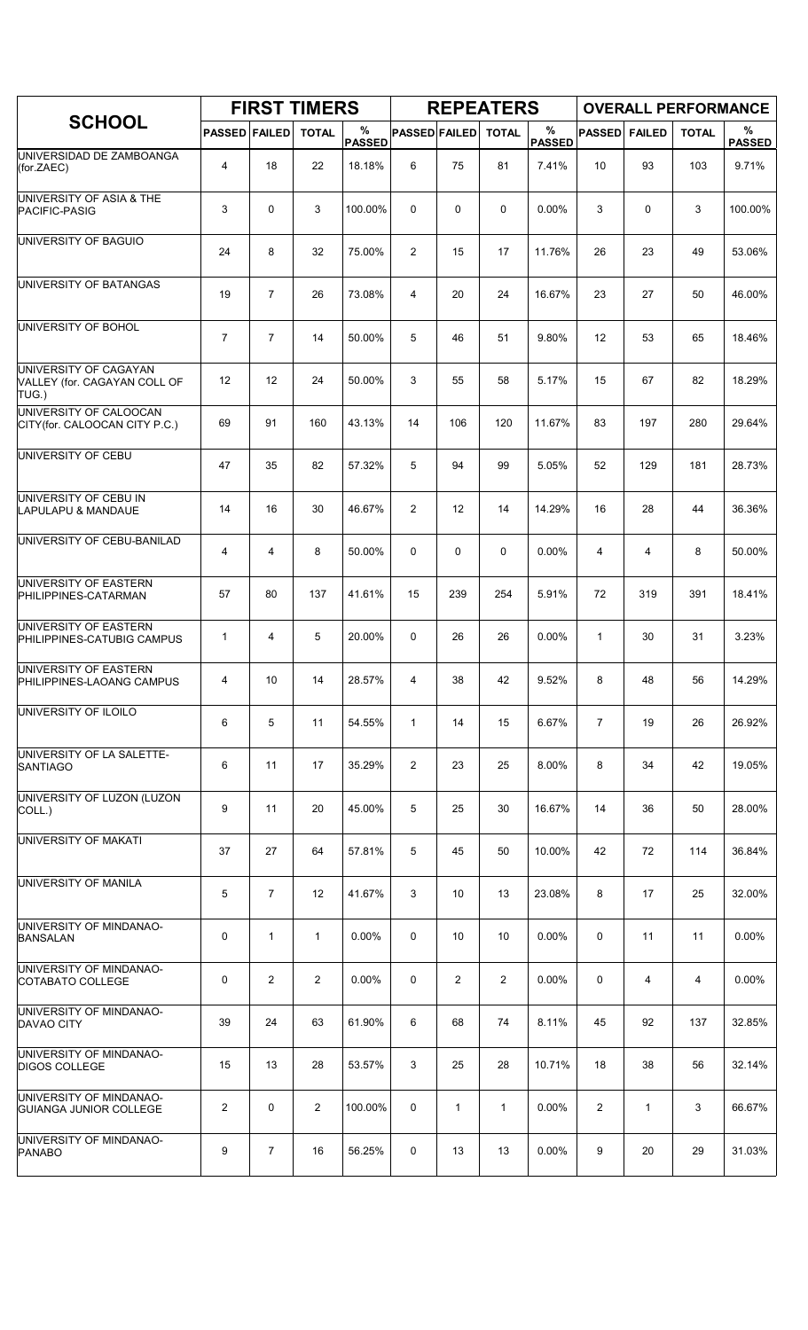|                                                                |                      |                | <b>FIRST TIMERS</b> |                    |                      |                | <b>REPEATERS</b> |                    |                |               | <b>OVERALL PERFORMANCE</b> |                    |
|----------------------------------------------------------------|----------------------|----------------|---------------------|--------------------|----------------------|----------------|------------------|--------------------|----------------|---------------|----------------------------|--------------------|
| <b>SCHOOL</b>                                                  | <b>PASSED FAILED</b> |                | <b>TOTAL</b>        | %<br><b>PASSED</b> | <b>PASSED FAILED</b> |                | <b>TOTAL</b>     | %<br><b>PASSED</b> | <b>PASSED</b>  | <b>FAILED</b> | <b>TOTAL</b>               | %<br><b>PASSED</b> |
| UNIVERSIDAD DE ZAMBOANGA<br>(for.ZAEC)                         | $\overline{4}$       | 18             | 22                  | 18.18%             | 6                    | 75             | 81               | 7.41%              | 10             | 93            | 103                        | 9.71%              |
| UNIVERSITY OF ASIA & THE<br>PACIFIC-PASIG                      | 3                    | $\mathbf 0$    | 3                   | 100.00%            | 0                    | 0              | 0                | 0.00%              | 3              | 0             | 3                          | 100.00%            |
| UNIVERSITY OF BAGUIO                                           | 24                   | 8              | 32                  | 75.00%             | 2                    | 15             | 17               | 11.76%             | 26             | 23            | 49                         | 53.06%             |
| UNIVERSITY OF BATANGAS                                         | 19                   | $\overline{7}$ | 26                  | 73.08%             | 4                    | 20             | 24               | 16.67%             | 23             | 27            | 50                         | 46.00%             |
| UNIVERSITY OF BOHOL                                            | 7                    | $\overline{7}$ | 14                  | 50.00%             | 5                    | 46             | 51               | 9.80%              | 12             | 53            | 65                         | 18.46%             |
| UNIVERSITY OF CAGAYAN<br>VALLEY (for. CAGAYAN COLL OF<br>TUG.) | 12                   | 12             | 24                  | 50.00%             | 3                    | 55             | 58               | 5.17%              | 15             | 67            | 82                         | 18.29%             |
| UNIVERSITY OF CALOOCAN<br>CITY(for. CALOOCAN CITY P.C.)        | 69                   | 91             | 160                 | 43.13%             | 14                   | 106            | 120              | 11.67%             | 83             | 197           | 280                        | 29.64%             |
| UNIVERSITY OF CEBU                                             | 47                   | 35             | 82                  | 57.32%             | 5                    | 94             | 99               | 5.05%              | 52             | 129           | 181                        | 28.73%             |
| UNIVERSITY OF CEBU IN<br>LAPULAPU & MANDAUE                    | 14                   | 16             | 30                  | 46.67%             | 2                    | 12             | 14               | 14.29%             | 16             | 28            | 44                         | 36.36%             |
| UNIVERSITY OF CEBU-BANILAD                                     | 4                    | 4              | 8                   | 50.00%             | 0                    | 0              | 0                | 0.00%              | 4              | 4             | 8                          | 50.00%             |
| UNIVERSITY OF EASTERN<br>PHILIPPINES-CATARMAN                  | 57                   | 80             | 137                 | 41.61%             | 15                   | 239            | 254              | 5.91%              | 72             | 319           | 391                        | 18.41%             |
| UNIVERSITY OF EASTERN<br>PHILIPPINES-CATUBIG CAMPUS            | 1                    | 4              | 5                   | 20.00%             | 0                    | 26             | 26               | 0.00%              | $\mathbf{1}$   | 30            | 31                         | 3.23%              |
| <b>UNIVERSITY OF EASTERN</b><br>PHILIPPINES-LAOANG CAMPUS      | 4                    | 10             | 14                  | 28.57%             | 4                    | 38             | 42               | 9.52%              | 8              | 48            | 56                         | 14.29%             |
| <b>UNIVERSITY OF ILOILO</b>                                    | 6                    | 5              | 11                  | 54.55%             | $\mathbf{1}$         | 14             | 15               | 6.67%              | $\overline{7}$ | 19            | 26                         | 26.92%             |
| UNIVERSITY OF LA SALETTE-<br><b>SANTIAGO</b>                   | 6                    | 11             | 17                  | 35.29%             | 2                    | 23             | 25               | 8.00%              | 8              | 34            | 42                         | 19.05%             |
| UNIVERSITY OF LUZON (LUZON<br>COLL.)                           | 9                    | 11             | 20                  | 45.00%             | 5                    | 25             | 30               | 16.67%             | 14             | 36            | 50                         | 28.00%             |
| UNIVERSITY OF MAKATI                                           | 37                   | 27             | 64                  | 57.81%             | 5                    | 45             | 50               | 10.00%             | 42             | 72            | 114                        | 36.84%             |
| <b>UNIVERSITY OF MANILA</b>                                    | 5                    | $\overline{7}$ | $12 \overline{ }$   | 41.67%             | 3                    | 10             | 13               | 23.08%             | 8              | 17            | 25                         | 32.00%             |
| UNIVERSITY OF MINDANAO-<br><b>BANSALAN</b>                     | 0                    | $\mathbf{1}$   | $\mathbf{1}$        | $0.00\%$           | 0                    | 10             | 10               | 0.00%              | 0              | 11            | 11                         | $0.00\%$           |
| UNIVERSITY OF MINDANAO-<br>COTABATO COLLEGE                    | 0                    | $\overline{2}$ | $\overline{2}$      | $0.00\%$           | 0                    | $\overline{2}$ | $\overline{2}$   | $0.00\%$           | 0              | 4             | 4                          | 0.00%              |
| UNIVERSITY OF MINDANAO-<br><b>DAVAO CITY</b>                   | 39                   | 24             | 63                  | 61.90%             | 6                    | 68             | 74               | 8.11%              | 45             | 92            | 137                        | 32.85%             |
| UNIVERSITY OF MINDANAO-<br>DIGOS COLLEGE                       | 15                   | 13             | 28                  | 53.57%             | 3                    | 25             | 28               | 10.71%             | 18             | 38            | 56                         | 32.14%             |
| UNIVERSITY OF MINDANAO-<br><b>GUIANGA JUNIOR COLLEGE</b>       | $\overline{2}$       | 0              | $\overline{2}$      | 100.00%            | 0                    | $\mathbf{1}$   | 1                | $0.00\%$           | $\overline{2}$ | $\mathbf{1}$  | 3                          | 66.67%             |
| UNIVERSITY OF MINDANAO-<br><b>PANABO</b>                       | 9                    | $\overline{7}$ | 16                  | 56.25%             | 0                    | 13             | 13               | 0.00%              | 9              | 20            | 29                         | 31.03%             |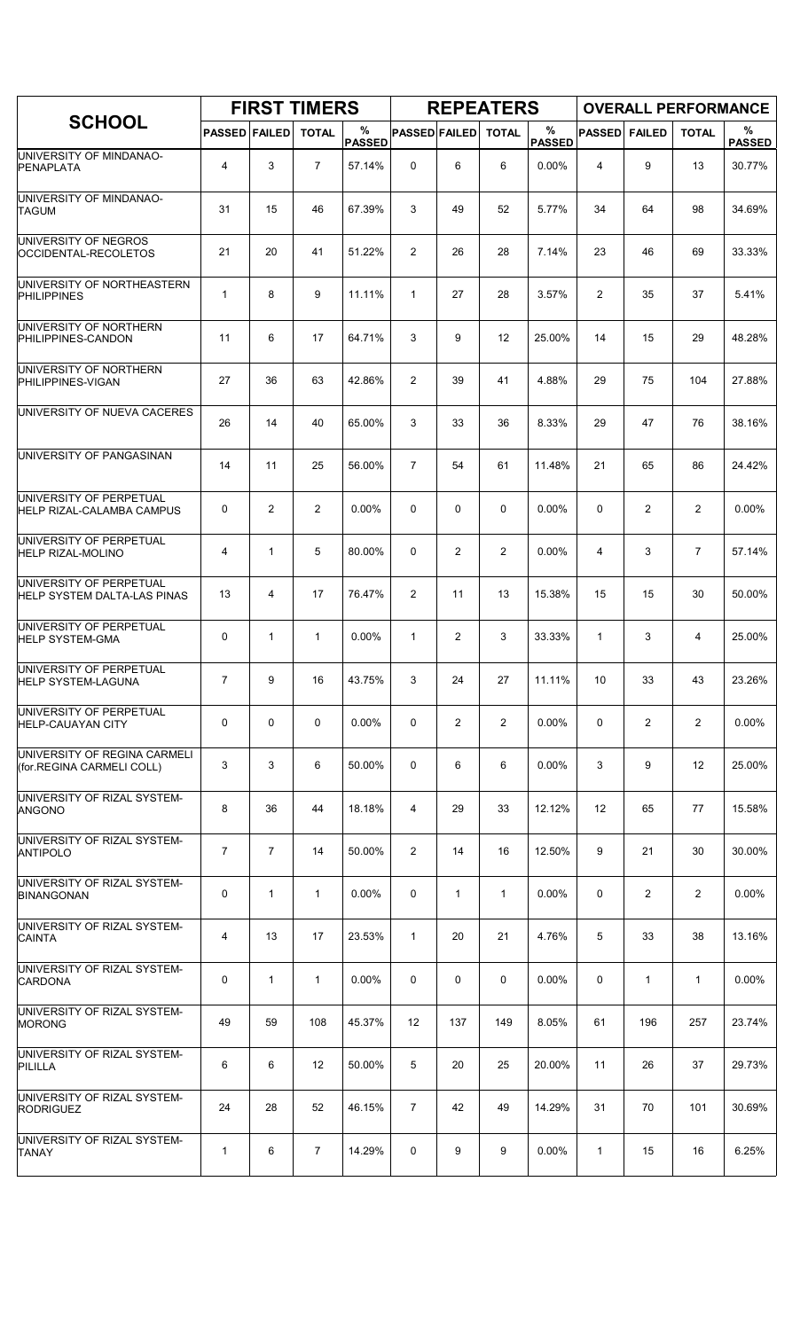|                                                             |                      |                | <b>FIRST TIMERS</b> |                    |                      |                | <b>REPEATERS</b> |                       |               |               | <b>OVERALL PERFORMANCE</b> |                    |
|-------------------------------------------------------------|----------------------|----------------|---------------------|--------------------|----------------------|----------------|------------------|-----------------------|---------------|---------------|----------------------------|--------------------|
| <b>SCHOOL</b>                                               | <b>PASSED FAILED</b> |                | <b>TOTAL</b>        | %<br><b>PASSED</b> | <b>PASSED FAILED</b> |                | <b>TOTAL</b>     | $\%$<br><b>PASSED</b> | <b>PASSED</b> | <b>FAILED</b> | <b>TOTAL</b>               | %<br><b>PASSED</b> |
| UNIVERSITY OF MINDANAO-<br>PENAPLATA                        | $\overline{4}$       | 3              | $\overline{7}$      | 57.14%             | 0                    | 6              | 6                | 0.00%                 | 4             | 9             | 13                         | 30.77%             |
| UNIVERSITY OF MINDANAO-<br><b>TAGUM</b>                     | 31                   | 15             | 46                  | 67.39%             | 3                    | 49             | 52               | 5.77%                 | 34            | 64            | 98                         | 34.69%             |
| UNIVERSITY OF NEGROS<br>OCCIDENTAL-RECOLETOS                | 21                   | 20             | 41                  | 51.22%             | $\overline{2}$       | 26             | 28               | 7.14%                 | 23            | 46            | 69                         | 33.33%             |
| UNIVERSITY OF NORTHEASTERN<br><b>PHILIPPINES</b>            | 1                    | 8              | 9                   | 11.11%             | $\mathbf{1}$         | 27             | 28               | 3.57%                 | 2             | 35            | 37                         | 5.41%              |
| UNIVERSITY OF NORTHERN<br>PHILIPPINES-CANDON                | 11                   | 6              | 17                  | 64.71%             | 3                    | 9              | 12               | 25.00%                | 14            | 15            | 29                         | 48.28%             |
| UNIVERSITY OF NORTHERN<br>PHILIPPINES-VIGAN                 | 27                   | 36             | 63                  | 42.86%             | 2                    | 39             | 41               | 4.88%                 | 29            | 75            | 104                        | 27.88%             |
| UNIVERSITY OF NUEVA CACERES                                 | 26                   | 14             | 40                  | 65.00%             | 3                    | 33             | 36               | 8.33%                 | 29            | 47            | 76                         | 38.16%             |
| UNIVERSITY OF PANGASINAN                                    | 14                   | 11             | 25                  | 56.00%             | $\overline{7}$       | 54             | 61               | 11.48%                | 21            | 65            | 86                         | 24.42%             |
| UNIVERSITY OF PERPETUAL<br><b>HELP RIZAL-CALAMBA CAMPUS</b> | 0                    | $\overline{2}$ | $\overline{2}$      | $0.00\%$           | 0                    | 0              | $\mathbf 0$      | 0.00%                 | $\mathbf 0$   | 2             | 2                          | 0.00%              |
| UNIVERSITY OF PERPETUAL<br><b>HELP RIZAL-MOLINO</b>         | 4                    | $\mathbf{1}$   | 5                   | 80.00%             | 0                    | $\overline{c}$ | $\overline{2}$   | 0.00%                 | 4             | 3             | $\overline{7}$             | 57.14%             |
| UNIVERSITY OF PERPETUAL<br>HELP SYSTEM DALTA-LAS PINAS      | 13                   | 4              | 17                  | 76.47%             | 2                    | 11             | 13               | 15.38%                | 15            | 15            | 30                         | 50.00%             |
| UNIVERSITY OF PERPETUAL<br><b>HELP SYSTEM-GMA</b>           | 0                    | $\mathbf{1}$   | $\mathbf{1}$        | $0.00\%$           | $\mathbf{1}$         | 2              | 3                | 33.33%                | 1             | 3             | 4                          | 25.00%             |
| UNIVERSITY OF PERPETUAL<br><b>HELP SYSTEM-LAGUNA</b>        | $\overline{7}$       | 9              | 16                  | 43.75%             | 3                    | 24             | 27               | 11.11%                | 10            | 33            | 43                         | 23.26%             |
| UNIVERSITY OF PERPETUAL<br>HELP-CAUAYAN CITY                | 0                    | 0              | 0                   | $0.00\%$           | 0                    | 2              | $\overline{2}$   | $0.00\%$              | 0             | 2             | 2                          | $0.00\%$           |
| UNIVERSITY OF REGINA CARMELI<br>(for.REGINA CARMELI COLL)   | 3                    | 3              | 6                   | 50.00%             | 0                    | 6              | 6                | $0.00\%$              | 3             | 9             | 12                         | 25.00%             |
| UNIVERSITY OF RIZAL SYSTEM-<br><b>ANGONO</b>                | 8                    | 36             | 44                  | 18.18%             | 4                    | 29             | 33               | 12.12%                | 12            | 65            | 77                         | 15.58%             |
| UNIVERSITY OF RIZAL SYSTEM-<br><b>ANTIPOLO</b>              | $\overline{7}$       | $\overline{7}$ | 14                  | 50.00%             | 2                    | 14             | 16               | 12.50%                | 9             | 21            | 30                         | 30.00%             |
| UNIVERSITY OF RIZAL SYSTEM-<br><b>BINANGONAN</b>            | 0                    | $\mathbf{1}$   | 1                   | 0.00%              | 0                    | $\mathbf{1}$   | $\mathbf{1}$     | 0.00%                 | 0             | 2             | 2                          | 0.00%              |
| UNIVERSITY OF RIZAL SYSTEM-<br><b>CAINTA</b>                | 4                    | 13             | 17                  | 23.53%             | $\mathbf{1}$         | 20             | 21               | 4.76%                 | 5             | 33            | 38                         | 13.16%             |
| UNIVERSITY OF RIZAL SYSTEM-<br><b>CARDONA</b>               | 0                    | $\mathbf{1}$   | 1                   | $0.00\%$           | 0                    | 0              | 0                | $0.00\%$              | 0             | 1             | 1                          | $0.00\%$           |
| UNIVERSITY OF RIZAL SYSTEM-<br><b>MORONG</b>                | 49                   | 59             | 108                 | 45.37%             | 12                   | 137            | 149              | 8.05%                 | 61            | 196           | 257                        | 23.74%             |
| UNIVERSITY OF RIZAL SYSTEM-<br>PILILLA                      | 6                    | 6              | 12                  | 50.00%             | 5                    | 20             | 25               | 20.00%                | 11            | 26            | 37                         | 29.73%             |
| UNIVERSITY OF RIZAL SYSTEM-<br><b>RODRIGUEZ</b>             | 24                   | 28             | 52                  | 46.15%             | $\overline{7}$       | 42             | 49               | 14.29%                | 31            | 70            | 101                        | 30.69%             |
| UNIVERSITY OF RIZAL SYSTEM-<br><b>TANAY</b>                 | 1                    | 6              | 7                   | 14.29%             | 0                    | 9              | 9                | $0.00\%$              | 1             | 15            | 16                         | 6.25%              |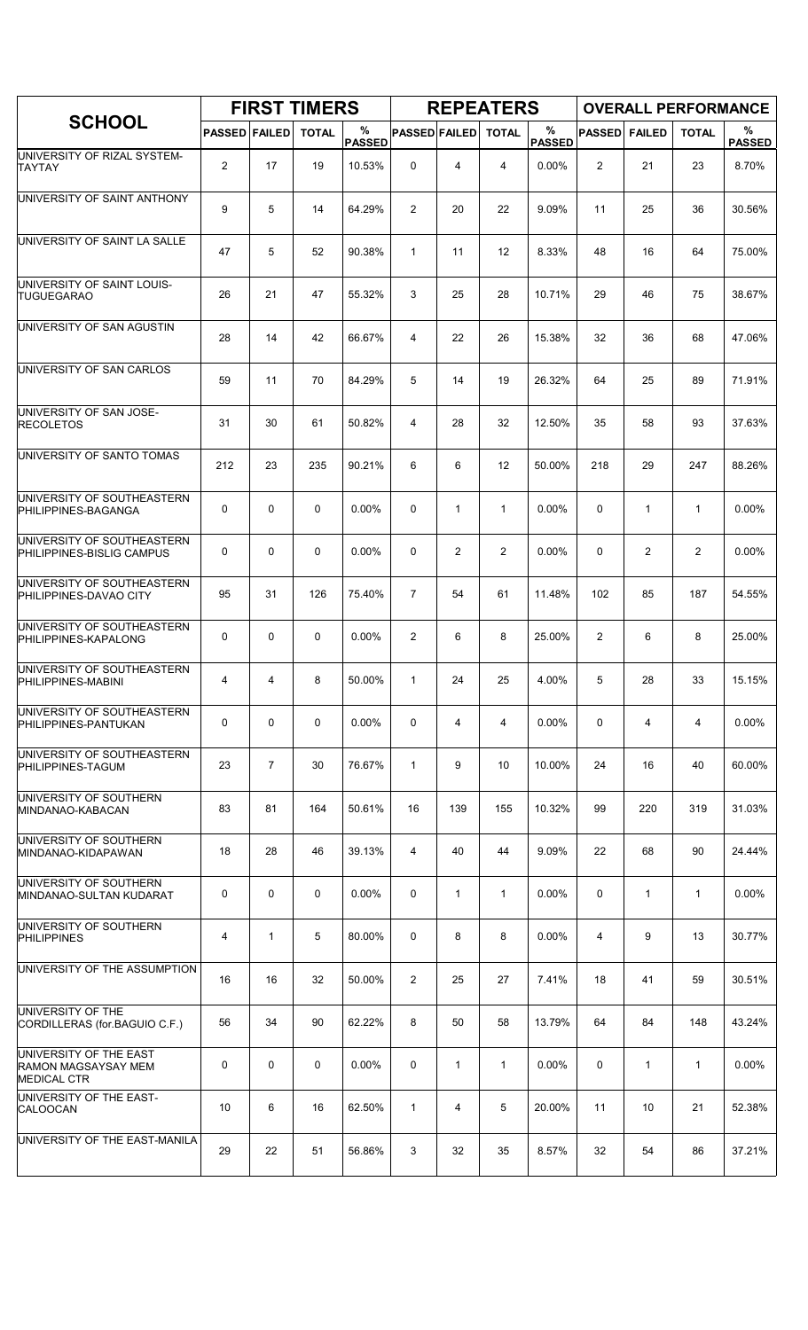|                                                                     |                      |                | <b>FIRST TIMERS</b> |                    |                      |                | <b>REPEATERS</b> |                       |                |                | <b>OVERALL PERFORMANCE</b> |                    |
|---------------------------------------------------------------------|----------------------|----------------|---------------------|--------------------|----------------------|----------------|------------------|-----------------------|----------------|----------------|----------------------------|--------------------|
| <b>SCHOOL</b>                                                       | <b>PASSED FAILED</b> |                | <b>TOTAL</b>        | %<br><b>PASSED</b> | <b>PASSED FAILED</b> |                | <b>TOTAL</b>     | $\%$<br><b>PASSED</b> | <b>PASSED</b>  | <b>FAILED</b>  | <b>TOTAL</b>               | %<br><b>PASSED</b> |
| UNIVERSITY OF RIZAL SYSTEM-<br><b>TAYTAY</b>                        | $\overline{2}$       | 17             | 19                  | 10.53%             | 0                    | 4              | 4                | $0.00\%$              | $\overline{c}$ | 21             | 23                         | 8.70%              |
| UNIVERSITY OF SAINT ANTHONY                                         | 9                    | 5              | 14                  | 64.29%             | 2                    | 20             | 22               | 9.09%                 | 11             | 25             | 36                         | 30.56%             |
| UNIVERSITY OF SAINT LA SALLE                                        | 47                   | 5              | 52                  | 90.38%             | $\mathbf{1}$         | 11             | 12               | 8.33%                 | 48             | 16             | 64                         | 75.00%             |
| UNIVERSITY OF SAINT LOUIS-<br><b>TUGUEGARAO</b>                     | 26                   | 21             | 47                  | 55.32%             | 3                    | 25             | 28               | 10.71%                | 29             | 46             | 75                         | 38.67%             |
| UNIVERSITY OF SAN AGUSTIN                                           | 28                   | 14             | 42                  | 66.67%             | 4                    | 22             | 26               | 15.38%                | 32             | 36             | 68                         | 47.06%             |
| UNIVERSITY OF SAN CARLOS                                            | 59                   | 11             | 70                  | 84.29%             | 5                    | 14             | 19               | 26.32%                | 64             | 25             | 89                         | 71.91%             |
| UNIVERSITY OF SAN JOSE-<br><b>RECOLETOS</b>                         | 31                   | 30             | 61                  | 50.82%             | 4                    | 28             | 32               | 12.50%                | 35             | 58             | 93                         | 37.63%             |
| UNIVERSITY OF SANTO TOMAS                                           | 212                  | 23             | 235                 | 90.21%             | 6                    | 6              | 12               | 50.00%                | 218            | 29             | 247                        | 88.26%             |
| UNIVERSITY OF SOUTHEASTERN<br>PHILIPPINES-BAGANGA                   | 0                    | 0              | 0                   | $0.00\%$           | 0                    | $\mathbf{1}$   | $\mathbf{1}$     | $0.00\%$              | 0              | $\mathbf{1}$   | $\mathbf{1}$               | 0.00%              |
| UNIVERSITY OF SOUTHEASTERN<br>PHILIPPINES-BISLIG CAMPUS             | 0                    | 0              | $\mathbf 0$         | 0.00%              | 0                    | 2              | $\overline{2}$   | 0.00%                 | $\mathbf 0$    | $\overline{c}$ | 2                          | 0.00%              |
| UNIVERSITY OF SOUTHEASTERN<br>PHILIPPINES-DAVAO CITY                | 95                   | 31             | 126                 | 75.40%             | $\overline{7}$       | 54             | 61               | 11.48%                | 102            | 85             | 187                        | 54.55%             |
| UNIVERSITY OF SOUTHEASTERN<br>PHILIPPINES-KAPALONG                  | 0                    | $\mathbf 0$    | 0                   | $0.00\%$           | 2                    | 6              | 8                | 25.00%                | $\overline{c}$ | 6              | 8                          | 25.00%             |
| UNIVERSITY OF SOUTHEASTERN<br>PHILIPPINES-MABINI                    | 4                    | 4              | 8                   | 50.00%             | $\mathbf{1}$         | 24             | 25               | 4.00%                 | 5              | 28             | 33                         | 15.15%             |
| UNIVERSITY OF SOUTHEASTERN<br>PHILIPPINES-PANTUKAN                  | 0                    | 0              | 0                   | $0.00\%$           | 0                    | 4              | 4                | $0.00\%$              | 0              | 4              | 4                          | 0.00%              |
| UNIVERSITY OF SOUTHEASTERN<br>PHILIPPINES-TAGUM                     | 23                   | $\overline{7}$ | 30                  | 76.67%             | $\mathbf{1}$         | 9              | 10               | 10.00%                | 24             | 16             | 40                         | 60.00%             |
| UNIVERSITY OF SOUTHERN<br>MINDANAO-KABACAN                          | 83                   | 81             | 164                 | 50.61%             | 16                   | 139            | 155              | 10.32%                | 99             | 220            | 319                        | 31.03%             |
| UNIVERSITY OF SOUTHERN<br>MINDANAO-KIDAPAWAN                        | 18                   | 28             | 46                  | 39.13%             | 4                    | 40             | 44               | 9.09%                 | 22             | 68             | 90                         | 24.44%             |
| UNIVERSITY OF SOUTHERN<br>MINDANAO-SULTAN KUDARAT                   | 0                    | $\mathbf 0$    | 0                   | 0.00%              | 0                    | $\mathbf{1}$   | $\mathbf{1}$     | 0.00%                 | 0              | $\mathbf{1}$   | $\mathbf{1}$               | 0.00%              |
| UNIVERSITY OF SOUTHERN<br><b>PHILIPPINES</b>                        | 4                    | $\mathbf{1}$   | 5                   | 80.00%             | 0                    | 8              | 8                | 0.00%                 | 4              | 9              | 13                         | 30.77%             |
| UNIVERSITY OF THE ASSUMPTION                                        | 16                   | 16             | 32                  | 50.00%             | $\overline{2}$       | 25             | 27               | 7.41%                 | 18             | 41             | 59                         | 30.51%             |
| UNIVERSITY OF THE<br>CORDILLERAS (for.BAGUIO C.F.)                  | 56                   | 34             | 90                  | 62.22%             | 8                    | 50             | 58               | 13.79%                | 64             | 84             | 148                        | 43.24%             |
| UNIVERSITY OF THE EAST<br>RAMON MAGSAYSAY MEM<br><b>MEDICAL CTR</b> | 0                    | 0              | 0                   | $0.00\%$           | 0                    | $\mathbf{1}$   | $\mathbf{1}$     | $0.00\%$              | 0              | $\mathbf{1}$   | 1                          | 0.00%              |
| UNIVERSITY OF THE EAST-<br>CALOOCAN                                 | 10                   | 6              | 16                  | 62.50%             | $\mathbf{1}$         | $\overline{4}$ | 5                | 20.00%                | 11             | 10             | 21                         | 52.38%             |
| UNIVERSITY OF THE EAST-MANILA                                       | 29                   | 22             | 51                  | 56.86%             | 3                    | 32             | 35               | 8.57%                 | 32             | 54             | 86                         | 37.21%             |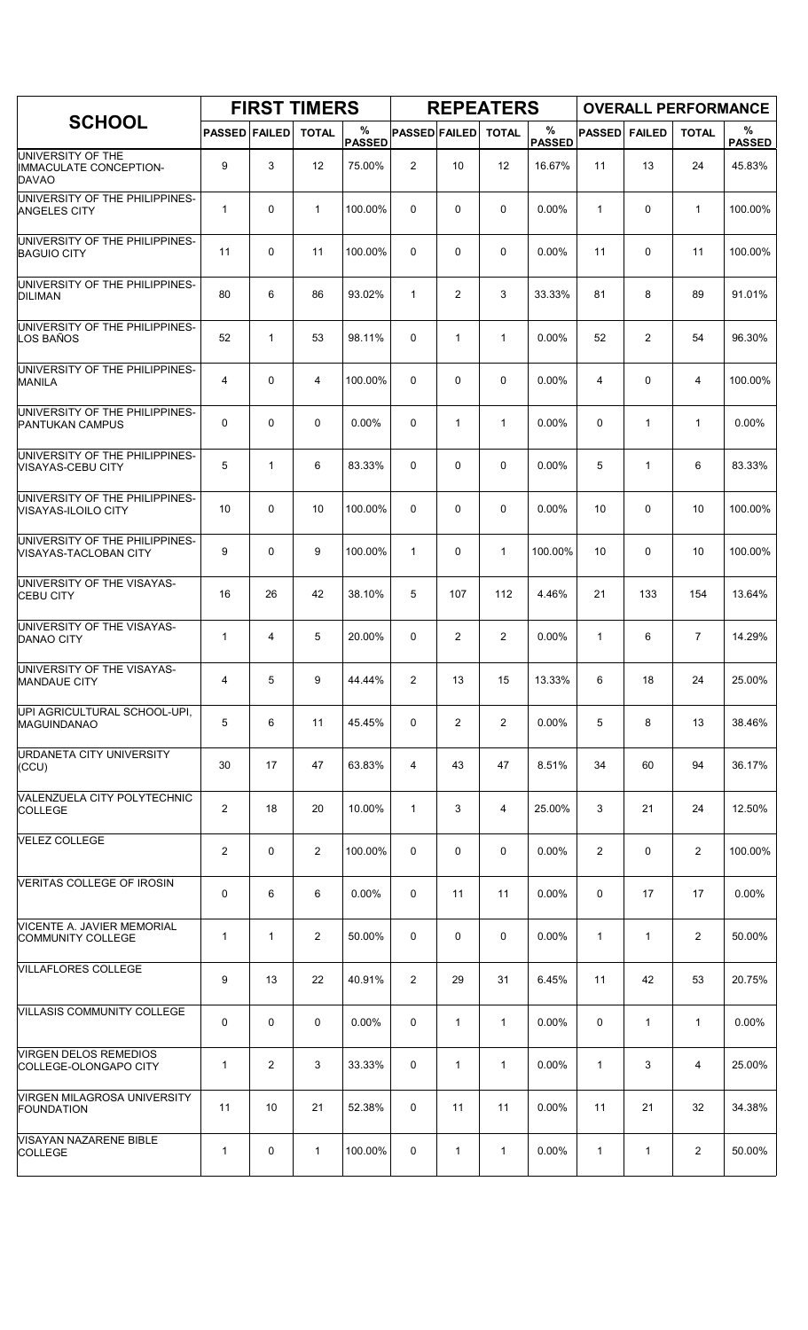|                                                                    |                         | <b>FIRST TIMERS</b> |                |                    |                      |                | <b>REPEATERS</b> |                       |                |                |                | <b>OVERALL PERFORMANCE</b> |
|--------------------------------------------------------------------|-------------------------|---------------------|----------------|--------------------|----------------------|----------------|------------------|-----------------------|----------------|----------------|----------------|----------------------------|
| <b>SCHOOL</b>                                                      | <b>PASSED FAILED</b>    |                     | <b>TOTAL</b>   | %<br><b>PASSED</b> | <b>PASSED FAILED</b> |                | <b>TOTAL</b>     | $\%$<br><b>PASSED</b> | <b>PASSED</b>  | <b>FAILED</b>  | <b>TOTAL</b>   | %<br><b>PASSED</b>         |
| UNIVERSITY OF THE<br><b>IMMACULATE CONCEPTION-</b><br><b>DAVAO</b> | 9                       | 3                   | 12             | 75.00%             | 2                    | 10             | 12               | 16.67%                | 11             | 13             | 24             | 45.83%                     |
| UNIVERSITY OF THE PHILIPPINES-<br><b>ANGELES CITY</b>              | $\mathbf{1}$            | 0                   | 1              | 100.00%            | 0                    | 0              | 0                | 0.00%                 | 1              | 0              | $\mathbf{1}$   | 100.00%                    |
| UNIVERSITY OF THE PHILIPPINES-<br><b>BAGUIO CITY</b>               | 11                      | $\Omega$            | 11             | 100.00%            | 0                    | 0              | 0                | 0.00%                 | 11             | 0              | 11             | 100.00%                    |
| UNIVERSITY OF THE PHILIPPINES-<br><b>DILIMAN</b>                   | 80                      | 6                   | 86             | 93.02%             | $\mathbf{1}$         | 2              | 3                | 33.33%                | 81             | 8              | 89             | 91.01%                     |
| UNIVERSITY OF THE PHILIPPINES-<br>LOS BAÑOS                        | 52                      | 1                   | 53             | 98.11%             | 0                    | $\mathbf{1}$   | $\mathbf{1}$     | 0.00%                 | 52             | $\overline{2}$ | 54             | 96.30%                     |
| UNIVERSITY OF THE PHILIPPINES-<br><b>MANILA</b>                    | 4                       | 0                   | 4              | 100.00%            | 0                    | 0              | 0                | 0.00%                 | 4              | 0              | 4              | 100.00%                    |
| UNIVERSITY OF THE PHILIPPINES-<br>PANTUKAN CAMPUS                  | 0                       | 0                   | $\mathbf 0$    | 0.00%              | $\mathbf 0$          | $\mathbf{1}$   | 1                | 0.00%                 | 0              | $\mathbf{1}$   | $\mathbf{1}$   | 0.00%                      |
| UNIVERSITY OF THE PHILIPPINES-<br><b>VISAYAS-CEBU CITY</b>         | 5                       | 1                   | 6              | 83.33%             | $\Omega$             | 0              | 0                | 0.00%                 | 5              | $\mathbf{1}$   | 6              | 83.33%                     |
| UNIVERSITY OF THE PHILIPPINES-<br>VISAYAS-ILOILO CITY              | 10                      | 0                   | 10             | 100.00%            | 0                    | 0              | 0                | 0.00%                 | 10             | 0              | 10             | 100.00%                    |
| UNIVERSITY OF THE PHILIPPINES-<br>VISAYAS-TACLOBAN CITY            | 9                       | 0                   | 9              | 100.00%            | $\mathbf{1}$         | 0              | $\mathbf{1}$     | 100.00%               | 10             | 0              | 10             | 100.00%                    |
| UNIVERSITY OF THE VISAYAS-<br><b>CEBU CITY</b>                     | 16                      | 26                  | 42             | 38.10%             | 5                    | 107            | 112              | 4.46%                 | 21             | 133            | 154            | 13.64%                     |
| UNIVERSITY OF THE VISAYAS-<br><b>DANAO CITY</b>                    | $\mathbf{1}$            | 4                   | 5              | 20.00%             | $\mathbf 0$          | $\overline{2}$ | $\overline{2}$   | 0.00%                 | $\mathbf{1}$   | 6              | $\overline{7}$ | 14.29%                     |
| UNIVERSITY OF THE VISAYAS-<br><b>MANDAUE CITY</b>                  | $\overline{4}$          | 5                   | 9              | 44.44%             | $\overline{c}$       | 13             | 15               | 13.33%                | 6              | 18             | 24             | 25.00%                     |
| UPI AGRICULTURAL SCHOOL-UPI,<br><b>MAGUINDANAO</b>                 | 5                       | 6                   | 11             | 45.45%             | 0                    | 2              | $\overline{2}$   | $0.00\%$              | 5              | 8              | 13             | 38.46%                     |
| URDANETA CITY UNIVERSITY<br>(CCU)                                  | 30                      | 17                  | 47             | 63.83%             | 4                    | 43             | 47               | 8.51%                 | 34             | 60             | 94             | 36.17%                     |
| VALENZUELA CITY POLYTECHNIC<br><b>COLLEGE</b>                      | $\overline{\mathbf{c}}$ | 18                  | 20             | 10.00%             | $\mathbf{1}$         | 3              | 4                | 25.00%                | 3              | 21             | 24             | 12.50%                     |
| VELEZ COLLEGE                                                      | 2                       | 0                   | $\overline{2}$ | 100.00%            | 0                    | 0              | 0                | 0.00%                 | $\overline{c}$ | 0              | $\overline{2}$ | 100.00%                    |
| VERITAS COLLEGE OF IROSIN                                          | 0                       | 6                   | 6              | 0.00%              | 0                    | 11             | 11               | 0.00%                 | 0              | 17             | 17             | 0.00%                      |
| VICENTE A. JAVIER MEMORIAL<br>COMMUNITY COLLEGE                    | $\mathbf{1}$            | $\mathbf{1}$        | $\overline{2}$ | 50.00%             | 0                    | 0              | 0                | 0.00%                 | $\mathbf{1}$   | $\mathbf{1}$   | $\overline{2}$ | 50.00%                     |
| <b>VILLAFLORES COLLEGE</b>                                         | 9                       | 13                  | 22             | 40.91%             | $\overline{2}$       | 29             | 31               | 6.45%                 | 11             | 42             | 53             | 20.75%                     |
| <b>VILLASIS COMMUNITY COLLEGE</b>                                  | 0                       | 0                   | $\mathbf 0$    | 0.00%              | 0                    | $\mathbf{1}$   | $\mathbf{1}$     | $0.00\%$              | 0              | $\mathbf{1}$   | $\mathbf{1}$   | 0.00%                      |
| <b>VIRGEN DELOS REMEDIOS</b><br>COLLEGE-OLONGAPO CITY              | $\mathbf{1}$            | 2                   | 3              | 33.33%             | 0                    | $\mathbf{1}$   | $\mathbf{1}$     | 0.00%                 | $\mathbf{1}$   | 3              | 4              | 25.00%                     |
| VIRGEN MILAGROSA UNIVERSITY<br><b>FOUNDATION</b>                   | 11                      | 10                  | 21             | 52.38%             | 0                    | 11             | 11               | $0.00\%$              | 11             | 21             | 32             | 34.38%                     |
| <b>VISAYAN NAZARENE BIBLE</b><br><b>COLLEGE</b>                    | $\mathbf{1}$            | 0                   | 1              | 100.00%            | 0                    | 1              | $\mathbf{1}$     | $0.00\%$              | 1              | $\mathbf{1}$   | $\overline{2}$ | 50.00%                     |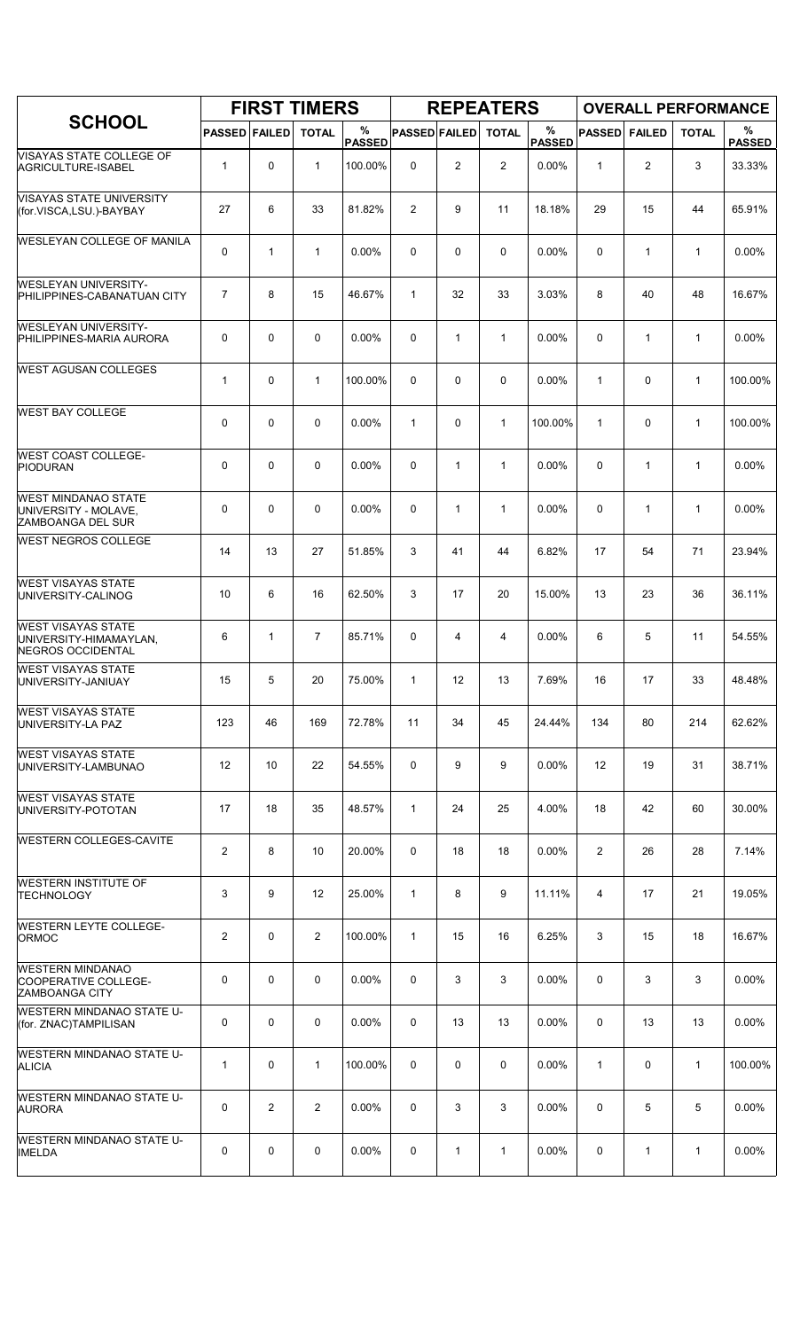| <b>SCHOOL</b>                                                                   |                         |              | <b>FIRST TIMERS</b> |                    |                      |                | <b>REPEATERS</b> |                       | <b>OVERALL PERFORMANCE</b> |                |              |                    |
|---------------------------------------------------------------------------------|-------------------------|--------------|---------------------|--------------------|----------------------|----------------|------------------|-----------------------|----------------------------|----------------|--------------|--------------------|
|                                                                                 | <b>PASSED FAILED</b>    |              | <b>TOTAL</b>        | %<br><b>PASSED</b> | <b>PASSED FAILED</b> |                | <b>TOTAL</b>     | $\%$<br><b>PASSED</b> | <b>PASSED</b>              | <b>FAILED</b>  | <b>TOTAL</b> | %<br><b>PASSED</b> |
| VISAYAS STATE COLLEGE OF<br>AGRICULTURE-ISABEL                                  | $\mathbf{1}$            | 0            | $\mathbf{1}$        | 100.00%            | 0                    | $\overline{2}$ | $\overline{2}$   | 0.00%                 | $\mathbf{1}$               | $\overline{2}$ | 3            | 33.33%             |
| <b>VISAYAS STATE UNIVERSITY</b><br>(for.VISCA,LSU.)-BAYBAY                      | 27                      | 6            | 33                  | 81.82%             | $\overline{c}$       | 9              | 11               | 18.18%                | 29                         | 15             | 44           | 65.91%             |
| <b>WESLEYAN COLLEGE OF MANILA</b>                                               | 0                       | $\mathbf{1}$ | $\mathbf{1}$        | 0.00%              | 0                    | 0              | 0                | $0.00\%$              | 0                          | $\mathbf{1}$   | $\mathbf{1}$ | 0.00%              |
| <b>WESLEYAN UNIVERSITY-</b><br>PHILIPPINES-CABANATUAN CITY                      | $\overline{7}$          | 8            | 15                  | 46.67%             | $\mathbf{1}$         | 32             | 33               | 3.03%                 | 8                          | 40             | 48           | 16.67%             |
| <b>WESLEYAN UNIVERSITY-</b><br>PHILIPPINES-MARIA AURORA                         | 0                       | 0            | 0                   | 0.00%              | $\Omega$             | $\mathbf{1}$   | $\mathbf{1}$     | 0.00%                 | 0                          | 1              | $\mathbf{1}$ | 0.00%              |
| <b>WEST AGUSAN COLLEGES</b>                                                     | $\mathbf{1}$            | 0            | $\mathbf{1}$        | 100.00%            | $\Omega$             | 0              | $\mathbf 0$      | 0.00%                 | $\mathbf{1}$               | $\mathbf 0$    | $\mathbf{1}$ | 100.00%            |
| <b>WEST BAY COLLEGE</b>                                                         | 0                       | 0            | 0                   | 0.00%              | $\mathbf{1}$         | 0              | $\mathbf{1}$     | 100.00%               | $\mathbf{1}$               | $\pmb{0}$      | $\mathbf{1}$ | 100.00%            |
| <b>WEST COAST COLLEGE-</b><br><b>PIODURAN</b>                                   | 0                       | $\Omega$     | 0                   | 0.00%              | $\Omega$             | $\mathbf{1}$   | $\mathbf{1}$     | $0.00\%$              | 0                          | $\mathbf{1}$   | $\mathbf{1}$ | 0.00%              |
| <b>WEST MINDANAO STATE</b><br>UNIVERSITY - MOLAVE,<br>ZAMBOANGA DEL SUR         | 0                       | 0            | $\mathbf 0$         | 0.00%              | $\mathbf 0$          | $\mathbf{1}$   | $\mathbf{1}$     | 0.00%                 | 0                          | $\mathbf{1}$   | $\mathbf{1}$ | 0.00%              |
| <b>WEST NEGROS COLLEGE</b>                                                      | 14                      | 13           | 27                  | 51.85%             | 3                    | 41             | 44               | 6.82%                 | 17                         | 54             | 71           | 23.94%             |
| <b>WEST VISAYAS STATE</b><br>UNIVERSITY-CALINOG                                 | 10                      | 6            | 16                  | 62.50%             | 3                    | 17             | 20               | 15.00%                | 13                         | 23             | 36           | 36.11%             |
| <b>WEST VISAYAS STATE</b><br>UNIVERSITY-HIMAMAYLAN,<br><b>NEGROS OCCIDENTAL</b> | 6                       | 1            | $\overline{7}$      | 85.71%             | $\mathbf 0$          | 4              | 4                | 0.00%                 | 6                          | 5              | 11           | 54.55%             |
| <b>WEST VISAYAS STATE</b><br>UNIVERSITY-JANIUAY                                 | 15                      | 5            | 20                  | 75.00%             | $\mathbf{1}$         | 12             | 13               | 7.69%                 | 16                         | 17             | 33           | 48.48%             |
| <b>WEST VISAYAS STATE</b><br>UNIVERSITY-LA PAZ                                  | 123                     | 46           | 169                 | 72.78%             | 11                   | 34             | 45               | 24.44%                | 134                        | 80             | 214          | 62.62%             |
| <b>WEST VISAYAS STATE</b><br>UNIVERSITY-LAMBUNAO                                | 12                      | 10           | 22                  | 54.55%             | 0                    | 9              | 9                | 0.00%                 | 12                         | 19             | 31           | 38.71%             |
| <b>WEST VISAYAS STATE</b><br>UNIVERSITY-POTOTAN                                 | 17                      | 18           | 35                  | 48.57%             | $\mathbf{1}$         | 24             | 25               | 4.00%                 | 18                         | 42             | 60           | 30.00%             |
| <b>WESTERN COLLEGES-CAVITE</b>                                                  | 2                       | 8            | 10                  | 20.00%             | 0                    | 18             | 18               | 0.00%                 | $\overline{2}$             | 26             | 28           | 7.14%              |
| <b>WESTERN INSTITUTE OF</b><br>TECHNOLOGY                                       | 3                       | 9            | 12                  | 25.00%             | $\mathbf{1}$         | 8              | 9                | 11.11%                | 4                          | 17             | 21           | 19.05%             |
| <b>WESTERN LEYTE COLLEGE-</b><br><b>ORMOC</b>                                   | $\overline{\mathbf{c}}$ | 0            | $\overline{2}$      | 100.00%            | $\mathbf{1}$         | 15             | 16               | 6.25%                 | 3                          | 15             | 18           | 16.67%             |
| <b>WESTERN MINDANAO</b><br>COOPERATIVE COLLEGE-<br><b>ZAMBOANGA CITY</b>        | 0                       | 0            | $\mathbf 0$         | $0.00\%$           | 0                    | 3              | 3                | $0.00\%$              | 0                          | 3              | 3            | $0.00\%$           |
| <b>WESTERN MINDANAO STATE U-</b><br>(for. ZNAC)TAMPILISAN                       | 0                       | 0            | $\mathbf 0$         | 0.00%              | 0                    | 13             | 13               | 0.00%                 | 0                          | 13             | 13           | 0.00%              |
| <b>WESTERN MINDANAO STATE U-</b><br><b>ALICIA</b>                               | $\mathbf{1}$            | 0            | $\mathbf{1}$        | 100.00%            | 0                    | 0              | 0                | $0.00\%$              | $\mathbf{1}$               | 0              | $\mathbf{1}$ | 100.00%            |
| WESTERN MINDANAO STATE U-<br><b>AURORA</b>                                      | 0                       | 2            | $\overline{2}$      | $0.00\%$           | 0                    | 3              | 3                | $0.00\%$              | 0                          | 5              | 5            | $0.00\%$           |
| <b>WESTERN MINDANAO STATE U-</b><br><b>IMELDA</b>                               | 0                       | 0            | 0                   | 0.00%              | 0                    | 1              | 1                | 0.00%                 | 0                          | 1              | $\mathbf{1}$ | 0.00%              |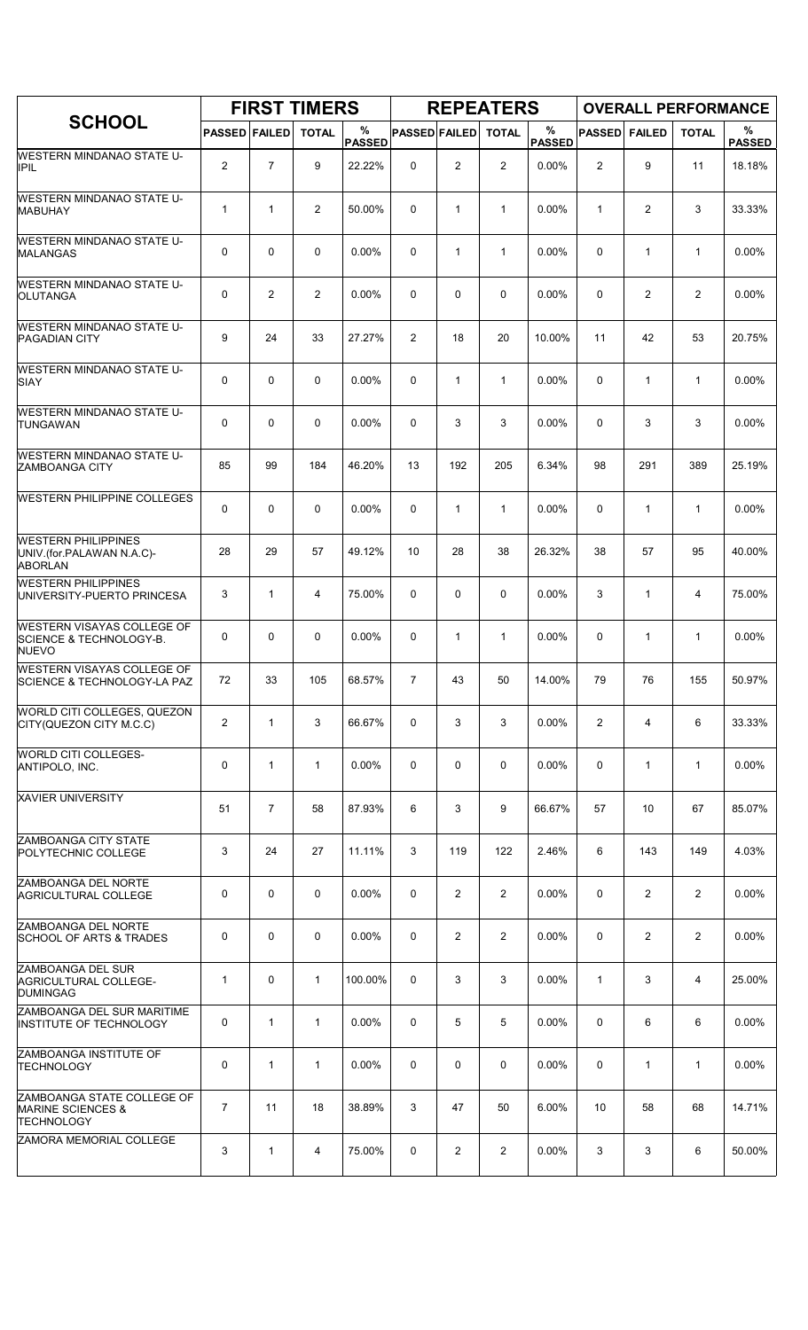| <b>SCHOOL</b>                                                                    | <b>FIRST TIMERS</b>  |                |              |                    |                      |                | <b>REPEATERS</b> |                    | <b>OVERALL PERFORMANCE</b> |                |                |                    |
|----------------------------------------------------------------------------------|----------------------|----------------|--------------|--------------------|----------------------|----------------|------------------|--------------------|----------------------------|----------------|----------------|--------------------|
|                                                                                  | <b>PASSED FAILED</b> |                | <b>TOTAL</b> | %<br><b>PASSED</b> | <b>PASSED FAILED</b> |                | <b>TOTAL</b>     | %<br><b>PASSED</b> | <b>PASSED</b>              | <b>FAILED</b>  | <b>TOTAL</b>   | %<br><b>PASSED</b> |
| WESTERN MINDANAO STATE U-<br><b>IPIL</b>                                         | 2                    | $\overline{7}$ | 9            | 22.22%             | 0                    | $\overline{c}$ | 2                | 0.00%              | $\overline{2}$             | 9              | 11             | 18.18%             |
| <b>WESTERN MINDANAO STATE U-</b><br><b>MABUHAY</b>                               | 1                    | $\mathbf{1}$   | 2            | 50.00%             | 0                    | $\mathbf{1}$   | 1                | 0.00%              | 1                          | $\overline{c}$ | 3              | 33.33%             |
| <b>WESTERN MINDANAO STATE U-</b><br><b>MALANGAS</b>                              | 0                    | $\mathbf 0$    | $\mathbf 0$  | $0.00\%$           | 0                    | $\mathbf{1}$   | 1                | 0.00%              | $\Omega$                   | $\mathbf{1}$   | $\mathbf{1}$   | $0.00\%$           |
| <b>WESTERN MINDANAO STATE U-</b><br>OLUTANGA                                     | 0                    | $\overline{2}$ | 2            | $0.00\%$           | $\Omega$             | 0              | $\Omega$         | 0.00%              | 0                          | 2              | $\overline{2}$ | 0.00%              |
| <b>WESTERN MINDANAO STATE U-</b><br><b>PAGADIAN CITY</b>                         | 9                    | 24             | 33           | 27.27%             | 2                    | 18             | 20               | 10.00%             | 11                         | 42             | 53             | 20.75%             |
| <b>WESTERN MINDANAO STATE U-</b><br>SIAY                                         | 0                    | $\mathbf 0$    | $\mathbf 0$  | $0.00\%$           | 0                    | $\mathbf{1}$   | $\mathbf{1}$     | 0.00%              | $\Omega$                   | 1              | $\mathbf{1}$   | $0.00\%$           |
| <b>WESTERN MINDANAO STATE U-</b><br><b>TUNGAWAN</b>                              | 0                    | $\mathbf 0$    | 0            | 0.00%              | 0                    | 3              | 3                | 0.00%              | $\mathbf 0$                | 3              | 3              | 0.00%              |
| <b>WESTERN MINDANAO STATE U-</b><br>ZAMBOANGA CITY                               | 85                   | 99             | 184          | 46.20%             | 13                   | 192            | 205              | 6.34%              | 98                         | 291            | 389            | 25.19%             |
| <b>WESTERN PHILIPPINE COLLEGES</b>                                               | 0                    | 0              | $\mathbf 0$  | $0.00\%$           | 0                    | $\mathbf{1}$   | $\mathbf{1}$     | 0.00%              | 0                          | $\mathbf{1}$   | $\mathbf{1}$   | 0.00%              |
| <b>WESTERN PHILIPPINES</b><br>UNIV.(for.PALAWAN N.A.C)-<br><b>ABORLAN</b>        | 28                   | 29             | 57           | 49.12%             | 10                   | 28             | 38               | 26.32%             | 38                         | 57             | 95             | 40.00%             |
| <b>WESTERN PHILIPPINES</b><br>UNIVERSITY-PUERTO PRINCESA                         | 3                    | $\mathbf{1}$   | 4            | 75.00%             | 0                    | 0              | 0                | 0.00%              | 3                          | 1              | 4              | 75.00%             |
| WESTERN VISAYAS COLLEGE OF<br><b>SCIENCE &amp; TECHNOLOGY-B.</b><br><b>NUEVO</b> | 0                    | $\mathbf 0$    | 0            | 0.00%              | 0                    | 1              | $\mathbf{1}$     | 0.00%              | $\mathbf 0$                | $\mathbf{1}$   | $\mathbf 1$    | 0.00%              |
| <b>WESTERN VISAYAS COLLEGE OF</b><br>SCIENCE & TECHNOLOGY-LA PAZ                 | 72                   | 33             | 105          | 68.57%             | $\overline{7}$       | 43             | 50               | 14.00%             | 79                         | 76             | 155            | 50.97%             |
| WORLD CITI COLLEGES, QUEZON<br>CITY(QUEZON CITY M.C.C)                           | $\overline{c}$       | $\mathbf{1}$   | 3            | 66.67%             | 0                    | 3              | 3                | $0.00\%$           | $\overline{2}$             | 4              | 6              | 33.33%             |
| WORLD CITI COLLEGES-<br>ANTIPOLO, INC.                                           | 0                    | $\mathbf{1}$   | $\mathbf{1}$ | 0.00%              | 0                    | 0              | 0                | 0.00%              | 0                          | $\mathbf{1}$   | $\mathbf{1}$   | 0.00%              |
| XAVIER UNIVERSITY                                                                | 51                   | $\overline{7}$ | 58           | 87.93%             | 6                    | 3              | 9                | 66.67%             | 57                         | 10             | 67             | 85.07%             |
| <b>ZAMBOANGA CITY STATE</b><br>POLYTECHNIC COLLEGE                               | 3                    | 24             | 27           | 11.11%             | 3                    | 119            | 122              | 2.46%              | 6                          | 143            | 149            | 4.03%              |
| ZAMBOANGA DEL NORTE<br><b>AGRICULTURAL COLLEGE</b>                               | 0                    | $\mathbf 0$    | 0            | 0.00%              | 0                    | 2              | $\overline{2}$   | 0.00%              | 0                          | $\overline{2}$ | 2              | 0.00%              |
| ZAMBOANGA DEL NORTE<br><b>SCHOOL OF ARTS &amp; TRADES</b>                        | 0                    | $\mathbf 0$    | 0            | 0.00%              | 0                    | 2              | $\overline{2}$   | 0.00%              | 0                          | 2              | 2              | 0.00%              |
| ZAMBOANGA DEL SUR<br>AGRICULTURAL COLLEGE-<br><b>DUMINGAG</b>                    | 1                    | 0              | $\mathbf{1}$ | 100.00%            | 0                    | 3              | 3                | $0.00\%$           | 1                          | 3              | 4              | 25.00%             |
| ZAMBOANGA DEL SUR MARITIME<br>INSTITUTE OF TECHNOLOGY                            | 0                    | $\mathbf{1}$   | $\mathbf{1}$ | 0.00%              | 0                    | 5              | 5                | 0.00%              | 0                          | 6              | 6              | 0.00%              |
| ZAMBOANGA INSTITUTE OF<br>TECHNOLOGY                                             | 0                    | $\mathbf{1}$   | 1            | 0.00%              | 0                    | 0              | 0                | 0.00%              | 0                          | $\mathbf{1}$   | $\mathbf{1}$   | 0.00%              |
| ZAMBOANGA STATE COLLEGE OF<br><b>MARINE SCIENCES &amp;</b><br><b>TECHNOLOGY</b>  | $\overline{7}$       | 11             | 18           | 38.89%             | 3                    | 47             | 50               | 6.00%              | 10                         | 58             | 68             | 14.71%             |
| ZAMORA MEMORIAL COLLEGE                                                          | 3                    | $\mathbf{1}$   | 4            | 75.00%             | 0                    | 2              | $\overline{2}$   | 0.00%              | 3                          | 3              | 6              | 50.00%             |